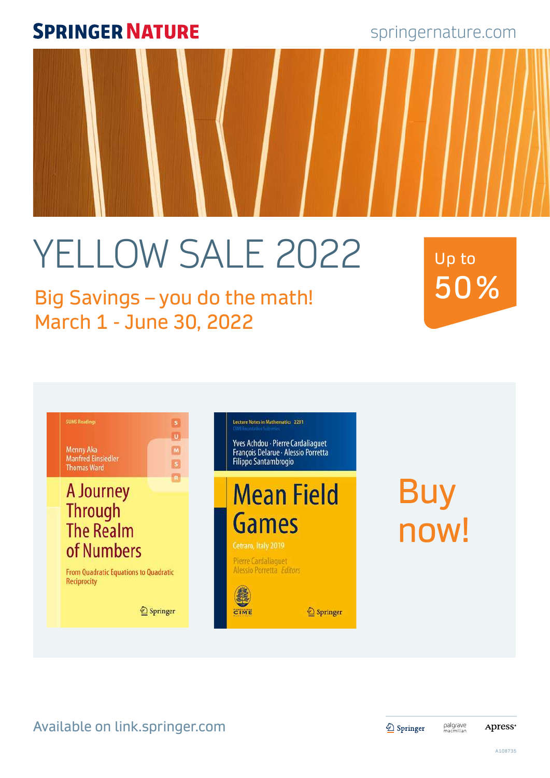springernature.com

### Available on link.springer.com

2 Springer

palgrave<br>macmillan

**Apress**<sup>®</sup>

A108735

# YELLOW SALE 2022

### Big Savings – you do the math! March 1 - June 30, 2022

 $\mathbf{s}$  $\boxed{0}$ 

 $\Box$ 

ø

R

## Buy now!



Up to 50%

**Menny Aka Manfred Einsiedler Thomas Ward** 

**SUMS Readings** 

### A Journey Through<br>The Realm of Numbers

From Quadratic Equations to Quadratic **Reciprocity** 

Lecture Notes in Mathematics 2281

Yves Achdou - Pierre Cardaliaguet François Delarue - Alessio Porretta Filippo Santambrogio

## **Mean Field Games**

Cetraro, Italy 2019

**Pierre Cardaliaquet** Alessio Porretta Editors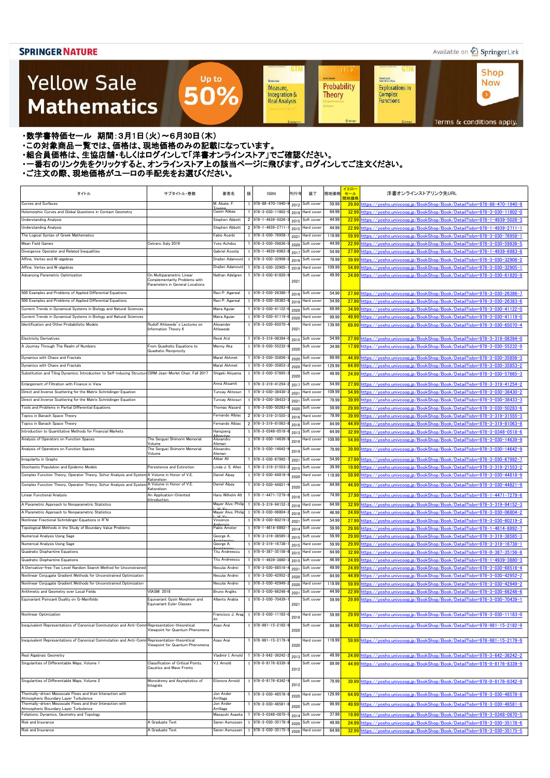### Available on 2 Springer Link

**Shop** 

**Now** 

 $\bullet$ 

### **Yellow Sale Mathematics**

**GTM GTM UT Achim Hente** Kichard Beals<br>Rođenick S. C. Wong Sheidon Auler Probability **Explorations in** Measure, 50% Integration & Complex<br>Functions **Theory Real Analysis** Terms & conditions apply.

・数学書特価セール 期間:3月1日(火)~6月30日(木)

・この対象商品一覧では、価格は、現地価格のみの記載になっています。

- ニッパルプロは、ここには、このファンストリングのコンティングファンストア」でご確認ください。<br>・組合員価格は、生協店舗・もしくはログインして「洋書オンラインストア」でご確認ください。

・一番右のリンク先をクリックすると、オンラインストア上の該当ページに飛びます。ログインしてご注文ください。

Up to

| タイトル                                                                                                        | サブタイトル・巻数                                                                                     | 著者名                              | 版 | <b>ISBN</b>                                | 刊行年  | 装丁                       | 現地価格           | イエロー<br>セール<br>現地価格 | 洋書オンラインストアリンク先URL                                                                                                                                    |
|-------------------------------------------------------------------------------------------------------------|-----------------------------------------------------------------------------------------------|----------------------------------|---|--------------------------------------------|------|--------------------------|----------------|---------------------|------------------------------------------------------------------------------------------------------------------------------------------------------|
| <b>Curves and Surfaces</b>                                                                                  |                                                                                               | M. Abate; F.                     |   | 978-88-470-1940                            | 2012 | Soft cover               | 59.99          | 29.99               | nttps://vosho.univcoop.jp/BookShop/Book/Detail?isbn=978-88-470-1940-9                                                                                |
| Holomorphic Curves and Global Questions in Contact Geometry                                                 |                                                                                               | Casim Abbas                      |   | 978-3-030-11802                            | 2019 | Hard cover               | 64.99          | 32.99               | https://vosho.univcoop.jp/BookShop/Book/Detail?isbn=978-3-030-11802-0                                                                                |
| <b>Understanding Analysis</b>                                                                               |                                                                                               | Stephen Abbott                   |   | 2 978-1-4939-5026                          | 2015 | Soft cover               | 44.99          | 22.99               | https://yosho.univcoop.jp/BookShop/Book/Detail?isbn=978-1-4939-5026-3                                                                                |
| <b>Understanding Analysis</b>                                                                               |                                                                                               | Stephen Abbott                   |   | 2 978-1-4939-2711                          | 2015 | Hard cover               | 44.99          | 22.99               | https://vosho.univcoop.jp/BookShop/Book/Detail?isbn=978-1-4939-2711-1                                                                                |
| The Logical Syntax of Greek Mathematics                                                                     |                                                                                               | Fabio Acerbi                     |   | 978-3-030-76958                            | 2021 | Hard cover               | 119.99         | 59.99               |                                                                                                                                                      |
| Mean Field Games                                                                                            | Cetraro, Italy 2019                                                                           | Yves Achdou                      |   | 978-3-030-59836                            | 2020 | Soft cover               | 44.99          | 22.99               | nttps://yosho.univcoop.jp/BookShop/Book/Detail?isbn=978-3-030-59836-5                                                                                |
| Divergence Operator and Related Inequalities                                                                |                                                                                               | Gabriel Acosta                   |   | 978-1-4939-6983-                           | 2017 | Soft cover               | 54.99          | 27.99               | https://vosho.univcoop.ip/BookShop/Book/Detail?isbn=978-1-4939-6983-8                                                                                |
| Affine, Vertex and W-algebras                                                                               |                                                                                               | Dražen Adamović                  |   | 978-3-030-32908-                           | 2019 | Soft cover               | 79.99          | 39.99               | https://yosho.univcoop.jp/BookShop/Book/Detail?isbn=978-3-030-32908-2                                                                                |
| Affine, Vertex and W-algebras                                                                               |                                                                                               | Dražen Adamović                  |   | 978-3-030-32905                            | 2019 | Hard cover               | 109.99         | 54.99               | https://yosho.univcoop.jp/BookShop/Book/Detail?isbn=978-3-030-32905-1                                                                                |
| Advancing Parametric Optimization                                                                           | On Multiparametric Linear<br>Complementarity Problems with<br>Parameters in General Locations | Nathan Adelgren                  |   | 978-3-030-61820-9                          | 2021 | Soft cover               | 49.99          |                     | 24.99 https://yosho.univcoop.jp/BookShop/Book/Detail?isbn=978-3-030-61820-9                                                                          |
| 500 Examples and Problems of Applied Differential Equations                                                 |                                                                                               | Ravi P. Agarwal                  |   | 978-3-030-26386-                           | 2019 | Soft cover               | 54.99          |                     | 27.99 https://yosho.univcoop.jp/BookShop/Book/Detail?isbn=978-3-030-26386-7                                                                          |
| 500 Examples and Problems of Applied Differential Equations                                                 |                                                                                               | Ravi P. Agarwal                  |   | 978-3-030-26383-                           | 2019 | Hard cover               | 54.99          | 27.99               | https://vosho.univcoop.jp/BookShop/Book/Detail?isbn=978-3-030-26383-6                                                                                |
| Current Trends in Dynamical Systems in Biology and Natural Sciences                                         |                                                                                               | Maira Aguiar                     |   | 978-3-030-41122-                           | 2020 | Soft cover               | 69.99          | 34.99               | https://yosho.univcoop.jp/BookShop/Book/Detail?isbn=978-3-030-41122-0                                                                                |
| Current Trends in Dynamical Systems in Biology and Natural Sciences                                         |                                                                                               | Maira Aguiar                     |   | 978-3-030-41119                            | 2020 | Hard cover               | 99.99          | 49.99               | https://vosho.univcoop.jp/BookShop/Book/Detail?isbn=978-3-030-41119-0                                                                                |
| Identification and Other Probabilistic Models                                                               | Rudolf Ahlswede's Lectures on<br>Information Theory 6                                         | Alexander<br>Ahlswede            |   | 978-3-030-65070                            | 2021 | Hard cover               | 139.99         | 69.99               | https://vosho.univcoop.jp/BookShop/Book/Detail?isbn=978-3-030-65070-4                                                                                |
| <b>Electricity Derivatives</b>                                                                              |                                                                                               | René Aïd                         |   | 978-3-319-08394-                           | 2015 | Soft cover               | 54.99          |                     | 27.99 https://vosho.univcoop.jp/BookShop/Book/Detail?isbn=978-3-319-08394-0                                                                          |
| A Journey Through The Realm of Numbers                                                                      | From Quadratic Equations to<br>Quadratic Reciprocity                                          | Menny Aka                        |   | 978-3-030-55232-                           | 2020 | Soft cover               | 34.99          |                     | 17.99 https://yosho.univcoop.jp/BookShop/Book/Detail?isbn=978-3-030-55232-9                                                                          |
| Dynamics with Chaos and Fractals                                                                            |                                                                                               | Marat Akhmet                     |   | 978-3-030-35856                            | 2020 | Soft cover               | 89.99          | 44.99               | https://vosho.univcoop.jp/BookShop/Book/Detail?isbn=978-3-030-35856-3                                                                                |
| Dynamics with Chaos and Fractals                                                                            |                                                                                               | Marat Akhmet                     |   | 978-3-030-35853                            | 2020 | Hard cover               | 129.99         | 64.99               | https://yosho.univcoop.jp/BookShop/Book/Detail?isbn=978-3-030-35853-2                                                                                |
| Substitution and Tiling Dynamics: Introduction to Self-inducing Structure CIRM Jean-Morlet Chair, Fall 2017 |                                                                                               | Shigeki Akiyama                  |   | 978-3-030-57665-                           | 2020 | Soft cover               | 49.99          | 24.99               | https://vosho.univcoop.jp/BookShop/Book/Detail?isbn=978-3-030-57665-3                                                                                |
| Enlargement of Filtration with Finance in View                                                              |                                                                                               | Anna Aksamit                     |   | 978-3-319-41254                            | 2017 | Soft cover               | 54.99          | 27.99               | https://yosho.univcoop.jp/BookShop/Book/Detail?isbn=978-3-319-41254-2                                                                                |
| Direct and Inverse Scattering for the Matrix Schrödinger Equation                                           |                                                                                               | Tuncay Aktosun                   |   | 978-3-030-38430-                           | 2021 | Hard cover               | 109.99         | 54.99               | https://yosho.univcoop.jp/BookShop/Book/Detail?isbn=978-3-030-38430-2                                                                                |
| Direct and Inverse Scattering for the Matrix Schrödinger Equation                                           |                                                                                               | Tuncay Aktosun                   |   | 978-3-030-38433-                           | 2021 | Soft cover               | 79.99          | 39.99               | https://vosho.univcoop.jp/BookShop/Book/Detail?isbn=978-3-030-38433-3                                                                                |
| Tools and Problems in Partial Differential Equations                                                        |                                                                                               | Thomas Alazard                   |   | 978-3-030-50283-                           | 2020 | Soft cover               | 59.99          | 29.99               | https://vosho.univcoop.jp/BookShop/Book/Detail?isbn=978-3-030-50283-6                                                                                |
| Topics in Banach Space Theory                                                                               |                                                                                               | Fernando Albiac                  |   | 2 978-3-319-31555                          | 2016 | Hard cover               | 79.99          | 39.99               | https://vosho.univcoop.jp/BookShop/Book/Detail?isbn=978-3-319-31555-3                                                                                |
| Topics in Banach Space Theory                                                                               |                                                                                               | Fernando Albiac                  |   | 2 978-3-319-81063                          | 2016 | Soft cover               | 84.99          | 44.99               | nttps://vosho.univcoop.jp/BookShop/Book/Detail?isbn=978-3-319-81063-8                                                                                |
| Introduction to Quantitative Methods for Financial Markets                                                  |                                                                                               | Hansjoerg                        |   | 978-3-0348-0518                            | 2013 | Soft cover               | 64.99          | 32.99               | nttps://yosho.univcoop.jp/BookShop/Book/Detail?isbn=978-3-0348-0518-6                                                                                |
| Analysis of Operators on Function Spaces                                                                    | The Serguei Shimorin Memorial                                                                 | Alexandru                        |   | 978-3-030-14639-                           | 2019 | Hard cover               | 109.99         | 54.99               | https://vosho.univcoop.jp/BookShop/Book/Detail?isbn=978-3-030-14639-9                                                                                |
| Analysis of Operators on Function Spaces                                                                    | Volume<br>The Serguei Shimorin Memorial                                                       | Aleman<br>Alexandru              |   | 978-3-030-14642-                           |      | Soft cover               | 79.99          | 39.99               | https://vosho.univcoop.jp/BookShop/Book/Detail?isbn=978-3-030-14642-9                                                                                |
| Irregularity in Graphs                                                                                      | Volume                                                                                        | Aleman<br>Akbar Ali              |   | 978-3-030-67992                            | 2021 | Soft cover               | 54.99          | 27.99               | https://vosho.univcoop.jp/BookShop/Book/Detail?isbn=978-3-030-67992-7                                                                                |
| Stochastic Population and Epidemic Models                                                                   | Persistence and Extinction                                                                    | Linda J. S. Allen                |   | 978-3-319-21553-                           |      | Soft cover               | 39.99          |                     | 19.99 https://yosho.univcoop.jp/BookShop/Book/Detail?isbn=978-3-319-21553-2                                                                          |
| Complex Function Theory, Operator Theory, Schur Analysis and System A Volume in Honor of V.E.               |                                                                                               | Daniel Alpay                     |   | 1 978-3-030-44818-9                        | 2015 | Hard cover               | 119.99         |                     |                                                                                                                                                      |
|                                                                                                             | Katsnelson                                                                                    |                                  |   |                                            | zuzu |                          |                |                     | 59.99 https://yosho.univcoop.jp/BookShop/Book/Detail?isbn=978-3-030-44818-9                                                                          |
| Complex Function Theory, Operator Theory, Schur Analysis and Syster<br>Linear Functional Analysis           | A Volume in Honor of V.E.<br>Katsnelson<br>An Application-Oriented                            | Daniel Alpay<br>Hans Wilhelm Alt |   | 978-3-030-44821<br>$978 - 1 - 4471 - 7279$ | 2020 | Soft cover<br>Soft cover | 84.99<br>74.99 | 44.99               | https://yosho.univcoop.jp/BookShop/Book/Detail?isbn=978-3-030-44821-9<br>37.99 https://yosho.univcoop.jp/BookShop/Book/Detail?isbn=978-1-4471-7279-6 |
|                                                                                                             | ntroduction                                                                                   |                                  |   |                                            | 201  |                          |                |                     |                                                                                                                                                      |
| A Parametric Approach to Nonparametric Statistics                                                           |                                                                                               | Mayer Alvo; Philip               |   | 978-3-319-94152-                           | 201  | Hard cover               | 64.99          | 32.99               | https://yosho.univcoop.jp/BookShop/Book/Detail?isbn=978-3-319-94152-3                                                                                |
| A Parametric Approach to Nonparametric Statistics                                                           |                                                                                               | Mayer Alvo; Philip               |   | 978-3-030-06804                            | 2018 | Soft cover               | 46.99          | 24.99               | https://yosho.univcoop.jp/BookShop/Book/Detail?isbn=978-3-030-06804-2                                                                                |
| Nonlinear Fractional Schrödinger Equations in R^N                                                           |                                                                                               | √incenzo                         |   | 978-3-030-60219-                           | 2021 | Soft cover               | 54.99          | 27.99               | https://vosho.univcoop.jp/BookShop/Book/Detail?isbn=978-3-030-60219-2                                                                                |
| Topological Methods in the Study of Boundary Value Problems                                                 |                                                                                               | Pablo Amster                     |   | 978-1-4614-8892-                           | 2014 | Soft cover               | 59.99          | 29.99               | https://vosho.univcoop.jp/BookShop/Book/Detail?isbn=978-1-4614-8892-7                                                                                |
| Numerical Analysis Using Sage                                                                               |                                                                                               | George A.                        |   | 978-3-319-38585-                           | 2015 | Soft cover               | 59.99          | 29.99               | https://yosho.univcoop.jp/BookShop/Book/Detail?isbn=978-3-319-38585-3                                                                                |
| Numerical Analysis Using Sage                                                                               |                                                                                               | George A.                        |   | 978-3-319-16738-                           | 2015 | Hard cover               | 59.99          | 29.99               | https://yosho.univcoop.jp/BookShop/Book/Detail?isbn=978-3-319-16738-1                                                                                |
| Quadratic Diophantine Equations                                                                             |                                                                                               | Titu Andreescu                   |   | 978-0-387-35156                            | 201  | Hard cover               | 64.99          | 32.99               | https://vosho.univcoop.jp/BookShop/Book/Detail?isbn=978-0-387-35156-8                                                                                |
| Quadratic Diophantine Equations                                                                             |                                                                                               | Titu Andreescu                   |   | 978-1-4939-3880-                           | 2015 | Soft cover               | 46.99          | 24.99               | https://yosho.univcoop.jp/BookShop/Book/Detail?isbn=978-1-4939-3880-3                                                                                |
| A Derivative-free Two Level Random Search Method for Unconstrained                                          |                                                                                               | Veculai Andrei                   |   | 978-3-030-68516                            | 2021 | Soft cover               | 49.99          | 24.99               | https://yosho.univcoop.jp/BookShop/Book/Detail?isbn=978-3-030-68516-4                                                                                |
| Nonlinear Conjugate Gradient Methods for Unconstrained Optimization                                         |                                                                                               | Neculai Andrei                   |   | 978-3-030-42952                            | 2020 | Soft cover               | 84.99          | 44.99               | https://yosho.univcoop.jp/BookShop/Book/Detail?isbn=978-3-030-42952-2                                                                                |
| Nonlinear Conjugate Gradient Methods for Unconstrained Optimization                                         |                                                                                               | Neculai Andrei                   |   | 978-3-030-42949-                           | 2020 | Hard cover               | 119.99         | 59.99               | https://vosho.univcoop.jp/BookShop/Book/Detail?isbn=978-3-030-42949-2                                                                                |
| Arithmetic and Geometry over Local Fields                                                                   | <b>VIASM 2018</b>                                                                             | Bruno Anglès                     |   | 978-3-030-66248-                           | 2021 | Soft cover               | 44.99          | 22.99               | https://yosho.univcoop.jp/BookShop/Book/Detail?isbn=978-3-030-66248-6                                                                                |
| Equivariant Poincaré Duality on G-Manifolds                                                                 | quivariant Gysin Morphism and<br><b>Equivariant Euler Classes</b>                             | Alberto Arabia                   |   | 978-3-030-70439-                           | 2021 | Soft cover               | 59.99          | 29.99               | https://vosho.univcoop.ip/BookShop/Book/Detail?isbn=978-3-030-70439-1                                                                                |
| Nonlinear Optimization                                                                                      |                                                                                               | Francisco J. Arag<br>ón          |   | 978-3-030-11183-                           | 2019 | Hard cover               | 59.99          | 29.99               | https://yosho.univcoop.jp/BookShop/Book/Detail?isbn=978-3-030-11183-0                                                                                |
| Inequivalent Representations of Canonical Commutation and Anti-Com                                          | Representation-theoretical<br>Viewpoint for Quantum Phenomena                                 | Asao Arai                        |   | 978-981-15-2182-                           | 2020 | Soft cover               | 84.99          |                     | 44.99 https://yosho.univcoop.jp/BookShop/Book/Detail?isbn=978-981-15-2182-9                                                                          |
| Inequivalent Representations of Canonical Commutation and Anti-Com                                          | Representation-theoretical<br>Viewpoint for Quantum Phenomena                                 | Asao Arai                        |   | 978-981-15-2179-9                          | 2020 | Hard cover               | 119.99         |                     | 59.99 https://yosho.univcoop.jp/BookShop/Book/Detail?isbn=978-981-15-2179-9                                                                          |
| Real Algebraic Geometry                                                                                     |                                                                                               | Vladimir I. Arnold               |   | 978-3-642-36242-                           | 2013 | Soft cover               | 49.99          |                     | 24.99 https://yosho.univcoop.jp/BookShop/Book/Detail?isbn=978-3-642-36242-2                                                                          |
| Singularities of Differentiable Maps, Volume 1                                                              | Classification of Critical Points,<br>Caustics and Wave Fronts                                | V.I. Arnold                      |   | 978-0-8176-8339-                           | 2012 | Soft cover               | 89.99          |                     | 44.99 https://yosho.univcoop.jp/BookShop/Book/Detail?isbn=978-0-8176-8339-9                                                                          |
| Singularities of Differentiable Maps, Volume 2                                                              | Monodromy and Asymptotics of<br>Integrals                                                     | Elionora Arnold                  |   | 978-0-8176-8342-                           | 2012 | Soft cover               | 79.99          |                     | 39.99 https://vosho.univcoop.jp/BookShop/Book/Detail?isbn=978-0-8176-8342-9                                                                          |
| Thermally-driven Mesoscale Flows and their Interaction with                                                 |                                                                                               | Jon Ander                        |   | 978-3-030-48578-                           |      | Hard cover               | 129.99         |                     | 64.99 https://vosho.univcoop.jp/BookShop/Book/Detail?isbn=978-3-030-48578-8                                                                          |
| Atmospheric Boundary Layer Turbulence<br>Thermally-driven Mesoscale Flows and their Interaction with        |                                                                                               | Arrillaga                        |   | 978-3-030-48581                            | 2020 |                          | 99.99          |                     |                                                                                                                                                      |
| Atmospheric Boundary Layer Turbulence                                                                       |                                                                                               | Jon Ander<br>Arrillaga           |   |                                            | 2020 | Soft cover               |                |                     | 49.99 https://vosho.univcoop.jp/BookShop/Book/Detail?isbn=978-3-030-48581-8                                                                          |
| Foliations: Dynamics, Geometry and Topology                                                                 |                                                                                               | Masayuki Asaoka                  |   | 978-3-0348-0870                            | 2014 | Soft cover               | 37.99          | 19.99               | https://vosho.univcoop.jp/BookShop/Book/Detail?isbn=978-3-0348-0870-5                                                                                |
| Risk and Insurance                                                                                          | A Graduate Text                                                                               | Søren Asmussen                   |   | 978-3-030-35178                            | 2020 | Soft cover               | 49.99          | 24.99               | https://yosho.univcoop.jp/BookShop/Book/Detail?isbn=978-3-030-35178-6                                                                                |
| Risk and Insurance                                                                                          | A Graduate Text                                                                               | Søren Asmussen                   |   | 978-3-030-35175                            | 2020 | Hard cover               | 64.99          | 32.99               | https://yosho.univcoop.jp/BookShop/Book/Detail?isbn=978-3-030-35175-5                                                                                |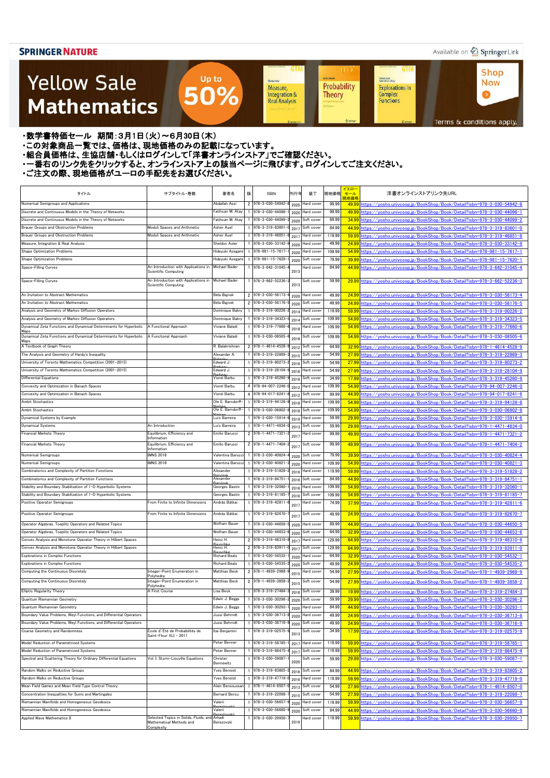### Available on 2 Springer Link

**Shop** 

**Now** 

 $\bullet$ 

### **Yellow Sale Mathematics**

**GTM GTM UT Achim Hente** Kichard Beals<br>Rođenick S. C. Wong Sheidon Auler Probability **Explorations in** Measure, Integration & Complex<br>Functions **Theory Real Analysis** 

Terms & conditions apply.

・数学書特価セール 期間:3月1日(火)~6月30日(木)

・この対象商品一覧では、価格は、現地価格のみの記載になっています。

- ニッパルプロは、ここには、このファンストリングのコンティングファンストア」でご確認ください。<br>・組合員価格は、生協店舗・もしくはログインして「洋書オンラインストア」でご確認ください。

・一番右のリンク先をクリックすると、オンラインストア上の該当ページに飛びます。ログインしてご注文ください。

Up to

50%

| 見地価格<br>Numerical Semigroups and Applications<br>Abdallah Assi<br>2 978-3-030-54942<br>99.99<br>Hard cover<br>49.99<br>nttps://vosho.univcoop.jp/BookShop/Book/Detail?isbn=978-3-030-54942-8<br>2020<br>Discrete and Continuous Models in the Theory of Networks<br>Fatihcan M. Atay<br>978-3-030-44096<br>99.99<br>Hard cover<br>49.99<br>2020<br>Fatihcan M. Atay<br>978-3-030-44099<br>69.99<br>Discrete and Continuous Models in the Theory of Networks<br>34.99<br>https://vosho.univcoop.ip/BookShop/Book/Detail?isbn=978-3-030-44099-2<br>Soft cover<br>2020<br>84.99<br>Brauer Groups and Obstruction Problems<br>Moduli Spaces and Arithmetic<br>Asher Auel<br>978-3-319-83601<br>Soft cover<br>44.99<br>https://yosho.univcoop.jp/BookShop/Book/Detail?isbn=978-3-319-83601-0<br>2017<br>Brauer Groups and Obstruction Problems<br>Moduli Spaces and Arithmetic<br>978-3-319-46851<br>119.99<br>Asher Auel<br>Hard cover<br>59.99<br>https://yosho.univcoop.jp/BookShop/Book/Detail?isbn=978-3-319-46851-8<br>2017<br>Sheldon Axler<br>978-3-030-33142-<br>Measure, Integration & Real Analysis<br>Hard cover<br>49.99<br>24.99<br>https://yosho.univcoop.jp/BookShop/Book/Detail?isbn=978-3-030-33142-9<br>2020<br>Shape Optimization Problems<br>Hideyuki Azegami<br>978-981-15-7617<br>109.99<br>54.99<br>Hard cover<br>https://yosho.univcoop.jp/BookShop/Book/Detail?isbn=978-981-15-7617-1<br>2020<br>$978 - 981 - 15 - 7620$<br>Shape Optimization Problems<br>Hideyuki Azegami<br>79.99<br>Soft cover<br>39.99<br>https://vosho.univcoop.ip/BookShop/Book/Detail?isbn=978-981-15-7620-1<br>2020<br>An Introduction with Applications in<br><b>Michael Bader</b><br>84.99<br>Space-Filling Curves<br>1 978-3-642-31045<br>Hard cover<br>https://vosho.univcoop.ip/BookShop/Book/Detail?isbn=978-3-642-31045-4<br>44.99<br>2013<br>Scientific Computing<br>An Introduction with Applications in<br><b>Michael Bader</b><br>Space-Filling Curves<br>1 978-3-662-52236<br>Soft cover<br>59.99<br>29.99 https://yosho.univcoop.jp/BookShop/Book/Detail?isbn=978-3-662-52236-3<br>Scientific Computing<br>2013<br>Béla Bajnok<br>An Invitation to Abstract Mathematics<br>2 978-3-030-56173<br>49.99<br>24.99 https://yosho.univcoop.jp/BookShop/Book/Detail?isbn=978-3-030-56173-4<br>Hard cover<br>2020<br>2 978-3-030-56176<br>An Invitation to Abstract Mathematics<br>Béla Bajnok<br>49.99<br>https://vosho.univcoop.jp/BookShop/Book/Detail?isbn=978-3-030-56176-5<br>24.99<br>Soft cover<br>2020<br>978-3-319-00226<br>Analysis and Geometry of Markov Diffusion Operators<br>119.99<br>https://vosho.univcoop.jp/BookShop/Book/Detail?isbn=978-3-319-00226-2<br>Dominique Bakry<br>Hard cover<br>59.99<br>2014<br>Analysis and Geometry of Markov Diffusion Operators<br>978-3-319-34323<br>Dominique Bakry<br>109.99<br>https://vosho.univcoop.ip/BookShop/Book/Detail?isbn=978-3-319-34323-5<br>54.99<br>Soft cover<br>2014<br>Dynamical Zeta Functions and Dynamical Determinants for Hyperbolic<br>Viviane Baladi<br>1 978-3-319-77660-<br>109.99<br>A Functional Approach<br>https://vosho.univcoop.jp/BookShop/Book/Detail?isbn=978-3-319-77660-6<br>Hard cover<br>54.99<br>2018<br>Maps<br>Dynamical Zeta Functions and Dynamical Determinants for Hyperbolic<br>1 978-3-030-08505<br>109.99<br>A Functional Approach<br>Viviane Baladi<br>https://vosho.univcoop.ip/BookShop/Book/Detail?isbn=978-3-030-08505-6<br>Soft cover<br>54.99<br>2018<br>Maps<br>2 978-1-4614-4528<br>A Textbook of Graph Theory<br>64.99<br>R. Balakrishnan<br>Soft cover<br>32.99<br>https://yosho.univcoop.jp/BookShop/Book/Detail?isbn=978-1-4614-4528-9<br>2012<br>The Analysis and Geometry of Hardy's Inequality<br>1 978-3-319-22869<br>54.99<br>Alexander A.<br>Soft cover<br>https://vosho.univcoop.ip/BookShop/Book/Detail?isbn=978-3-319-22869-3<br>27.99<br>2015<br>University of Toronto Mathematics Competition (2001-2015)<br>Edward J.<br>1 978-3-319-80273<br>54.99<br>Soft cover<br>27.99<br>https://yosho.univcoop.jp/BookShop/Book/Detail?isbn=978-3-319-80273-2<br>2016<br>54.99<br>University of Toronto Mathematics Competition (2001-2015)<br>1 978-3-319-28104<br>Edward J.<br>Hard cover<br>27.99<br>https://yosho.univcoop.jp/BookShop/Book/Detail?isbn=978-3-319-28104-9<br>2016<br>Differential Equations<br>1 978-3-319-45260<br>34.99<br>Viorel Barbu<br>Soft cover<br>17.99<br>https://yosho.univcoop.jp/BookShop/Book/Detail?isbn=978-3-319-45260-9<br>2016<br>Convexity and Optimization in Banach Spaces<br>Viorel Barbu<br>4 978-94-007-2246<br>109.99<br>54.99<br>Hard cover<br>https://yosho.univcoop.jp/BookShop/Book/Detail?isbn=978-94-007-2246-0<br>2012<br>Convexity and Optimization in Banach Spaces<br>Viorel Barbu<br>4 978-94-017-8241<br>89.99<br>Soft cover<br>44.99<br>https://yosho.univcoop.jp/BookShop/Book/Detail?isbn=978-94-017-8241-8<br>2012<br>Ambit Stochastics<br>Ole E. Barndorff-<br>1 978-3-319-94128<br>109.99<br>54.99<br>Hard cover<br>https://yosho.univcoop.jp/BookShop/Book/Detail?isbn=978-3-319-94128-8<br>2018<br>Ole E. Barndorff-<br>109.99<br>978-3-030-06802-<br>Ambit Stochastics<br>Soft cover<br>54.99<br>https://yosho.univcoop.jp/BookShop/Book/Detail?isbn=978-3-030-06802-8<br>2018<br>59.99<br>Dynamical Systems by Example<br>978-3-030-15914<br>https://yosho.univcoop.jp/BookShop/Book/Detail?isbn=978-3-030-15914-6<br>Luís Barreira<br>Hard cover<br>29.99<br>2019<br>1 978-1-4471-4834<br><b>Dynamical Systems</b><br>An Introduction<br>Luís Barreira<br>Soft cover<br>59.99<br>https://yosho.univcoop.jp/BookShop/Book/Detail?isbn=978-1-4471-4834-0<br>29.99<br>2013<br>Equilibrium, Efficiency and<br>Financial Markets Theory<br>Emilio Barucci<br>2 978-1-4471-7321<br>99.99<br>Hard cover<br>49.99<br>https://yosho.univcoop.jp/BookShop/Book/Detail?isbn=978-1-4471-7321-2<br>201<br>Information<br>Equilibrium, Efficiency and<br>Emilio Barucci<br>2 978-1-4471-7404<br>99.99<br>https://yosho.univcoop.jp/BookShop/Book/Detail?isbn=978-1-4471-7404-2<br>Financial Markets Theory<br>49.99<br>Soft cover<br>201<br>Information<br><b>IMNS 2018</b><br>978-3-030-40824<br>79.99<br><b>Numerical Semigroups</b><br>Valentina Barucc<br>Soft cover<br>39.99<br>nttps://yosho.univcoop.jp/BookShop/Book/Detail?isbn=978-3-030-40824-4<br>2020<br><b>Numerical Semigroups</b><br><b>IMNS 2018</b><br>978-3-030-40821<br>Valentina Barucci<br>Hard cover<br>109.99<br>54.99<br>https://vosho.univcoop.jp/BookShop/Book/Detail?isbn=978-3-030-40821-3<br>2020<br>Combinatorics and Complexity of Partition Functions<br>Alexander<br>1 978-3-319-51828-<br>Hard cover<br>119.99<br>59.99 https://yosho.univcoop.jp/BookShop/Book/Detail?isbn=978-3-319-51828-2<br>2016<br>Combinatorics and Complexity of Partition Functions<br>Alexander<br>$978 - 3 - 319 - 84751$<br>Soft cover<br>84.99<br><u>44.99 https://yosho.univcoop.jp/BookShop/Book/Detail?isbn=978-3-319-84751-1</u><br>2016<br>978-3-319-32060-<br>Stability and Boundary Stabilization of 1-D Hyperbolic Systems<br>109.99<br>Georges Bastin<br>Hard cover<br>54.99<br>https://vosho.univcoop.ip/BookShop/Book/Detail?isbn=978-3-319-32060-1<br>2016<br>Stability and Boundary Stabilization of 1-D Hyperbolic Systems<br>Georges Bastin<br>978-3-319-81185<br>109.99<br>54.99<br>https://yosho.univcoop.jp/BookShop/Book/Detail?isbn=978-3-319-81185-7<br>Soft cover<br>2016<br>1 978-3-319-42811<br>From Finite to Infinite Dimensions<br>András Bátkai<br>74.99<br>37.99 https://vosho.univcoop.jp/BookShop/Book/Detail?isbn=978-3-319-42811-6<br>Positive Operator Semigroups<br>Hard cover<br>201<br>From Finite to Infinite Dimensions<br>András Bátkai<br>1 978-3-319-82670<br>49.99<br>Positive Operator Semigroups<br>Soft cover<br>24.99<br>https://yosho.univcoop.jp/BookShop/Book/Detail?isbn=978-3-319-82670-7<br>2017<br>1 978-3-030-44650<br>Operator Algebras, Toeplitz Operators and Related Topics<br><b>Wolfram Bauer</b><br>89.99<br>Hard cover<br>44.99 https://yosho.univcoop.jp/BookShop/Book/Detail?isbn=978-3-030-44650-5<br>2020<br>Operator Algebras, Toeplitz Operators and Related Topics<br>Wolfram Bauer<br>1 978-3-030-44653<br>64.99<br>32.99<br>https://yosho.univcoop.jp/BookShop/Book/Detail?isbn=978-3-030-44653-6<br>Soft cover<br>2020<br>Convex Analysis and Monotone Operator Theory in Hilbert Spaces<br>Heinz H.<br>2 978-3-319-48310-<br>129.99<br>Hard cover<br>64.99<br>https://yosho.univcoop.jp/BookShop/Book/Detail?isbn=978-3-319-48310-8<br>2017<br>Convex Analysis and Monotone Operator Theory in Hilbert Spaces<br>Heinz H.<br>2 978-3-319-83911<br>129.99<br>64.99<br>https://vosho.univcoop.ip/BookShop/Book/Detail?isbn=978-3-319-83911-0<br>Soft cover<br>2017<br><b>Richard Beals</b><br>1 978-3-030-54532<br>64.99<br><b>Explorations in Complex Functions</b><br>32.99<br>https://yosho.univcoop.jp/BookShop/Book/Detail?isbn=978-3-030-54532-1<br>Hard cover<br>2020<br>978-3-030-54535<br><b>Explorations in Complex Functions</b><br><b>Richard Beals</b><br>49.99<br>24.99<br>https://yosho.univcoop.jp/BookShop/Book/Detail?isbn=978-3-030-54535-2<br>Soft cover<br>2020<br>2 978-1-4939-2968<br>Computing the Continuous Discretely<br>Integer-Point Enumeration in<br>Matthias Beck<br>https://yosho.univcoop.jp/BookShop/Book/Detail?isbn=978-1-4939-2968-9<br>Hard cover<br>54.99<br>27.99<br>2015<br>Polyhedra<br>Integer-Point Enumeration in<br>Matthias Beck<br>2 978-1-4939-3858-<br>54.99<br>27.99 https://yosho.univcoop.jp/BookShop/Book/Detail?isbn=978-1-4939-3858-2<br>Computing the Continuous Discretely<br>Soft cover<br>201<br>Polyhedra<br>39.99<br>A First Course<br>1 978-3-319-27484<br>Elliptic Regularity Theory<br>Lisa Beck<br>Soft cover<br>19.99<br>https://yosho.univcoop.jp/BookShop/Book/Detail?isbn=978-3-319-27484-3<br>2016<br>Quantum Riemannian Geometry<br>1 978-3-030-30296<br>Edwin J. Beggs<br>59.99<br>29.99<br>https://yosho.univcoop.jp/BookShop/Book/Detail?isbn=978-3-030-30296-2<br>Soft cover<br>2020<br>Quantum Riemannian Geometry<br>Edwin J. Beggs<br>978-3-030-30293<br>84.99<br>Hard cover<br>44.99<br>https://yosho.univcoop.jp/BookShop/Book/Detail?isbn=978-3-030-30293-1<br>2020<br>Boundary Value Problems, Weyl Functions, and Differential Operators<br>978-3-030-36713<br>49.99<br>Jussi Behrndt<br>2020 Hard cover<br>24.99<br>https://yosho.univcoop.jp/BookShop/Book/Detail?isbn=978-3-030-36713-8<br>Boundary Value Problems, Weyl Functions, and Differential Operators<br>978-3-030-36716<br>Jussi Behrndt<br>Soft cover<br>49.99<br>https://yosho.univcoop.jp/BookShop/Book/Detail?isbn=978-3-030-36716-9<br>24.99<br>2020<br>École d'Été de Probabilités de<br>Coarse Geometry and Randomness<br>Itai Benjamini<br>978-3-319-02575<br>34.99<br>https://yosho.univcoop.jp/BookShop/Book/Detail?isbn=978-3-319-02575-9<br>Soft cover<br>17.99<br>2013<br>Saint-Flour XLI - 2011<br>Model Reduction of Parametrized Systems<br>1 978-3-319-58785<br>119.99<br>59.99 https://vosho.univcoop.ip/BookShop/Book/Detail?isbn=978-3-319-58785-1<br>Peter Benner<br>2017 Hard cover<br>Model Reduction of Parametrized Systems<br>1 978-3-319-86475<br>Peter Benner<br>Soft cover<br>119.99<br>59.99<br>https://yosho.univcoop.jp/BookShop/Book/Detail?isbn=978-3-319-86475-4<br>2017<br>978-3-030-59087<br>Spectral and Scattering Theory for Ordinary Differential Equations<br>Vol. I: Sturm-Liouville Equations<br>Christer<br>59.99<br>29.99 https://yosho.univcoop.jp/BookShop/Book/Detail?isbn=978-3-030-59087-1<br>Soft cover<br>2020<br>Bennewitz<br>Random Walks on Reductive Groups<br>1 978-3-319-83805<br>84.99<br>Yves Benoist<br>2016 Soft cover<br>44.99<br>https://yosho.univcoop.jp/BookShop/Book/Detail?isbn=978-3-319-83805-2<br>Random Walks on Reductive Groups<br>978-3-319-47719<br>Yves Benoist<br>Hard cover<br>119.99<br>59.99<br>https://yosho.univcoop.jp/BookShop/Book/Detail?isbn=978-3-319-47719-0<br>2016<br>Mean Field Games and Mean Field Type Control Theory<br>54.99<br>Alain Bensoussar<br>978-1-4614-8507<br>Soft cover<br>27.99<br>https://yosho.univcoop.jp/BookShop/Book/Detail?isbn=978-1-4614-8507-0<br>2013<br>54.99<br>Concentration Inequalities for Sums and Martingales<br>Bernard Bercu<br>978-3-319-22098<br>Soft cover<br>27.99<br>https://yosho.univcoop.jp/BookShop/Book/Detail?isbn=978-3-319-22098-7<br>2015<br>Riemannian Manifolds and Homogeneous Geodesics<br>978-3-030-56657<br>Valerii<br>Hard cover<br>119.99<br>59.99<br>https://yosho.univcoop.jp/BookShop/Book/Detail?isbn=978-3-030-56657-9<br>2020<br>Riemannian Manifolds and Homogeneous Geodesics<br>978-3-030-56660<br>Soft cover<br>84.99<br>Valerii<br>44.99<br>https://yosho.univcoop.jp/BookShop/Book/Detail?isbn=978-3-030-56660-9<br>2020<br>978-3-030-29950-<br>Applied Wave Mathematics II<br>Selected Topics in Solids, Fluids, and<br>119.99<br>Arkadi<br>Hard cover<br>59.99 https://yosho.univcoop.jp/BookShop/Book/Detail?isbn=978-3-030-29950-7<br>Mathematical Methods and<br>Berezovski<br>2019<br>Complexity | タイトル | サブタイトル・巻数 | 著者名 | 版 | <b>ISBN</b> | 刊行年 | 装丁 | 現地価格 | イエロー<br>セール | 洋書オンラインストアリンク先URL |
|------------------------------------------------------------------------------------------------------------------------------------------------------------------------------------------------------------------------------------------------------------------------------------------------------------------------------------------------------------------------------------------------------------------------------------------------------------------------------------------------------------------------------------------------------------------------------------------------------------------------------------------------------------------------------------------------------------------------------------------------------------------------------------------------------------------------------------------------------------------------------------------------------------------------------------------------------------------------------------------------------------------------------------------------------------------------------------------------------------------------------------------------------------------------------------------------------------------------------------------------------------------------------------------------------------------------------------------------------------------------------------------------------------------------------------------------------------------------------------------------------------------------------------------------------------------------------------------------------------------------------------------------------------------------------------------------------------------------------------------------------------------------------------------------------------------------------------------------------------------------------------------------------------------------------------------------------------------------------------------------------------------------------------------------------------------------------------------------------------------------------------------------------------------------------------------------------------------------------------------------------------------------------------------------------------------------------------------------------------------------------------------------------------------------------------------------------------------------------------------------------------------------------------------------------------------------------------------------------------------------------------------------------------------------------------------------------------------------------------------------------------------------------------------------------------------------------------------------------------------------------------------------------------------------------------------------------------------------------------------------------------------------------------------------------------------------------------------------------------------------------------------------------------------------------------------------------------------------------------------------------------------------------------------------------------------------------------------------------------------------------------------------------------------------------------------------------------------------------------------------------------------------------------------------------------------------------------------------------------------------------------------------------------------------------------------------------------------------------------------------------------------------------------------------------------------------------------------------------------------------------------------------------------------------------------------------------------------------------------------------------------------------------------------------------------------------------------------------------------------------------------------------------------------------------------------------------------------------------------------------------------------------------------------------------------------------------------------------------------------------------------------------------------------------------------------------------------------------------------------------------------------------------------------------------------------------------------------------------------------------------------------------------------------------------------------------------------------------------------------------------------------------------------------------------------------------------------------------------------------------------------------------------------------------------------------------------------------------------------------------------------------------------------------------------------------------------------------------------------------------------------------------------------------------------------------------------------------------------------------------------------------------------------------------------------------------------------------------------------------------------------------------------------------------------------------------------------------------------------------------------------------------------------------------------------------------------------------------------------------------------------------------------------------------------------------------------------------------------------------------------------------------------------------------------------------------------------------------------------------------------------------------------------------------------------------------------------------------------------------------------------------------------------------------------------------------------------------------------------------------------------------------------------------------------------------------------------------------------------------------------------------------------------------------------------------------------------------------------------------------------------------------------------------------------------------------------------------------------------------------------------------------------------------------------------------------------------------------------------------------------------------------------------------------------------------------------------------------------------------------------------------------------------------------------------------------------------------------------------------------------------------------------------------------------------------------------------------------------------------------------------------------------------------------------------------------------------------------------------------------------------------------------------------------------------------------------------------------------------------------------------------------------------------------------------------------------------------------------------------------------------------------------------------------------------------------------------------------------------------------------------------------------------------------------------------------------------------------------------------------------------------------------------------------------------------------------------------------------------------------------------------------------------------------------------------------------------------------------------------------------------------------------------------------------------------------------------------------------------------------------------------------------------------------------------------------------------------------------------------------------------------------------------------------------------------------------------------------------------------------------------------------------------------------------------------------------------------------------------------------------------------------------------------------------------------------------------------------------------------------------------------------------------------------------------------------------------------------------------------------------------------------------------------------------------------------------------------------------------------------------------------------------------------------------------------------------------------------------------------------------------------------------------------------------------------------------------------------------------------------------------------------------------------------------------------------------------------------------------------------------------------------------------------------------------------------------------------------------------------------------------------------------------------------------------------------------------------------------------------------------------------------------------------------------------------------------------------------------------------------------------------------------------------------------------------------------------------------------------------------------------------------------------------------------------------------------------------------------------------------------------------------------------------------------------------------------------------------------------------------------------------------------------------------------------------------------------------------------------------------------------------------------------------------------------------------------------------------------------------------------------------------------------------------------------------------------------------------------------------------------------------------------------------------------------------------------------------------------------------------------------------------------------------------------------------------------------------------------------------------------------------------------------------------------------------------------------------------------------------------------------------------------------------------------------------------------------------------------------------------------------------------------------------------------------------------------------------------------------------------------------------------------------------------------------------------------------------------------------------------------------------------------------------------------------------------------------------------------------------------------------------------------------------------------------------------------------------------------------------------------------------------------------------------------------------------------------------------------------------------------------------------------------------------------------------------------------------------------------------------------------------------------------------------------------------------------------------------------------------------------------------------------------------------------------------------------------------------------------------------------------------------------------------------------------------------------------------------------------------------------------------------------------------------------------------------------------------------------------------------------------------------------------------------------------------------------------------------------------------------------------------------------------------------------------------------------------------------------------------------------------------------------------------------------------------------------------------------------------------------------------------------------------------------------------------------------------------------------------------------------------------------------------------------------------------------------------------------------------------------------------------------------------------------------------------------------------------------------------------------------------------------------------------------------------------------------------------------------------------------------------------------------------------------------------------------------------------------------------------------------------------------------------------------------------------------------------------------------------------------------------------------------------|------|-----------|-----|---|-------------|-----|----|------|-------------|-------------------|
|                                                                                                                                                                                                                                                                                                                                                                                                                                                                                                                                                                                                                                                                                                                                                                                                                                                                                                                                                                                                                                                                                                                                                                                                                                                                                                                                                                                                                                                                                                                                                                                                                                                                                                                                                                                                                                                                                                                                                                                                                                                                                                                                                                                                                                                                                                                                                                                                                                                                                                                                                                                                                                                                                                                                                                                                                                                                                                                                                                                                                                                                                                                                                                                                                                                                                                                                                                                                                                                                                                                                                                                                                                                                                                                                                                                                                                                                                                                                                                                                                                                                                                                                                                                                                                                                                                                                                                                                                                                                                                                                                                                                                                                                                                                                                                                                                                                                                                                                                                                                                                                                                                                                                                                                                                                                                                                                                                                                                                                                                                                                                                                                                                                                                                                                                                                                                                                                                                                                                                                                                                                                                                                                                                                                                                                                                                                                                                                                                                                                                                                                                                                                                                                                                                                                                                                                                                                                                                                                                                                                                                                                                                                                                                                                                                                                                                                                                                                                                                                                                                                                                                                                                                                                                                                                                                                                                                                                                                                                                                                                                                                                                                                                                                                                                                                                                                                                                                                                                                                                                                                                                                                                                                                                                                                                                                                                                                                                                                                                                                                                                                                                                                                                                                                                                                                                                                                                                                                                                                                                                                                                                                                                                                                                                                                                                                                                                                                                                                                                                                                                                                                                                                                                                                                                                                                                                                                                                                                                                                                                                                                                                                                                                                                                                                                                                                                                                                                                                                                                                                                                                                                                                                                                                                                                                                                                                                                                                                                                                                                                                                                                                                                                                                                                                                                                                                                                                                                                                                                                                                                                                                                                                                                                                                                                                                                                                                                                                                                                                                                                                                                                                                                                                                                                                                                                                                                                                                                                                                                                                                                                                                                                                                                                                            |      |           |     |   |             |     |    |      |             |                   |
|                                                                                                                                                                                                                                                                                                                                                                                                                                                                                                                                                                                                                                                                                                                                                                                                                                                                                                                                                                                                                                                                                                                                                                                                                                                                                                                                                                                                                                                                                                                                                                                                                                                                                                                                                                                                                                                                                                                                                                                                                                                                                                                                                                                                                                                                                                                                                                                                                                                                                                                                                                                                                                                                                                                                                                                                                                                                                                                                                                                                                                                                                                                                                                                                                                                                                                                                                                                                                                                                                                                                                                                                                                                                                                                                                                                                                                                                                                                                                                                                                                                                                                                                                                                                                                                                                                                                                                                                                                                                                                                                                                                                                                                                                                                                                                                                                                                                                                                                                                                                                                                                                                                                                                                                                                                                                                                                                                                                                                                                                                                                                                                                                                                                                                                                                                                                                                                                                                                                                                                                                                                                                                                                                                                                                                                                                                                                                                                                                                                                                                                                                                                                                                                                                                                                                                                                                                                                                                                                                                                                                                                                                                                                                                                                                                                                                                                                                                                                                                                                                                                                                                                                                                                                                                                                                                                                                                                                                                                                                                                                                                                                                                                                                                                                                                                                                                                                                                                                                                                                                                                                                                                                                                                                                                                                                                                                                                                                                                                                                                                                                                                                                                                                                                                                                                                                                                                                                                                                                                                                                                                                                                                                                                                                                                                                                                                                                                                                                                                                                                                                                                                                                                                                                                                                                                                                                                                                                                                                                                                                                                                                                                                                                                                                                                                                                                                                                                                                                                                                                                                                                                                                                                                                                                                                                                                                                                                                                                                                                                                                                                                                                                                                                                                                                                                                                                                                                                                                                                                                                                                                                                                                                                                                                                                                                                                                                                                                                                                                                                                                                                                                                                                                                                                                                                                                                                                                                                                                                                                                                                                                                                                                                                                                                            |      |           |     |   |             |     |    |      |             |                   |
|                                                                                                                                                                                                                                                                                                                                                                                                                                                                                                                                                                                                                                                                                                                                                                                                                                                                                                                                                                                                                                                                                                                                                                                                                                                                                                                                                                                                                                                                                                                                                                                                                                                                                                                                                                                                                                                                                                                                                                                                                                                                                                                                                                                                                                                                                                                                                                                                                                                                                                                                                                                                                                                                                                                                                                                                                                                                                                                                                                                                                                                                                                                                                                                                                                                                                                                                                                                                                                                                                                                                                                                                                                                                                                                                                                                                                                                                                                                                                                                                                                                                                                                                                                                                                                                                                                                                                                                                                                                                                                                                                                                                                                                                                                                                                                                                                                                                                                                                                                                                                                                                                                                                                                                                                                                                                                                                                                                                                                                                                                                                                                                                                                                                                                                                                                                                                                                                                                                                                                                                                                                                                                                                                                                                                                                                                                                                                                                                                                                                                                                                                                                                                                                                                                                                                                                                                                                                                                                                                                                                                                                                                                                                                                                                                                                                                                                                                                                                                                                                                                                                                                                                                                                                                                                                                                                                                                                                                                                                                                                                                                                                                                                                                                                                                                                                                                                                                                                                                                                                                                                                                                                                                                                                                                                                                                                                                                                                                                                                                                                                                                                                                                                                                                                                                                                                                                                                                                                                                                                                                                                                                                                                                                                                                                                                                                                                                                                                                                                                                                                                                                                                                                                                                                                                                                                                                                                                                                                                                                                                                                                                                                                                                                                                                                                                                                                                                                                                                                                                                                                                                                                                                                                                                                                                                                                                                                                                                                                                                                                                                                                                                                                                                                                                                                                                                                                                                                                                                                                                                                                                                                                                                                                                                                                                                                                                                                                                                                                                                                                                                                                                                                                                                                                                                                                                                                                                                                                                                                                                                                                                                                                                                                                                                            |      |           |     |   |             |     |    |      |             |                   |
|                                                                                                                                                                                                                                                                                                                                                                                                                                                                                                                                                                                                                                                                                                                                                                                                                                                                                                                                                                                                                                                                                                                                                                                                                                                                                                                                                                                                                                                                                                                                                                                                                                                                                                                                                                                                                                                                                                                                                                                                                                                                                                                                                                                                                                                                                                                                                                                                                                                                                                                                                                                                                                                                                                                                                                                                                                                                                                                                                                                                                                                                                                                                                                                                                                                                                                                                                                                                                                                                                                                                                                                                                                                                                                                                                                                                                                                                                                                                                                                                                                                                                                                                                                                                                                                                                                                                                                                                                                                                                                                                                                                                                                                                                                                                                                                                                                                                                                                                                                                                                                                                                                                                                                                                                                                                                                                                                                                                                                                                                                                                                                                                                                                                                                                                                                                                                                                                                                                                                                                                                                                                                                                                                                                                                                                                                                                                                                                                                                                                                                                                                                                                                                                                                                                                                                                                                                                                                                                                                                                                                                                                                                                                                                                                                                                                                                                                                                                                                                                                                                                                                                                                                                                                                                                                                                                                                                                                                                                                                                                                                                                                                                                                                                                                                                                                                                                                                                                                                                                                                                                                                                                                                                                                                                                                                                                                                                                                                                                                                                                                                                                                                                                                                                                                                                                                                                                                                                                                                                                                                                                                                                                                                                                                                                                                                                                                                                                                                                                                                                                                                                                                                                                                                                                                                                                                                                                                                                                                                                                                                                                                                                                                                                                                                                                                                                                                                                                                                                                                                                                                                                                                                                                                                                                                                                                                                                                                                                                                                                                                                                                                                                                                                                                                                                                                                                                                                                                                                                                                                                                                                                                                                                                                                                                                                                                                                                                                                                                                                                                                                                                                                                                                                                                                                                                                                                                                                                                                                                                                                                                                                                                                                                                                                            |      |           |     |   |             |     |    |      |             |                   |
|                                                                                                                                                                                                                                                                                                                                                                                                                                                                                                                                                                                                                                                                                                                                                                                                                                                                                                                                                                                                                                                                                                                                                                                                                                                                                                                                                                                                                                                                                                                                                                                                                                                                                                                                                                                                                                                                                                                                                                                                                                                                                                                                                                                                                                                                                                                                                                                                                                                                                                                                                                                                                                                                                                                                                                                                                                                                                                                                                                                                                                                                                                                                                                                                                                                                                                                                                                                                                                                                                                                                                                                                                                                                                                                                                                                                                                                                                                                                                                                                                                                                                                                                                                                                                                                                                                                                                                                                                                                                                                                                                                                                                                                                                                                                                                                                                                                                                                                                                                                                                                                                                                                                                                                                                                                                                                                                                                                                                                                                                                                                                                                                                                                                                                                                                                                                                                                                                                                                                                                                                                                                                                                                                                                                                                                                                                                                                                                                                                                                                                                                                                                                                                                                                                                                                                                                                                                                                                                                                                                                                                                                                                                                                                                                                                                                                                                                                                                                                                                                                                                                                                                                                                                                                                                                                                                                                                                                                                                                                                                                                                                                                                                                                                                                                                                                                                                                                                                                                                                                                                                                                                                                                                                                                                                                                                                                                                                                                                                                                                                                                                                                                                                                                                                                                                                                                                                                                                                                                                                                                                                                                                                                                                                                                                                                                                                                                                                                                                                                                                                                                                                                                                                                                                                                                                                                                                                                                                                                                                                                                                                                                                                                                                                                                                                                                                                                                                                                                                                                                                                                                                                                                                                                                                                                                                                                                                                                                                                                                                                                                                                                                                                                                                                                                                                                                                                                                                                                                                                                                                                                                                                                                                                                                                                                                                                                                                                                                                                                                                                                                                                                                                                                                                                                                                                                                                                                                                                                                                                                                                                                                                                                                                                                                            |      |           |     |   |             |     |    |      |             |                   |
|                                                                                                                                                                                                                                                                                                                                                                                                                                                                                                                                                                                                                                                                                                                                                                                                                                                                                                                                                                                                                                                                                                                                                                                                                                                                                                                                                                                                                                                                                                                                                                                                                                                                                                                                                                                                                                                                                                                                                                                                                                                                                                                                                                                                                                                                                                                                                                                                                                                                                                                                                                                                                                                                                                                                                                                                                                                                                                                                                                                                                                                                                                                                                                                                                                                                                                                                                                                                                                                                                                                                                                                                                                                                                                                                                                                                                                                                                                                                                                                                                                                                                                                                                                                                                                                                                                                                                                                                                                                                                                                                                                                                                                                                                                                                                                                                                                                                                                                                                                                                                                                                                                                                                                                                                                                                                                                                                                                                                                                                                                                                                                                                                                                                                                                                                                                                                                                                                                                                                                                                                                                                                                                                                                                                                                                                                                                                                                                                                                                                                                                                                                                                                                                                                                                                                                                                                                                                                                                                                                                                                                                                                                                                                                                                                                                                                                                                                                                                                                                                                                                                                                                                                                                                                                                                                                                                                                                                                                                                                                                                                                                                                                                                                                                                                                                                                                                                                                                                                                                                                                                                                                                                                                                                                                                                                                                                                                                                                                                                                                                                                                                                                                                                                                                                                                                                                                                                                                                                                                                                                                                                                                                                                                                                                                                                                                                                                                                                                                                                                                                                                                                                                                                                                                                                                                                                                                                                                                                                                                                                                                                                                                                                                                                                                                                                                                                                                                                                                                                                                                                                                                                                                                                                                                                                                                                                                                                                                                                                                                                                                                                                                                                                                                                                                                                                                                                                                                                                                                                                                                                                                                                                                                                                                                                                                                                                                                                                                                                                                                                                                                                                                                                                                                                                                                                                                                                                                                                                                                                                                                                                                                                                                                                                                            |      |           |     |   |             |     |    |      |             |                   |
|                                                                                                                                                                                                                                                                                                                                                                                                                                                                                                                                                                                                                                                                                                                                                                                                                                                                                                                                                                                                                                                                                                                                                                                                                                                                                                                                                                                                                                                                                                                                                                                                                                                                                                                                                                                                                                                                                                                                                                                                                                                                                                                                                                                                                                                                                                                                                                                                                                                                                                                                                                                                                                                                                                                                                                                                                                                                                                                                                                                                                                                                                                                                                                                                                                                                                                                                                                                                                                                                                                                                                                                                                                                                                                                                                                                                                                                                                                                                                                                                                                                                                                                                                                                                                                                                                                                                                                                                                                                                                                                                                                                                                                                                                                                                                                                                                                                                                                                                                                                                                                                                                                                                                                                                                                                                                                                                                                                                                                                                                                                                                                                                                                                                                                                                                                                                                                                                                                                                                                                                                                                                                                                                                                                                                                                                                                                                                                                                                                                                                                                                                                                                                                                                                                                                                                                                                                                                                                                                                                                                                                                                                                                                                                                                                                                                                                                                                                                                                                                                                                                                                                                                                                                                                                                                                                                                                                                                                                                                                                                                                                                                                                                                                                                                                                                                                                                                                                                                                                                                                                                                                                                                                                                                                                                                                                                                                                                                                                                                                                                                                                                                                                                                                                                                                                                                                                                                                                                                                                                                                                                                                                                                                                                                                                                                                                                                                                                                                                                                                                                                                                                                                                                                                                                                                                                                                                                                                                                                                                                                                                                                                                                                                                                                                                                                                                                                                                                                                                                                                                                                                                                                                                                                                                                                                                                                                                                                                                                                                                                                                                                                                                                                                                                                                                                                                                                                                                                                                                                                                                                                                                                                                                                                                                                                                                                                                                                                                                                                                                                                                                                                                                                                                                                                                                                                                                                                                                                                                                                                                                                                                                                                                                                                                            |      |           |     |   |             |     |    |      |             |                   |
|                                                                                                                                                                                                                                                                                                                                                                                                                                                                                                                                                                                                                                                                                                                                                                                                                                                                                                                                                                                                                                                                                                                                                                                                                                                                                                                                                                                                                                                                                                                                                                                                                                                                                                                                                                                                                                                                                                                                                                                                                                                                                                                                                                                                                                                                                                                                                                                                                                                                                                                                                                                                                                                                                                                                                                                                                                                                                                                                                                                                                                                                                                                                                                                                                                                                                                                                                                                                                                                                                                                                                                                                                                                                                                                                                                                                                                                                                                                                                                                                                                                                                                                                                                                                                                                                                                                                                                                                                                                                                                                                                                                                                                                                                                                                                                                                                                                                                                                                                                                                                                                                                                                                                                                                                                                                                                                                                                                                                                                                                                                                                                                                                                                                                                                                                                                                                                                                                                                                                                                                                                                                                                                                                                                                                                                                                                                                                                                                                                                                                                                                                                                                                                                                                                                                                                                                                                                                                                                                                                                                                                                                                                                                                                                                                                                                                                                                                                                                                                                                                                                                                                                                                                                                                                                                                                                                                                                                                                                                                                                                                                                                                                                                                                                                                                                                                                                                                                                                                                                                                                                                                                                                                                                                                                                                                                                                                                                                                                                                                                                                                                                                                                                                                                                                                                                                                                                                                                                                                                                                                                                                                                                                                                                                                                                                                                                                                                                                                                                                                                                                                                                                                                                                                                                                                                                                                                                                                                                                                                                                                                                                                                                                                                                                                                                                                                                                                                                                                                                                                                                                                                                                                                                                                                                                                                                                                                                                                                                                                                                                                                                                                                                                                                                                                                                                                                                                                                                                                                                                                                                                                                                                                                                                                                                                                                                                                                                                                                                                                                                                                                                                                                                                                                                                                                                                                                                                                                                                                                                                                                                                                                                                                                                                                            |      |           |     |   |             |     |    |      |             |                   |
|                                                                                                                                                                                                                                                                                                                                                                                                                                                                                                                                                                                                                                                                                                                                                                                                                                                                                                                                                                                                                                                                                                                                                                                                                                                                                                                                                                                                                                                                                                                                                                                                                                                                                                                                                                                                                                                                                                                                                                                                                                                                                                                                                                                                                                                                                                                                                                                                                                                                                                                                                                                                                                                                                                                                                                                                                                                                                                                                                                                                                                                                                                                                                                                                                                                                                                                                                                                                                                                                                                                                                                                                                                                                                                                                                                                                                                                                                                                                                                                                                                                                                                                                                                                                                                                                                                                                                                                                                                                                                                                                                                                                                                                                                                                                                                                                                                                                                                                                                                                                                                                                                                                                                                                                                                                                                                                                                                                                                                                                                                                                                                                                                                                                                                                                                                                                                                                                                                                                                                                                                                                                                                                                                                                                                                                                                                                                                                                                                                                                                                                                                                                                                                                                                                                                                                                                                                                                                                                                                                                                                                                                                                                                                                                                                                                                                                                                                                                                                                                                                                                                                                                                                                                                                                                                                                                                                                                                                                                                                                                                                                                                                                                                                                                                                                                                                                                                                                                                                                                                                                                                                                                                                                                                                                                                                                                                                                                                                                                                                                                                                                                                                                                                                                                                                                                                                                                                                                                                                                                                                                                                                                                                                                                                                                                                                                                                                                                                                                                                                                                                                                                                                                                                                                                                                                                                                                                                                                                                                                                                                                                                                                                                                                                                                                                                                                                                                                                                                                                                                                                                                                                                                                                                                                                                                                                                                                                                                                                                                                                                                                                                                                                                                                                                                                                                                                                                                                                                                                                                                                                                                                                                                                                                                                                                                                                                                                                                                                                                                                                                                                                                                                                                                                                                                                                                                                                                                                                                                                                                                                                                                                                                                                                                                            |      |           |     |   |             |     |    |      |             |                   |
|                                                                                                                                                                                                                                                                                                                                                                                                                                                                                                                                                                                                                                                                                                                                                                                                                                                                                                                                                                                                                                                                                                                                                                                                                                                                                                                                                                                                                                                                                                                                                                                                                                                                                                                                                                                                                                                                                                                                                                                                                                                                                                                                                                                                                                                                                                                                                                                                                                                                                                                                                                                                                                                                                                                                                                                                                                                                                                                                                                                                                                                                                                                                                                                                                                                                                                                                                                                                                                                                                                                                                                                                                                                                                                                                                                                                                                                                                                                                                                                                                                                                                                                                                                                                                                                                                                                                                                                                                                                                                                                                                                                                                                                                                                                                                                                                                                                                                                                                                                                                                                                                                                                                                                                                                                                                                                                                                                                                                                                                                                                                                                                                                                                                                                                                                                                                                                                                                                                                                                                                                                                                                                                                                                                                                                                                                                                                                                                                                                                                                                                                                                                                                                                                                                                                                                                                                                                                                                                                                                                                                                                                                                                                                                                                                                                                                                                                                                                                                                                                                                                                                                                                                                                                                                                                                                                                                                                                                                                                                                                                                                                                                                                                                                                                                                                                                                                                                                                                                                                                                                                                                                                                                                                                                                                                                                                                                                                                                                                                                                                                                                                                                                                                                                                                                                                                                                                                                                                                                                                                                                                                                                                                                                                                                                                                                                                                                                                                                                                                                                                                                                                                                                                                                                                                                                                                                                                                                                                                                                                                                                                                                                                                                                                                                                                                                                                                                                                                                                                                                                                                                                                                                                                                                                                                                                                                                                                                                                                                                                                                                                                                                                                                                                                                                                                                                                                                                                                                                                                                                                                                                                                                                                                                                                                                                                                                                                                                                                                                                                                                                                                                                                                                                                                                                                                                                                                                                                                                                                                                                                                                                                                                                                                                                            |      |           |     |   |             |     |    |      |             |                   |
|                                                                                                                                                                                                                                                                                                                                                                                                                                                                                                                                                                                                                                                                                                                                                                                                                                                                                                                                                                                                                                                                                                                                                                                                                                                                                                                                                                                                                                                                                                                                                                                                                                                                                                                                                                                                                                                                                                                                                                                                                                                                                                                                                                                                                                                                                                                                                                                                                                                                                                                                                                                                                                                                                                                                                                                                                                                                                                                                                                                                                                                                                                                                                                                                                                                                                                                                                                                                                                                                                                                                                                                                                                                                                                                                                                                                                                                                                                                                                                                                                                                                                                                                                                                                                                                                                                                                                                                                                                                                                                                                                                                                                                                                                                                                                                                                                                                                                                                                                                                                                                                                                                                                                                                                                                                                                                                                                                                                                                                                                                                                                                                                                                                                                                                                                                                                                                                                                                                                                                                                                                                                                                                                                                                                                                                                                                                                                                                                                                                                                                                                                                                                                                                                                                                                                                                                                                                                                                                                                                                                                                                                                                                                                                                                                                                                                                                                                                                                                                                                                                                                                                                                                                                                                                                                                                                                                                                                                                                                                                                                                                                                                                                                                                                                                                                                                                                                                                                                                                                                                                                                                                                                                                                                                                                                                                                                                                                                                                                                                                                                                                                                                                                                                                                                                                                                                                                                                                                                                                                                                                                                                                                                                                                                                                                                                                                                                                                                                                                                                                                                                                                                                                                                                                                                                                                                                                                                                                                                                                                                                                                                                                                                                                                                                                                                                                                                                                                                                                                                                                                                                                                                                                                                                                                                                                                                                                                                                                                                                                                                                                                                                                                                                                                                                                                                                                                                                                                                                                                                                                                                                                                                                                                                                                                                                                                                                                                                                                                                                                                                                                                                                                                                                                                                                                                                                                                                                                                                                                                                                                                                                                                                                                                                                            |      |           |     |   |             |     |    |      |             |                   |
|                                                                                                                                                                                                                                                                                                                                                                                                                                                                                                                                                                                                                                                                                                                                                                                                                                                                                                                                                                                                                                                                                                                                                                                                                                                                                                                                                                                                                                                                                                                                                                                                                                                                                                                                                                                                                                                                                                                                                                                                                                                                                                                                                                                                                                                                                                                                                                                                                                                                                                                                                                                                                                                                                                                                                                                                                                                                                                                                                                                                                                                                                                                                                                                                                                                                                                                                                                                                                                                                                                                                                                                                                                                                                                                                                                                                                                                                                                                                                                                                                                                                                                                                                                                                                                                                                                                                                                                                                                                                                                                                                                                                                                                                                                                                                                                                                                                                                                                                                                                                                                                                                                                                                                                                                                                                                                                                                                                                                                                                                                                                                                                                                                                                                                                                                                                                                                                                                                                                                                                                                                                                                                                                                                                                                                                                                                                                                                                                                                                                                                                                                                                                                                                                                                                                                                                                                                                                                                                                                                                                                                                                                                                                                                                                                                                                                                                                                                                                                                                                                                                                                                                                                                                                                                                                                                                                                                                                                                                                                                                                                                                                                                                                                                                                                                                                                                                                                                                                                                                                                                                                                                                                                                                                                                                                                                                                                                                                                                                                                                                                                                                                                                                                                                                                                                                                                                                                                                                                                                                                                                                                                                                                                                                                                                                                                                                                                                                                                                                                                                                                                                                                                                                                                                                                                                                                                                                                                                                                                                                                                                                                                                                                                                                                                                                                                                                                                                                                                                                                                                                                                                                                                                                                                                                                                                                                                                                                                                                                                                                                                                                                                                                                                                                                                                                                                                                                                                                                                                                                                                                                                                                                                                                                                                                                                                                                                                                                                                                                                                                                                                                                                                                                                                                                                                                                                                                                                                                                                                                                                                                                                                                                                                                                                            |      |           |     |   |             |     |    |      |             |                   |
|                                                                                                                                                                                                                                                                                                                                                                                                                                                                                                                                                                                                                                                                                                                                                                                                                                                                                                                                                                                                                                                                                                                                                                                                                                                                                                                                                                                                                                                                                                                                                                                                                                                                                                                                                                                                                                                                                                                                                                                                                                                                                                                                                                                                                                                                                                                                                                                                                                                                                                                                                                                                                                                                                                                                                                                                                                                                                                                                                                                                                                                                                                                                                                                                                                                                                                                                                                                                                                                                                                                                                                                                                                                                                                                                                                                                                                                                                                                                                                                                                                                                                                                                                                                                                                                                                                                                                                                                                                                                                                                                                                                                                                                                                                                                                                                                                                                                                                                                                                                                                                                                                                                                                                                                                                                                                                                                                                                                                                                                                                                                                                                                                                                                                                                                                                                                                                                                                                                                                                                                                                                                                                                                                                                                                                                                                                                                                                                                                                                                                                                                                                                                                                                                                                                                                                                                                                                                                                                                                                                                                                                                                                                                                                                                                                                                                                                                                                                                                                                                                                                                                                                                                                                                                                                                                                                                                                                                                                                                                                                                                                                                                                                                                                                                                                                                                                                                                                                                                                                                                                                                                                                                                                                                                                                                                                                                                                                                                                                                                                                                                                                                                                                                                                                                                                                                                                                                                                                                                                                                                                                                                                                                                                                                                                                                                                                                                                                                                                                                                                                                                                                                                                                                                                                                                                                                                                                                                                                                                                                                                                                                                                                                                                                                                                                                                                                                                                                                                                                                                                                                                                                                                                                                                                                                                                                                                                                                                                                                                                                                                                                                                                                                                                                                                                                                                                                                                                                                                                                                                                                                                                                                                                                                                                                                                                                                                                                                                                                                                                                                                                                                                                                                                                                                                                                                                                                                                                                                                                                                                                                                                                                                                                                                                            |      |           |     |   |             |     |    |      |             |                   |
|                                                                                                                                                                                                                                                                                                                                                                                                                                                                                                                                                                                                                                                                                                                                                                                                                                                                                                                                                                                                                                                                                                                                                                                                                                                                                                                                                                                                                                                                                                                                                                                                                                                                                                                                                                                                                                                                                                                                                                                                                                                                                                                                                                                                                                                                                                                                                                                                                                                                                                                                                                                                                                                                                                                                                                                                                                                                                                                                                                                                                                                                                                                                                                                                                                                                                                                                                                                                                                                                                                                                                                                                                                                                                                                                                                                                                                                                                                                                                                                                                                                                                                                                                                                                                                                                                                                                                                                                                                                                                                                                                                                                                                                                                                                                                                                                                                                                                                                                                                                                                                                                                                                                                                                                                                                                                                                                                                                                                                                                                                                                                                                                                                                                                                                                                                                                                                                                                                                                                                                                                                                                                                                                                                                                                                                                                                                                                                                                                                                                                                                                                                                                                                                                                                                                                                                                                                                                                                                                                                                                                                                                                                                                                                                                                                                                                                                                                                                                                                                                                                                                                                                                                                                                                                                                                                                                                                                                                                                                                                                                                                                                                                                                                                                                                                                                                                                                                                                                                                                                                                                                                                                                                                                                                                                                                                                                                                                                                                                                                                                                                                                                                                                                                                                                                                                                                                                                                                                                                                                                                                                                                                                                                                                                                                                                                                                                                                                                                                                                                                                                                                                                                                                                                                                                                                                                                                                                                                                                                                                                                                                                                                                                                                                                                                                                                                                                                                                                                                                                                                                                                                                                                                                                                                                                                                                                                                                                                                                                                                                                                                                                                                                                                                                                                                                                                                                                                                                                                                                                                                                                                                                                                                                                                                                                                                                                                                                                                                                                                                                                                                                                                                                                                                                                                                                                                                                                                                                                                                                                                                                                                                                                                                                                                            |      |           |     |   |             |     |    |      |             |                   |
|                                                                                                                                                                                                                                                                                                                                                                                                                                                                                                                                                                                                                                                                                                                                                                                                                                                                                                                                                                                                                                                                                                                                                                                                                                                                                                                                                                                                                                                                                                                                                                                                                                                                                                                                                                                                                                                                                                                                                                                                                                                                                                                                                                                                                                                                                                                                                                                                                                                                                                                                                                                                                                                                                                                                                                                                                                                                                                                                                                                                                                                                                                                                                                                                                                                                                                                                                                                                                                                                                                                                                                                                                                                                                                                                                                                                                                                                                                                                                                                                                                                                                                                                                                                                                                                                                                                                                                                                                                                                                                                                                                                                                                                                                                                                                                                                                                                                                                                                                                                                                                                                                                                                                                                                                                                                                                                                                                                                                                                                                                                                                                                                                                                                                                                                                                                                                                                                                                                                                                                                                                                                                                                                                                                                                                                                                                                                                                                                                                                                                                                                                                                                                                                                                                                                                                                                                                                                                                                                                                                                                                                                                                                                                                                                                                                                                                                                                                                                                                                                                                                                                                                                                                                                                                                                                                                                                                                                                                                                                                                                                                                                                                                                                                                                                                                                                                                                                                                                                                                                                                                                                                                                                                                                                                                                                                                                                                                                                                                                                                                                                                                                                                                                                                                                                                                                                                                                                                                                                                                                                                                                                                                                                                                                                                                                                                                                                                                                                                                                                                                                                                                                                                                                                                                                                                                                                                                                                                                                                                                                                                                                                                                                                                                                                                                                                                                                                                                                                                                                                                                                                                                                                                                                                                                                                                                                                                                                                                                                                                                                                                                                                                                                                                                                                                                                                                                                                                                                                                                                                                                                                                                                                                                                                                                                                                                                                                                                                                                                                                                                                                                                                                                                                                                                                                                                                                                                                                                                                                                                                                                                                                                                                                                                                            |      |           |     |   |             |     |    |      |             |                   |
|                                                                                                                                                                                                                                                                                                                                                                                                                                                                                                                                                                                                                                                                                                                                                                                                                                                                                                                                                                                                                                                                                                                                                                                                                                                                                                                                                                                                                                                                                                                                                                                                                                                                                                                                                                                                                                                                                                                                                                                                                                                                                                                                                                                                                                                                                                                                                                                                                                                                                                                                                                                                                                                                                                                                                                                                                                                                                                                                                                                                                                                                                                                                                                                                                                                                                                                                                                                                                                                                                                                                                                                                                                                                                                                                                                                                                                                                                                                                                                                                                                                                                                                                                                                                                                                                                                                                                                                                                                                                                                                                                                                                                                                                                                                                                                                                                                                                                                                                                                                                                                                                                                                                                                                                                                                                                                                                                                                                                                                                                                                                                                                                                                                                                                                                                                                                                                                                                                                                                                                                                                                                                                                                                                                                                                                                                                                                                                                                                                                                                                                                                                                                                                                                                                                                                                                                                                                                                                                                                                                                                                                                                                                                                                                                                                                                                                                                                                                                                                                                                                                                                                                                                                                                                                                                                                                                                                                                                                                                                                                                                                                                                                                                                                                                                                                                                                                                                                                                                                                                                                                                                                                                                                                                                                                                                                                                                                                                                                                                                                                                                                                                                                                                                                                                                                                                                                                                                                                                                                                                                                                                                                                                                                                                                                                                                                                                                                                                                                                                                                                                                                                                                                                                                                                                                                                                                                                                                                                                                                                                                                                                                                                                                                                                                                                                                                                                                                                                                                                                                                                                                                                                                                                                                                                                                                                                                                                                                                                                                                                                                                                                                                                                                                                                                                                                                                                                                                                                                                                                                                                                                                                                                                                                                                                                                                                                                                                                                                                                                                                                                                                                                                                                                                                                                                                                                                                                                                                                                                                                                                                                                                                                                                                                                            |      |           |     |   |             |     |    |      |             |                   |
|                                                                                                                                                                                                                                                                                                                                                                                                                                                                                                                                                                                                                                                                                                                                                                                                                                                                                                                                                                                                                                                                                                                                                                                                                                                                                                                                                                                                                                                                                                                                                                                                                                                                                                                                                                                                                                                                                                                                                                                                                                                                                                                                                                                                                                                                                                                                                                                                                                                                                                                                                                                                                                                                                                                                                                                                                                                                                                                                                                                                                                                                                                                                                                                                                                                                                                                                                                                                                                                                                                                                                                                                                                                                                                                                                                                                                                                                                                                                                                                                                                                                                                                                                                                                                                                                                                                                                                                                                                                                                                                                                                                                                                                                                                                                                                                                                                                                                                                                                                                                                                                                                                                                                                                                                                                                                                                                                                                                                                                                                                                                                                                                                                                                                                                                                                                                                                                                                                                                                                                                                                                                                                                                                                                                                                                                                                                                                                                                                                                                                                                                                                                                                                                                                                                                                                                                                                                                                                                                                                                                                                                                                                                                                                                                                                                                                                                                                                                                                                                                                                                                                                                                                                                                                                                                                                                                                                                                                                                                                                                                                                                                                                                                                                                                                                                                                                                                                                                                                                                                                                                                                                                                                                                                                                                                                                                                                                                                                                                                                                                                                                                                                                                                                                                                                                                                                                                                                                                                                                                                                                                                                                                                                                                                                                                                                                                                                                                                                                                                                                                                                                                                                                                                                                                                                                                                                                                                                                                                                                                                                                                                                                                                                                                                                                                                                                                                                                                                                                                                                                                                                                                                                                                                                                                                                                                                                                                                                                                                                                                                                                                                                                                                                                                                                                                                                                                                                                                                                                                                                                                                                                                                                                                                                                                                                                                                                                                                                                                                                                                                                                                                                                                                                                                                                                                                                                                                                                                                                                                                                                                                                                                                                                                                                            |      |           |     |   |             |     |    |      |             |                   |
|                                                                                                                                                                                                                                                                                                                                                                                                                                                                                                                                                                                                                                                                                                                                                                                                                                                                                                                                                                                                                                                                                                                                                                                                                                                                                                                                                                                                                                                                                                                                                                                                                                                                                                                                                                                                                                                                                                                                                                                                                                                                                                                                                                                                                                                                                                                                                                                                                                                                                                                                                                                                                                                                                                                                                                                                                                                                                                                                                                                                                                                                                                                                                                                                                                                                                                                                                                                                                                                                                                                                                                                                                                                                                                                                                                                                                                                                                                                                                                                                                                                                                                                                                                                                                                                                                                                                                                                                                                                                                                                                                                                                                                                                                                                                                                                                                                                                                                                                                                                                                                                                                                                                                                                                                                                                                                                                                                                                                                                                                                                                                                                                                                                                                                                                                                                                                                                                                                                                                                                                                                                                                                                                                                                                                                                                                                                                                                                                                                                                                                                                                                                                                                                                                                                                                                                                                                                                                                                                                                                                                                                                                                                                                                                                                                                                                                                                                                                                                                                                                                                                                                                                                                                                                                                                                                                                                                                                                                                                                                                                                                                                                                                                                                                                                                                                                                                                                                                                                                                                                                                                                                                                                                                                                                                                                                                                                                                                                                                                                                                                                                                                                                                                                                                                                                                                                                                                                                                                                                                                                                                                                                                                                                                                                                                                                                                                                                                                                                                                                                                                                                                                                                                                                                                                                                                                                                                                                                                                                                                                                                                                                                                                                                                                                                                                                                                                                                                                                                                                                                                                                                                                                                                                                                                                                                                                                                                                                                                                                                                                                                                                                                                                                                                                                                                                                                                                                                                                                                                                                                                                                                                                                                                                                                                                                                                                                                                                                                                                                                                                                                                                                                                                                                                                                                                                                                                                                                                                                                                                                                                                                                                                                                                                                            |      |           |     |   |             |     |    |      |             |                   |
|                                                                                                                                                                                                                                                                                                                                                                                                                                                                                                                                                                                                                                                                                                                                                                                                                                                                                                                                                                                                                                                                                                                                                                                                                                                                                                                                                                                                                                                                                                                                                                                                                                                                                                                                                                                                                                                                                                                                                                                                                                                                                                                                                                                                                                                                                                                                                                                                                                                                                                                                                                                                                                                                                                                                                                                                                                                                                                                                                                                                                                                                                                                                                                                                                                                                                                                                                                                                                                                                                                                                                                                                                                                                                                                                                                                                                                                                                                                                                                                                                                                                                                                                                                                                                                                                                                                                                                                                                                                                                                                                                                                                                                                                                                                                                                                                                                                                                                                                                                                                                                                                                                                                                                                                                                                                                                                                                                                                                                                                                                                                                                                                                                                                                                                                                                                                                                                                                                                                                                                                                                                                                                                                                                                                                                                                                                                                                                                                                                                                                                                                                                                                                                                                                                                                                                                                                                                                                                                                                                                                                                                                                                                                                                                                                                                                                                                                                                                                                                                                                                                                                                                                                                                                                                                                                                                                                                                                                                                                                                                                                                                                                                                                                                                                                                                                                                                                                                                                                                                                                                                                                                                                                                                                                                                                                                                                                                                                                                                                                                                                                                                                                                                                                                                                                                                                                                                                                                                                                                                                                                                                                                                                                                                                                                                                                                                                                                                                                                                                                                                                                                                                                                                                                                                                                                                                                                                                                                                                                                                                                                                                                                                                                                                                                                                                                                                                                                                                                                                                                                                                                                                                                                                                                                                                                                                                                                                                                                                                                                                                                                                                                                                                                                                                                                                                                                                                                                                                                                                                                                                                                                                                                                                                                                                                                                                                                                                                                                                                                                                                                                                                                                                                                                                                                                                                                                                                                                                                                                                                                                                                                                                                                                                                                            |      |           |     |   |             |     |    |      |             |                   |
|                                                                                                                                                                                                                                                                                                                                                                                                                                                                                                                                                                                                                                                                                                                                                                                                                                                                                                                                                                                                                                                                                                                                                                                                                                                                                                                                                                                                                                                                                                                                                                                                                                                                                                                                                                                                                                                                                                                                                                                                                                                                                                                                                                                                                                                                                                                                                                                                                                                                                                                                                                                                                                                                                                                                                                                                                                                                                                                                                                                                                                                                                                                                                                                                                                                                                                                                                                                                                                                                                                                                                                                                                                                                                                                                                                                                                                                                                                                                                                                                                                                                                                                                                                                                                                                                                                                                                                                                                                                                                                                                                                                                                                                                                                                                                                                                                                                                                                                                                                                                                                                                                                                                                                                                                                                                                                                                                                                                                                                                                                                                                                                                                                                                                                                                                                                                                                                                                                                                                                                                                                                                                                                                                                                                                                                                                                                                                                                                                                                                                                                                                                                                                                                                                                                                                                                                                                                                                                                                                                                                                                                                                                                                                                                                                                                                                                                                                                                                                                                                                                                                                                                                                                                                                                                                                                                                                                                                                                                                                                                                                                                                                                                                                                                                                                                                                                                                                                                                                                                                                                                                                                                                                                                                                                                                                                                                                                                                                                                                                                                                                                                                                                                                                                                                                                                                                                                                                                                                                                                                                                                                                                                                                                                                                                                                                                                                                                                                                                                                                                                                                                                                                                                                                                                                                                                                                                                                                                                                                                                                                                                                                                                                                                                                                                                                                                                                                                                                                                                                                                                                                                                                                                                                                                                                                                                                                                                                                                                                                                                                                                                                                                                                                                                                                                                                                                                                                                                                                                                                                                                                                                                                                                                                                                                                                                                                                                                                                                                                                                                                                                                                                                                                                                                                                                                                                                                                                                                                                                                                                                                                                                                                                                                                                            |      |           |     |   |             |     |    |      |             |                   |
|                                                                                                                                                                                                                                                                                                                                                                                                                                                                                                                                                                                                                                                                                                                                                                                                                                                                                                                                                                                                                                                                                                                                                                                                                                                                                                                                                                                                                                                                                                                                                                                                                                                                                                                                                                                                                                                                                                                                                                                                                                                                                                                                                                                                                                                                                                                                                                                                                                                                                                                                                                                                                                                                                                                                                                                                                                                                                                                                                                                                                                                                                                                                                                                                                                                                                                                                                                                                                                                                                                                                                                                                                                                                                                                                                                                                                                                                                                                                                                                                                                                                                                                                                                                                                                                                                                                                                                                                                                                                                                                                                                                                                                                                                                                                                                                                                                                                                                                                                                                                                                                                                                                                                                                                                                                                                                                                                                                                                                                                                                                                                                                                                                                                                                                                                                                                                                                                                                                                                                                                                                                                                                                                                                                                                                                                                                                                                                                                                                                                                                                                                                                                                                                                                                                                                                                                                                                                                                                                                                                                                                                                                                                                                                                                                                                                                                                                                                                                                                                                                                                                                                                                                                                                                                                                                                                                                                                                                                                                                                                                                                                                                                                                                                                                                                                                                                                                                                                                                                                                                                                                                                                                                                                                                                                                                                                                                                                                                                                                                                                                                                                                                                                                                                                                                                                                                                                                                                                                                                                                                                                                                                                                                                                                                                                                                                                                                                                                                                                                                                                                                                                                                                                                                                                                                                                                                                                                                                                                                                                                                                                                                                                                                                                                                                                                                                                                                                                                                                                                                                                                                                                                                                                                                                                                                                                                                                                                                                                                                                                                                                                                                                                                                                                                                                                                                                                                                                                                                                                                                                                                                                                                                                                                                                                                                                                                                                                                                                                                                                                                                                                                                                                                                                                                                                                                                                                                                                                                                                                                                                                                                                                                                                                                                            |      |           |     |   |             |     |    |      |             |                   |
|                                                                                                                                                                                                                                                                                                                                                                                                                                                                                                                                                                                                                                                                                                                                                                                                                                                                                                                                                                                                                                                                                                                                                                                                                                                                                                                                                                                                                                                                                                                                                                                                                                                                                                                                                                                                                                                                                                                                                                                                                                                                                                                                                                                                                                                                                                                                                                                                                                                                                                                                                                                                                                                                                                                                                                                                                                                                                                                                                                                                                                                                                                                                                                                                                                                                                                                                                                                                                                                                                                                                                                                                                                                                                                                                                                                                                                                                                                                                                                                                                                                                                                                                                                                                                                                                                                                                                                                                                                                                                                                                                                                                                                                                                                                                                                                                                                                                                                                                                                                                                                                                                                                                                                                                                                                                                                                                                                                                                                                                                                                                                                                                                                                                                                                                                                                                                                                                                                                                                                                                                                                                                                                                                                                                                                                                                                                                                                                                                                                                                                                                                                                                                                                                                                                                                                                                                                                                                                                                                                                                                                                                                                                                                                                                                                                                                                                                                                                                                                                                                                                                                                                                                                                                                                                                                                                                                                                                                                                                                                                                                                                                                                                                                                                                                                                                                                                                                                                                                                                                                                                                                                                                                                                                                                                                                                                                                                                                                                                                                                                                                                                                                                                                                                                                                                                                                                                                                                                                                                                                                                                                                                                                                                                                                                                                                                                                                                                                                                                                                                                                                                                                                                                                                                                                                                                                                                                                                                                                                                                                                                                                                                                                                                                                                                                                                                                                                                                                                                                                                                                                                                                                                                                                                                                                                                                                                                                                                                                                                                                                                                                                                                                                                                                                                                                                                                                                                                                                                                                                                                                                                                                                                                                                                                                                                                                                                                                                                                                                                                                                                                                                                                                                                                                                                                                                                                                                                                                                                                                                                                                                                                                                                                                                                            |      |           |     |   |             |     |    |      |             |                   |
|                                                                                                                                                                                                                                                                                                                                                                                                                                                                                                                                                                                                                                                                                                                                                                                                                                                                                                                                                                                                                                                                                                                                                                                                                                                                                                                                                                                                                                                                                                                                                                                                                                                                                                                                                                                                                                                                                                                                                                                                                                                                                                                                                                                                                                                                                                                                                                                                                                                                                                                                                                                                                                                                                                                                                                                                                                                                                                                                                                                                                                                                                                                                                                                                                                                                                                                                                                                                                                                                                                                                                                                                                                                                                                                                                                                                                                                                                                                                                                                                                                                                                                                                                                                                                                                                                                                                                                                                                                                                                                                                                                                                                                                                                                                                                                                                                                                                                                                                                                                                                                                                                                                                                                                                                                                                                                                                                                                                                                                                                                                                                                                                                                                                                                                                                                                                                                                                                                                                                                                                                                                                                                                                                                                                                                                                                                                                                                                                                                                                                                                                                                                                                                                                                                                                                                                                                                                                                                                                                                                                                                                                                                                                                                                                                                                                                                                                                                                                                                                                                                                                                                                                                                                                                                                                                                                                                                                                                                                                                                                                                                                                                                                                                                                                                                                                                                                                                                                                                                                                                                                                                                                                                                                                                                                                                                                                                                                                                                                                                                                                                                                                                                                                                                                                                                                                                                                                                                                                                                                                                                                                                                                                                                                                                                                                                                                                                                                                                                                                                                                                                                                                                                                                                                                                                                                                                                                                                                                                                                                                                                                                                                                                                                                                                                                                                                                                                                                                                                                                                                                                                                                                                                                                                                                                                                                                                                                                                                                                                                                                                                                                                                                                                                                                                                                                                                                                                                                                                                                                                                                                                                                                                                                                                                                                                                                                                                                                                                                                                                                                                                                                                                                                                                                                                                                                                                                                                                                                                                                                                                                                                                                                                                                                                            |      |           |     |   |             |     |    |      |             |                   |
|                                                                                                                                                                                                                                                                                                                                                                                                                                                                                                                                                                                                                                                                                                                                                                                                                                                                                                                                                                                                                                                                                                                                                                                                                                                                                                                                                                                                                                                                                                                                                                                                                                                                                                                                                                                                                                                                                                                                                                                                                                                                                                                                                                                                                                                                                                                                                                                                                                                                                                                                                                                                                                                                                                                                                                                                                                                                                                                                                                                                                                                                                                                                                                                                                                                                                                                                                                                                                                                                                                                                                                                                                                                                                                                                                                                                                                                                                                                                                                                                                                                                                                                                                                                                                                                                                                                                                                                                                                                                                                                                                                                                                                                                                                                                                                                                                                                                                                                                                                                                                                                                                                                                                                                                                                                                                                                                                                                                                                                                                                                                                                                                                                                                                                                                                                                                                                                                                                                                                                                                                                                                                                                                                                                                                                                                                                                                                                                                                                                                                                                                                                                                                                                                                                                                                                                                                                                                                                                                                                                                                                                                                                                                                                                                                                                                                                                                                                                                                                                                                                                                                                                                                                                                                                                                                                                                                                                                                                                                                                                                                                                                                                                                                                                                                                                                                                                                                                                                                                                                                                                                                                                                                                                                                                                                                                                                                                                                                                                                                                                                                                                                                                                                                                                                                                                                                                                                                                                                                                                                                                                                                                                                                                                                                                                                                                                                                                                                                                                                                                                                                                                                                                                                                                                                                                                                                                                                                                                                                                                                                                                                                                                                                                                                                                                                                                                                                                                                                                                                                                                                                                                                                                                                                                                                                                                                                                                                                                                                                                                                                                                                                                                                                                                                                                                                                                                                                                                                                                                                                                                                                                                                                                                                                                                                                                                                                                                                                                                                                                                                                                                                                                                                                                                                                                                                                                                                                                                                                                                                                                                                                                                                                                                                                            |      |           |     |   |             |     |    |      |             |                   |
|                                                                                                                                                                                                                                                                                                                                                                                                                                                                                                                                                                                                                                                                                                                                                                                                                                                                                                                                                                                                                                                                                                                                                                                                                                                                                                                                                                                                                                                                                                                                                                                                                                                                                                                                                                                                                                                                                                                                                                                                                                                                                                                                                                                                                                                                                                                                                                                                                                                                                                                                                                                                                                                                                                                                                                                                                                                                                                                                                                                                                                                                                                                                                                                                                                                                                                                                                                                                                                                                                                                                                                                                                                                                                                                                                                                                                                                                                                                                                                                                                                                                                                                                                                                                                                                                                                                                                                                                                                                                                                                                                                                                                                                                                                                                                                                                                                                                                                                                                                                                                                                                                                                                                                                                                                                                                                                                                                                                                                                                                                                                                                                                                                                                                                                                                                                                                                                                                                                                                                                                                                                                                                                                                                                                                                                                                                                                                                                                                                                                                                                                                                                                                                                                                                                                                                                                                                                                                                                                                                                                                                                                                                                                                                                                                                                                                                                                                                                                                                                                                                                                                                                                                                                                                                                                                                                                                                                                                                                                                                                                                                                                                                                                                                                                                                                                                                                                                                                                                                                                                                                                                                                                                                                                                                                                                                                                                                                                                                                                                                                                                                                                                                                                                                                                                                                                                                                                                                                                                                                                                                                                                                                                                                                                                                                                                                                                                                                                                                                                                                                                                                                                                                                                                                                                                                                                                                                                                                                                                                                                                                                                                                                                                                                                                                                                                                                                                                                                                                                                                                                                                                                                                                                                                                                                                                                                                                                                                                                                                                                                                                                                                                                                                                                                                                                                                                                                                                                                                                                                                                                                                                                                                                                                                                                                                                                                                                                                                                                                                                                                                                                                                                                                                                                                                                                                                                                                                                                                                                                                                                                                                                                                                                                                                            |      |           |     |   |             |     |    |      |             |                   |
|                                                                                                                                                                                                                                                                                                                                                                                                                                                                                                                                                                                                                                                                                                                                                                                                                                                                                                                                                                                                                                                                                                                                                                                                                                                                                                                                                                                                                                                                                                                                                                                                                                                                                                                                                                                                                                                                                                                                                                                                                                                                                                                                                                                                                                                                                                                                                                                                                                                                                                                                                                                                                                                                                                                                                                                                                                                                                                                                                                                                                                                                                                                                                                                                                                                                                                                                                                                                                                                                                                                                                                                                                                                                                                                                                                                                                                                                                                                                                                                                                                                                                                                                                                                                                                                                                                                                                                                                                                                                                                                                                                                                                                                                                                                                                                                                                                                                                                                                                                                                                                                                                                                                                                                                                                                                                                                                                                                                                                                                                                                                                                                                                                                                                                                                                                                                                                                                                                                                                                                                                                                                                                                                                                                                                                                                                                                                                                                                                                                                                                                                                                                                                                                                                                                                                                                                                                                                                                                                                                                                                                                                                                                                                                                                                                                                                                                                                                                                                                                                                                                                                                                                                                                                                                                                                                                                                                                                                                                                                                                                                                                                                                                                                                                                                                                                                                                                                                                                                                                                                                                                                                                                                                                                                                                                                                                                                                                                                                                                                                                                                                                                                                                                                                                                                                                                                                                                                                                                                                                                                                                                                                                                                                                                                                                                                                                                                                                                                                                                                                                                                                                                                                                                                                                                                                                                                                                                                                                                                                                                                                                                                                                                                                                                                                                                                                                                                                                                                                                                                                                                                                                                                                                                                                                                                                                                                                                                                                                                                                                                                                                                                                                                                                                                                                                                                                                                                                                                                                                                                                                                                                                                                                                                                                                                                                                                                                                                                                                                                                                                                                                                                                                                                                                                                                                                                                                                                                                                                                                                                                                                                                                                                                                                                            |      |           |     |   |             |     |    |      |             |                   |
|                                                                                                                                                                                                                                                                                                                                                                                                                                                                                                                                                                                                                                                                                                                                                                                                                                                                                                                                                                                                                                                                                                                                                                                                                                                                                                                                                                                                                                                                                                                                                                                                                                                                                                                                                                                                                                                                                                                                                                                                                                                                                                                                                                                                                                                                                                                                                                                                                                                                                                                                                                                                                                                                                                                                                                                                                                                                                                                                                                                                                                                                                                                                                                                                                                                                                                                                                                                                                                                                                                                                                                                                                                                                                                                                                                                                                                                                                                                                                                                                                                                                                                                                                                                                                                                                                                                                                                                                                                                                                                                                                                                                                                                                                                                                                                                                                                                                                                                                                                                                                                                                                                                                                                                                                                                                                                                                                                                                                                                                                                                                                                                                                                                                                                                                                                                                                                                                                                                                                                                                                                                                                                                                                                                                                                                                                                                                                                                                                                                                                                                                                                                                                                                                                                                                                                                                                                                                                                                                                                                                                                                                                                                                                                                                                                                                                                                                                                                                                                                                                                                                                                                                                                                                                                                                                                                                                                                                                                                                                                                                                                                                                                                                                                                                                                                                                                                                                                                                                                                                                                                                                                                                                                                                                                                                                                                                                                                                                                                                                                                                                                                                                                                                                                                                                                                                                                                                                                                                                                                                                                                                                                                                                                                                                                                                                                                                                                                                                                                                                                                                                                                                                                                                                                                                                                                                                                                                                                                                                                                                                                                                                                                                                                                                                                                                                                                                                                                                                                                                                                                                                                                                                                                                                                                                                                                                                                                                                                                                                                                                                                                                                                                                                                                                                                                                                                                                                                                                                                                                                                                                                                                                                                                                                                                                                                                                                                                                                                                                                                                                                                                                                                                                                                                                                                                                                                                                                                                                                                                                                                                                                                                                                                                                                            |      |           |     |   |             |     |    |      |             |                   |
|                                                                                                                                                                                                                                                                                                                                                                                                                                                                                                                                                                                                                                                                                                                                                                                                                                                                                                                                                                                                                                                                                                                                                                                                                                                                                                                                                                                                                                                                                                                                                                                                                                                                                                                                                                                                                                                                                                                                                                                                                                                                                                                                                                                                                                                                                                                                                                                                                                                                                                                                                                                                                                                                                                                                                                                                                                                                                                                                                                                                                                                                                                                                                                                                                                                                                                                                                                                                                                                                                                                                                                                                                                                                                                                                                                                                                                                                                                                                                                                                                                                                                                                                                                                                                                                                                                                                                                                                                                                                                                                                                                                                                                                                                                                                                                                                                                                                                                                                                                                                                                                                                                                                                                                                                                                                                                                                                                                                                                                                                                                                                                                                                                                                                                                                                                                                                                                                                                                                                                                                                                                                                                                                                                                                                                                                                                                                                                                                                                                                                                                                                                                                                                                                                                                                                                                                                                                                                                                                                                                                                                                                                                                                                                                                                                                                                                                                                                                                                                                                                                                                                                                                                                                                                                                                                                                                                                                                                                                                                                                                                                                                                                                                                                                                                                                                                                                                                                                                                                                                                                                                                                                                                                                                                                                                                                                                                                                                                                                                                                                                                                                                                                                                                                                                                                                                                                                                                                                                                                                                                                                                                                                                                                                                                                                                                                                                                                                                                                                                                                                                                                                                                                                                                                                                                                                                                                                                                                                                                                                                                                                                                                                                                                                                                                                                                                                                                                                                                                                                                                                                                                                                                                                                                                                                                                                                                                                                                                                                                                                                                                                                                                                                                                                                                                                                                                                                                                                                                                                                                                                                                                                                                                                                                                                                                                                                                                                                                                                                                                                                                                                                                                                                                                                                                                                                                                                                                                                                                                                                                                                                                                                                                                                                                            |      |           |     |   |             |     |    |      |             |                   |
|                                                                                                                                                                                                                                                                                                                                                                                                                                                                                                                                                                                                                                                                                                                                                                                                                                                                                                                                                                                                                                                                                                                                                                                                                                                                                                                                                                                                                                                                                                                                                                                                                                                                                                                                                                                                                                                                                                                                                                                                                                                                                                                                                                                                                                                                                                                                                                                                                                                                                                                                                                                                                                                                                                                                                                                                                                                                                                                                                                                                                                                                                                                                                                                                                                                                                                                                                                                                                                                                                                                                                                                                                                                                                                                                                                                                                                                                                                                                                                                                                                                                                                                                                                                                                                                                                                                                                                                                                                                                                                                                                                                                                                                                                                                                                                                                                                                                                                                                                                                                                                                                                                                                                                                                                                                                                                                                                                                                                                                                                                                                                                                                                                                                                                                                                                                                                                                                                                                                                                                                                                                                                                                                                                                                                                                                                                                                                                                                                                                                                                                                                                                                                                                                                                                                                                                                                                                                                                                                                                                                                                                                                                                                                                                                                                                                                                                                                                                                                                                                                                                                                                                                                                                                                                                                                                                                                                                                                                                                                                                                                                                                                                                                                                                                                                                                                                                                                                                                                                                                                                                                                                                                                                                                                                                                                                                                                                                                                                                                                                                                                                                                                                                                                                                                                                                                                                                                                                                                                                                                                                                                                                                                                                                                                                                                                                                                                                                                                                                                                                                                                                                                                                                                                                                                                                                                                                                                                                                                                                                                                                                                                                                                                                                                                                                                                                                                                                                                                                                                                                                                                                                                                                                                                                                                                                                                                                                                                                                                                                                                                                                                                                                                                                                                                                                                                                                                                                                                                                                                                                                                                                                                                                                                                                                                                                                                                                                                                                                                                                                                                                                                                                                                                                                                                                                                                                                                                                                                                                                                                                                                                                                                                                                                                            |      |           |     |   |             |     |    |      |             |                   |
|                                                                                                                                                                                                                                                                                                                                                                                                                                                                                                                                                                                                                                                                                                                                                                                                                                                                                                                                                                                                                                                                                                                                                                                                                                                                                                                                                                                                                                                                                                                                                                                                                                                                                                                                                                                                                                                                                                                                                                                                                                                                                                                                                                                                                                                                                                                                                                                                                                                                                                                                                                                                                                                                                                                                                                                                                                                                                                                                                                                                                                                                                                                                                                                                                                                                                                                                                                                                                                                                                                                                                                                                                                                                                                                                                                                                                                                                                                                                                                                                                                                                                                                                                                                                                                                                                                                                                                                                                                                                                                                                                                                                                                                                                                                                                                                                                                                                                                                                                                                                                                                                                                                                                                                                                                                                                                                                                                                                                                                                                                                                                                                                                                                                                                                                                                                                                                                                                                                                                                                                                                                                                                                                                                                                                                                                                                                                                                                                                                                                                                                                                                                                                                                                                                                                                                                                                                                                                                                                                                                                                                                                                                                                                                                                                                                                                                                                                                                                                                                                                                                                                                                                                                                                                                                                                                                                                                                                                                                                                                                                                                                                                                                                                                                                                                                                                                                                                                                                                                                                                                                                                                                                                                                                                                                                                                                                                                                                                                                                                                                                                                                                                                                                                                                                                                                                                                                                                                                                                                                                                                                                                                                                                                                                                                                                                                                                                                                                                                                                                                                                                                                                                                                                                                                                                                                                                                                                                                                                                                                                                                                                                                                                                                                                                                                                                                                                                                                                                                                                                                                                                                                                                                                                                                                                                                                                                                                                                                                                                                                                                                                                                                                                                                                                                                                                                                                                                                                                                                                                                                                                                                                                                                                                                                                                                                                                                                                                                                                                                                                                                                                                                                                                                                                                                                                                                                                                                                                                                                                                                                                                                                                                                                                                                            |      |           |     |   |             |     |    |      |             |                   |
|                                                                                                                                                                                                                                                                                                                                                                                                                                                                                                                                                                                                                                                                                                                                                                                                                                                                                                                                                                                                                                                                                                                                                                                                                                                                                                                                                                                                                                                                                                                                                                                                                                                                                                                                                                                                                                                                                                                                                                                                                                                                                                                                                                                                                                                                                                                                                                                                                                                                                                                                                                                                                                                                                                                                                                                                                                                                                                                                                                                                                                                                                                                                                                                                                                                                                                                                                                                                                                                                                                                                                                                                                                                                                                                                                                                                                                                                                                                                                                                                                                                                                                                                                                                                                                                                                                                                                                                                                                                                                                                                                                                                                                                                                                                                                                                                                                                                                                                                                                                                                                                                                                                                                                                                                                                                                                                                                                                                                                                                                                                                                                                                                                                                                                                                                                                                                                                                                                                                                                                                                                                                                                                                                                                                                                                                                                                                                                                                                                                                                                                                                                                                                                                                                                                                                                                                                                                                                                                                                                                                                                                                                                                                                                                                                                                                                                                                                                                                                                                                                                                                                                                                                                                                                                                                                                                                                                                                                                                                                                                                                                                                                                                                                                                                                                                                                                                                                                                                                                                                                                                                                                                                                                                                                                                                                                                                                                                                                                                                                                                                                                                                                                                                                                                                                                                                                                                                                                                                                                                                                                                                                                                                                                                                                                                                                                                                                                                                                                                                                                                                                                                                                                                                                                                                                                                                                                                                                                                                                                                                                                                                                                                                                                                                                                                                                                                                                                                                                                                                                                                                                                                                                                                                                                                                                                                                                                                                                                                                                                                                                                                                                                                                                                                                                                                                                                                                                                                                                                                                                                                                                                                                                                                                                                                                                                                                                                                                                                                                                                                                                                                                                                                                                                                                                                                                                                                                                                                                                                                                                                                                                                                                                                                                                            |      |           |     |   |             |     |    |      |             |                   |
|                                                                                                                                                                                                                                                                                                                                                                                                                                                                                                                                                                                                                                                                                                                                                                                                                                                                                                                                                                                                                                                                                                                                                                                                                                                                                                                                                                                                                                                                                                                                                                                                                                                                                                                                                                                                                                                                                                                                                                                                                                                                                                                                                                                                                                                                                                                                                                                                                                                                                                                                                                                                                                                                                                                                                                                                                                                                                                                                                                                                                                                                                                                                                                                                                                                                                                                                                                                                                                                                                                                                                                                                                                                                                                                                                                                                                                                                                                                                                                                                                                                                                                                                                                                                                                                                                                                                                                                                                                                                                                                                                                                                                                                                                                                                                                                                                                                                                                                                                                                                                                                                                                                                                                                                                                                                                                                                                                                                                                                                                                                                                                                                                                                                                                                                                                                                                                                                                                                                                                                                                                                                                                                                                                                                                                                                                                                                                                                                                                                                                                                                                                                                                                                                                                                                                                                                                                                                                                                                                                                                                                                                                                                                                                                                                                                                                                                                                                                                                                                                                                                                                                                                                                                                                                                                                                                                                                                                                                                                                                                                                                                                                                                                                                                                                                                                                                                                                                                                                                                                                                                                                                                                                                                                                                                                                                                                                                                                                                                                                                                                                                                                                                                                                                                                                                                                                                                                                                                                                                                                                                                                                                                                                                                                                                                                                                                                                                                                                                                                                                                                                                                                                                                                                                                                                                                                                                                                                                                                                                                                                                                                                                                                                                                                                                                                                                                                                                                                                                                                                                                                                                                                                                                                                                                                                                                                                                                                                                                                                                                                                                                                                                                                                                                                                                                                                                                                                                                                                                                                                                                                                                                                                                                                                                                                                                                                                                                                                                                                                                                                                                                                                                                                                                                                                                                                                                                                                                                                                                                                                                                                                                                                                                                                                            |      |           |     |   |             |     |    |      |             |                   |
|                                                                                                                                                                                                                                                                                                                                                                                                                                                                                                                                                                                                                                                                                                                                                                                                                                                                                                                                                                                                                                                                                                                                                                                                                                                                                                                                                                                                                                                                                                                                                                                                                                                                                                                                                                                                                                                                                                                                                                                                                                                                                                                                                                                                                                                                                                                                                                                                                                                                                                                                                                                                                                                                                                                                                                                                                                                                                                                                                                                                                                                                                                                                                                                                                                                                                                                                                                                                                                                                                                                                                                                                                                                                                                                                                                                                                                                                                                                                                                                                                                                                                                                                                                                                                                                                                                                                                                                                                                                                                                                                                                                                                                                                                                                                                                                                                                                                                                                                                                                                                                                                                                                                                                                                                                                                                                                                                                                                                                                                                                                                                                                                                                                                                                                                                                                                                                                                                                                                                                                                                                                                                                                                                                                                                                                                                                                                                                                                                                                                                                                                                                                                                                                                                                                                                                                                                                                                                                                                                                                                                                                                                                                                                                                                                                                                                                                                                                                                                                                                                                                                                                                                                                                                                                                                                                                                                                                                                                                                                                                                                                                                                                                                                                                                                                                                                                                                                                                                                                                                                                                                                                                                                                                                                                                                                                                                                                                                                                                                                                                                                                                                                                                                                                                                                                                                                                                                                                                                                                                                                                                                                                                                                                                                                                                                                                                                                                                                                                                                                                                                                                                                                                                                                                                                                                                                                                                                                                                                                                                                                                                                                                                                                                                                                                                                                                                                                                                                                                                                                                                                                                                                                                                                                                                                                                                                                                                                                                                                                                                                                                                                                                                                                                                                                                                                                                                                                                                                                                                                                                                                                                                                                                                                                                                                                                                                                                                                                                                                                                                                                                                                                                                                                                                                                                                                                                                                                                                                                                                                                                                                                                                                                                                                                            |      |           |     |   |             |     |    |      |             |                   |
|                                                                                                                                                                                                                                                                                                                                                                                                                                                                                                                                                                                                                                                                                                                                                                                                                                                                                                                                                                                                                                                                                                                                                                                                                                                                                                                                                                                                                                                                                                                                                                                                                                                                                                                                                                                                                                                                                                                                                                                                                                                                                                                                                                                                                                                                                                                                                                                                                                                                                                                                                                                                                                                                                                                                                                                                                                                                                                                                                                                                                                                                                                                                                                                                                                                                                                                                                                                                                                                                                                                                                                                                                                                                                                                                                                                                                                                                                                                                                                                                                                                                                                                                                                                                                                                                                                                                                                                                                                                                                                                                                                                                                                                                                                                                                                                                                                                                                                                                                                                                                                                                                                                                                                                                                                                                                                                                                                                                                                                                                                                                                                                                                                                                                                                                                                                                                                                                                                                                                                                                                                                                                                                                                                                                                                                                                                                                                                                                                                                                                                                                                                                                                                                                                                                                                                                                                                                                                                                                                                                                                                                                                                                                                                                                                                                                                                                                                                                                                                                                                                                                                                                                                                                                                                                                                                                                                                                                                                                                                                                                                                                                                                                                                                                                                                                                                                                                                                                                                                                                                                                                                                                                                                                                                                                                                                                                                                                                                                                                                                                                                                                                                                                                                                                                                                                                                                                                                                                                                                                                                                                                                                                                                                                                                                                                                                                                                                                                                                                                                                                                                                                                                                                                                                                                                                                                                                                                                                                                                                                                                                                                                                                                                                                                                                                                                                                                                                                                                                                                                                                                                                                                                                                                                                                                                                                                                                                                                                                                                                                                                                                                                                                                                                                                                                                                                                                                                                                                                                                                                                                                                                                                                                                                                                                                                                                                                                                                                                                                                                                                                                                                                                                                                                                                                                                                                                                                                                                                                                                                                                                                                                                                                                                                                            |      |           |     |   |             |     |    |      |             |                   |
|                                                                                                                                                                                                                                                                                                                                                                                                                                                                                                                                                                                                                                                                                                                                                                                                                                                                                                                                                                                                                                                                                                                                                                                                                                                                                                                                                                                                                                                                                                                                                                                                                                                                                                                                                                                                                                                                                                                                                                                                                                                                                                                                                                                                                                                                                                                                                                                                                                                                                                                                                                                                                                                                                                                                                                                                                                                                                                                                                                                                                                                                                                                                                                                                                                                                                                                                                                                                                                                                                                                                                                                                                                                                                                                                                                                                                                                                                                                                                                                                                                                                                                                                                                                                                                                                                                                                                                                                                                                                                                                                                                                                                                                                                                                                                                                                                                                                                                                                                                                                                                                                                                                                                                                                                                                                                                                                                                                                                                                                                                                                                                                                                                                                                                                                                                                                                                                                                                                                                                                                                                                                                                                                                                                                                                                                                                                                                                                                                                                                                                                                                                                                                                                                                                                                                                                                                                                                                                                                                                                                                                                                                                                                                                                                                                                                                                                                                                                                                                                                                                                                                                                                                                                                                                                                                                                                                                                                                                                                                                                                                                                                                                                                                                                                                                                                                                                                                                                                                                                                                                                                                                                                                                                                                                                                                                                                                                                                                                                                                                                                                                                                                                                                                                                                                                                                                                                                                                                                                                                                                                                                                                                                                                                                                                                                                                                                                                                                                                                                                                                                                                                                                                                                                                                                                                                                                                                                                                                                                                                                                                                                                                                                                                                                                                                                                                                                                                                                                                                                                                                                                                                                                                                                                                                                                                                                                                                                                                                                                                                                                                                                                                                                                                                                                                                                                                                                                                                                                                                                                                                                                                                                                                                                                                                                                                                                                                                                                                                                                                                                                                                                                                                                                                                                                                                                                                                                                                                                                                                                                                                                                                                                                                                                                            |      |           |     |   |             |     |    |      |             |                   |
|                                                                                                                                                                                                                                                                                                                                                                                                                                                                                                                                                                                                                                                                                                                                                                                                                                                                                                                                                                                                                                                                                                                                                                                                                                                                                                                                                                                                                                                                                                                                                                                                                                                                                                                                                                                                                                                                                                                                                                                                                                                                                                                                                                                                                                                                                                                                                                                                                                                                                                                                                                                                                                                                                                                                                                                                                                                                                                                                                                                                                                                                                                                                                                                                                                                                                                                                                                                                                                                                                                                                                                                                                                                                                                                                                                                                                                                                                                                                                                                                                                                                                                                                                                                                                                                                                                                                                                                                                                                                                                                                                                                                                                                                                                                                                                                                                                                                                                                                                                                                                                                                                                                                                                                                                                                                                                                                                                                                                                                                                                                                                                                                                                                                                                                                                                                                                                                                                                                                                                                                                                                                                                                                                                                                                                                                                                                                                                                                                                                                                                                                                                                                                                                                                                                                                                                                                                                                                                                                                                                                                                                                                                                                                                                                                                                                                                                                                                                                                                                                                                                                                                                                                                                                                                                                                                                                                                                                                                                                                                                                                                                                                                                                                                                                                                                                                                                                                                                                                                                                                                                                                                                                                                                                                                                                                                                                                                                                                                                                                                                                                                                                                                                                                                                                                                                                                                                                                                                                                                                                                                                                                                                                                                                                                                                                                                                                                                                                                                                                                                                                                                                                                                                                                                                                                                                                                                                                                                                                                                                                                                                                                                                                                                                                                                                                                                                                                                                                                                                                                                                                                                                                                                                                                                                                                                                                                                                                                                                                                                                                                                                                                                                                                                                                                                                                                                                                                                                                                                                                                                                                                                                                                                                                                                                                                                                                                                                                                                                                                                                                                                                                                                                                                                                                                                                                                                                                                                                                                                                                                                                                                                                                                                                                                            |      |           |     |   |             |     |    |      |             |                   |
|                                                                                                                                                                                                                                                                                                                                                                                                                                                                                                                                                                                                                                                                                                                                                                                                                                                                                                                                                                                                                                                                                                                                                                                                                                                                                                                                                                                                                                                                                                                                                                                                                                                                                                                                                                                                                                                                                                                                                                                                                                                                                                                                                                                                                                                                                                                                                                                                                                                                                                                                                                                                                                                                                                                                                                                                                                                                                                                                                                                                                                                                                                                                                                                                                                                                                                                                                                                                                                                                                                                                                                                                                                                                                                                                                                                                                                                                                                                                                                                                                                                                                                                                                                                                                                                                                                                                                                                                                                                                                                                                                                                                                                                                                                                                                                                                                                                                                                                                                                                                                                                                                                                                                                                                                                                                                                                                                                                                                                                                                                                                                                                                                                                                                                                                                                                                                                                                                                                                                                                                                                                                                                                                                                                                                                                                                                                                                                                                                                                                                                                                                                                                                                                                                                                                                                                                                                                                                                                                                                                                                                                                                                                                                                                                                                                                                                                                                                                                                                                                                                                                                                                                                                                                                                                                                                                                                                                                                                                                                                                                                                                                                                                                                                                                                                                                                                                                                                                                                                                                                                                                                                                                                                                                                                                                                                                                                                                                                                                                                                                                                                                                                                                                                                                                                                                                                                                                                                                                                                                                                                                                                                                                                                                                                                                                                                                                                                                                                                                                                                                                                                                                                                                                                                                                                                                                                                                                                                                                                                                                                                                                                                                                                                                                                                                                                                                                                                                                                                                                                                                                                                                                                                                                                                                                                                                                                                                                                                                                                                                                                                                                                                                                                                                                                                                                                                                                                                                                                                                                                                                                                                                                                                                                                                                                                                                                                                                                                                                                                                                                                                                                                                                                                                                                                                                                                                                                                                                                                                                                                                                                                                                                                                                                                            |      |           |     |   |             |     |    |      |             |                   |
|                                                                                                                                                                                                                                                                                                                                                                                                                                                                                                                                                                                                                                                                                                                                                                                                                                                                                                                                                                                                                                                                                                                                                                                                                                                                                                                                                                                                                                                                                                                                                                                                                                                                                                                                                                                                                                                                                                                                                                                                                                                                                                                                                                                                                                                                                                                                                                                                                                                                                                                                                                                                                                                                                                                                                                                                                                                                                                                                                                                                                                                                                                                                                                                                                                                                                                                                                                                                                                                                                                                                                                                                                                                                                                                                                                                                                                                                                                                                                                                                                                                                                                                                                                                                                                                                                                                                                                                                                                                                                                                                                                                                                                                                                                                                                                                                                                                                                                                                                                                                                                                                                                                                                                                                                                                                                                                                                                                                                                                                                                                                                                                                                                                                                                                                                                                                                                                                                                                                                                                                                                                                                                                                                                                                                                                                                                                                                                                                                                                                                                                                                                                                                                                                                                                                                                                                                                                                                                                                                                                                                                                                                                                                                                                                                                                                                                                                                                                                                                                                                                                                                                                                                                                                                                                                                                                                                                                                                                                                                                                                                                                                                                                                                                                                                                                                                                                                                                                                                                                                                                                                                                                                                                                                                                                                                                                                                                                                                                                                                                                                                                                                                                                                                                                                                                                                                                                                                                                                                                                                                                                                                                                                                                                                                                                                                                                                                                                                                                                                                                                                                                                                                                                                                                                                                                                                                                                                                                                                                                                                                                                                                                                                                                                                                                                                                                                                                                                                                                                                                                                                                                                                                                                                                                                                                                                                                                                                                                                                                                                                                                                                                                                                                                                                                                                                                                                                                                                                                                                                                                                                                                                                                                                                                                                                                                                                                                                                                                                                                                                                                                                                                                                                                                                                                                                                                                                                                                                                                                                                                                                                                                                                                                                                                            |      |           |     |   |             |     |    |      |             |                   |
|                                                                                                                                                                                                                                                                                                                                                                                                                                                                                                                                                                                                                                                                                                                                                                                                                                                                                                                                                                                                                                                                                                                                                                                                                                                                                                                                                                                                                                                                                                                                                                                                                                                                                                                                                                                                                                                                                                                                                                                                                                                                                                                                                                                                                                                                                                                                                                                                                                                                                                                                                                                                                                                                                                                                                                                                                                                                                                                                                                                                                                                                                                                                                                                                                                                                                                                                                                                                                                                                                                                                                                                                                                                                                                                                                                                                                                                                                                                                                                                                                                                                                                                                                                                                                                                                                                                                                                                                                                                                                                                                                                                                                                                                                                                                                                                                                                                                                                                                                                                                                                                                                                                                                                                                                                                                                                                                                                                                                                                                                                                                                                                                                                                                                                                                                                                                                                                                                                                                                                                                                                                                                                                                                                                                                                                                                                                                                                                                                                                                                                                                                                                                                                                                                                                                                                                                                                                                                                                                                                                                                                                                                                                                                                                                                                                                                                                                                                                                                                                                                                                                                                                                                                                                                                                                                                                                                                                                                                                                                                                                                                                                                                                                                                                                                                                                                                                                                                                                                                                                                                                                                                                                                                                                                                                                                                                                                                                                                                                                                                                                                                                                                                                                                                                                                                                                                                                                                                                                                                                                                                                                                                                                                                                                                                                                                                                                                                                                                                                                                                                                                                                                                                                                                                                                                                                                                                                                                                                                                                                                                                                                                                                                                                                                                                                                                                                                                                                                                                                                                                                                                                                                                                                                                                                                                                                                                                                                                                                                                                                                                                                                                                                                                                                                                                                                                                                                                                                                                                                                                                                                                                                                                                                                                                                                                                                                                                                                                                                                                                                                                                                                                                                                                                                                                                                                                                                                                                                                                                                                                                                                                                                                                                                                                            |      |           |     |   |             |     |    |      |             |                   |
|                                                                                                                                                                                                                                                                                                                                                                                                                                                                                                                                                                                                                                                                                                                                                                                                                                                                                                                                                                                                                                                                                                                                                                                                                                                                                                                                                                                                                                                                                                                                                                                                                                                                                                                                                                                                                                                                                                                                                                                                                                                                                                                                                                                                                                                                                                                                                                                                                                                                                                                                                                                                                                                                                                                                                                                                                                                                                                                                                                                                                                                                                                                                                                                                                                                                                                                                                                                                                                                                                                                                                                                                                                                                                                                                                                                                                                                                                                                                                                                                                                                                                                                                                                                                                                                                                                                                                                                                                                                                                                                                                                                                                                                                                                                                                                                                                                                                                                                                                                                                                                                                                                                                                                                                                                                                                                                                                                                                                                                                                                                                                                                                                                                                                                                                                                                                                                                                                                                                                                                                                                                                                                                                                                                                                                                                                                                                                                                                                                                                                                                                                                                                                                                                                                                                                                                                                                                                                                                                                                                                                                                                                                                                                                                                                                                                                                                                                                                                                                                                                                                                                                                                                                                                                                                                                                                                                                                                                                                                                                                                                                                                                                                                                                                                                                                                                                                                                                                                                                                                                                                                                                                                                                                                                                                                                                                                                                                                                                                                                                                                                                                                                                                                                                                                                                                                                                                                                                                                                                                                                                                                                                                                                                                                                                                                                                                                                                                                                                                                                                                                                                                                                                                                                                                                                                                                                                                                                                                                                                                                                                                                                                                                                                                                                                                                                                                                                                                                                                                                                                                                                                                                                                                                                                                                                                                                                                                                                                                                                                                                                                                                                                                                                                                                                                                                                                                                                                                                                                                                                                                                                                                                                                                                                                                                                                                                                                                                                                                                                                                                                                                                                                                                                                                                                                                                                                                                                                                                                                                                                                                                                                                                                                                                                            |      |           |     |   |             |     |    |      |             |                   |
|                                                                                                                                                                                                                                                                                                                                                                                                                                                                                                                                                                                                                                                                                                                                                                                                                                                                                                                                                                                                                                                                                                                                                                                                                                                                                                                                                                                                                                                                                                                                                                                                                                                                                                                                                                                                                                                                                                                                                                                                                                                                                                                                                                                                                                                                                                                                                                                                                                                                                                                                                                                                                                                                                                                                                                                                                                                                                                                                                                                                                                                                                                                                                                                                                                                                                                                                                                                                                                                                                                                                                                                                                                                                                                                                                                                                                                                                                                                                                                                                                                                                                                                                                                                                                                                                                                                                                                                                                                                                                                                                                                                                                                                                                                                                                                                                                                                                                                                                                                                                                                                                                                                                                                                                                                                                                                                                                                                                                                                                                                                                                                                                                                                                                                                                                                                                                                                                                                                                                                                                                                                                                                                                                                                                                                                                                                                                                                                                                                                                                                                                                                                                                                                                                                                                                                                                                                                                                                                                                                                                                                                                                                                                                                                                                                                                                                                                                                                                                                                                                                                                                                                                                                                                                                                                                                                                                                                                                                                                                                                                                                                                                                                                                                                                                                                                                                                                                                                                                                                                                                                                                                                                                                                                                                                                                                                                                                                                                                                                                                                                                                                                                                                                                                                                                                                                                                                                                                                                                                                                                                                                                                                                                                                                                                                                                                                                                                                                                                                                                                                                                                                                                                                                                                                                                                                                                                                                                                                                                                                                                                                                                                                                                                                                                                                                                                                                                                                                                                                                                                                                                                                                                                                                                                                                                                                                                                                                                                                                                                                                                                                                                                                                                                                                                                                                                                                                                                                                                                                                                                                                                                                                                                                                                                                                                                                                                                                                                                                                                                                                                                                                                                                                                                                                                                                                                                                                                                                                                                                                                                                                                                                                                                                                                            |      |           |     |   |             |     |    |      |             |                   |
|                                                                                                                                                                                                                                                                                                                                                                                                                                                                                                                                                                                                                                                                                                                                                                                                                                                                                                                                                                                                                                                                                                                                                                                                                                                                                                                                                                                                                                                                                                                                                                                                                                                                                                                                                                                                                                                                                                                                                                                                                                                                                                                                                                                                                                                                                                                                                                                                                                                                                                                                                                                                                                                                                                                                                                                                                                                                                                                                                                                                                                                                                                                                                                                                                                                                                                                                                                                                                                                                                                                                                                                                                                                                                                                                                                                                                                                                                                                                                                                                                                                                                                                                                                                                                                                                                                                                                                                                                                                                                                                                                                                                                                                                                                                                                                                                                                                                                                                                                                                                                                                                                                                                                                                                                                                                                                                                                                                                                                                                                                                                                                                                                                                                                                                                                                                                                                                                                                                                                                                                                                                                                                                                                                                                                                                                                                                                                                                                                                                                                                                                                                                                                                                                                                                                                                                                                                                                                                                                                                                                                                                                                                                                                                                                                                                                                                                                                                                                                                                                                                                                                                                                                                                                                                                                                                                                                                                                                                                                                                                                                                                                                                                                                                                                                                                                                                                                                                                                                                                                                                                                                                                                                                                                                                                                                                                                                                                                                                                                                                                                                                                                                                                                                                                                                                                                                                                                                                                                                                                                                                                                                                                                                                                                                                                                                                                                                                                                                                                                                                                                                                                                                                                                                                                                                                                                                                                                                                                                                                                                                                                                                                                                                                                                                                                                                                                                                                                                                                                                                                                                                                                                                                                                                                                                                                                                                                                                                                                                                                                                                                                                                                                                                                                                                                                                                                                                                                                                                                                                                                                                                                                                                                                                                                                                                                                                                                                                                                                                                                                                                                                                                                                                                                                                                                                                                                                                                                                                                                                                                                                                                                                                                                                                                            |      |           |     |   |             |     |    |      |             |                   |
|                                                                                                                                                                                                                                                                                                                                                                                                                                                                                                                                                                                                                                                                                                                                                                                                                                                                                                                                                                                                                                                                                                                                                                                                                                                                                                                                                                                                                                                                                                                                                                                                                                                                                                                                                                                                                                                                                                                                                                                                                                                                                                                                                                                                                                                                                                                                                                                                                                                                                                                                                                                                                                                                                                                                                                                                                                                                                                                                                                                                                                                                                                                                                                                                                                                                                                                                                                                                                                                                                                                                                                                                                                                                                                                                                                                                                                                                                                                                                                                                                                                                                                                                                                                                                                                                                                                                                                                                                                                                                                                                                                                                                                                                                                                                                                                                                                                                                                                                                                                                                                                                                                                                                                                                                                                                                                                                                                                                                                                                                                                                                                                                                                                                                                                                                                                                                                                                                                                                                                                                                                                                                                                                                                                                                                                                                                                                                                                                                                                                                                                                                                                                                                                                                                                                                                                                                                                                                                                                                                                                                                                                                                                                                                                                                                                                                                                                                                                                                                                                                                                                                                                                                                                                                                                                                                                                                                                                                                                                                                                                                                                                                                                                                                                                                                                                                                                                                                                                                                                                                                                                                                                                                                                                                                                                                                                                                                                                                                                                                                                                                                                                                                                                                                                                                                                                                                                                                                                                                                                                                                                                                                                                                                                                                                                                                                                                                                                                                                                                                                                                                                                                                                                                                                                                                                                                                                                                                                                                                                                                                                                                                                                                                                                                                                                                                                                                                                                                                                                                                                                                                                                                                                                                                                                                                                                                                                                                                                                                                                                                                                                                                                                                                                                                                                                                                                                                                                                                                                                                                                                                                                                                                                                                                                                                                                                                                                                                                                                                                                                                                                                                                                                                                                                                                                                                                                                                                                                                                                                                                                                                                                                                                                                                                            |      |           |     |   |             |     |    |      |             |                   |
|                                                                                                                                                                                                                                                                                                                                                                                                                                                                                                                                                                                                                                                                                                                                                                                                                                                                                                                                                                                                                                                                                                                                                                                                                                                                                                                                                                                                                                                                                                                                                                                                                                                                                                                                                                                                                                                                                                                                                                                                                                                                                                                                                                                                                                                                                                                                                                                                                                                                                                                                                                                                                                                                                                                                                                                                                                                                                                                                                                                                                                                                                                                                                                                                                                                                                                                                                                                                                                                                                                                                                                                                                                                                                                                                                                                                                                                                                                                                                                                                                                                                                                                                                                                                                                                                                                                                                                                                                                                                                                                                                                                                                                                                                                                                                                                                                                                                                                                                                                                                                                                                                                                                                                                                                                                                                                                                                                                                                                                                                                                                                                                                                                                                                                                                                                                                                                                                                                                                                                                                                                                                                                                                                                                                                                                                                                                                                                                                                                                                                                                                                                                                                                                                                                                                                                                                                                                                                                                                                                                                                                                                                                                                                                                                                                                                                                                                                                                                                                                                                                                                                                                                                                                                                                                                                                                                                                                                                                                                                                                                                                                                                                                                                                                                                                                                                                                                                                                                                                                                                                                                                                                                                                                                                                                                                                                                                                                                                                                                                                                                                                                                                                                                                                                                                                                                                                                                                                                                                                                                                                                                                                                                                                                                                                                                                                                                                                                                                                                                                                                                                                                                                                                                                                                                                                                                                                                                                                                                                                                                                                                                                                                                                                                                                                                                                                                                                                                                                                                                                                                                                                                                                                                                                                                                                                                                                                                                                                                                                                                                                                                                                                                                                                                                                                                                                                                                                                                                                                                                                                                                                                                                                                                                                                                                                                                                                                                                                                                                                                                                                                                                                                                                                                                                                                                                                                                                                                                                                                                                                                                                                                                                                                                                                            |      |           |     |   |             |     |    |      |             |                   |
|                                                                                                                                                                                                                                                                                                                                                                                                                                                                                                                                                                                                                                                                                                                                                                                                                                                                                                                                                                                                                                                                                                                                                                                                                                                                                                                                                                                                                                                                                                                                                                                                                                                                                                                                                                                                                                                                                                                                                                                                                                                                                                                                                                                                                                                                                                                                                                                                                                                                                                                                                                                                                                                                                                                                                                                                                                                                                                                                                                                                                                                                                                                                                                                                                                                                                                                                                                                                                                                                                                                                                                                                                                                                                                                                                                                                                                                                                                                                                                                                                                                                                                                                                                                                                                                                                                                                                                                                                                                                                                                                                                                                                                                                                                                                                                                                                                                                                                                                                                                                                                                                                                                                                                                                                                                                                                                                                                                                                                                                                                                                                                                                                                                                                                                                                                                                                                                                                                                                                                                                                                                                                                                                                                                                                                                                                                                                                                                                                                                                                                                                                                                                                                                                                                                                                                                                                                                                                                                                                                                                                                                                                                                                                                                                                                                                                                                                                                                                                                                                                                                                                                                                                                                                                                                                                                                                                                                                                                                                                                                                                                                                                                                                                                                                                                                                                                                                                                                                                                                                                                                                                                                                                                                                                                                                                                                                                                                                                                                                                                                                                                                                                                                                                                                                                                                                                                                                                                                                                                                                                                                                                                                                                                                                                                                                                                                                                                                                                                                                                                                                                                                                                                                                                                                                                                                                                                                                                                                                                                                                                                                                                                                                                                                                                                                                                                                                                                                                                                                                                                                                                                                                                                                                                                                                                                                                                                                                                                                                                                                                                                                                                                                                                                                                                                                                                                                                                                                                                                                                                                                                                                                                                                                                                                                                                                                                                                                                                                                                                                                                                                                                                                                                                                                                                                                                                                                                                                                                                                                                                                                                                                                                                                                                                            |      |           |     |   |             |     |    |      |             |                   |
|                                                                                                                                                                                                                                                                                                                                                                                                                                                                                                                                                                                                                                                                                                                                                                                                                                                                                                                                                                                                                                                                                                                                                                                                                                                                                                                                                                                                                                                                                                                                                                                                                                                                                                                                                                                                                                                                                                                                                                                                                                                                                                                                                                                                                                                                                                                                                                                                                                                                                                                                                                                                                                                                                                                                                                                                                                                                                                                                                                                                                                                                                                                                                                                                                                                                                                                                                                                                                                                                                                                                                                                                                                                                                                                                                                                                                                                                                                                                                                                                                                                                                                                                                                                                                                                                                                                                                                                                                                                                                                                                                                                                                                                                                                                                                                                                                                                                                                                                                                                                                                                                                                                                                                                                                                                                                                                                                                                                                                                                                                                                                                                                                                                                                                                                                                                                                                                                                                                                                                                                                                                                                                                                                                                                                                                                                                                                                                                                                                                                                                                                                                                                                                                                                                                                                                                                                                                                                                                                                                                                                                                                                                                                                                                                                                                                                                                                                                                                                                                                                                                                                                                                                                                                                                                                                                                                                                                                                                                                                                                                                                                                                                                                                                                                                                                                                                                                                                                                                                                                                                                                                                                                                                                                                                                                                                                                                                                                                                                                                                                                                                                                                                                                                                                                                                                                                                                                                                                                                                                                                                                                                                                                                                                                                                                                                                                                                                                                                                                                                                                                                                                                                                                                                                                                                                                                                                                                                                                                                                                                                                                                                                                                                                                                                                                                                                                                                                                                                                                                                                                                                                                                                                                                                                                                                                                                                                                                                                                                                                                                                                                                                                                                                                                                                                                                                                                                                                                                                                                                                                                                                                                                                                                                                                                                                                                                                                                                                                                                                                                                                                                                                                                                                                                                                                                                                                                                                                                                                                                                                                                                                                                                                                                                                            |      |           |     |   |             |     |    |      |             |                   |
|                                                                                                                                                                                                                                                                                                                                                                                                                                                                                                                                                                                                                                                                                                                                                                                                                                                                                                                                                                                                                                                                                                                                                                                                                                                                                                                                                                                                                                                                                                                                                                                                                                                                                                                                                                                                                                                                                                                                                                                                                                                                                                                                                                                                                                                                                                                                                                                                                                                                                                                                                                                                                                                                                                                                                                                                                                                                                                                                                                                                                                                                                                                                                                                                                                                                                                                                                                                                                                                                                                                                                                                                                                                                                                                                                                                                                                                                                                                                                                                                                                                                                                                                                                                                                                                                                                                                                                                                                                                                                                                                                                                                                                                                                                                                                                                                                                                                                                                                                                                                                                                                                                                                                                                                                                                                                                                                                                                                                                                                                                                                                                                                                                                                                                                                                                                                                                                                                                                                                                                                                                                                                                                                                                                                                                                                                                                                                                                                                                                                                                                                                                                                                                                                                                                                                                                                                                                                                                                                                                                                                                                                                                                                                                                                                                                                                                                                                                                                                                                                                                                                                                                                                                                                                                                                                                                                                                                                                                                                                                                                                                                                                                                                                                                                                                                                                                                                                                                                                                                                                                                                                                                                                                                                                                                                                                                                                                                                                                                                                                                                                                                                                                                                                                                                                                                                                                                                                                                                                                                                                                                                                                                                                                                                                                                                                                                                                                                                                                                                                                                                                                                                                                                                                                                                                                                                                                                                                                                                                                                                                                                                                                                                                                                                                                                                                                                                                                                                                                                                                                                                                                                                                                                                                                                                                                                                                                                                                                                                                                                                                                                                                                                                                                                                                                                                                                                                                                                                                                                                                                                                                                                                                                                                                                                                                                                                                                                                                                                                                                                                                                                                                                                                                                                                                                                                                                                                                                                                                                                                                                                                                                                                                                                                                            |      |           |     |   |             |     |    |      |             |                   |
|                                                                                                                                                                                                                                                                                                                                                                                                                                                                                                                                                                                                                                                                                                                                                                                                                                                                                                                                                                                                                                                                                                                                                                                                                                                                                                                                                                                                                                                                                                                                                                                                                                                                                                                                                                                                                                                                                                                                                                                                                                                                                                                                                                                                                                                                                                                                                                                                                                                                                                                                                                                                                                                                                                                                                                                                                                                                                                                                                                                                                                                                                                                                                                                                                                                                                                                                                                                                                                                                                                                                                                                                                                                                                                                                                                                                                                                                                                                                                                                                                                                                                                                                                                                                                                                                                                                                                                                                                                                                                                                                                                                                                                                                                                                                                                                                                                                                                                                                                                                                                                                                                                                                                                                                                                                                                                                                                                                                                                                                                                                                                                                                                                                                                                                                                                                                                                                                                                                                                                                                                                                                                                                                                                                                                                                                                                                                                                                                                                                                                                                                                                                                                                                                                                                                                                                                                                                                                                                                                                                                                                                                                                                                                                                                                                                                                                                                                                                                                                                                                                                                                                                                                                                                                                                                                                                                                                                                                                                                                                                                                                                                                                                                                                                                                                                                                                                                                                                                                                                                                                                                                                                                                                                                                                                                                                                                                                                                                                                                                                                                                                                                                                                                                                                                                                                                                                                                                                                                                                                                                                                                                                                                                                                                                                                                                                                                                                                                                                                                                                                                                                                                                                                                                                                                                                                                                                                                                                                                                                                                                                                                                                                                                                                                                                                                                                                                                                                                                                                                                                                                                                                                                                                                                                                                                                                                                                                                                                                                                                                                                                                                                                                                                                                                                                                                                                                                                                                                                                                                                                                                                                                                                                                                                                                                                                                                                                                                                                                                                                                                                                                                                                                                                                                                                                                                                                                                                                                                                                                                                                                                                                                                                                                                                            |      |           |     |   |             |     |    |      |             |                   |
|                                                                                                                                                                                                                                                                                                                                                                                                                                                                                                                                                                                                                                                                                                                                                                                                                                                                                                                                                                                                                                                                                                                                                                                                                                                                                                                                                                                                                                                                                                                                                                                                                                                                                                                                                                                                                                                                                                                                                                                                                                                                                                                                                                                                                                                                                                                                                                                                                                                                                                                                                                                                                                                                                                                                                                                                                                                                                                                                                                                                                                                                                                                                                                                                                                                                                                                                                                                                                                                                                                                                                                                                                                                                                                                                                                                                                                                                                                                                                                                                                                                                                                                                                                                                                                                                                                                                                                                                                                                                                                                                                                                                                                                                                                                                                                                                                                                                                                                                                                                                                                                                                                                                                                                                                                                                                                                                                                                                                                                                                                                                                                                                                                                                                                                                                                                                                                                                                                                                                                                                                                                                                                                                                                                                                                                                                                                                                                                                                                                                                                                                                                                                                                                                                                                                                                                                                                                                                                                                                                                                                                                                                                                                                                                                                                                                                                                                                                                                                                                                                                                                                                                                                                                                                                                                                                                                                                                                                                                                                                                                                                                                                                                                                                                                                                                                                                                                                                                                                                                                                                                                                                                                                                                                                                                                                                                                                                                                                                                                                                                                                                                                                                                                                                                                                                                                                                                                                                                                                                                                                                                                                                                                                                                                                                                                                                                                                                                                                                                                                                                                                                                                                                                                                                                                                                                                                                                                                                                                                                                                                                                                                                                                                                                                                                                                                                                                                                                                                                                                                                                                                                                                                                                                                                                                                                                                                                                                                                                                                                                                                                                                                                                                                                                                                                                                                                                                                                                                                                                                                                                                                                                                                                                                                                                                                                                                                                                                                                                                                                                                                                                                                                                                                                                                                                                                                                                                                                                                                                                                                                                                                                                                                                                                                            |      |           |     |   |             |     |    |      |             |                   |
|                                                                                                                                                                                                                                                                                                                                                                                                                                                                                                                                                                                                                                                                                                                                                                                                                                                                                                                                                                                                                                                                                                                                                                                                                                                                                                                                                                                                                                                                                                                                                                                                                                                                                                                                                                                                                                                                                                                                                                                                                                                                                                                                                                                                                                                                                                                                                                                                                                                                                                                                                                                                                                                                                                                                                                                                                                                                                                                                                                                                                                                                                                                                                                                                                                                                                                                                                                                                                                                                                                                                                                                                                                                                                                                                                                                                                                                                                                                                                                                                                                                                                                                                                                                                                                                                                                                                                                                                                                                                                                                                                                                                                                                                                                                                                                                                                                                                                                                                                                                                                                                                                                                                                                                                                                                                                                                                                                                                                                                                                                                                                                                                                                                                                                                                                                                                                                                                                                                                                                                                                                                                                                                                                                                                                                                                                                                                                                                                                                                                                                                                                                                                                                                                                                                                                                                                                                                                                                                                                                                                                                                                                                                                                                                                                                                                                                                                                                                                                                                                                                                                                                                                                                                                                                                                                                                                                                                                                                                                                                                                                                                                                                                                                                                                                                                                                                                                                                                                                                                                                                                                                                                                                                                                                                                                                                                                                                                                                                                                                                                                                                                                                                                                                                                                                                                                                                                                                                                                                                                                                                                                                                                                                                                                                                                                                                                                                                                                                                                                                                                                                                                                                                                                                                                                                                                                                                                                                                                                                                                                                                                                                                                                                                                                                                                                                                                                                                                                                                                                                                                                                                                                                                                                                                                                                                                                                                                                                                                                                                                                                                                                                                                                                                                                                                                                                                                                                                                                                                                                                                                                                                                                                                                                                                                                                                                                                                                                                                                                                                                                                                                                                                                                                                                                                                                                                                                                                                                                                                                                                                                                                                                                                                                                                            |      |           |     |   |             |     |    |      |             |                   |
|                                                                                                                                                                                                                                                                                                                                                                                                                                                                                                                                                                                                                                                                                                                                                                                                                                                                                                                                                                                                                                                                                                                                                                                                                                                                                                                                                                                                                                                                                                                                                                                                                                                                                                                                                                                                                                                                                                                                                                                                                                                                                                                                                                                                                                                                                                                                                                                                                                                                                                                                                                                                                                                                                                                                                                                                                                                                                                                                                                                                                                                                                                                                                                                                                                                                                                                                                                                                                                                                                                                                                                                                                                                                                                                                                                                                                                                                                                                                                                                                                                                                                                                                                                                                                                                                                                                                                                                                                                                                                                                                                                                                                                                                                                                                                                                                                                                                                                                                                                                                                                                                                                                                                                                                                                                                                                                                                                                                                                                                                                                                                                                                                                                                                                                                                                                                                                                                                                                                                                                                                                                                                                                                                                                                                                                                                                                                                                                                                                                                                                                                                                                                                                                                                                                                                                                                                                                                                                                                                                                                                                                                                                                                                                                                                                                                                                                                                                                                                                                                                                                                                                                                                                                                                                                                                                                                                                                                                                                                                                                                                                                                                                                                                                                                                                                                                                                                                                                                                                                                                                                                                                                                                                                                                                                                                                                                                                                                                                                                                                                                                                                                                                                                                                                                                                                                                                                                                                                                                                                                                                                                                                                                                                                                                                                                                                                                                                                                                                                                                                                                                                                                                                                                                                                                                                                                                                                                                                                                                                                                                                                                                                                                                                                                                                                                                                                                                                                                                                                                                                                                                                                                                                                                                                                                                                                                                                                                                                                                                                                                                                                                                                                                                                                                                                                                                                                                                                                                                                                                                                                                                                                                                                                                                                                                                                                                                                                                                                                                                                                                                                                                                                                                                                                                                                                                                                                                                                                                                                                                                                                                                                                                                                                                                            |      |           |     |   |             |     |    |      |             |                   |
|                                                                                                                                                                                                                                                                                                                                                                                                                                                                                                                                                                                                                                                                                                                                                                                                                                                                                                                                                                                                                                                                                                                                                                                                                                                                                                                                                                                                                                                                                                                                                                                                                                                                                                                                                                                                                                                                                                                                                                                                                                                                                                                                                                                                                                                                                                                                                                                                                                                                                                                                                                                                                                                                                                                                                                                                                                                                                                                                                                                                                                                                                                                                                                                                                                                                                                                                                                                                                                                                                                                                                                                                                                                                                                                                                                                                                                                                                                                                                                                                                                                                                                                                                                                                                                                                                                                                                                                                                                                                                                                                                                                                                                                                                                                                                                                                                                                                                                                                                                                                                                                                                                                                                                                                                                                                                                                                                                                                                                                                                                                                                                                                                                                                                                                                                                                                                                                                                                                                                                                                                                                                                                                                                                                                                                                                                                                                                                                                                                                                                                                                                                                                                                                                                                                                                                                                                                                                                                                                                                                                                                                                                                                                                                                                                                                                                                                                                                                                                                                                                                                                                                                                                                                                                                                                                                                                                                                                                                                                                                                                                                                                                                                                                                                                                                                                                                                                                                                                                                                                                                                                                                                                                                                                                                                                                                                                                                                                                                                                                                                                                                                                                                                                                                                                                                                                                                                                                                                                                                                                                                                                                                                                                                                                                                                                                                                                                                                                                                                                                                                                                                                                                                                                                                                                                                                                                                                                                                                                                                                                                                                                                                                                                                                                                                                                                                                                                                                                                                                                                                                                                                                                                                                                                                                                                                                                                                                                                                                                                                                                                                                                                                                                                                                                                                                                                                                                                                                                                                                                                                                                                                                                                                                                                                                                                                                                                                                                                                                                                                                                                                                                                                                                                                                                                                                                                                                                                                                                                                                                                                                                                                                                                                                                                            |      |           |     |   |             |     |    |      |             |                   |
|                                                                                                                                                                                                                                                                                                                                                                                                                                                                                                                                                                                                                                                                                                                                                                                                                                                                                                                                                                                                                                                                                                                                                                                                                                                                                                                                                                                                                                                                                                                                                                                                                                                                                                                                                                                                                                                                                                                                                                                                                                                                                                                                                                                                                                                                                                                                                                                                                                                                                                                                                                                                                                                                                                                                                                                                                                                                                                                                                                                                                                                                                                                                                                                                                                                                                                                                                                                                                                                                                                                                                                                                                                                                                                                                                                                                                                                                                                                                                                                                                                                                                                                                                                                                                                                                                                                                                                                                                                                                                                                                                                                                                                                                                                                                                                                                                                                                                                                                                                                                                                                                                                                                                                                                                                                                                                                                                                                                                                                                                                                                                                                                                                                                                                                                                                                                                                                                                                                                                                                                                                                                                                                                                                                                                                                                                                                                                                                                                                                                                                                                                                                                                                                                                                                                                                                                                                                                                                                                                                                                                                                                                                                                                                                                                                                                                                                                                                                                                                                                                                                                                                                                                                                                                                                                                                                                                                                                                                                                                                                                                                                                                                                                                                                                                                                                                                                                                                                                                                                                                                                                                                                                                                                                                                                                                                                                                                                                                                                                                                                                                                                                                                                                                                                                                                                                                                                                                                                                                                                                                                                                                                                                                                                                                                                                                                                                                                                                                                                                                                                                                                                                                                                                                                                                                                                                                                                                                                                                                                                                                                                                                                                                                                                                                                                                                                                                                                                                                                                                                                                                                                                                                                                                                                                                                                                                                                                                                                                                                                                                                                                                                                                                                                                                                                                                                                                                                                                                                                                                                                                                                                                                                                                                                                                                                                                                                                                                                                                                                                                                                                                                                                                                                                                                                                                                                                                                                                                                                                                                                                                                                                                                                                                                                            |      |           |     |   |             |     |    |      |             |                   |
|                                                                                                                                                                                                                                                                                                                                                                                                                                                                                                                                                                                                                                                                                                                                                                                                                                                                                                                                                                                                                                                                                                                                                                                                                                                                                                                                                                                                                                                                                                                                                                                                                                                                                                                                                                                                                                                                                                                                                                                                                                                                                                                                                                                                                                                                                                                                                                                                                                                                                                                                                                                                                                                                                                                                                                                                                                                                                                                                                                                                                                                                                                                                                                                                                                                                                                                                                                                                                                                                                                                                                                                                                                                                                                                                                                                                                                                                                                                                                                                                                                                                                                                                                                                                                                                                                                                                                                                                                                                                                                                                                                                                                                                                                                                                                                                                                                                                                                                                                                                                                                                                                                                                                                                                                                                                                                                                                                                                                                                                                                                                                                                                                                                                                                                                                                                                                                                                                                                                                                                                                                                                                                                                                                                                                                                                                                                                                                                                                                                                                                                                                                                                                                                                                                                                                                                                                                                                                                                                                                                                                                                                                                                                                                                                                                                                                                                                                                                                                                                                                                                                                                                                                                                                                                                                                                                                                                                                                                                                                                                                                                                                                                                                                                                                                                                                                                                                                                                                                                                                                                                                                                                                                                                                                                                                                                                                                                                                                                                                                                                                                                                                                                                                                                                                                                                                                                                                                                                                                                                                                                                                                                                                                                                                                                                                                                                                                                                                                                                                                                                                                                                                                                                                                                                                                                                                                                                                                                                                                                                                                                                                                                                                                                                                                                                                                                                                                                                                                                                                                                                                                                                                                                                                                                                                                                                                                                                                                                                                                                                                                                                                                                                                                                                                                                                                                                                                                                                                                                                                                                                                                                                                                                                                                                                                                                                                                                                                                                                                                                                                                                                                                                                                                                                                                                                                                                                                                                                                                                                                                                                                                                                                                                                                                            |      |           |     |   |             |     |    |      |             |                   |
|                                                                                                                                                                                                                                                                                                                                                                                                                                                                                                                                                                                                                                                                                                                                                                                                                                                                                                                                                                                                                                                                                                                                                                                                                                                                                                                                                                                                                                                                                                                                                                                                                                                                                                                                                                                                                                                                                                                                                                                                                                                                                                                                                                                                                                                                                                                                                                                                                                                                                                                                                                                                                                                                                                                                                                                                                                                                                                                                                                                                                                                                                                                                                                                                                                                                                                                                                                                                                                                                                                                                                                                                                                                                                                                                                                                                                                                                                                                                                                                                                                                                                                                                                                                                                                                                                                                                                                                                                                                                                                                                                                                                                                                                                                                                                                                                                                                                                                                                                                                                                                                                                                                                                                                                                                                                                                                                                                                                                                                                                                                                                                                                                                                                                                                                                                                                                                                                                                                                                                                                                                                                                                                                                                                                                                                                                                                                                                                                                                                                                                                                                                                                                                                                                                                                                                                                                                                                                                                                                                                                                                                                                                                                                                                                                                                                                                                                                                                                                                                                                                                                                                                                                                                                                                                                                                                                                                                                                                                                                                                                                                                                                                                                                                                                                                                                                                                                                                                                                                                                                                                                                                                                                                                                                                                                                                                                                                                                                                                                                                                                                                                                                                                                                                                                                                                                                                                                                                                                                                                                                                                                                                                                                                                                                                                                                                                                                                                                                                                                                                                                                                                                                                                                                                                                                                                                                                                                                                                                                                                                                                                                                                                                                                                                                                                                                                                                                                                                                                                                                                                                                                                                                                                                                                                                                                                                                                                                                                                                                                                                                                                                                                                                                                                                                                                                                                                                                                                                                                                                                                                                                                                                                                                                                                                                                                                                                                                                                                                                                                                                                                                                                                                                                                                                                                                                                                                                                                                                                                                                                                                                                                                                                                                                                            |      |           |     |   |             |     |    |      |             |                   |
|                                                                                                                                                                                                                                                                                                                                                                                                                                                                                                                                                                                                                                                                                                                                                                                                                                                                                                                                                                                                                                                                                                                                                                                                                                                                                                                                                                                                                                                                                                                                                                                                                                                                                                                                                                                                                                                                                                                                                                                                                                                                                                                                                                                                                                                                                                                                                                                                                                                                                                                                                                                                                                                                                                                                                                                                                                                                                                                                                                                                                                                                                                                                                                                                                                                                                                                                                                                                                                                                                                                                                                                                                                                                                                                                                                                                                                                                                                                                                                                                                                                                                                                                                                                                                                                                                                                                                                                                                                                                                                                                                                                                                                                                                                                                                                                                                                                                                                                                                                                                                                                                                                                                                                                                                                                                                                                                                                                                                                                                                                                                                                                                                                                                                                                                                                                                                                                                                                                                                                                                                                                                                                                                                                                                                                                                                                                                                                                                                                                                                                                                                                                                                                                                                                                                                                                                                                                                                                                                                                                                                                                                                                                                                                                                                                                                                                                                                                                                                                                                                                                                                                                                                                                                                                                                                                                                                                                                                                                                                                                                                                                                                                                                                                                                                                                                                                                                                                                                                                                                                                                                                                                                                                                                                                                                                                                                                                                                                                                                                                                                                                                                                                                                                                                                                                                                                                                                                                                                                                                                                                                                                                                                                                                                                                                                                                                                                                                                                                                                                                                                                                                                                                                                                                                                                                                                                                                                                                                                                                                                                                                                                                                                                                                                                                                                                                                                                                                                                                                                                                                                                                                                                                                                                                                                                                                                                                                                                                                                                                                                                                                                                                                                                                                                                                                                                                                                                                                                                                                                                                                                                                                                                                                                                                                                                                                                                                                                                                                                                                                                                                                                                                                                                                                                                                                                                                                                                                                                                                                                                                                                                                                                                                                                                            |      |           |     |   |             |     |    |      |             |                   |
|                                                                                                                                                                                                                                                                                                                                                                                                                                                                                                                                                                                                                                                                                                                                                                                                                                                                                                                                                                                                                                                                                                                                                                                                                                                                                                                                                                                                                                                                                                                                                                                                                                                                                                                                                                                                                                                                                                                                                                                                                                                                                                                                                                                                                                                                                                                                                                                                                                                                                                                                                                                                                                                                                                                                                                                                                                                                                                                                                                                                                                                                                                                                                                                                                                                                                                                                                                                                                                                                                                                                                                                                                                                                                                                                                                                                                                                                                                                                                                                                                                                                                                                                                                                                                                                                                                                                                                                                                                                                                                                                                                                                                                                                                                                                                                                                                                                                                                                                                                                                                                                                                                                                                                                                                                                                                                                                                                                                                                                                                                                                                                                                                                                                                                                                                                                                                                                                                                                                                                                                                                                                                                                                                                                                                                                                                                                                                                                                                                                                                                                                                                                                                                                                                                                                                                                                                                                                                                                                                                                                                                                                                                                                                                                                                                                                                                                                                                                                                                                                                                                                                                                                                                                                                                                                                                                                                                                                                                                                                                                                                                                                                                                                                                                                                                                                                                                                                                                                                                                                                                                                                                                                                                                                                                                                                                                                                                                                                                                                                                                                                                                                                                                                                                                                                                                                                                                                                                                                                                                                                                                                                                                                                                                                                                                                                                                                                                                                                                                                                                                                                                                                                                                                                                                                                                                                                                                                                                                                                                                                                                                                                                                                                                                                                                                                                                                                                                                                                                                                                                                                                                                                                                                                                                                                                                                                                                                                                                                                                                                                                                                                                                                                                                                                                                                                                                                                                                                                                                                                                                                                                                                                                                                                                                                                                                                                                                                                                                                                                                                                                                                                                                                                                                                                                                                                                                                                                                                                                                                                                                                                                                                                                                                                                            |      |           |     |   |             |     |    |      |             |                   |
|                                                                                                                                                                                                                                                                                                                                                                                                                                                                                                                                                                                                                                                                                                                                                                                                                                                                                                                                                                                                                                                                                                                                                                                                                                                                                                                                                                                                                                                                                                                                                                                                                                                                                                                                                                                                                                                                                                                                                                                                                                                                                                                                                                                                                                                                                                                                                                                                                                                                                                                                                                                                                                                                                                                                                                                                                                                                                                                                                                                                                                                                                                                                                                                                                                                                                                                                                                                                                                                                                                                                                                                                                                                                                                                                                                                                                                                                                                                                                                                                                                                                                                                                                                                                                                                                                                                                                                                                                                                                                                                                                                                                                                                                                                                                                                                                                                                                                                                                                                                                                                                                                                                                                                                                                                                                                                                                                                                                                                                                                                                                                                                                                                                                                                                                                                                                                                                                                                                                                                                                                                                                                                                                                                                                                                                                                                                                                                                                                                                                                                                                                                                                                                                                                                                                                                                                                                                                                                                                                                                                                                                                                                                                                                                                                                                                                                                                                                                                                                                                                                                                                                                                                                                                                                                                                                                                                                                                                                                                                                                                                                                                                                                                                                                                                                                                                                                                                                                                                                                                                                                                                                                                                                                                                                                                                                                                                                                                                                                                                                                                                                                                                                                                                                                                                                                                                                                                                                                                                                                                                                                                                                                                                                                                                                                                                                                                                                                                                                                                                                                                                                                                                                                                                                                                                                                                                                                                                                                                                                                                                                                                                                                                                                                                                                                                                                                                                                                                                                                                                                                                                                                                                                                                                                                                                                                                                                                                                                                                                                                                                                                                                                                                                                                                                                                                                                                                                                                                                                                                                                                                                                                                                                                                                                                                                                                                                                                                                                                                                                                                                                                                                                                                                                                                                                                                                                                                                                                                                                                                                                                                                                                                                                                                                            |      |           |     |   |             |     |    |      |             |                   |
|                                                                                                                                                                                                                                                                                                                                                                                                                                                                                                                                                                                                                                                                                                                                                                                                                                                                                                                                                                                                                                                                                                                                                                                                                                                                                                                                                                                                                                                                                                                                                                                                                                                                                                                                                                                                                                                                                                                                                                                                                                                                                                                                                                                                                                                                                                                                                                                                                                                                                                                                                                                                                                                                                                                                                                                                                                                                                                                                                                                                                                                                                                                                                                                                                                                                                                                                                                                                                                                                                                                                                                                                                                                                                                                                                                                                                                                                                                                                                                                                                                                                                                                                                                                                                                                                                                                                                                                                                                                                                                                                                                                                                                                                                                                                                                                                                                                                                                                                                                                                                                                                                                                                                                                                                                                                                                                                                                                                                                                                                                                                                                                                                                                                                                                                                                                                                                                                                                                                                                                                                                                                                                                                                                                                                                                                                                                                                                                                                                                                                                                                                                                                                                                                                                                                                                                                                                                                                                                                                                                                                                                                                                                                                                                                                                                                                                                                                                                                                                                                                                                                                                                                                                                                                                                                                                                                                                                                                                                                                                                                                                                                                                                                                                                                                                                                                                                                                                                                                                                                                                                                                                                                                                                                                                                                                                                                                                                                                                                                                                                                                                                                                                                                                                                                                                                                                                                                                                                                                                                                                                                                                                                                                                                                                                                                                                                                                                                                                                                                                                                                                                                                                                                                                                                                                                                                                                                                                                                                                                                                                                                                                                                                                                                                                                                                                                                                                                                                                                                                                                                                                                                                                                                                                                                                                                                                                                                                                                                                                                                                                                                                                                                                                                                                                                                                                                                                                                                                                                                                                                                                                                                                                                                                                                                                                                                                                                                                                                                                                                                                                                                                                                                                                                                                                                                                                                                                                                                                                                                                                                                                                                                                                                                                                            |      |           |     |   |             |     |    |      |             |                   |
|                                                                                                                                                                                                                                                                                                                                                                                                                                                                                                                                                                                                                                                                                                                                                                                                                                                                                                                                                                                                                                                                                                                                                                                                                                                                                                                                                                                                                                                                                                                                                                                                                                                                                                                                                                                                                                                                                                                                                                                                                                                                                                                                                                                                                                                                                                                                                                                                                                                                                                                                                                                                                                                                                                                                                                                                                                                                                                                                                                                                                                                                                                                                                                                                                                                                                                                                                                                                                                                                                                                                                                                                                                                                                                                                                                                                                                                                                                                                                                                                                                                                                                                                                                                                                                                                                                                                                                                                                                                                                                                                                                                                                                                                                                                                                                                                                                                                                                                                                                                                                                                                                                                                                                                                                                                                                                                                                                                                                                                                                                                                                                                                                                                                                                                                                                                                                                                                                                                                                                                                                                                                                                                                                                                                                                                                                                                                                                                                                                                                                                                                                                                                                                                                                                                                                                                                                                                                                                                                                                                                                                                                                                                                                                                                                                                                                                                                                                                                                                                                                                                                                                                                                                                                                                                                                                                                                                                                                                                                                                                                                                                                                                                                                                                                                                                                                                                                                                                                                                                                                                                                                                                                                                                                                                                                                                                                                                                                                                                                                                                                                                                                                                                                                                                                                                                                                                                                                                                                                                                                                                                                                                                                                                                                                                                                                                                                                                                                                                                                                                                                                                                                                                                                                                                                                                                                                                                                                                                                                                                                                                                                                                                                                                                                                                                                                                                                                                                                                                                                                                                                                                                                                                                                                                                                                                                                                                                                                                                                                                                                                                                                                                                                                                                                                                                                                                                                                                                                                                                                                                                                                                                                                                                                                                                                                                                                                                                                                                                                                                                                                                                                                                                                                                                                                                                                                                                                                                                                                                                                                                                                                                                                                                                                                            |      |           |     |   |             |     |    |      |             |                   |
|                                                                                                                                                                                                                                                                                                                                                                                                                                                                                                                                                                                                                                                                                                                                                                                                                                                                                                                                                                                                                                                                                                                                                                                                                                                                                                                                                                                                                                                                                                                                                                                                                                                                                                                                                                                                                                                                                                                                                                                                                                                                                                                                                                                                                                                                                                                                                                                                                                                                                                                                                                                                                                                                                                                                                                                                                                                                                                                                                                                                                                                                                                                                                                                                                                                                                                                                                                                                                                                                                                                                                                                                                                                                                                                                                                                                                                                                                                                                                                                                                                                                                                                                                                                                                                                                                                                                                                                                                                                                                                                                                                                                                                                                                                                                                                                                                                                                                                                                                                                                                                                                                                                                                                                                                                                                                                                                                                                                                                                                                                                                                                                                                                                                                                                                                                                                                                                                                                                                                                                                                                                                                                                                                                                                                                                                                                                                                                                                                                                                                                                                                                                                                                                                                                                                                                                                                                                                                                                                                                                                                                                                                                                                                                                                                                                                                                                                                                                                                                                                                                                                                                                                                                                                                                                                                                                                                                                                                                                                                                                                                                                                                                                                                                                                                                                                                                                                                                                                                                                                                                                                                                                                                                                                                                                                                                                                                                                                                                                                                                                                                                                                                                                                                                                                                                                                                                                                                                                                                                                                                                                                                                                                                                                                                                                                                                                                                                                                                                                                                                                                                                                                                                                                                                                                                                                                                                                                                                                                                                                                                                                                                                                                                                                                                                                                                                                                                                                                                                                                                                                                                                                                                                                                                                                                                                                                                                                                                                                                                                                                                                                                                                                                                                                                                                                                                                                                                                                                                                                                                                                                                                                                                                                                                                                                                                                                                                                                                                                                                                                                                                                                                                                                                                                                                                                                                                                                                                                                                                                                                                                                                                                                                                                                                            |      |           |     |   |             |     |    |      |             |                   |
|                                                                                                                                                                                                                                                                                                                                                                                                                                                                                                                                                                                                                                                                                                                                                                                                                                                                                                                                                                                                                                                                                                                                                                                                                                                                                                                                                                                                                                                                                                                                                                                                                                                                                                                                                                                                                                                                                                                                                                                                                                                                                                                                                                                                                                                                                                                                                                                                                                                                                                                                                                                                                                                                                                                                                                                                                                                                                                                                                                                                                                                                                                                                                                                                                                                                                                                                                                                                                                                                                                                                                                                                                                                                                                                                                                                                                                                                                                                                                                                                                                                                                                                                                                                                                                                                                                                                                                                                                                                                                                                                                                                                                                                                                                                                                                                                                                                                                                                                                                                                                                                                                                                                                                                                                                                                                                                                                                                                                                                                                                                                                                                                                                                                                                                                                                                                                                                                                                                                                                                                                                                                                                                                                                                                                                                                                                                                                                                                                                                                                                                                                                                                                                                                                                                                                                                                                                                                                                                                                                                                                                                                                                                                                                                                                                                                                                                                                                                                                                                                                                                                                                                                                                                                                                                                                                                                                                                                                                                                                                                                                                                                                                                                                                                                                                                                                                                                                                                                                                                                                                                                                                                                                                                                                                                                                                                                                                                                                                                                                                                                                                                                                                                                                                                                                                                                                                                                                                                                                                                                                                                                                                                                                                                                                                                                                                                                                                                                                                                                                                                                                                                                                                                                                                                                                                                                                                                                                                                                                                                                                                                                                                                                                                                                                                                                                                                                                                                                                                                                                                                                                                                                                                                                                                                                                                                                                                                                                                                                                                                                                                                                                                                                                                                                                                                                                                                                                                                                                                                                                                                                                                                                                                                                                                                                                                                                                                                                                                                                                                                                                                                                                                                                                                                                                                                                                                                                                                                                                                                                                                                                                                                                                                                                                            |      |           |     |   |             |     |    |      |             |                   |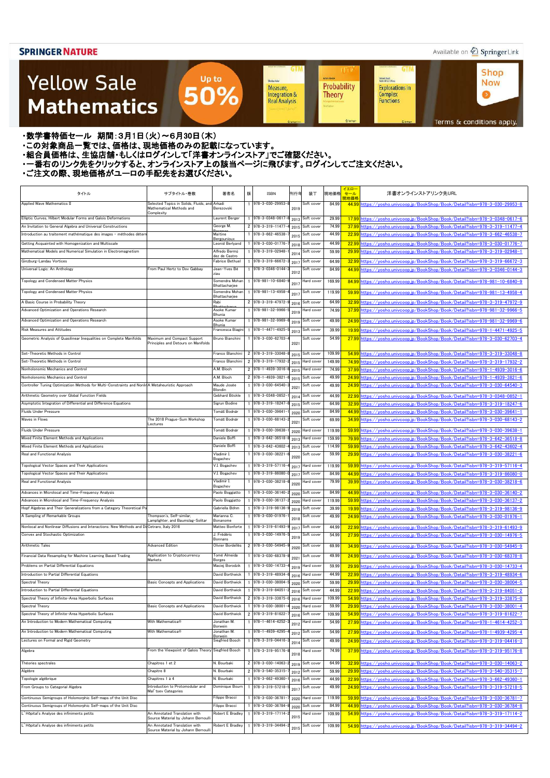### Available on 2 Springer Link

 $\bullet$ 

### **Yellow Sale Mathematics**

**GTM GTM UT Shop Achim Hente** Kichard Beals<br>Rođenick S. C. Wong Sheidon Auler **Now** Probability **Explorations in** Measure, 50% Integration & Complex<br>Functions **Theory Real Analysis** Terms & conditions apply.

・数学書特価セール 期間:3月1日(火)~6月30日(木)

・この対象商品一覧では、価格は、現地価格のみの記載になっています。

- ニッパルプロは、ここには、このファンストリングのコンティングファンストア」でご確認ください。<br>・組合員価格は、生協店舗・もしくはログインして「洋書オンラインストア」でご確認ください。

・一番右のリンク先をクリックすると、オンラインストア上の該当ページに飛びます。ログインしてご注文ください。

Up to

| タイトル                                                                                                      | サブタイトル・巻数                                                            | 著者名                                      | 版 | ISBN                                                   | 刊行年          | 装丁                       | 現地価格           | イエロー<br>セール<br>見地価格 | 洋書オンラインストアリンク先URL                                                           |
|-----------------------------------------------------------------------------------------------------------|----------------------------------------------------------------------|------------------------------------------|---|--------------------------------------------------------|--------------|--------------------------|----------------|---------------------|-----------------------------------------------------------------------------|
| Applied Wave Mathematics II                                                                               | Selected Topics in Solids, Fluids, and Arkadi                        |                                          |   | 978-3-030-29953-                                       |              | Soft cover               | 84.99          | 44.99               | https://vosho.univcoop.ip/BookShop/Book/Detail?isbn=978-3-030-29953-8       |
|                                                                                                           | Mathematical Methods and<br>Complexity                               | Berezovski                               |   |                                                        | 2019         |                          |                |                     |                                                                             |
| Elliptic Curves, Hilbert Modular Forms and Galois Deformations                                            |                                                                      | Laurent Berger                           |   | $1$ 978-3-0348-0617                                    | 2013         | Soft cover               | 29.99          | 17.99               | https://vosho.univcoop.jp/BookShop/Book/Detail?isbn=978-3-0348-0617-6       |
| An Invitation to General Algebra and Universal Constructions                                              |                                                                      | George M.                                |   | 2 978-3-319-11477                                      | 2015         | Soft cover               | 74.99          | 37.99               | https://yosho.univcoop.jp/BookShop/Book/Detail?isbn=978-3-319-11477-4       |
| Introduction au traitement mathématique des images - méthodes détern                                      |                                                                      | Maïtine<br><u>Bergounioux</u>            |   | 978-3-662-46538                                        | 2015         | Soft cover               | 44.99          | 22.99               | https://vosho.univcoop.jp/BookShop/Book/Detail?isbn=978-3-662-46538-7       |
| Getting Acquainted with Homogenization and Multiscale                                                     |                                                                      | Leonid Berlyand                          |   | 978-3-030-01776                                        | 2018         | Soft cover               | 44.99          | 22.99               | https://yosho.univcoop.jp/BookShop/Book/Detail?isbn=978-3-030-01776-7       |
| Mathematical Models and Numerical Simulation in Electromagnetism                                          |                                                                      | Alfredo Bermú<br>dez de Castro           |   | 978-3-319-02948                                        | 2014         | Soft cover               | 59.99          | 29.99               | https://yosho.univcoop.jp/BookShop/Book/Detail?isbn=978-3-319-02948-1       |
| Ginzburg-Landau Vortices                                                                                  |                                                                      | Fabrice Bethuel                          |   | 1 978-3-319-66672                                      | 2017         | Soft cover               | 64.99          | 32.99               | https://yosho.univcoop.jp/BookShop/Book/Detail?isbn=978-3-319-66672-3       |
| Universal Logic: An Anthology                                                                             | From Paul Hertz to Dov Gabbay                                        | Jean-Yves Bé<br>ziau                     |   | 1 978-3-0346-0144                                      | 2012         | Soft cover               | 84.99          | 44.99               | https://yosho.univcoop.jp/BookShop/Book/Detail?isbn=978-3-0346-0144-3       |
| Topology and Condensed Matter Physics                                                                     |                                                                      | Somendra Mohan<br>Bhattacharjee          |   | 1 978-981-10-6840-                                     | 201          | Hard cover               | 169.99         | 84.99               | https://vosho.univcoop.jp/BookShop/Book/Detail?isbn=978-981-10-6840-9       |
| Topology and Condensed Matter Physics                                                                     |                                                                      | Somendra Mohan<br>Bhattacharjee          |   | 1 978-981-13-4958                                      | 201          | Soft cover               | 119.99         | 59.99               | https://vosho.univcoop.jp/BookShop/Book/Detail?isbn=978-981-13-4958-4       |
| A Basic Course in Probability Theory                                                                      |                                                                      | Rabi                                     |   | 2 978-3-319-47972                                      | 2016         | Soft cover               | 64.99          | 32.99               | https://vosho.univcoop.ip/BookShop/Book/Detail?isbn=978-3-319-47972-9       |
| Advanced Optimization and Operations Research                                                             |                                                                      | <b>Rhattack</b><br>Asoke Kumar<br>Bhunia |   | 978-981-32-9966                                        | 2019         | Hard cover               | 74.99          | 37.99               | https://vosho.univcoop.jp/BookShop/Book/Detail?isbn=978-981-32-9966-5       |
| Advanced Optimization and Operations Research                                                             |                                                                      | Asoke Kumar<br>3 hunia                   |   | 1 978-981-32-9969                                      | 2019         | Soft cover               | 49.99          | 24.99               | https://vosho.univcoop.ip/BookShop/Book/Detail?isbn=978-981-32-9969-6       |
| Risk Measures and Attitudes                                                                               |                                                                      | Francesca Biagin                         |   | 978-1-4471-4925                                        | 2013         | Soft cover               | 39.99          | 19.99               | https://vosho.univcoop.ip/BookShop/Book/Detail?isbn=978-1-4471-4925-5       |
| Geometric Analysis of Quasilinear Inequalities on Complete Manifolds                                      | Maximum and Compact Support                                          | Bruno Bianchini                          |   | 1 978-3-030-62703-4                                    |              | Soft cover               | 54.99          | 27.99               | https://vosho.univcoop.jp/BookShop/Book/Detail?isbn=978-3-030-62703-4       |
|                                                                                                           | Principles and Detours on Manifolds                                  |                                          |   |                                                        | 2021         |                          |                |                     |                                                                             |
| Set-Theoretic Methods in Control                                                                          |                                                                      | Franco Blanchini                         |   | 2 978-3-319-33048                                      | 2015         | Soft cover               | 109.99         | 54.99               | https://yosho.univcoop.jp/BookShop/Book/Detail?isbn=978-3-319-33048-8       |
| Set-Theoretic Methods in Control                                                                          |                                                                      | Franco Blanchini                         |   | 2 978-3-319-17932                                      | 2015         | Hard cover               | 149.99         | 74.99               | https://vosho.univcoop.jp/BookShop/Book/Detail?isbn=978-3-319-17932-2       |
| Nonholonomic Mechanics and Control                                                                        |                                                                      | A.M. Bloch                               |   | 2 978-1-4939-3016                                      | 2015         | Hard cover               | 74.99          | 37.99               | https://yosho.univcoop.jp/BookShop/Book/Detail?isbn=978-1-4939-3016-6       |
| Nonholonomic Mechanics and Control                                                                        |                                                                      | A.M. Bloch                               |   | 2 978-1-4939-3821                                      | 2015         | Soft cover               | 49.99          | 24.99               | https://yosho.univcoop.jp/BookShop/Book/Detail?isbn=978-1-4939-3821-6       |
| Controller Tuning Optimization Methods for Multi-Constraints and Nonlin A Metaheuristic Approach          |                                                                      | Maude Josée<br>Blondin                   |   | 1 978-3-030-64540-                                     | 202          | Soft cover               | 49.99          | 24.99               | https://yosho.univcoop.jp/BookShop/Book/Detail?isbn=978-3-030-64540-3       |
| Arithmetic Geometry over Global Function Fields                                                           |                                                                      | Gebhard Böckle                           |   | 978-3-0348-0852                                        | 2014         | Soft cover               | 44.99          | 22.99               | https://vosho.univcoop.ip/BookShop/Book/Detail?isbn=978-3-0348-0852-1       |
| Asymptotic Integration of Differential and Difference Equations                                           |                                                                      | Sigrun Bodine                            |   | 978-3-319-18247                                        | 2015         | Soft cover               | 64.99          | 32.99               | https://vosho.univcoop.jp/BookShop/Book/Detail?isbn=978-3-319-18247-6       |
| Fluids Under Pressure                                                                                     |                                                                      | Tomáš Bodnár                             |   | 978-3-030-39641                                        | 2020         | Soft cover               | 84.99          | 44.99               | https://vosho.univcoop.ip/BookShop/Book/Detail?isbn=978-3-030-39641-1       |
| Waves in Flows                                                                                            | The 2018 Prague-Sum Workshop<br>Lectures                             | Tomáš Bodnár                             |   | 978-3-030-68143                                        | 2021         | Soft cover               | 69.99          | 34.99               | https://vosho.univcoop.jp/BookShop/Book/Detail?isbn=978-3-030-68143-2       |
| Fluids Under Pressure                                                                                     |                                                                      | Tomáš Bodnár                             |   | 1 978-3-030-39638                                      | 2020         | Hard cover               | 119.99         | 59.99               | https://vosho.univcoop.jp/BookShop/Book/Detail?isbn=978-3-030-39638-1       |
| Mixed Finite Element Methods and Applications                                                             |                                                                      | Daniele Boffi                            |   | 978-3-642-36518                                        | 2013         | Hard cover               | 159.99         | 79.99               | https://vosho.univcoop.ip/BookShop/Book/Detail?isbn=978-3-642-36518-8       |
| Mixed Finite Element Methods and Applications                                                             |                                                                      | Daniele Boffi                            |   | 978-3-642-43602                                        | 2013         | Soft cover               | 114.99         | 59.99               | https://yosho.univcoop.jp/BookShop/Book/Detail?isbn=978-3-642-43602-4       |
| Real and Functional Analysis                                                                              |                                                                      | Vladimir I.                              |   | 1 978-3-030-38221                                      | 2020         | Soft cover               | 59.99          | 29.99               | https://yosho.univcoop.jp/BookShop/Book/Detail?isbn=978-3-030-38221-6       |
| Topological Vector Spaces and Their Applications                                                          |                                                                      | Bogachev<br>√.I. Bogachev                |   | 1 978-3-319-57116                                      |              | Hard cover               | 119.99         | 59.99               | https://vosho.univcoop.jp/BookShop/Book/Detail?isbn=978-3-319-57116-4       |
| Topological Vector Spaces and Their Applications                                                          |                                                                      | V.I. Bogachev                            |   | 1 978-3-319-86080-0                                    | 2017<br>2017 | Soft cover               | 84.99          |                     | 44.99 https://yosho.univcoop.jp/BookShop/Book/Detail?isbn=978-3-319-86080-0 |
| Real and Functional Analysis                                                                              |                                                                      | Vladimir I                               |   | 978-3-030-38218-                                       |              | Hard cover               | 79.99          | 39.99               | https://vosho.univcoop.jp/BookShop/Book/Detail?isbn=978-3-030-38218-6       |
|                                                                                                           |                                                                      | Bogachev                                 |   |                                                        | 2020         |                          |                |                     |                                                                             |
| Advances in Microlocal and Time-Frequency Analysis                                                        |                                                                      | Paolo Boggiatto                          |   | 978-3-030-36140                                        | 2020         | Soft cover               | 84.99          | 44.99               | https://yosho.univcoop.jp/BookShop/Book/Detail?isbn=978-3-030-36140-2       |
| Advances in Microlocal and Time-Frequency Analysis                                                        |                                                                      | Paolo Boggiatto                          |   | 978-3-030-36137                                        | 2020         | Hard cover               | 119.99         | 59.99               | https://yosho.univcoop.jp/BookShop/Book/Detail?isbn=978-3-030-36137-2       |
| Hopf Algebras and Their Generalizations from a Category Theoretical Po<br>A Sampling of Remarkable Groups | Thompson's, Self-similar,                                            | Gabriella Böhm<br>Marianna C.            |   | 978-3-319-98136<br>1 978-3-030-01976                   | 2018         | Soft cover<br>Soft cover | 39.99<br>49.99 | 19.99<br>24.99      | https://vosho.univcoop.ip/BookShop/Book/Detail?isbn=978-3-319-98136-9       |
|                                                                                                           | Lamplighter, and Baumslag-Solitar                                    | Bonanome                                 |   |                                                        | 2018         |                          |                |                     | https://yosho.univcoop.jp/BookShop/Book/Detail?isbn=978-3-030-01976-1       |
| Nonlocal and Nonlinear Diffusions and Interactions: New Methods and Di Cetraro, Italy 2016                |                                                                      | Matteo Bonforte                          |   | 1 978-3-319-61493                                      | 2017         | Soft cover               | 44.99          | 22.99               | https://yosho.univcoop.jp/BookShop/Book/Detail?isbn=978-3-319-61493-9       |
| Convex and Stochastic Optimization                                                                        |                                                                      | J. Frédéric<br>Bonnans                   |   | 1 978-3-030-14976                                      | 2019         | Soft cover               | 54.99          | 27.99               | https://vosho.univcoop.ip/BookShop/Book/Detail?isbn=978-3-030-14976-5       |
| Arithmetic Tales                                                                                          | <b>Advanced Edition</b>                                              | Olivier Bordellès                        |   | 2 978-3-030-54945-                                     | 2020         | Soft cover               | 69.99          | 34.99               | https://yosho.univcoop.jp/BookShop/Book/Detail?isbn=978-3-030-54945-9       |
| Financial Data Resampling for Machine Learning Based Trading                                              | Application to Cryptocurrency<br>Markets                             | Tomé Almeida<br><b>Borges</b>            |   | 1 978-3-030-68378                                      | 202          | Soft cover               | 49.99          | 24.99               | https://vosho.univcoop.jp/BookShop/Book/Detail?isbn=978-3-030-68378-8       |
| Problems on Partial Differential Equations                                                                |                                                                      | Maciej Borodzik                          |   | 1 978-3-030-14733                                      | 2019         | Hard cover               | 59.99          | 29.99               | https://yosho.univcoop.jp/BookShop/Book/Detail?isbn=978-3-030-14733-4       |
| Introduction to Partial Differential Equations                                                            |                                                                      | David Borthwick                          |   | 1 978-3-319-48934                                      | 2016         | Hard cover               | 44.99          | 22.99               | https://yosho.univcoop.jp/BookShop/Book/Detail?isbn=978-3-319-48934-6       |
| Spectral Theory                                                                                           | <b>Basic Concepts and Applications</b>                               | David Borthwick                          |   | 978-3-030-38004                                        | 2020         | Soft cover               | 59.99          | 29.99               | https://yosho.univcoop.jp/BookShop/Book/Detail?isbn=978-3-030-38004-5       |
| Introduction to Partial Differential Equations                                                            |                                                                      | David Borthwick                          |   | 978-3-319-84051                                        | 2016         | Soft cover               | 44.99          | 22.99               | nttps://yosho.univcoop.jp/BookShop/Book/Detail?isbn=978-3-319-84051-2       |
| Spectral Theory of Infinite-Area Hyperbolic Surfaces                                                      |                                                                      | David Borthwick                          |   | 2 978-3-319-33875                                      | 2016         | Hard cover               | 109.99         | 54.99               | https://yosho.univcoop.jp/BookShop/Book/Detail?isbn=978-3-319-33875-0       |
| Spectral Theory                                                                                           | Basic Concepts and Applications                                      | David Borthwick                          |   | 978-3-030-38001                                        | 2020         | Hard cover               | 59.99          | 29.99               | nttps://yosho.univcoop.jp/BookShop/Book/Detail?isbn=978-3-030-38001-4       |
| Spectral Theory of Infinite-Area Hyperbolic Surfaces                                                      |                                                                      | David Borthwick                          |   | 2 978-3-319-81622                                      | 2016         | Soft cover               | 109.99         | 54.99               | https://yosho.univcoop.jp/BookShop/Book/Detail?isbn=978-3-319-81622-7       |
| An Introduction to Modern Mathematical Computing                                                          | With Mathematica®                                                    | Jonathan M.<br>Borwein                   |   | $1$ 978-1-4614-4252                                    | 2012         | Hard cover               | 54.99          | 27.99               | https://yosho.univcoop.jp/BookShop/Book/Detail?isbn=978-1-4614-4252-3       |
| An Introduction to Modern Mathematical Computing                                                          | With Mathematica®                                                    | Jonathan M.                              |   | 978-1-4939-4295                                        | 2012         | Soft cover               | 54.99          | 27.99               | https://yosho.univcoop.jp/BookShop/Book/Detail?isbn=978-1-4939-4295-4       |
| Lectures on Formal and Rigid Geometry                                                                     |                                                                      | Borwein<br>Siegfried Bosch               |   | 1 978-3-319-04416                                      | 2014         | Soft cover               | 49.99          | 24.99               | https://yosho.univcoop.jp/BookShop/Book/Detail?isbn=978-3-319-04416-3       |
| Algebra                                                                                                   | From the Viewpoint of Galois Theory Siegfried Bosch                  |                                          |   | 978-3-319-95176                                        |              | Hard cover               | 74.99          | 37.99               | https://vosho.univcoop.ip/BookShop/Book/Detail?isbn=978-3-319-95176-8       |
|                                                                                                           |                                                                      |                                          |   |                                                        | 2018         |                          |                |                     |                                                                             |
| Théories spectrales                                                                                       | Chapitres 1 et 2                                                     | N. Bourbaki                              |   | 2 978-3-030-14063                                      | 2019         | Soft cover               | 64.99          | 32.99               | https://yosho.univcoop.jp/BookShop/Book/Detail?isbn=978-3-030-14063-2       |
| Algèbre                                                                                                   | Chapitre 8                                                           | N. Bourbaki<br>N. Bourbaki               |   | 2 978-3-540-35315<br>$\frac{1}{978 - 3 - 662 - 49360}$ | 2012         | Soft cover               | 59.99          | 29.99               | https://yosho.univcoop.jp/BookShop/Book/Detail?isbn=978-3-540-35315-7       |
| Topologie algébrique<br>From Groups to Categorial Algebra                                                 | Chapitres 1 à 4<br>Introduction to Protomodular and                  | Dominique Bourn                          |   | 1 978-3-319-57218                                      | 2016         | Soft cover               | 44.99<br>49.99 | 22.99               | https://yosho.univcoop.jp/BookShop/Book/Detail?isbn=978-3-662-49360-1       |
|                                                                                                           | Mal' tsey Categories                                                 |                                          |   |                                                        | 201          | Soft cover               |                | 24.99               | https://yosho.univcoop.jp/BookShop/Book/Detail?isbn=978-3-319-57218-5       |
| Continuous Semigroups of Holomorphic Self-maps of the Unit Disc                                           |                                                                      | Filippo Bracci                           |   | 978-3-030-36781                                        | 2020         | Hard cover               | 119.99         | 59.99               | https://vosho.univcoop.jp/BookShop/Book/Detail?isbn=978-3-030-36781-7       |
| Continuous Semigroups of Holomorphic Self-maps of the Unit Disc                                           |                                                                      | Filippo Bracci                           |   | 978-3-030-36784                                        | 2020         | Soft cover               | 84.99          | 44.99               | https://yosho.univcoop.jp/BookShop/Book/Detail?isbn=978-3-030-36784-8       |
| Mopital's Analyse des infiniments petits                                                                  | An Annotated Translation with<br>Source Material by Johann Bernoulli | Robert E Bradlev                         |   | 978-3-319-17114                                        | 2015         | Hard cover               | 109.99         | 54.99               | https://yosho.univcoop.jp/BookShop/Book/Detail?isbn=978-3-319-17114-2       |
| .' Hôpital's Analyse des infiniments petits                                                               | An Annotated Translation with<br>Source Material by Johann Bernoulli | Robert E Bradley                         |   | 978-3-319-34494                                        | 2015         | Soft cover               | 109.99         |                     | 54.99 https://vosho.univcoop.jp/BookShop/Book/Detail?isbn=978-3-319-34494-2 |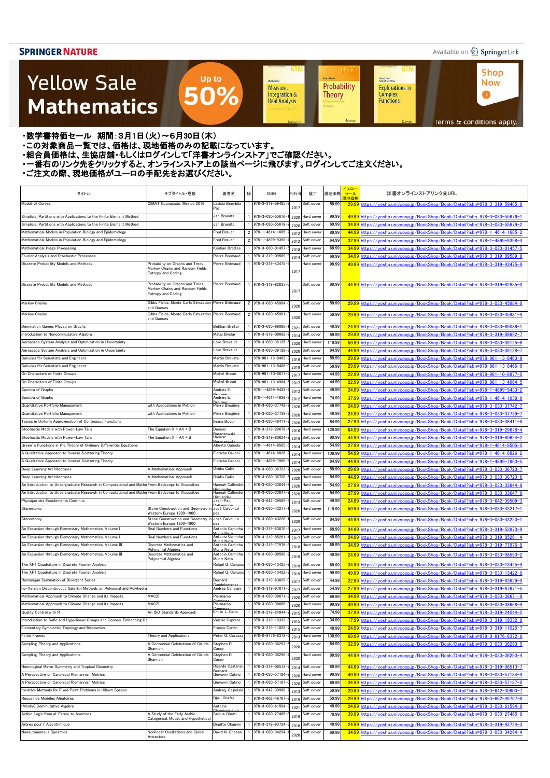### Available on 2 Springer Link

### **Yellow Sale Mathematics**

**GTM GTM UT Shop Achim Hente** Kichard Beals<br>Rođenick S. C. Wong Sheidon Auler **Now** Probability **Explorations in** Measure, 50% Integration & Complex<br>Functions  $\bullet$ **Theory Real Analysis** Terms & conditions apply.

・数学書特価セール 期間:3月1日(火)~6月30日(木)

・この対象商品一覧では、価格は、現地価格のみの記載になっています。

- ニッパルプロは、ここには、このファンストリングのコンティングファンストア」でご確認ください。<br>・組合員価格は、生協店舗・もしくはログインして「洋書オンラインストア」でご確認ください。

・一番右のリンク先をクリックすると、オンラインストア上の該当ページに飛びます。ログインしてご注文ください。

Up to

| タイトル                                                                                               | サブタイトル・巻数                                                                                         | 著者名                                | 版 | <b>ISBN</b>                        | 刊行年          | 装丁                       | 現地価格           | イエロー<br>セール<br>現地価格 | 洋書オンラインストアリンク先URL                                                                                                                                          |
|----------------------------------------------------------------------------------------------------|---------------------------------------------------------------------------------------------------|------------------------------------|---|------------------------------------|--------------|--------------------------|----------------|---------------------|------------------------------------------------------------------------------------------------------------------------------------------------------------|
| Moduli of Curves                                                                                   | CIMAT Guanajuato, Mexico 2016                                                                     | Leticia Brambila                   |   | 978-3-319-59485-                   | 2017         | Soft cover               | 59.99          |                     | 29.99 https://vosho.univcoop.jp/BookShop/Book/Detail?isbn=978-3-319-59485-9                                                                                |
| Simplicial Partitions with Applications to the Finite Element Method                               |                                                                                                   | Paz<br>Jan Brandts                 |   | 1 978-3-030-55676                  |              | Hard cover               | 99.99          |                     | 49.99 https://vosho.univcoop.jp/BookShop/Book/Detail?isbn=978-3-030-55676-1                                                                                |
| Simplicial Partitions with Applications to the Finite Element Method                               |                                                                                                   | Jan Brandts                        |   | 1 978-3-030-55679                  | 2020<br>2020 | Soft cover               | 69.99          |                     | 34.99 https://vosho.univcoop.jp/BookShop/Book/Detail?isbn=978-3-030-55679-2                                                                                |
| Mathematical Models in Population Biology and Epidemiology                                         |                                                                                                   | <b>Fred Brauer</b>                 |   | 2 978-1-4614-1685                  | 2012         | Hard cover               | 89.99          |                     | 44.99 https://vosho.univcoop.jp/BookShop/Book/Detail?isbn=978-1-4614-1685-2                                                                                |
| Mathematical Models in Population Biology and Epidemiology                                         |                                                                                                   | <b>Fred Brauer</b>                 |   | 2 978-1-4899-9398                  | 2012         | Soft cover               | 64.99          | 32.99               | https://yosho.univcoop.jp/BookShop/Book/Detail?isbn=978-1-4899-9398-4                                                                                      |
| Mathematical Image Processing                                                                      |                                                                                                   | Kristian Bredies                   |   | 978-3-030-01457                    | 2018         | Hard cover               | 69.99          | 34.99               | https://yosho.univcoop.jp/BookShop/Book/Detail?isbn=978-3-030-01457-5                                                                                      |
| Fourier Analysis and Stochastic Processes                                                          |                                                                                                   | Pierre Brémaud                     |   | 978-3-319-09589                    | 2014         | Soft cover               | 69.99          |                     | 34.99 https://yosho.univcoop.jp/BookShop/Book/Detail?isbn=978-3-319-09589-9                                                                                |
| Discrete Probability Models and Methods                                                            | Probability on Graphs and Trees,<br>Markov Chains and Random Fields,<br><b>Entropy and Coding</b> | Pierre Brémaud                     |   | 978-3-319-43475-                   | 2017         | Hard cover               | 99.99          |                     | 49.99 https://yosho.univcoop.jp/BookShop/Book/Detail?isbn=978-3-319-43475-9                                                                                |
| Discrete Probability Models and Methods                                                            | Probability on Graphs and Trees,<br>Markov Chains and Random Fields,<br><b>Entropy and Coding</b> | Pierre Brémaud                     |   | 978-3-319-82835-0                  | 2017         | Soft cover               | 89.99          |                     | 44.99 https://vosho.univcoop.jp/BookShop/Book/Detail?isbn=978-3-319-82835-0                                                                                |
| Markov Chains                                                                                      | Gibbs Fields, Monte Carlo Simulation Pierre Brémaud<br>and Queues                                 |                                    |   | 2 978-3-030-45984-                 | 2020         | Soft cover               | 59.99          |                     | 29.99 https://vosho.univcoop.jp/BookShop/Book/Detail?isbn=978-3-030-45984-0                                                                                |
| Markov Chains                                                                                      | Gibbs Fields, Monte Carlo Simulation Pierre Brémaud<br>and Queues                                 |                                    |   | 2 978-3-030-45981                  | 2020         | Hard cover               | 59.99          |                     | 29.99 https://yosho.univcoop.jp/BookShop/Book/Detail?isbn=978-3-030-45981-9                                                                                |
| Domination Games Played on Graphs                                                                  |                                                                                                   | Boštjan Brešar                     |   | 978-3-030-69086                    | 2021         | Soft cover               | 49.99          |                     | 24.99 https://yosho.univcoop.jp/BookShop/Book/Detail?isbn=978-3-030-69086-1                                                                                |
| Introduction to Noncommutative Algebra                                                             |                                                                                                   | Matej Brešar                       |   | 978-3-319-08692                    | 2014         | Soft cover               | 59.99          |                     | 29.99 https://yosho.univcoop.jp/BookShop/Book/Detail?isbn=978-3-319-08692-7                                                                                |
| Aerospace System Analysis and Optimization in Uncertainty                                          |                                                                                                   | Loïc Brevault                      |   | 978-3-030-39125                    | 2020         | Hard cover               | 119.99         | 59.99               | https://yosho.univcoop.jp/BookShop/Book/Detail?isbn=978-3-030-39125-6                                                                                      |
| Aerospace System Analysis and Optimization in Uncertainty                                          |                                                                                                   | oïc Brevault_                      |   | 978-3-030-39128-                   | 2020         | Soft cover               | 84.99          | 44.99               | https://yosho.univcoop.jp/BookShop/Book/Detail?isbn=978-3-030-39128-7                                                                                      |
| Calculus for Scientists and Engineers                                                              |                                                                                                   | Martin Brokate                     |   | $978 - 981 - 13 - 8463$            | 2019         | Hard cover               | 59.99          | 29.99               | https://yosho.univcoop.jp/BookShop/Book/Detail?isbn=978-981-13-8463-9                                                                                      |
| Calculus for Scientists and Engineers                                                              |                                                                                                   | Martin Brokate                     |   | $978 - 981 - 13 - 8466$            | 2019         | Soft cover               | 59.99          | 29.99               | https://vosho.univcoop.jp/BookShop/Book/Detail?isbn=978-981-13-8466-0                                                                                      |
| On Characters of Finite Groups                                                                     |                                                                                                   | Michel Broué                       |   | 978-981-10-6877                    | 2017         | Hard cover               | 44.99          | 22.99               | https://yosho.univcoop.jp/BookShop/Book/Detail?isbn=978-981-10-6877-5                                                                                      |
| On Characters of Finite Groups                                                                     |                                                                                                   | Michel Broué                       |   | 978-981-13-4964-                   | 2017         | Soft cover               | 44.99          |                     | 22.99 https://yosho.univcoop.jp/BookShop/Book/Detail?isbn=978-981-13-4964-5                                                                                |
| Spectra of Graphs                                                                                  |                                                                                                   | Andries E.                         |   | 978-1-4899-9433-                   | 2012         | Soft cover               | 49.99          |                     | 24.99 https://vosho.univcoop.ip/BookShop/Book/Detail?isbn=978-1-4899-9433-2                                                                                |
| Spectra of Graphs                                                                                  |                                                                                                   | Andries E.                         |   | 978-1-4614-1938-                   | 2012         | Hard cover               | 74.99          |                     | 37.99 https://vosho.univcoop.jp/BookShop/Book/Detail?isbn=978-1-4614-1938-9                                                                                |
| Quantitative Portfolio Management                                                                  | with Applications in Python                                                                       | Pierre Brugière<br>Pierre Brugière |   | 978-3-030-37742                    | 2020         | Soft cover               | 49.99          |                     | 24.99 https://vosho.univcoop.jp/BookShop/Book/Detail?isbn=978-3-030-37742-7                                                                                |
| Quantitative Portfolio Management<br>Topics in Uniform Approximation of Continuous Functions       | with Applications in Python                                                                       | Ileana Bucur                       |   | 978-3-030-37739<br>978-3-030-48411 | 2020         | Hard cover<br>Soft cover | 49.99<br>54.99 |                     | 24.99 https://yosho.univcoop.jp/BookShop/Book/Detail?isbn=978-3-030-37739-7                                                                                |
| Stochastic Models with Power-Law Tails                                                             | The Equation $X = AX + B$                                                                         | Dariusz                            |   | 978-3-319-29678                    | 2020         | Hard cover               | 129.99         |                     | 27.99 https://yosho.univcoop.jp/BookShop/Book/Detail?isbn=978-3-030-48411-8<br>64.99 https://vosho.univcoop.jp/BookShop/Book/Detail?isbn=978-3-319-29678-4 |
| Stochastic Models with Power-Law Tails                                                             | The Equation $X = AX + B$                                                                         | Dariusz                            |   | 978-3-319-80624                    | 2016         | Soft cover               | 89.99          | 44.99               | https://vosho.univcoop.jp/BookShop/Book/Detail?isbn=978-3-319-80624-2                                                                                      |
| Green's Functions in the Theory of Ordinary Differential Equations                                 |                                                                                                   | Alberto Cabada                     |   | 978-1-4614-9505                    | 2016<br>2014 | Soft cover               | 54.99          | 27.99               | https://vosho.univcoop.jp/BookShop/Book/Detail?isbn=978-1-4614-9505-5                                                                                      |
| A Qualitative Approach to Inverse Scattering Theory                                                |                                                                                                   | Fioralba Cakoni                    |   | 978-1-4614-8826                    | 2014         | Hard cover               | 109.99         |                     | 54.99 https://yosho.univcoop.jp/BookShop/Book/Detail?isbn=978-1-4614-8826-2                                                                                |
| A Qualitative Approach to Inverse Scattering Theory                                                |                                                                                                   | Fioralba Cakoni                    |   | 978-1-4899-7960                    | $201 -$      | Soft cover               | 84.99          |                     | 44.99 https://vosho.uniycoop.jp/BookShop/Book/Detail?isbn=978-1-4899-7960-5                                                                                |
| Deep Learning Architectures                                                                        | A Mathematical Approach                                                                           | Ovidiu Calin                       |   | 978-3-030-36723-                   | 2020         | Soft cover               | 59.99          |                     | 29.99 https://yosho.univcoop.jp/BookShop/Book/Detail?isbn=978-3-030-36723-7                                                                                |
| Deep Learning Architectures                                                                        | A Mathematical Approach                                                                           | Ovidiu Calin                       |   | 978-3-030-36720                    | 2020         | Hard cover               | 84.99          |                     | <u>44.99 https://yosho.univcoop.jp/BookShop/Book/Detail?isbn=978-3-030-36720-6</u>                                                                         |
| An Introduction to Undergraduate Research in Computational and Mathe From Birdsongs to Viscosities |                                                                                                   | Hannah Callender                   |   | 978-3-030-33644                    | 2020         | Hard cover               | 54.99          |                     | 27.99 https://vosho.univcoop.jp/BookShop/Book/Detail?isbn=978-3-030-33644-8                                                                                |
| An Introduction to Undergraduate Research in Computational and Mathe From Birdsongs to Viscosities |                                                                                                   | Hannah Callender                   |   | 978-3-030-33647                    | 2020         | Soft cover               | 54.99          |                     | 27.99 https://yosho.univcoop.jp/BookShop/Book/Detail?isbn=978-3-030-33647-9                                                                                |
| Physique des Écoulements Continus                                                                  |                                                                                                   | Jean-Paul                          |   | 978-3-642-39509                    | 2013         | Soft cover               | 49.99          | 24.99               | https://vosho.univcoop.jp/BookShop/Book/Detail?isbn=978-3-642-39509-3                                                                                      |
| Stereotomy                                                                                         | Stone Construction and Geometry in José Calvo-Ló                                                  |                                    |   | 978-3-030-43217                    | 2020         | Hard cover               | 119.99         |                     | 59.99 https://vosho.univcoop.jp/BookShop/Book/Detail?isbn=978-3-030-43217-1                                                                                |
| Stereotomy                                                                                         | Western Europe 1200-1900<br>Stone Construction and Geometry in                                    | pez<br>José Calvo-Ló               |   | 978-3-030-43220                    |              | Soft cover               | 84.99          |                     | 44.99 https://yosho.univcoop.jp/BookShop/Book/Detail?isbn=978-3-030-43220-1                                                                                |
|                                                                                                    | Western Europe 1200-1900                                                                          | pez                                |   |                                    | 2020         |                          |                |                     |                                                                                                                                                            |
| An Excursion through Elementary Mathematics, Volume I                                              | Real Numbers and Functions                                                                        | Antonio Caminha                    |   | 978-3-319-53870                    | 2017         | Hard cover               | 69.99          |                     | 34.99 https://yosho.univcoop.jp/BookShop/Book/Detail?isbn=978-3-319-53870-9                                                                                |
| An Excursion through Elementary Mathematics, Volume I                                              | Real Numbers and Functions                                                                        | Antonio Caminha<br>iniz Nat        |   | 978-3-319-85261                    | 2017         | Soft cover               | 49.99          |                     | 24.99 https://yosho.univcoop.jp/BookShop/Book/Detail?isbn=978-3-319-85261-4                                                                                |
| An Excursion through Elementary Mathematics, Volume III                                            | Discrete Mathematics and<br>Polynomial Algebra                                                    | Antonio Caminha<br>Muniz Neto      |   | 978-3-319-77976                    | 2018         | Hard cover               | 69.99          |                     | 34.99 https://yosho.univcoop.jp/BookShop/Book/Detail?isbn=978-3-319-77976-8                                                                                |
| An Excursion through Elementary Mathematics, Volume III                                            | Discrete Mathematics and<br>Polynomial Algebra                                                    | Antonio Caminha<br>Muniz Neto      |   | 978-3-030-08590-                   | 2018         | Soft cover               | 49.99          |                     | 24.99 https://yosho.univcoop.jp/BookShop/Book/Detail?isbn=978-3-030-08590-2                                                                                |
| The XFT Quadrature in Discrete Fourier Analysis                                                    |                                                                                                   | Rafael G. Campos                   |   | 978-3-030-13425                    | 2019         | Soft cover               | 69.99          |                     | 34.99 https://yosho.univcoop.jp/BookShop/Book/Detail?isbn=978-3-030-13425-9                                                                                |
| The XFT Quadrature in Discrete Fourier Analysis                                                    |                                                                                                   | Rafael G. Campos                   |   | 978-3-030-13422                    | 2019         | Hard cover               | 99.99          |                     | 49.99 https://yosho.univcoop.jp/BookShop/Book/Detail?isbn=978-3-030-13422-8                                                                                |
| Ramanujan Summation of Divergent Series                                                            |                                                                                                   | Bernard                            |   | 978-3-319-63629-                   | 2017         | Soft cover               | 44.99          |                     | 22.99 https://yosho.univcoop.jp/BookShop/Book/Detail?isbn=978-3-319-63629-0                                                                                |
| hp-Version Discontinuous Galerkin Methods on Polygonal and Polyhedra                               |                                                                                                   | Andrea Cangiani                    |   | 978-3-319-67671                    | 2017         | Soft cover               | 54.99          |                     | 27.99 https://yosho.univcoop.jp/BookShop/Book/Detail?isbn=978-3-319-67671-5                                                                                |
| Mathematical Approach to Climate Change and its Impacts                                            | MAC2I                                                                                             | Piermarco                          |   | 978-3-030-38671                    | 2020         | Soft cover               | 69.99          |                     | 34.99 https://yosho.univcoop.jp/BookShop/Book/Detail?isbn=978-3-030-38671-9                                                                                |
| Mathematical Approach to Climate Change and its Impacts                                            | MAC2I                                                                                             | Piermarco                          |   | 1 978-3-030-38668                  | 2020         | Hard cover               | 99.99          |                     | 49.99 https://yosho.univcoop.jp/BookShop/Book/Detail?isbn=978-3-030-38668-9                                                                                |
| Quality Control with R                                                                             | An ISO Standards Approach                                                                         | Emilio L. Cano                     |   | 978-3-319-24044                    | 2015         | Soft cover               | 74.99          |                     | 37.99 https://yosho.univcoop.jp/BookShop/Book/Detail?isbn=978-3-319-24044-2                                                                                |
| Introduction to Sofic and Hyperlinear Groups and Connes' Embedding Co                              |                                                                                                   | Valerio Capraro                    |   | 1 978-3-319-19332                  | 2015         | Soft cover               | 34.99          |                     | 17.99 https://yosho.univcoop.jp/BookShop/Book/Detail?isbn=978-3-319-19332-8                                                                                |
| Elementary Symplectic Topology and Mechanics                                                       |                                                                                                   | Franco Cardin                      |   | 978-3-319-11025                    | 2015         | Soft cover               | 49.99          |                     | 24.99 https://vosho.univcoop.jp/BookShop/Book/Detail?isbn=978-3-319-11025-7                                                                                |
| <b>Finite Frames</b>                                                                               | Theory and Applications                                                                           | Peter G. Casazza                   |   | 978-0-8176-8372                    | 2013         | Hard cover               | 139.99         |                     | 69.99 https://yosho.univcoop.jp/BookShop/Book/Detail?isbn=978-0-8176-8372-6                                                                                |
| Sampling: Theory and Applications                                                                  | A Centennial Celebration of Claude<br>Shannon                                                     | Stephen D.<br>Casey                |   | 978-3-030-36293-                   | 2020         | Soft cover               | 64.99          |                     | 32.99 https://yosho.univcoop.jp/BookShop/Book/Detail?isbn=978-3-030-36293-5                                                                                |
| Sampling: Theory and Applications                                                                  | A Centennial Celebration of Claude<br>Shannon                                                     | Stephen D.<br>Casey                |   | 978-3-030-36290-                   | 2020         | Hard cover               | 89.99          |                     | 44.99 https://vosho.univcoop.jp/BookShop/Book/Detail?isbn=978-3-030-36290-4                                                                                |
| Homological Mirror Symmetry and Tropical Geometry                                                  |                                                                                                   | Ricardo Castano-                   |   | 978-3-319-06513                    | 2014         | Soft cover               | 89.99          |                     | 44.99 https://vosho.univcoop.jp/BookShop/Book/Detail?isbn=978-3-319-06513-7                                                                                |
| A Perspective on Canonical Riemannian Metrics                                                      |                                                                                                   | Giovanni Catino                    |   | 978-3-030-57184                    | 2020         | Hard cover               | 99.99          |                     | 49.99 https://yosho.univcoop.jp/BookShop/Book/Detail?isbn=978-3-030-57184-9                                                                                |
| A Perspective on Canonical Riemannian Metrics                                                      |                                                                                                   | Giovanni Catino                    |   | 978-3-030-57187                    | 2020         | Soft cover               | 69.99          |                     | 34.99 https://yosho.univcoop.jp/BookShop/Book/Detail?isbn=978-3-030-57187-0                                                                                |
| Iterative Methods for Fixed Point Problems in Hilbert Spaces                                       |                                                                                                   | Andrzej Cegielski                  |   | 978-3-642-30900                    | 2013         | Soft cover               | 59.99          |                     | 29.99 https://vosho.univcoop.jp/BookShop/Book/Detail?isbn=978-3-642-30900-7                                                                                |
| Recueil de Modèles Aléatoires                                                                      |                                                                                                   | Dialil Chafaï                      |   | 978-3-662-49767                    | 2016         | Soft cover               | 59.99          |                     | 29.99 https://yosho.univcoop.jp/BookShop/Book/Detail?isbn=978-3-662-49767-8                                                                                |
| (Mostly) Commutative Algebra                                                                       |                                                                                                   | Antoine                            |   | 1 978-3-030-61594                  | 2021         | Soft cover               | 49.99          |                     | 24.99 https://yosho.univcoop.jp/BookShop/Book/Detail?isbn=978-3-030-61594-9                                                                                |
| Arabic Logic from al-Fārābī to Averroes                                                            | A Study of the Early Arabic                                                                       | Saloua Chatti                      |   | 1 978-3-030-27465                  | 2019         | Soft cover               | 79.99          |                     | 39.99 https://yosho.univcoop.jp/BookShop/Book/Detail?isbn=978-3-030-27465-8                                                                                |
| Arbres pour l'Algorithmique                                                                        | Categorical, Modal, and Hypothetica                                                               | <b>Brigitte Chauvin</b>            |   | 978-3-319-93724                    | 2018         | Soft cover               | 49.99          |                     | 24.99 https://vosho.univcoop.jp/BookShop/Book/Detail?isbn=978-3-319-93724-3                                                                                |
| Nonautonomous Dynamics                                                                             | Nonlinear Oscillations and Global                                                                 | David N. Cheban                    |   | 978-3-030-34294                    | 2020         | Soft cover               | 69.99          |                     | 34.99 https://vosho.univcoop.jp/BookShop/Book/Detail?isbn=978-3-030-34294-4                                                                                |
|                                                                                                    | Attractors                                                                                        |                                    |   |                                    |              |                          |                |                     |                                                                                                                                                            |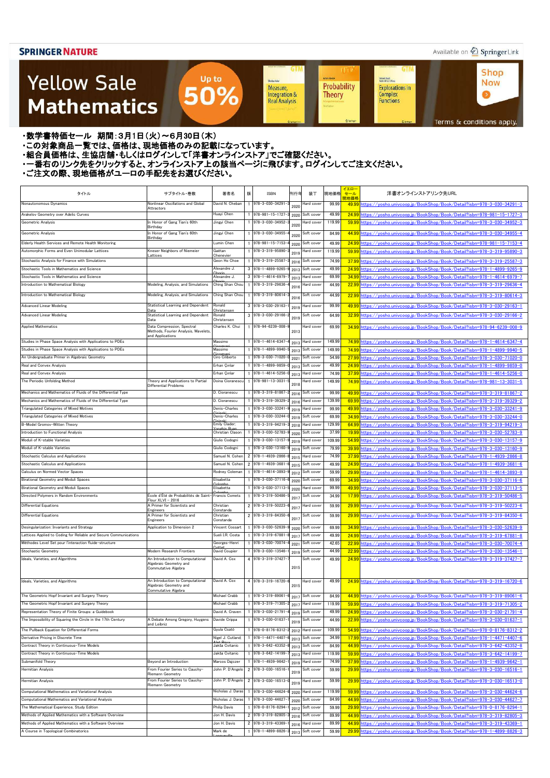### Available on 2 Springer Link

**Shop** 

**Now** 

 $\bullet$ 

**GTM** 

### **Yellow Sale Mathematics**

**Achim Hente** Kichard Beals<br>Rođenick S. C. Wong Sheidon Auler Probability **Explorations in** Measure, Integration & Complex<br>Functions **Theory Real Analysis** 

**UT** 

**GTM** 

Terms & conditions apply.

#### ・数学書特価セール 期間:3月1日(火)~6月30日(木)

- ・この対象商品一覧では、価格は、現地価格のみの記載になっています。
- ニッパルプロは、ここには、このファンストリングのコンティングファンストア」でご確認ください。<br>・組合員価格は、生協店舗・もしくはログインして「洋書オンラインストア」でご確認ください。
- ・一番右のリンク先をクリックすると、オンラインストア上の該当ページに飛びます。ログインしてご注文ください。

Up to

50%

| タイトル                                                              | サブタイトル・巻数                                                    | 著者名                               | 版 | ISBN                                           | 刊行年          | 装丁                | 現地価格   | イエロー<br>セール<br>現地価格 | 洋書オンラインストアリンク先URL                                                                  |
|-------------------------------------------------------------------|--------------------------------------------------------------|-----------------------------------|---|------------------------------------------------|--------------|-------------------|--------|---------------------|------------------------------------------------------------------------------------|
| Nonautonomous Dynamics                                            | Nonlinear Oscillations and Global                            | David N. Cheban                   |   | 978-3-030-34291-                               | 2020         | lard cover        | 99.99  |                     | 49.99 https://vosho.univcoop.jp/BookShop/Book/Detail?isbn=978-3-030-34291-3        |
| Arakelov Geometry over Adelic Curves                              | Attractors                                                   | Huayi Chen                        |   | 978-981-15-1727                                |              | Soft cover        | 49.99  |                     | 24.99 https://yosho.univcoop.jp/BookShop/Book/Detail?isbn=978-981-15-1727-3        |
| Geometric Analysis                                                | In Honor of Gang Tian's 60th                                 | Jingyi Chen                       |   | 978-3-030-34952-                               | 2020         | lard cover        | 119.99 |                     | 59.99 https://vosho.univcoop.jp/BookShop/Book/Detail?isbn=978-3-030-34952-3        |
|                                                                   | Birthday                                                     |                                   |   |                                                | 2020         |                   |        |                     |                                                                                    |
| Geometric Analysis                                                | In Honor of Gang Tian's 60th<br>Birthday                     | Jingyi Chen                       |   | 978-3-030-34955-                               | 2020         | Soft cover        | 84.99  |                     | 44.99 https://yosho.univcoop.jp/BookShop/Book/Detail?isbn=978-3-030-34955-4        |
| Elderly Health Services and Remote Health Monitoring              |                                                              | Lumin Chen                        |   | 978-981-15-7153-                               | 2020         | Soft cover        | 49.99  |                     | 24.99 https://yosho.univcoop.jp/BookShop/Book/Detail?isbn=978-981-15-7153-4        |
| Automorphic Forms and Even Unimodular Lattices                    | Kneser Neighbors of Niemeier<br>Lattices                     | Gaëtan<br>Chenevier               |   | 978-3-319-95890-                               | 2019         | lard cover        | 119.99 |                     | 59.99 https://vosho.univcoop.jp/BookShop/Book/Detail?isbn=978-3-319-95890-3        |
| Stochastic Analysis for Finance with Simulations                  |                                                              | Geon Ho Choe                      |   | 978-3-319-25587                                | 2016         | Soft cover        | 74.99  |                     | 37.99 https://yosho.univcoop.jp/BookShop/Book/Detail?isbn=978-3-319-25587-3        |
| Stochastic Tools in Mathematics and Science                       |                                                              | Alexandre J.                      |   | 3 978-1-4899-9265-                             | 2013         | Soft cover        | 49.99  |                     | 24.99 https://yosho.univcoop.jp/BookShop/Book/Detail?isbn=978-1-4899-9265-9        |
| Stochastic Tools in Mathematics and Science                       |                                                              | Alexandre J.                      |   | $3$ 978-1-4614-6979-                           | 2013         | Hard cover        | 69.99  |                     | 34.99 https://vosho.univcoop.jp/BookShop/Book/Detail?isbn=978-1-4614-6979-7        |
| Introduction to Mathematical Biology                              | Modeling, Analysis, and Simulations                          | Ching Shan Chou                   |   | 978-3-319-29636-                               | 2016         | lard cover        | 44.99  |                     | 22.99 https://yosho.univcoop.jp/BookShop/Book/Detail?isbn=978-3-319-29636-4        |
| Introduction to Mathematical Biology                              | Modeling, Analysis, and Simulations                          | Ching Shan Chou                   |   | 1 978-3-319-80614                              |              | Soft cover        | 44.99  |                     | 22.99 https://yosho.univcoop.jp/BookShop/Book/Detail?isbn=978-3-319-80614-3        |
| <b>Advanced Linear Modeling</b>                                   | Statistical Learning and Dependent                           | Ronald                            |   | $3\left  \frac{978-3-030-29163-030}{2}\right $ | 2016         |                   |        |                     |                                                                                    |
|                                                                   | Data                                                         | Christensen                       |   |                                                | 2019         | lard cover        | 99.99  |                     | 49.99 https://vosho.univcoop.jp/BookShop/Book/Detail?isbn=978-3-030-29163-1        |
| <b>Advanced Linear Modeling</b>                                   | Statistical Learning and Dependent<br>Data                   | Ronald<br>Christensen             |   | $3$ 978-3-030-29166-                           | 2019         | Soft cover        | 64.99  |                     | 32.99 https://yosho.univcoop.jp/BookShop/Book/Detail?isbn=978-3-030-29166-2        |
| <b>Applied Mathematics</b>                                        | Data Compression, Spectral                                   | Charles K. Chui                   |   | 978-94-6239-008-                               |              | Hard cover        | 69.99  |                     | 34.99 https://yosho.univcoop.jp/BookShop/Book/Detail?isbn=978-94-6239-008-9        |
|                                                                   | Methods, Fourier Analysis, Wavelets,<br>and Applications     |                                   |   |                                                | 2013         |                   |        |                     |                                                                                    |
| Studies in Phase Space Analysis with Applications to PDEs         |                                                              | Massimo                           |   | 978-1-4614-6347-                               | 2013         | <b>Hard</b> cover | 149.99 |                     | 74.99 https://vosho.univcoop.jp/BookShop/Book/Detail?isbn=978-1-4614-6347-4        |
| Studies in Phase Space Analysis with Applications to PDEs         |                                                              | Massimo                           |   | 978-1-4899-9940-                               | 2013         | Soft cover        | 149.99 |                     | 74.99 https://vosho.univcoop.jp/BookShop/Book/Detail?isbn=978-1-4899-9940-5        |
| An Undergraduate Primer in Algebraic Geometry                     |                                                              | Ciro Ciliberto                    |   | 1 978-3-030-71020-                             | 2021         | Soft cover        | 54.99  |                     | 27.99 https://yosho.univcoop.jp/BookShop/Book/Detail?isbn=978-3-030-71020-0        |
| Real and Convex Analysis                                          |                                                              | Erhan Çınlar                      |   | 1 978-1-4899-9859-                             | 2013         | Soft cover        | 49.99  |                     | 24.99 https://yosho.univcoop.jp/BookShop/Book/Detail?isbn=978-1-4899-9859-0        |
| Real and Convex Analysis                                          |                                                              | Erhan Çınlar                      |   | $1$ 978-1-4614-5256-                           | 2013         | Hard cover        | 74.99  |                     | 37.99 https://yosho.univcoop.jp/BookShop/Book/Detail?isbn=978-1-4614-5256-0        |
| The Periodic Unfolding Method                                     | Theory and Applications to Partial<br>Differential Problems  | Doina Cioranescu                  |   | 978-981-13-3031                                | 2018         | Hard cover        | 149.99 |                     | 74.99 https://yosho.univcoop.jp/BookShop/Book/Detail?isbn=978-981-13-3031-5        |
| Mechanics and Mathematics of Fluids of the Differential Type      |                                                              | D. Cioranescu                     |   | 1 978-3-319-81867                              | 2016         | Soft cover        | 99.99  |                     | 49.99 https://yosho.univcoop.jp/BookShop/Book/Detail?isbn=978-3-319-81867-2        |
| Mechanics and Mathematics of Fluids of the Differential Type      |                                                              | D. Cioranescu                     |   | 1 978-3-319-39329                              | 2016         | Hard cover        | 139.99 |                     | 69.99 https://yosho.univcoop.jp/BookShop/Book/Detail?isbn=978-3-319-39329-2        |
| Triangulated Categories of Mixed Motives                          |                                                              | Denis-Charles                     |   | 1 978-3-030-33241                              | 2019         | Hard cover        | 99.99  |                     | 49.99 https://yosho.univcoop.jp/BookShop/Book/Detail?isbn=978-3-030-33241-9        |
| Triangulated Categories of Mixed Motives                          |                                                              | Denis-Charles                     |   | 1 978-3-030-33244-                             |              | Soft cover        | 69.99  |                     | 34.99 https://yosho.univcoop.jp/BookShop/Book/Detail?isbn=978-3-030-33244-0        |
| B-Model Gromov-Witten Theory                                      |                                                              | Emily Clader;                     |   | 978-3-319-94219-                               | 2019         | Hard cover        | 129.99 |                     | 64.99 https://yosho.univcoop.jp/BookShop/Book/Detail?isbn=978-3-319-94219-3        |
| Introduction to Functional Analysis                               |                                                              | Christian Clason                  |   | 1 978-3-030-52783-                             | 2018         | Soft cover        | 37.99  |                     |                                                                                    |
| Moduli of K-stable Varieties                                      |                                                              | Giulio Codogni                    |   |                                                | 2020         |                   |        |                     | 19.99 https://yosho.univcoop.jp/BookShop/Book/Detail?isbn=978-3-030-52783-9        |
| Moduli of K-stable Varieties                                      |                                                              |                                   |   | 978-3-030-13157-                               | 2019         | Hard cover        | 109.99 |                     | 54.99 https://yosho.univcoop.jp/BookShop/Book/Detail?isbn=978-3-030-13157-9        |
|                                                                   |                                                              | Giulio Codogni<br>Samuel N. Cohen |   | 978-3-030-13160-<br>2 978-1-4939-2866-         | 2019         | Soft cover        | 79.99  |                     | 39.99 https://yosho.univcoop.jp/BookShop/Book/Detail?isbn=978-3-030-13160-9        |
| Stochastic Calculus and Applications                              |                                                              |                                   |   |                                                | 2015         | Hard cover        | 74.99  |                     | 37.99 https://yosho.univcoop.jp/BookShop/Book/Detail?isbn=978-1-4939-2866-8        |
| Stochastic Calculus and Applications                              |                                                              | Samuel N. Cohen                   |   | 2 978-1-4939-3681-                             | 2015         | Soft cover        | 49.99  |                     | 24.99 https://yosho.univcoop.jp/BookShop/Book/Detail?isbn=978-1-4939-3681-6        |
| Calculus on Normed Vector Spaces                                  |                                                              | Rodney Coleman                    |   | 1 978-1-4614-3893-                             | 2012         | Soft cover        | 59.99  |                     | 29.99 https://yosho.univcoop.jp/BookShop/Book/Detail?isbn=978-1-4614-3893-9        |
| Birational Geometry and Moduli Spaces                             |                                                              | Elisabetta                        |   | 978-3-030-37116-                               | 2020         | Soft cover        | 69.99  |                     | 34.99 https://yosho.univcoop.jp/BookShop/Book/Detail?isbn=978-3-030-37116-6        |
| Birational Geometry and Moduli Spaces                             |                                                              | Elisabetta                        |   | 978-3-030-37113-                               | 2020         | Hard cover        | 99.99  |                     | 49.99 https://yosho.univcoop.jp/BookShop/Book/Detail?isbn=978-3-030-37113-5        |
| Directed Polymers in Random Environments                          | École d'Été de Probabilités de Saint-<br>Flour $XLVI - 2016$ | Francis Comets                    |   | 978-3-319-50486-                               | 201          | Soft cover        | 34.99  |                     | <u>17.99 https://yosho.univcoop.jp/BookShop/Book/Detail?isbn=978-3-319-50486-5</u> |
| <b>Differential Equations</b>                                     | A Primer for Scientists and<br>Engineers                     | Christian<br>Constanda            |   | 2 978-3-319-50223                              | 201          | Hard cover        | 59.99  |                     | 29.99 https://yosho.univcoop.jp/BookShop/Book/Detail?isbn=978-3-319-50223-6        |
| <b>Differential Equations</b>                                     | A Primer for Scientists and                                  | Christian                         |   | 2 978-3-319-84350-                             | 2017         | Soft cover        | 59.99  |                     | 29.99 https://vosho.univcoop.jp/BookShop/Book/Detail?isbn=978-3-319-84350-6        |
|                                                                   | Engineers                                                    | Constanda                         |   |                                                |              |                   |        |                     |                                                                                    |
| Desingularization: Invariants and Strategy                        | Application to Dimension 2                                   | Vincent Cossart                   |   | 978-3-030-52639-                               | 2020         | Soft cover        | 69.99  |                     | 34.99 https://yosho.univcoop.jp/BookShop/Book/Detail?isbn=978-3-030-52639-9        |
| Lattices Applied to Coding for Reliable and Secure Communications |                                                              | Sueli I.R. Costa                  |   | 978-3-319-67881-                               | 2017         | Soft cover        | 49.99  |                     | 24.99 https://vosho.univcoop.jp/BookShop/Book/Detail?isbn=978-3-319-67881-8        |
| Méthodes Level Set pour l'interaction fluide-structure            |                                                              | Georges-Henri                     |   | 978-3-030-70074-                               | 2021         | Soft cover        | 42.65  |                     | 22.99 https://yosho.univcoop.jp/BookShop/Book/Detail?isbn=978-3-030-70074-4        |
| Stochastic Geometry                                               | Modern Research Frontiers                                    | David Coupier                     |   | 978-3-030-13546-                               | 2019         | Soft cover        | 44.99  |                     | 22.99 https://yosho.univcoop.jp/BookShop/Book/Detail?isbn=978-3-030-13546-1        |
| Ideals, Varieties, and Algorithms                                 | An Introduction to Computational<br>Algebraic Geometry and   | David A. Cox                      |   | 4 978-3-319-37427-                             |              | Soft cover        | 49.99  |                     | 24.99 https://yosho.univcoop.jp/BookShop/Book/Detail?isbn=978-3-319-37427-7        |
|                                                                   | Commutative Algebra                                          |                                   |   |                                                | 2015         |                   |        |                     |                                                                                    |
| Ideals, Varieties, and Algorithms                                 | An Introduction to Computational                             | David A. Cox                      |   | 4 978-3-319-16720-6                            |              | Hard cover        | 49.99  |                     | 24.99 https://yosho.univcoop.jp/BookShop/Book/Detail?isbn=978-3-319-16720-6        |
|                                                                   | Algebraic Geometry and                                       |                                   |   |                                                | 2015         |                   |        |                     |                                                                                    |
| The Geometric Hopf Invariant and Surgery Theory                   | Commutative Algebra                                          | Michael Crabb                     |   | 978-3-319-89061                                | 2017         | Soft cover        | 84.99  |                     | 44.99 https://yosho.univcoop.jp/BookShop/Book/Detail?isbn=978-3-319-89061-6        |
| The Geometric Hopf Invariant and Surgery Theory                   |                                                              | Michael Crabb                     |   | 978-3-319-71305-                               |              | lard cover        | 119.99 |                     | 59.99 https://yosho.univcoop.jp/BookShop/Book/Detail?isbn=978-3-319-71305-2        |
| Representation Theory of Finite Groups: a Guidebook               |                                                              | David A. Craven                   |   | 978-3-030-21791-                               | 2017<br>2019 | Soft cover        | 49.99  |                     | 24.99 https://yosho.univcoop.jp/BookShop/Book/Detail?isbn=978-3-030-21791-4        |
| The Impossibility of Squaring the Circle in the 17th Century      | A Debate Among Gregory, Huygens                              | Davide Crippa                     |   | 1 978-3-030-01637-                             |              | Soft cover        | 44.99  |                     | 22.99 https://yosho.univcoop.jp/BookShop/Book/Detail?isbn=978-3-030-01637-1        |
|                                                                   | and Leibniz                                                  |                                   |   |                                                | 2019         |                   |        |                     |                                                                                    |
| The Pullback Equation for Differential Forms                      |                                                              | Gyula Csató                       |   | 978-0-8176-8312                                | 2012         | Hard cover        | 109.99 |                     | 54.99 https://yosho.univcoop.jp/BookShop/Book/Detail?isbn=978-0-8176-8312-2        |
| Derivative Pricing in Discrete Time                               |                                                              | Vigel J. Cutland;<br>$let$ $Re$   |   | 978-1-4471-4407                                | 2013         | Soft cover        | 34.99  |                     | 17.99 https://yosho.univcoop.jp/BookShop/Book/Detail?isbn=978-1-4471-4407-6        |
| Contract Theory in Continuous-Time Models                         |                                                              | Jakša Cvitanic                    |   | 978-3-642-43352-                               | 2013         | Soft cover        | 84.99  |                     | 44.99 https://yosho.univcoop.jp/BookShop/Book/Detail?isbn=978-3-642-43352-8        |
| Contract Theory in Continuous-Time Models                         |                                                              | Jakša Cvitanic                    |   | 978-3-642-14199-                               | 2013         | Hard cover        | 119.99 |                     | 59.99 https://yosho.univcoop.jp/BookShop/Book/Detail?isbn=978-3-642-14199-7        |
| Submanifold Theory                                                | Beyond an Introduction                                       | Marcos Dajczer                    |   | 978-1-4939-9642-                               | 2019         | Hard cover        | 74.99  |                     | 37.99 https://yosho.univcoop.jp/BookShop/Book/Detail?isbn=978-1-4939-9642-1        |
| Hermitian Analysis                                                | From Fourier Series to Cauchy-<br>Riemann Geometry           | John P. D'Angelo                  |   | 2 978-3-030-16516-                             | 2019         | Soft cover        | 59.99  |                     | 29.99 https://vosho.univcoop.jp/BookShop/Book/Detail?isbn=978-3-030-16516-1        |
| Hermitian Analysis                                                | From Fourier Series to Cauchy-                               | John P. D'Angelo                  |   | 2 978-3-030-16513-                             | 2019         | lard cover        | 59.99  |                     | 29.99 https://yosho.univcoop.jp/BookShop/Book/Detail?isbn=978-3-030-16513-0        |
|                                                                   | Riemann Geometry                                             |                                   |   | 978-3-030-44624-                               |              |                   | 119.99 |                     |                                                                                    |
| Computational Mathematics and Variational Analysis                |                                                              | Nicholas J. Daras                 |   |                                                | 2020         | Hard cover        |        |                     | 59.99 https://vosho.univcoop.jp/BookShop/Book/Detail?isbn=978-3-030-44624-6        |
| Computational Mathematics and Variational Analysis                |                                                              | Nicholas J. Daras                 |   | 978-3-030-44627                                | 2020         | Soft cover        | 84.99  |                     | 44.99 https://vosho.univcoop.jp/BookShop/Book/Detail?isbn=978-3-030-44627-7        |
| The Mathematical Experience, Study Edition                        |                                                              | Philip Davis                      |   | 978-0-8176-8294-                               | 2012         | Soft cover        | 59.99  |                     | <u>29.99 https://yosho.univcoop.jp/BookShop/Book/Detail?isbn=978-0-8176-8294-1</u> |
| Methods of Applied Mathematics with a Software Overview           |                                                              | Jon H. Davis                      |   | 2 978-3-319-82805-                             | 2016         | Soft cover        | 89.99  |                     | 44.99 https://yosho.univcoop.jp/BookShop/Book/Detail?isbn=978-3-319-82805-3        |
| Methods of Applied Mathematics with a Software Overview           |                                                              | Jon H. Davis                      |   | 2 978-3-319-43369-                             | 2016         | Hard cover        | 89.99  |                     | 44.99 https://yosho.univcoop.jp/BookShop/Book/Detail?isbn=978-3-319-43369-1        |
| A Course in Topological Combinatorics                             |                                                              | Mark de                           |   | 978-1-4899-8826-                               | 2013         | Soft cover        | 59.99  |                     | 29.99 https://yosho.univcoop.jp/BookShop/Book/Detail?isbn=978-1-4899-8826-3        |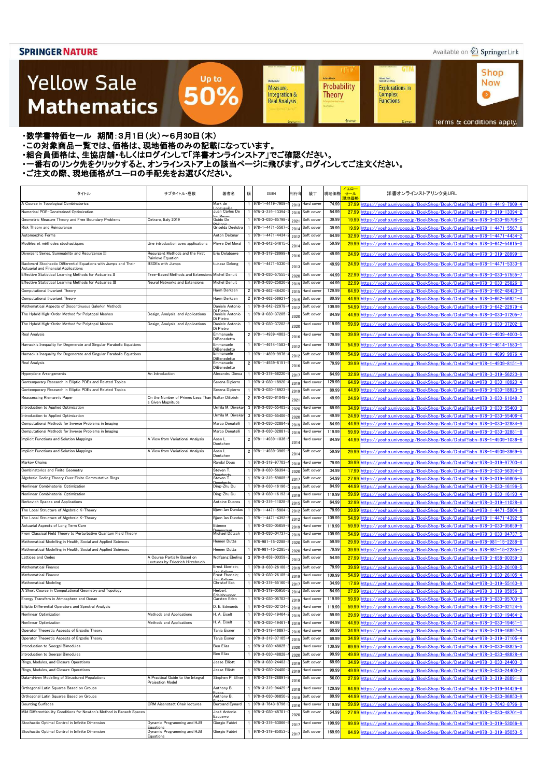### Available on 2 Springer Link

**Shop** 

**Now** 

 $\bullet$ 

**GTM** 

Kichard Beals<br>Rođenick S. C. Wong

Complex<br>Functions

**Explorations in** 

### **Yellow Sale Mathematics**

Probability Measure, Integration & **Theory Real Analysis** 

**GTM** 

Sheidon Auler

**UT** 

**Achim Hente** 

Terms & conditions apply.

・数学書特価セール 期間:3月1日(火)~6月30日(木)

・この対象商品一覧では、価格は、現地価格のみの記載になっています。

- ニッパルプロは、ここには、このファンストリングのコンティングファンストア」でご確認ください。<br>・組合員価格は、生協店舗・もしくはログインして「洋書オンラインストア」でご確認ください。

・一番右のリンク先をクリックすると、オンラインストア上の該当ページに飛びます。ログインしてご注文ください。

Up to

50%

| タイトル                                                                                                    | サブタイトル・巻数                                         | 著者名                            | 版 | <b>ISBN</b>                                 | 刊行年          | 装丁                       | 現地価格            | イエロー<br>セール<br>現地価格 | 洋書オンラインストアリンク先URL                                                                                                                              |
|---------------------------------------------------------------------------------------------------------|---------------------------------------------------|--------------------------------|---|---------------------------------------------|--------------|--------------------------|-----------------|---------------------|------------------------------------------------------------------------------------------------------------------------------------------------|
| A Course in Topological Combinatorics                                                                   |                                                   | Mark de                        |   | 978-1-4419-7909                             | 2013         | Hard cover               | 74.99           | 37.99               | https://vosho.univcoop.jp/BookShop/Book/Detail?isbn=978-1-4419-7909-4                                                                          |
| Numerical PDE-Constrained Optimization                                                                  |                                                   | Juan Carlos De                 |   | 978-3-319-13394                             | 2015         | Soft cover               | 54.99           | 27.99               | nttps://vosho.univcoop.ip/BookShop/Book/Detail?isbn=978-3-319-13394-2                                                                          |
| Geometric Measure Theory and Free Boundary Problems                                                     | Cetraro, Italy 2019                               | Guido De<br>Griselda Deelstra  |   | 978-3-030-65798-                            | 2021         | Soft cover               | 39.99           | 19.99               | nttps://yosho.univcoop.jp/BookShop/Book/Detail?isbn=978-3-030-65798-7                                                                          |
| Risk Theory and Reinsurance<br>Automorphic Forms                                                        |                                                   | Anton Deitmar                  |   | $978 - 1 - 4471 - 5567$<br>978-1-4471-4434- | 2014         | Soft cover<br>Soft cover | 39.99<br>64.99  | 19.99<br>32.99      | https://vosho.univcoop.jp/BookShop/Book/Detail?isbn=978-1-4471-5567-6<br>https://yosho.univcoop.jp/BookShop/Book/Detail?isbn=978-1-4471-4434-2 |
| Modèles et méthodes stochastiques                                                                       | Une introduction avec applications                | Pierre Del Moral               |   | 978-3-642-54615-                            | 2012         | Soft cover               | 59.99           | 29.99               | https://yosho.univcoop.jp/BookShop/Book/Detail?isbn=978-3-642-54615-0                                                                          |
| Divergent Series, Summability and Resurgence III                                                        | Resurgent Methods and the First                   | Eric Delabaere                 |   | 978-3-319-28999-                            | 2014         | Soft cover               | 49.99           |                     |                                                                                                                                                |
|                                                                                                         | Painlevé Equation                                 |                                |   |                                             | 201          |                          |                 | 24.99               | https://vosho.univcoop.jp/BookShop/Book/Detail?isbn=978-3-319-28999-                                                                           |
| Backward Stochastic Differential Equations with Jumps and Their<br>Actuarial and Financial Applications | <b>BSDEs with Jumps</b>                           | Łukasz Delong                  |   | 978-1-4471-5330-                            | 2013         | Soft cover               | 49.99           | 24.99               | https://vosho.univcoop.ip/BookShop/Book/Detail?isbn=978-1-4471-5330-6                                                                          |
| Effective Statistical Learning Methods for Actuaries II                                                 | Tree-Based Methods and Extensions Michel Denuit   |                                |   | 978-3-030-57555                             | 2020         | Soft cover               | 44.99           | 22.99               | https://vosho.univcoop.jp/BookShop/Book/Detail?isbn=978-3-030-57555-7                                                                          |
| Effective Statistical Learning Methods for Actuaries III                                                | Neural Networks and Extensions                    | Michel Denuit                  |   | 978-3-030-25826                             | 2019         | Soft cover               | 44.99           | 22.99               | nttps://vosho.univcoop.ip/BookShop/Book/Detail?isbn=978-3-030-25826-9                                                                          |
| Computational Invariant Theory                                                                          |                                                   | Harm Derksen                   |   | 2 978-3-662-48420                           | 2015         | Hard cover               | 129.99          | 64.99               | nttps://vosho.univcoop.jp/BookShop/Book/Detail?isbn=978-3-662-48420-3                                                                          |
| Computational Invariant Theory                                                                          |                                                   | Harm Derksen                   |   | 2 978-3-662-56921                           | 2015         | Soft cover               | 89.99           | 44.99               | nttps://vosho.univcoop.jp/BookShop/Book/Detail?isbn=978-3-662-56921-4                                                                          |
| Mathematical Aspects of Discontinuous Galerkin Methods                                                  |                                                   | Daniele Antonio                |   | 978-3-642-22979<br>978-3-030-37205          | 2012         | Soft cover               | 109.99          | 54.99               | nttps://vosho.univcoop.jp/BookShop/Book/Detail?isbn=978-3-642-22979-4                                                                          |
| The Hybrid High-Order Method for Polytopal Meshes                                                       | Design, Analysis, and Applications                | Daniele Antonio<br>)i Pietro   |   |                                             | 2020         | Soft cover               | 84.99           | 44.99               | nttps://vosho.univcoop.jp/BookShop/Book/Detail?isbn=978-3-030-37205-7                                                                          |
| The Hybrid High-Order Method for Polytopal Meshes                                                       | Design, Analysis, and Applications                | Daniele Antonio<br>Di Pietro   |   | 978-3-030-37202-                            | 2020         | Hard cover               | 119.99          | 59.99               | https://yosho.univcoop.jp/BookShop/Book/Detail?isbn=978-3-030-37202-6                                                                          |
| Real Analysis                                                                                           |                                                   | Emmanuele<br>DiBenedetto       |   | 2 978-1-4939-4003                           | 2016         | Hard cover               | 79.99           | 39.99               | https://vosho.univcoop.jp/BookShop/Book/Detail?isbn=978-1-4939-4003-5                                                                          |
| Harnack's Inequality for Degenerate and Singular Parabolic Equations                                    |                                                   | Emmanuele<br>DiBenedetto       |   | 978-1-4614-1583                             | 201:         | Hard cover               | 109.99          | 54.99               | https://vosho.univcoop.ip/BookShop/Book/Detail?isbn=978-1-4614-1583-1                                                                          |
| Harnack's Inequality for Degenerate and Singular Parabolic Equations                                    |                                                   | Emmanuele                      |   | 978-1-4899-9976                             | 2012         | Soft cover               | 109.99          | 54.99               | https://yosho.univcoop.jp/BookShop/Book/Detail?isbn=978-1-4899-9976-4                                                                          |
| <b>Real Analysis</b>                                                                                    |                                                   | )iBenedetto<br>Emmanuele       |   | $2$ 978-1-4939-8151                         | 201          | Soft cover               | 79.99           | 39.99               | https://vosho.univcoop.ip/BookShop/Book/Detail?isbn=978-1-4939-8151-9                                                                          |
| Hyperplane Arrangements                                                                                 | An Introduction                                   | DiBenedetto<br>Alexandru Dimca |   | 978-3-319-56220                             | 201          | Soft cover               | 64.99           | 32.99               | https://yosho.univcoop.jp/BookShop/Book/Detail?isbn=978-3-319-56220-9                                                                          |
| Contemporary Research in Elliptic PDEs and Related Topics                                               |                                                   | Serena Dipierro                |   | 978-3-030-18920                             | 2019         | Hard cover               | 129.99          | 64.99               | https://yosho.univcoop.jp/BookShop/Book/Detail?isbn=978-3-030-18920-4                                                                          |
| Contemporary Research in Elliptic PDEs and Related Topics                                               |                                                   | Serena Dipierro                |   | 978-3-030-18923                             | 2019         | Soft cover               | 89.99           | 44.99               | https://yosho.univcoop.jp/BookShop/Book/Detail?isbn=978-3-030-18923-5                                                                          |
| Reassessing Riemann's Paper                                                                             | On the Number of Primes Less Than Walter Dittrich |                                |   | 2 978-3-030-61048-                          | 2021         | Soft cover               | 49.99           | 24.99               | https://vosho.univcoop.jp/BookShop/Book/Detail?isbn=978-3-030-61048-7                                                                          |
| Introduction to Applied Optimization                                                                    | Given Magnitude                                   | Jrmila M. Diwekar              |   | $3$ 978-3-030-55403                         | 2020         | Hard cover               | 69.99           | 34.99               | https://vosho.univcoop.jp/BookShop/Book/Detail?isbn=978-3-030-55403-3                                                                          |
| Introduction to Applied Optimization                                                                    |                                                   | Urmila M. Diwekar              |   | $3$ 978-3-030-55406                         | 2020         | Soft cover               | 49.99           | 24.99               | https://vosho.univcoop.jp/BookShop/Book/Detail?isbn=978-3-030-55406-4                                                                          |
| Computational Methods for Inverse Problems in Imaging                                                   |                                                   | Marco Donatelli                |   | 978-3-030-32884                             | 2019         | Soft cover               | 84.99           | 44.99               | https://yosho.univcoop.jp/BookShop/Book/Detail?isbn=978-3-030-32884-9                                                                          |
| Computational Methods for Inverse Problems in Imaging                                                   |                                                   | Marco Donatelli                |   | 978-3-030-32881                             | 2019         | Hard cover               | 119.99          | 59.99               | https://yosho.univcoop.jp/BookShop/Book/Detail?isbn=978-3-030-32881-8                                                                          |
| Implicit Functions and Solution Mappings                                                                | A View from Variational Analysis                  | Asen L                         |   | 2 978-1-4939-1036-                          |              | Hard cover               | 84.99           | 44.99               | https://vosho.univcoop.jp/BookShop/Book/Detail?isbn=978-1-4939-1036-6                                                                          |
| Implicit Functions and Solution Mappings                                                                | A View from Variational Analysis                  | Dontchev                       |   | 2 978-1-4939-3969-                          | 2014         |                          |                 |                     |                                                                                                                                                |
|                                                                                                         |                                                   | Asen L<br>Dontchev             |   |                                             | 2014         | Soft cover               | 59.99           | 29.99               | https://vosho.univcoop.jp/BookShop/Book/Detail?isbn=978-1-4939-3969-5                                                                          |
| Markov Chains                                                                                           |                                                   | Randal Douc                    |   | 978-3-319-97703                             | 2018         | Hard cover               | 79.99           | 39.99               | https://vosho.univcoop.jp/BookShop/Book/Detail?isbn=978-3-319-97703-4                                                                          |
| Combinatorics and Finite Geometry                                                                       |                                                   | Steven T.                      |   | 978-3-030-56394                             | 2020         | Soft cover               | 34.99           | 17.99               | https://vosho.univcoop.jp/BookShop/Book/Detail?isbn=978-3-030-56394-3                                                                          |
| Algebraic Coding Theory Over Finite Commutative Rings                                                   |                                                   | Steven I.                      |   | 978-3-319-59805-                            | 2017         | Soft cover               | 54.99           | 27.99               | <u>ttps://yosho.univcoop.jp/BookShop/Book/Detail?isbn=978-3-319-59805-5</u>                                                                    |
| Nonlinear Combinatorial Optimization                                                                    |                                                   | Ding-Zhu Du                    |   | 978-3-030-16196-                            | 2019         | Soft cover               | 84.99           | 44.99               | https://vosho.univcoop.ip/BookShop/Book/Detail?isbn=978-3-030-16196-5                                                                          |
| Nonlinear Combinatorial Optimization<br>Berkovich Spaces and Applications                               |                                                   | Ding–Zhu Du<br>Antoine Ducros  |   | 978-3-030-16193<br>978-3-319-11028-         | 2019         | Hard cover<br>Soft cover | 119.99<br>64.99 | 59.99               | https://yosho.univcoop.jp/BookShop/Book/Detail?isbn=978-3-030-16193-4                                                                          |
| The Local Structure of Algebraic K-Theory                                                               |                                                   | Bjørn Ian Dundas               |   | 978-1-4471-5904-                            | 2015         | Soft cover               | 79.99           | 32.99<br>39.99      | https://yosho.univcoop.jp/BookShop/Book/Detail?isbn=978-3-319-11028-8<br>https://yosho.univcoop.jp/BookShop/Book/Detail?isbn=978-1-4471-5904-9 |
| The Local Structure of Algebraic K-Theory                                                               |                                                   | Bjørn Ian Dundas               |   | 978-1-4471-4392                             | 2012<br>2012 | Hard cover               | 109.99          | 54.99               | https://yosho.univcoop.jp/BookShop/Book/Detail?isbn=978-1-4471-4392-5                                                                          |
| Actuarial Aspects of Long Term Care                                                                     |                                                   | Etienne                        |   | 978-3-030-05659-                            | 2019         | Hard cover               | 119.99          | 59.99               | https://vosho.univcoop.jp/BookShop/Book/Detail?isbn=978-3-030-05659-9                                                                          |
| From Classical Field Theory to Perturbative Quantum Field Theory                                        |                                                   | Michael Dütsch                 |   | 978-3-030-04737                             | 2019         | Hard cover               | 109.99          | 54.99               | nttps://yosho.univcoop.jp/BookShop/Book/Detail?isbn=978-3-030-04737-5                                                                          |
| Mathematical Modelling in Health, Social and Applied Sciences                                           |                                                   | -lemen Dutta                   |   | 978-981-15-2288                             | 2020         | Soft cover               | 59.99           | 29.99               | https://yosho.univcoop.jp/BookShop/Book/Detail?isbn=978-981-15-2288-8                                                                          |
| Mathematical Modelling in Health, Social and Applied Sciences                                           |                                                   | -Iemen Dutta                   |   | 978-981-15-2285                             | 2020         | Hard cover               | 79.99           | 39.99               | nttps://yosho.univcoop.jp/BookShop/Book/Detail?isbn=978-981-15-2285-7                                                                          |
| Lattices and Codes                                                                                      | A Course Partially Based on                       | <b>Wolfgang Ebeling</b>        |   | $3$ 978-3-658-00359                         | 2013         | Soft cover               | 54.99           | 27.99               | https://yosho.univcoop.jp/BookShop/Book/Detail?isbn=978-3-658-00359-3                                                                          |
| <b>Mathematical Finance</b>                                                                             | ectures by Friedrich Hirzebruch                   | Ernst Eberlein;                |   | 978-3-030-26108-                            | 2019         | Soft cover               | 79.99           | 39.99               | https://yosho.univcoop.jp/BookShop/Book/Detail?isbn=978-3-030-26108-5                                                                          |
| Mathematical Finance                                                                                    |                                                   | Ernst Eberlein;                |   | 978-3-030-26105-                            | 2019         | Hard cover               | 109.99          | 54.99               | https://vosho.univcoop.ip/BookShop/Book/Detail?isbn=978-3-030-26105-4                                                                          |
| <b>Mathematical Modeling</b>                                                                            |                                                   | an Kall<br><b>Christof Eck</b> |   | 978-3-319-55160-                            | 2017         | Soft cover               | 34.99           | 17.99               | https://yosho.univcoop.jp/BookShop/Book/Detail?isbn=978-3-319-55160-9                                                                          |
| A Short Course in Computational Geometry and Topology                                                   |                                                   | Herbert                        |   | 978-3-319-05956-                            | 2014         | Soft cover               | 54.99           | 27.99               | https://yosho.univcoop.jp/BookShop/Book/Detail?isbn=978-3-319-05956-3                                                                          |
| Energy Transfers in Atmosphere and Ocean                                                                |                                                   | Carsten Eden                   |   | 978-3-030-05703                             | 2019         | Hard cover               | 119.99          | 59.99               | <u>nttps://yosho.univcoop.jp/BookShop/Book/Detail?isbn=978-3-030-05703-9</u>                                                                   |
| Elliptic Differential Operators and Spectral Analysis                                                   |                                                   | D. E. Edmunds                  |   | 978-3-030-02124-                            | 2018         | Hard cover               | 119.99          | 59.99               | https://yosho.univcoop.jp/BookShop/Book/Detail?isbn=978-3-030-02124-5                                                                          |
| Nonlinear Optimization                                                                                  | Methods and Applications                          | H. A. Eiselt                   |   | 978-3-030-19464-                            | 2019         | Soft cover               | 59.99           | 29.99               | https://yosho.univcoop.jp/BookShop/Book/Detail?isbn=978-3-030-19464-2                                                                          |
| Nonlinear Optimization                                                                                  | Methods and Applications                          | H. A. Eiselt                   |   | 978-3-030-19461                             | 2019         | Hard cover               | 84.99           | 44.99               | https://yosho.univcoop.jp/BookShop/Book/Detail?isbn=978-3-030-19461-1                                                                          |
| Operator Theoretic Aspects of Ergodic Theory                                                            |                                                   | Tanja Eisner                   |   | 978-3-319-16897                             | 2015         | Hard cover               | 69.99           | 34.99               | https://yosho.univcoop.jp/BookShop/Book/Detail?isbn=978-3-319-16897-5                                                                          |
| Operator Theoretic Aspects of Ergodic Theory                                                            |                                                   | Tanja Eisner                   |   | 978-3-319-37105-                            | 2015         | Soft cover               | 69.99           | 34.99               | https://yosho.univcoop.jp/BookShop/Book/Detail?isbn=978-3-319-37105-4                                                                          |
| Introduction to Soergel Bimodules                                                                       |                                                   | <b>Ben Elias</b>               |   | 978-3-030-48825-                            | 2020         | Hard cover               | 139.99          | 69.99               | https://yosho.univcoop.jp/BookShop/Book/Detail?isbn=978-3-030-48825-3                                                                          |
| Introduction to Soergel Bimodules                                                                       |                                                   | Ben Elias                      |   | 978-3-030-48828-                            | 2020         | Soft cover               | 99.99           | 49.99               | https://yosho.univcoop.jp/BookShop/Book/Detail?isbn=978-3-030-48828-4                                                                          |
| Rings, Modules, and Closure Operations<br>Rings, Modules, and Closure Operations                        |                                                   | Jesse Elliott<br>Jesse Elliott |   | 978-3-030-24403-<br>978-3-030-24400-        | 2019         | Soft cover<br>Hard cover | 69.99<br>99.99  | 34.99<br>49.99      | https://yosho.univcoop.jp/BookShop/Book/Detail?isbn=978-3-030-24403-3<br>https://vosho.univcoop.ip/BookShop/Book/Detail?isbn=978-3-030-24400-2 |
| Data-driven Modelling of Structured Populations                                                         | A Practical Guide to the Integral                 | Stephen P. Ellner              |   | 978-3-319-28891                             | 2019         | Soft cover               | 56.00           | 27.99               | https://vosho.univcoop.jp/BookShop/Book/Detail?isbn=978-3-319-28891-8                                                                          |
|                                                                                                         | Projection Model                                  |                                |   |                                             | 2016         |                          |                 |                     |                                                                                                                                                |
| Orthogonal Latin Squares Based on Groups                                                                |                                                   | Anthony B.                     |   | 978-3-319-94429-                            | 2018         | Hard cover               | 129.99          | 64.99               | https://yosho.univcoop.jp/BookShop/Book/Detail?isbn=978-3-319-94429-6                                                                          |
| Orthogonal Latin Squares Based on Groups                                                                |                                                   | Anthony B.                     |   | 978-3-030-06850-                            | 2018         | Soft cover               | 89.99           | 44.99               | https://yosho.univcoop.jp/BookShop/Book/Detail?isbn=978-3-030-06850-9                                                                          |
| <b>Counting Surfaces</b><br>Mild Differentiability Conditions for Newton's Method in Banach Spaces      | <b>CRM Aisenstadt Chair lectures</b>              | Bertrand Eynard                |   | 978-3-7643-8796-<br>978-3-030-48701-        | 2016         | Hard cover               | 119.99<br>54.99 | 59.99               | https://yosho.univcoop.jp/BookShop/Book/Detail?isbn=978-3-7643-8796-9<br>https://vosho.univcoop.ip/BookShop/Book/Detail?isbn=978-3-030-48701-0 |
|                                                                                                         |                                                   | José Antonio<br>Ezquerro       |   |                                             | 2020         | Soft cover               |                 | 27.99               |                                                                                                                                                |
| Stochastic Optimal Control in Infinite Dimension                                                        | Dynamic Programming and HJB<br>Equations          | Giorgio Fabbri                 |   | 1 978-3-319-53066                           | 201          | Hard cover               | 199.99          | <b>99.99</b>        | https://yosho.univcoop.jp/BookShop/Book/Detail?isbn=978-3-319-53066-6                                                                          |
| Stochastic Optimal Control in Infinite Dimension                                                        | Dynamic Programming and HJB<br>Equations          | Giorgio Fabbri                 |   | 1 978-3-319-85053                           | 201          | Soft cover               | 169.99          | 84.99               | https://yosho.univcoop.jp/BookShop/Book/Detail?isbn=978-3-319-85053-5                                                                          |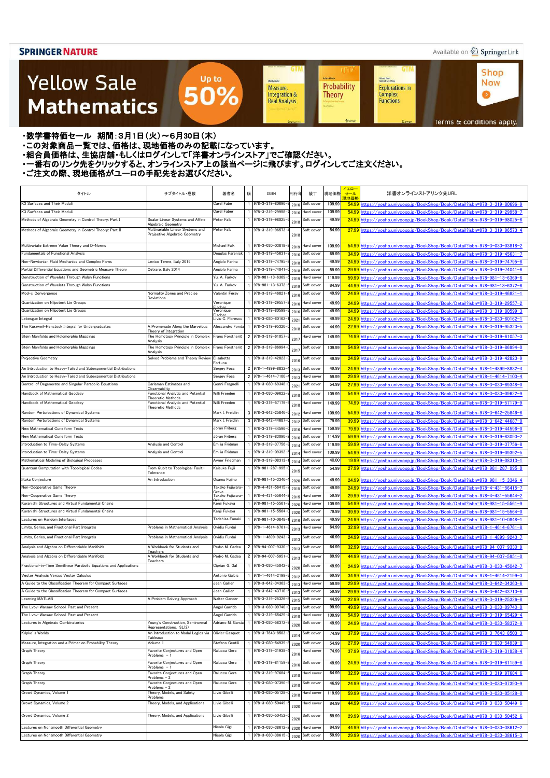### Available on 2 Springer Link

**Shop** 

**Now** 

 $\bullet$ 

### **Yellow Sale Mathematics**

**GTM GTM UT Achim Hente** Kichard Beals<br>Rođenick S. C. Wong Sheidon Auler Probability **Explorations in** Measure, Integration & Complex<br>Functions **Theory Real Analysis** 

Terms & conditions apply.

#### ・数学書特価セール 期間:3月1日(火)~6月30日(木)

- ・この対象商品一覧では、価格は、現地価格のみの記載になっています。
- ニッパルプロは、ここには、このファンストリングのコンティングファンストア」でご確認ください。<br>・組合員価格は、生協店舗・もしくはログインして「洋書オンラインストア」でご確認ください。
- ・一番右のリンク先をクリックすると、オンラインストア上の該当ページに飛びます。ログインしてご注文ください。

Up to

50%

| タイトル                                                                                                                     | サブタイトル・巻数                                                         | 著者名                          | 版 | <b>ISBN</b>                          | 刊行年  | 装丁                                 | 現地価格           | イエロー<br>セール<br>見地価格 | 洋書オンラインストアリンク先URL                                                                                                                              |
|--------------------------------------------------------------------------------------------------------------------------|-------------------------------------------------------------------|------------------------------|---|--------------------------------------|------|------------------------------------|----------------|---------------------|------------------------------------------------------------------------------------------------------------------------------------------------|
| K3 Surfaces and Their Moduli                                                                                             |                                                                   | Carel Fabe                   |   | 978-3-319-80696                      | 2016 | Soft cover                         | 109.99         | 54.99               | https://vosho.univcoop.jp/BookShop/Book/Detail?isbn=978-3-319-80696-9                                                                          |
| K3 Surfaces and Their Moduli                                                                                             |                                                                   | Carel Faber                  |   | 978-3-319-29958                      | 2016 | Hard cover                         | 109.99         | 54.99               | https://vosho.univcoop.jp/BookShop/Book/Detail?isbn=978-3-319-29958-7                                                                          |
| Methods of Algebraic Geometry in Control Theory: Part I                                                                  | Scalar Linear Systems and Affine<br>Algebraic Geometry            | Peter Falb                   |   | 978-3-319-98025-                     | 2018 | Soft cover                         | 49.99          | 24.99               | https://vosho.univcoop.jp/BookShop/Book/Detail?isbn=978-3-319-98025-6                                                                          |
| Methods of Algebraic Geometry in Control Theory: Part II                                                                 | Multivariable Linear Systems and<br>Projective Algebraic Geometry | Peter Falb                   |   | 978-3-319-96573-                     | 2018 | Soft cover                         | 54.99          | 27.99               | https://yosho.univcoop.jp/BookShop/Book/Detail?isbn=978-3-319-96573-4                                                                          |
| Multivariate Extreme Value Theory and D-Norms                                                                            |                                                                   | <b>Michael Falk</b>          |   | 978-3-030-03818-                     |      | 2019 Hard cover                    | 109.99         | 54.99               | https://yosho.univcoop.jp/BookShop/Book/Detail?isbn=978-3-030-03818-2                                                                          |
| <b>Fundamentals of Functional Analysis</b>                                                                               |                                                                   | Douglas Farenick             |   | 978-3-319-45631                      | 2016 | Soft cover                         | 69.99          | 34.99               | https://vosho.univcoop.jp/BookShop/Book/Detail?isbn=978-3-319-45631-7                                                                          |
| Non-Newtonian Fluid Mechanics and Complex Flows                                                                          | Levico Terme, Italy 2016                                          | Angiolo Farina               |   | 978-3-319-74795-                     | 2018 | Soft cover                         | 49.99          | 24.99               | https://vosho.univcoop.jp/BookShop/Book/Detail?isbn=978-3-319-74795-8                                                                          |
| Partial Differential Equations and Geometric Measure Theory                                                              | Cetraro, Italy 2014                                               | Angiolo Farina               |   | 978-3-319-74041-                     | 2018 | Soft cover                         | 59.99          | 29.99               | nttps://vosho.univcoop.ip/BookShop/Book/Detail?isbn=978-3-319-74041-6                                                                          |
| Construction of Wavelets Through Walsh Functions                                                                         |                                                                   | Yu. A. Farkov                |   | 978-981-13-6369-                     | 2019 | Hard cover                         | 119.99         | 59.99               | nttps://vosho.univcoop.jp/BookShop/Book/Detail?isbn=978-981-13-6369-6                                                                          |
| Construction of Wavelets Through Walsh Functions                                                                         |                                                                   | Yu. A. Farkov                |   | 978-981-13-6372-                     | 2019 | Soft cover                         | 84.99          | 44.99               | https://vosho.univcoop.jp/BookShop/Book/Detail?isbn=978-981-13-6372-6                                                                          |
| Mod- $\phi$ Convergence                                                                                                  | Normality Zones and Precise                                       | Valentin Féray               |   | 978-3-319-46821                      | 2016 | Soft cover                         | 49.99          | 24.99               | nttps://vosho.univcoop.jp/BookShop/Book/Detail?isbn=978-3-319-46821-1                                                                          |
| Quantization on Nilpotent Lie Groups                                                                                     | Deviations                                                        | Veronique                    |   | 978-3-319-29557                      | 2016 | Hard cover                         | 49.99          | 24.99               | nttps://yosho.univcoop.jp/BookShop/Book/Detail?isbn=978-3-319-29557-2                                                                          |
| Quantization on Nilpotent Lie Groups                                                                                     |                                                                   | Veronique                    |   | 978-3-319-80599-                     | 2016 | Soft cover                         | 49.99          | 24.99               | https://vosho.univcoop.jp/BookShop/Book/Detail?isbn=978-3-319-80599-3                                                                          |
| Lebesgue Integral                                                                                                        |                                                                   | Liviu C. Florescu            |   | 978-3-030-60162-                     | 2021 | Soft cover                         | 49.99          | 24.99               | https://vosho.univcoop.jp/BookShop/Book/Detail?isbn=978-3-030-60162-1                                                                          |
| The Kurzweil-Henstock Integral for Undergraduates                                                                        | A Promenade Along the Marvelous                                   | Alessandro Fonda             |   | 978-3-319-95320-                     | 2018 | Soft cover                         | 44.99          | 22.99               | nttps://vosho.univcoop.ip/BookShop/Book/Detail?isbn=978-3-319-95320-5                                                                          |
| Stein Manifolds and Holomorphic Mappings                                                                                 | Theory of Integration<br>The Homotopy Principle in Complex        | Franc Forstnerič             |   | 2 978-3-319-61057                    | 201  | Hard cover                         | 149.99         | 74.99               | https://vosho.univcoop.jp/BookShop/Book/Detail?isbn=978-3-319-61057-3                                                                          |
| Stein Manifolds and Holomorphic Mappings                                                                                 | Analysis<br>The Homotopy Principle in Complex                     | Franc Forstnerič             |   | 2 978-3-319-86994-                   |      | Soft cover                         | 109.99         | 54.99               | https://vosho.univcoop.ip/BookShop/Book/Detail?isbn=978-3-319-86994-0                                                                          |
|                                                                                                                          | Analysis                                                          |                              |   |                                      | 201  |                                    |                |                     |                                                                                                                                                |
| <b>Projective Geometry</b>                                                                                               | Solved Problems and Theory Review                                 | Elisabetta<br>Fortuna        |   | 1 978-3-319-42823-                   | 2016 | Soft cover                         | 49.99          | 24.99               | https://vosho.univcoop.ip/BookShop/Book/Detail?isbn=978-3-319-42823-9                                                                          |
| An Introduction to Heavy-Tailed and Subexponential Distributions                                                         |                                                                   | Sergey Foss                  |   | 2 978-1-4899-8832                    | 2013 | Soft cover                         | 49.99          | 24.99               | https://vosho.univcoop.jp/BookShop/Book/Detail?isbn=978-1-4899-8832-4                                                                          |
| An Introduction to Heavy-Tailed and Subexponential Distributions                                                         |                                                                   | Sergey Foss                  |   | 2 978-1-4614-7100-                   | 2013 | Hard cover                         | 59.99          | 29.99               | https://vosho.univcoop.jp/BookShop/Book/Detail?isbn=978-1-4614-7100-4                                                                          |
| Control of Degenerate and Singular Parabolic Equations                                                                   | Carleman Estimates and<br>Observability                           | Genni Fragnell               |   | 978-3-030-69348-                     | 2021 | Soft cover                         | 54.99          | 27.99               | nttps://vosho.univcoop.ip/BookShop/Book/Detail?isbn=978-3-030-69348-0                                                                          |
| Handbook of Mathematical Geodesy                                                                                         | Functional Analytic and Potential<br>Theoretic Methods            | Willi Freeden                |   | 978-3-030-09622-                     | 2018 | Soft cover                         | 109.99         | 54.99               | nttps://vosho.univcoop.ip/BookShop/Book/Detail?isbn=978-3-030-09622-9                                                                          |
| Handbook of Mathematical Geodesy                                                                                         | Functional Analytic and Potential                                 | Willi Freeden                |   | 978-3-319-57179-                     | 2018 | Hard cover                         | 149.99         | 74.99               | https://vosho.univcoop.jp/BookShop/Book/Detail?isbn=978-3-319-57179-9                                                                          |
| Random Perturbations of Dynamical Systems                                                                                | Theoretic Methods                                                 | Mark I. Freidlin             |   | $3$ 978-3-642-25846-                 | 2012 | Hard cover                         | 109.99         | 54.99               | nttps://vosho.univcoop.jp/BookShop/Book/Detail?isbn=978-3-642-25846-6                                                                          |
| Random Perturbations of Dynamical Systems                                                                                |                                                                   | Mark I. Freidlin             |   | 3 978-3-642-44687                    | 2012 | Soft cover                         | 79.99          | 39.99               | https://yosho.univcoop.jp/BookShop/Book/Detail?isbn=978-3-642-44687-0                                                                          |
| New Mathematical Cuneiform Texts                                                                                         |                                                                   | Jöran Friberg                |   | 978-3-319-44596-                     | 2016 | Hard cover                         | 159.99         | 79.99               | https://vosho.univcoop.jp/BookShop/Book/Detail?isbn=978-3-319-44596-0                                                                          |
| New Mathematical Cuneiform Texts                                                                                         |                                                                   | Jöran Friberg                |   | 978-3-319-83090-                     | 2016 | Soft cover                         | 114.99         | 59.99               | nttps://vosho.univcoop.ip/BookShop/Book/Detail?isbn=978-3-319-83090-2                                                                          |
| Introduction to Time-Delay Systems                                                                                       | Analysis and Control                                              | Emilia Fridman               |   | 978-3-319-37756-                     | 2014 | Soft cover                         | 119.99         | 59.99               | nttps://yosho.univcoop.jp/BookShop/Book/Detail?isbn=978-3-319-37756-8                                                                          |
| Introduction to Time-Delay Systems                                                                                       | Analysis and Control                                              | Emilia Fridman               |   | 978-3-319-09392-                     | 2014 | Hard cover                         | 109.99         | 54.99               | https://yosho.univcoop.jp/BookShop/Book/Detail?isbn=978-3-319-09392-5                                                                          |
| Mathematical Modeling of Biological Processes                                                                            |                                                                   | Avner Friedman               |   | 1 978-3-319-08313-                   | 2014 | Soft cover                         | 40.00          | 19.99               | https://yosho.univcoop.jp/BookShop/Book/Detail?isbn=978-3-319-08313-1                                                                          |
| Quantum Computation with Topological Codes                                                                               | From Qubit to Topological Fault-<br>Tolerance                     | Keisuke Fujii                |   | 1 978-981-287-995-                   | 2015 | Soft cover                         | 54.99          | 27.99               | https://vosho.univcoop.jp/BookShop/Book/Detail?isbn=978-981-287-995-0                                                                          |
| Iitaka Conjecture                                                                                                        | An Introduction                                                   | Osamu Fujino                 |   | 1 978-981-15-3346-                   |      | 2020 Soft cover                    | 49.99          | <b>24.99</b>        | https://yosho.univcoop.jp/BookShop/Book/Detail?isbn=978-981-15-3346-4                                                                          |
| Non-Cooperative Game Theory                                                                                              |                                                                   | Takako Fujiwara-             |   | 978-4-431-56415-                     | 2015 | Soft cover                         | 49.99          | 24.99               | https://vosho.univcoop.ip/BookShop/Book/Detail?isbn=978-4-431-56415-7                                                                          |
| Non-Cooperative Game Theory                                                                                              |                                                                   | Takako Fuiiwara-             |   | 1 978-4-431-55644                    | 2015 | Hard cover                         | 59.99          | 29.99               | https://yosho.univcoop.jp/BookShop/Book/Detail?isbn=978-4-431-55644-2                                                                          |
| Kuranishi Structures and Virtual Fundamental Chains                                                                      |                                                                   | Kenji Fukaya                 |   | 978-981-15-5561                      |      | 2020 Hard cover                    | 109.99         | 54.99               | https://vosho.univcoop.ip/BookShop/Book/Detail?isbn=978-981-15-5561-9                                                                          |
| Kuranishi Structures and Virtual Fundamental Chains                                                                      |                                                                   | Kenji Fukaya                 |   | 1 978-981-15-5564                    |      | 2020 Soft cover                    | 79.99          | 39.99               | https://yosho.univcoop.jp/BookShop/Book/Detail?isbn=978-981-15-5564-0                                                                          |
| Lectures on Random Interfaces                                                                                            |                                                                   | Tadahisa Funaki              |   | 1 978-981-10-0848-                   | 2016 | Soft cover                         | 49.99          | 24.99               | https://yosho.univcoop.jp/BookShop/Book/Detail?isbn=978-981-10-0848-1                                                                          |
| Limits, Series, and Fractional Part Integrals                                                                            | Problems in Mathematical Analysis                                 | Ovidiu Furdui                |   | $1$ 978-1-4614-6761                  | 2013 | Hard cover                         | 64.99          | 32.99               | https://yosho.univcoop.jp/BookShop/Book/Detail?isbn=978-1-4614-6761-8                                                                          |
| Limits, Series, and Fractional Part Integrals                                                                            | Problems in Mathematical Analysis                                 | Ovidiu Furdui                |   | 978-1-4899-9243                      | 2013 | Soft cover                         | 46.99          | 24.99               | https://yosho.univcoop.jp/BookShop/Book/Detail?isbn=978-1-4899-9243-7                                                                          |
| Analysis and Algebra on Differentiable Manifolds                                                                         | A Workbook for Students and                                       | Pedro M. Gadea               |   | 2 978-94-007-9330-                   | 2013 | Soft cover                         | 64.99          | 32.99               | https://vosho.univcoop.ip/BookShop/Book/Detail?isbn=978-94-007-9330-9                                                                          |
| Analysis and Algebra on Differentiable Manifolds                                                                         | Teachers<br>A Workbook for Students and                           | Pedro M. Gadea               |   | 2 978-94-007-5951                    | 2013 | Hard cover                         | 89.99          | 44.99               | https://vosho.univcoop.ip/BookShop/Book/Detail?isbn=978-94-007-5951-0                                                                          |
| Fractional-in-Time Semilinear Parabolic Equations and Applications                                                       | Teachers                                                          | Ciprian G. Gal               |   | 978-3-030-45042-                     |      | Soft cover                         | 49.99          | 24.99               | https://yosho.univcoop.jp/BookShop/Book/Detail?isbn=978-3-030-45042-7                                                                          |
|                                                                                                                          |                                                                   |                              |   |                                      | 2020 |                                    |                |                     |                                                                                                                                                |
| Vector Analysis Versus Vector Calculus                                                                                   |                                                                   | Antonio Galbis               |   | 978-1-4614-2199-                     |      | 2012 Soft cover                    | 69.99          | 34.99               | https://vosho.univcoop.jp/BookShop/Book/Detail?isbn=978-1-4614-2199-3                                                                          |
| A Guide to the Classification Theorem for Compact Surfaces<br>A Guide to the Classification Theorem for Compact Surfaces |                                                                   | Jean Gallier<br>Jean Gallier |   | 978-3-642-34363-<br>978-3-642-43710- |      | 2013 Hard cover                    | 59.99<br>59.99 | 29.99               | https://yosho.univcoop.jp/BookShop/Book/Detail?isbn=978-3-642-34363-6                                                                          |
| Learning MATLAB                                                                                                          | A Problem Solving Approach                                        | Walter Gander                |   | 978-3-319-25326-                     |      | 2013 Soft cover<br>2015 Soft cover | 44.99          | 29.99<br>22.99      | nttps://yosho.univcoop.jp/BookShop/Book/Detail?isbn=978-3-642-43710-6<br>https://yosho.univcoop.jp/BookShop/Book/Detail?isbn=978-3-319-25326-8 |
| The Lvov-Warsaw School. Past and Present                                                                                 |                                                                   | Angel Garrido                |   | 978-3-030-09740-                     | 2018 | Soft cover                         | 99.99          | 49.99               | nttps://vosho.univcoop.jp/BookShop/Book/Detail?isbn=978-3-030-09740-0                                                                          |
| The Lvov-Warsaw School. Past and Present                                                                                 |                                                                   | Ángel Garrido                |   | 978-3-319-65429                      | 2018 | Hard cover                         | 109.99         | 54.99               | nttps://vosho.univcoop.jp/BookShop/Book/Detail?isbn=978-3-319-65429-4                                                                          |
| Lectures in Algebraic Combinatorics                                                                                      | Young's Construction, Seminormal                                  | Adriano M. Garsia            |   | 978-3-030-58372                      |      | Soft cover                         | 49.99          | 24.99               | https://vosho.univcoop.jp/BookShop/Book/Detail?isbn=978-3-030-58372-9                                                                          |
| Kripke's Worlds                                                                                                          | Representations, SL(2)<br>An Introduction to Modal Logics via     | Olivier Gasquet              |   | 978-3-7643-8503                      | 2020 | Soft cover                         | 74.99          | 37.99               | https://yosho.univcoop.jp/BookShop/Book/Detail?isbn=978-3-7643-8503-3                                                                          |
|                                                                                                                          | Tableaux                                                          |                              |   |                                      | 2014 |                                    |                |                     |                                                                                                                                                |
| Measure, Integration and a Primer on Probability Theory                                                                  | Volume 1                                                          | Stefano Gentili              |   | 978-3-030-54939                      | 2020 | Soft cover                         | 54.99          | 27.99               | https://yosho.univcoop.jp/BookShop/Book/Detail?isbn=978-3-030-54939-8                                                                          |
| Graph Theory                                                                                                             | Favorite Conjectures and Open<br>Problems $-1$                    | Ralucca Gera                 |   | 978-3-319-31938                      | 2016 | Hard cover                         | 74.99          | 37.99               | https://vosho.univcoop.jp/BookShop/Book/Detail?isbn=978-3-319-31938-4                                                                          |
| Graph Theory                                                                                                             | Favorite Conjectures and Open<br>Problems $-1$                    | Ralucca Gera                 |   | 978-3-319-81159-                     | 2016 | Soft cover                         | 49.99          |                     | 24.99 https://vosho.univcoop.jp/BookShop/Book/Detail?isbn=978-3-319-81159-8                                                                    |
| Graph Theory                                                                                                             | Favorite Conjectures and Open                                     | Ralucca Gera                 |   | 978-3-319-97684                      | 2018 | Hard cover                         | 64.99          | 32.99               | https://yosho.univcoop.jp/BookShop/Book/Detail?isbn=978-3-319-97684-6                                                                          |
| Graph Theory                                                                                                             | Problems - 2<br>Favorite Conjectures and Open                     | Ralucca Gera                 |   | 978-3-030-07390-                     |      | Soft cover                         | 46.99          | 24.99               | https://yosho.univcoop.jp/BookShop/Book/Detail?isbn=978-3-030-07390-9                                                                          |
|                                                                                                                          | Problems $-2$                                                     |                              |   |                                      | 2018 |                                    |                |                     |                                                                                                                                                |
| Crowd Dynamics, Volume 1                                                                                                 | Theory, Models, and Safety<br>Problems                            | Livio Gibelli                |   | 978-3-030-05128-                     | 2018 | Hard cover                         | 119.99         | 59.99               | https://vosho.univcoop.ip/BookShop/Book/Detail?isbn=978-3-030-05128-0                                                                          |
| Crowd Dynamics, Volume 2                                                                                                 | Theory, Models, and Applications                                  | Livio Gibelli                |   | 978-3-030-50449-                     | 2020 | Hard cover                         | 84.99          | 44.99               | https://yosho.univcoop.jp/BookShop/Book/Detail?isbn=978-3-030-50449-6                                                                          |
| Crowd Dynamics, Volume 2                                                                                                 | Theory, Models, and Applications                                  | Livio Gibelli                |   | 1 978-3-030-50452-                   | 2020 | Soft cover                         | 59.99          |                     | 29.99 https://yosho.univcoop.jp/BookShop/Book/Detail?isbn=978-3-030-50452-6                                                                    |
| Lectures on Nonsmooth Differential Geometry                                                                              |                                                                   | Nicola Gigli                 |   | 1 978-3-030-38612                    |      |                                    | 84.99          |                     |                                                                                                                                                |
| Lectures on Nonsmooth Differential Geometry                                                                              |                                                                   |                              |   | 1 978-3-030-38615                    | 2020 | Hard cover                         |                |                     | 44.99 https://yosho.univcoop.jp/BookShop/Book/Detail?isbn=978-3-030-38612-2                                                                    |
|                                                                                                                          |                                                                   | Nicola Gigli                 |   |                                      |      | 2020 Soft cover                    | 59.99          | 29.99               | https://yosho.univcoop.jp/BookShop/Book/Detail?isbn=978-3-030-38615-3                                                                          |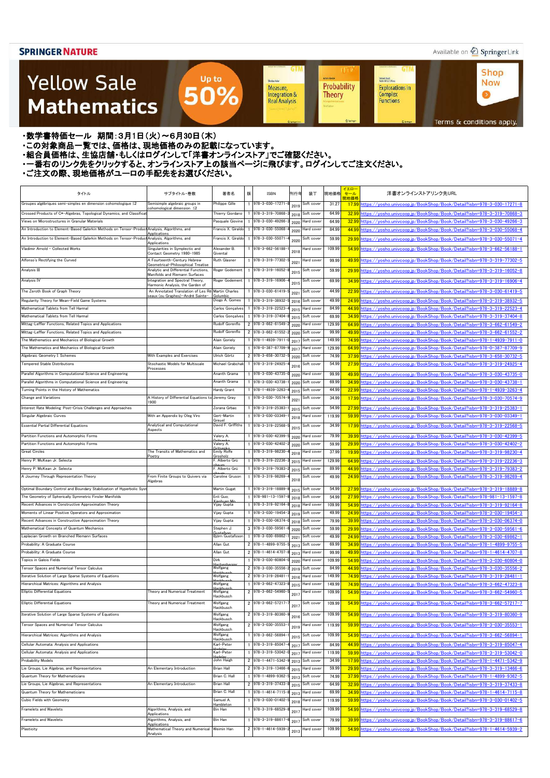### Available on 2 Springer Link

**Shop** 

**Now** 

 $\bullet$ 

**GTM** 

### **Yellow Sale Mathematics**

**Achim Hente** Kichard Beals<br>Rođenick S. C. Wong Sheidon Auler Probability **Explorations in** Measure, Integration & Complex<br>Functions **Theory Real Analysis** 

**UT** 

**GTM** 

Terms & conditions apply.

・数学書特価セール 期間:3月1日(火)~6月30日(木)

・この対象商品一覧では、価格は、現地価格のみの記載になっています。

- ニッパルプロは、ここには、このファンストリングのコンティングファンストア」でご確認ください。<br>・組合員価格は、生協店舗・もしくはログインして「洋書オンラインストア」でご確認ください。

・一番右のリンク先をクリックすると、オンラインストア上の該当ページに飛びます。ログインしてご注文ください。

Up to

50%

| タイトル                                                                                                                    | サブタイトル・巻数                                                                             | 著者名                                  | 版 | ISBN                                     | 刊行年          | 装丁                       | 現地価格             | イエロ・<br>セール | 洋書オンラインストアリンク先URL                                                                                                                                          |
|-------------------------------------------------------------------------------------------------------------------------|---------------------------------------------------------------------------------------|--------------------------------------|---|------------------------------------------|--------------|--------------------------|------------------|-------------|------------------------------------------------------------------------------------------------------------------------------------------------------------|
| Groupes algébriques semi-simples en dimension cohomologique ≤2                                                          | Semisimple algebraic groups in                                                        | Philippe Gille                       |   | 978-3-030-17271                          |              | Soft cover               | 31.27            | 現地価格        | 17.99 https://vosho.univcoop.jp/BookShop/Book/Detail?isbn=978-3-030-17271-8                                                                                |
|                                                                                                                         | cohomological dimension ≤2                                                            |                                      |   | 978-3-319-70868-                         | 2019         |                          | 64.99            |             |                                                                                                                                                            |
| Crossed Products of C*-Algebras, Topological Dynamics, and Classifica<br>Views on Microstructures in Granular Materials |                                                                                       | Thierry Giordano<br>Pasquale Giovine |   | 978-3-030-49266-                         | 2018         | Soft cover               | 64.99            |             | 32.99 https://yosho.univcoop.jp/BookShop/Book/Detail?isbn=978-3-319-70868-3                                                                                |
| An Introduction to Element-Based Galerkin Methods on Tensor-Product Analysis, Algorithms, and                           |                                                                                       | Francis X. Giraldo                   |   | 978-3-030-55068-                         | 2020         | Hard cover<br>Hard cover | 84.99            |             | 32.99 https://yosho.univcoop.jp/BookShop/Book/Detail?isbn=978-3-030-49266-3<br>44.99 https://yosho.univcoop.jp/BookShop/Book/Detail?isbn=978-3-030-55068-4 |
| An Introduction to Element-Based Galerkin Methods on Tensor-Product Analysis, Algorithms, and                           | Applications                                                                          | Francis X. Giraldo                   |   | 978-3-030-55071                          | 2020         | Soft cover               | 59.99            |             | 29.99 https://vosho.univcoop.jp/BookShop/Book/Detail?isbn=978-3-030-55071-4                                                                                |
|                                                                                                                         | Applications                                                                          |                                      |   |                                          | 2020         |                          |                  |             |                                                                                                                                                            |
| Vladimir Arnold - Collected Works                                                                                       | Singularities in Symplectic and<br>Contact Geometry 1980-1985                         | Alexander B.<br>Givental             |   | 978-3-662-56188-                         | 2018         | lard cover               | 109.99           |             | 54.99 https://vosho.univcoop.ip/BookShop/Book/Detail?isbn=978-3-662-56188-1                                                                                |
| Alfonso's Rectifying the Curved                                                                                         | A Fourteenth-Century Hebrew                                                           | Ruth Glasner                         |   | 1 978-3-319-77302-                       | 202          | lard cover               | 99.99            |             | 49.99 https://vosho.univcoop.jp/BookShop/Book/Detail?isbn=978-3-319-77302-5                                                                                |
| Analysis III                                                                                                            | Geometrical-Philosophical Treatise<br>Analytic and Differential Functions,            | Roger Godement                       |   | 978-3-319-16052-                         |              | Soft cover               | 59.99            |             | 29.99 https://vosho.univcoop.jp/BookShop/Book/Detail?isbn=978-3-319-16052-8                                                                                |
|                                                                                                                         | Manifolds and Riemann Surfaces<br>Integration and Spectral Theory,                    |                                      |   | 978-3-319-16906-                         | 2015         |                          |                  |             |                                                                                                                                                            |
| Analysis IV                                                                                                             | Harmonic Analysis, the Garden of                                                      | Roger Godement                       |   |                                          | 2015         | Soft cover               | 69.99            |             | 34.99 https://vosho.univcoop.jp/BookShop/Book/Detail?isbn=978-3-319-16906-4                                                                                |
| The Zeroth Book of Graph Theory                                                                                         | An Annotated Translation of Les Ré Martin Charles<br>seaux (ou Graphes)—André Sainte- | Golumbic                             |   | 1 978-3-030-61419                        | 202          | Soft cover               | 44.99            |             | 22.99 https://yosho.univcoop.jp/BookShop/Book/Detail?isbn=978-3-030-61419-5                                                                                |
| Regularity Theory for Mean-Field Game Systems                                                                           |                                                                                       | Diogo A. Gomes                       |   | 978-3-319-38932-                         | 2016         | Soft cover               | 49.99            |             | 24.99 https://vosho.univcoop.jp/BookShop/Book/Detail?isbn=978-3-319-38932-5                                                                                |
| Mathematical Tablets from Tell Harmal                                                                                   |                                                                                       | Carlos Gonçalves                     |   | 978-3-319-22523-                         | 2015         | Hard cover               | 84.99            |             | 44.99 https://yosho.univcoop.jp/BookShop/Book/Detail?isbn=978-3-319-22523-4                                                                                |
| Mathematical Tablets from Tell Harmal                                                                                   |                                                                                       | Carlos Gonçalves                     |   | 978-3-319-37404                          | 2015         | Soft cover               | 69.99            |             | 34.99 https://vosho.univcoop.jp/BookShop/Book/Detail?isbn=978-3-319-37404-8                                                                                |
| Mittag-Leffler Functions, Related Topics and Applications                                                               |                                                                                       | Rudolf Gorenflo                      |   | 2 978-3-662-61549-                       | 2020         | Hard cover               | 129.99           |             | 64.99 https://vosho.univcoop.jp/BookShop/Book/Detail?isbn=978-3-662-61549-2                                                                                |
| Mittag-Leffler Functions, Related Topics and Applications                                                               |                                                                                       | Rudolf Gorenflo                      |   | 2 978-3-662-61552-                       | 2020         | Soft cover               | 99.99            |             | 49.99 https://yosho.univcoop.jp/BookShop/Book/Detail?isbn=978-3-662-61552-2                                                                                |
| The Mathematics and Mechanics of Biological Growth<br>The Mathematics and Mechanics of Biological Growth                |                                                                                       | Alain Goriely<br>Alain Goriely       |   | 978-1-4939-7911<br>978-0-387-87709       | 201          | Soft cover<br>Hard cover | 149.99<br>129.99 |             | 74.991https://vosho.uniycoop.jp/BookShop/Book/Detail?isbn=978-1-4939-7911-0                                                                                |
| Algebraic Geometry I: Schemes                                                                                           | With Examples and Exercises                                                           | Ulrich Görtz                         |   | 2 978-3-658-30732                        | 2017         | Soft cover               | 74.99            |             | 64.99 https://yosho.univcoop.jp/BookShop/Book/Detail?isbn=978-0-387-87709-9<br>37.99 https://vosho.univcoop.jp/BookShop/Book/Detail?isbn=978-3-658-30732-5 |
| <b>Tempered Stable Distributions</b>                                                                                    | Stochastic Models for Multiscale                                                      | Michael Grabchak                     |   | 978-3-319-24925-                         | 2020         | Soft cover               | 54.99            |             | 27.99 https://vosho.univcoop.jp/BookShop/Book/Detail?isbn=978-3-319-24925-4                                                                                |
|                                                                                                                         | Processes                                                                             |                                      |   |                                          | 2016         |                          |                  |             |                                                                                                                                                            |
| Parallel Algorithms in Computational Science and Engineering                                                            |                                                                                       | Ananth Grama                         |   | 978-3-030-43735-                         | 2020         | lard cover               | 99.99            |             | 49.99 https://yosho.univcoop.jp/BookShop/Book/Detail?isbn=978-3-030-43735-0                                                                                |
| Parallel Algorithms in Computational Science and Engineering                                                            |                                                                                       | Ananth Grama                         |   | 978-3-030-43738-                         | 2020         | Soft cover               | 69.99            |             | 34.99 https://yosho.univcoop.jp/BookShop/Book/Detail?isbn=978-3-030-43738-1                                                                                |
| Turning Points in the History of Mathematics<br>Change and Variations                                                   | A History of Differential Equations to Jeremy Gray                                    | Hardy Grant                          |   | 978-1-4939-3263-<br>978-3-030-70574      | 2015         | Soft cover<br>Soft cover | 44.99<br>34.99   |             | 22.99 https://yosho.univcoop.jp/BookShop/Book/Detail?isbn=978-1-4939-3263-4                                                                                |
|                                                                                                                         | 1900                                                                                  |                                      |   |                                          | 2021         |                          |                  |             | 17.99 https://yosho.univcoop.jp/BookShop/Book/Detail?isbn=978-3-030-70574-9                                                                                |
| Interest Rate Modeling: Post-Crisis Challenges and Approaches                                                           |                                                                                       | Zorana Grbac                         |   | 978-3-319-25383-                         | 2015         | Soft cover               | 54.99            |             | 27.99 https://vosho.univcoop.jp/BookShop/Book/Detail?isbn=978-3-319-25383-1                                                                                |
| Singular Algebraic Curves                                                                                               | With an Appendix by Oleg Viro                                                         | Gert-Martin<br>Greuel                |   | 978-3-030-03349-                         | 2018         | lard cover               | 119.99           |             | 59.99 https://vosho.univcoop.jp/BookShop/Book/Detail?isbn=978-3-030-03349-1                                                                                |
| <b>Essential Partial Differential Equations</b>                                                                         | Analytical and Computational<br>Aspects                                               | David F. Griffiths                   |   | 978-3-319-22568-                         | 2015         | Soft cover               | 34.99            |             | 17.99 https://vosho.univcoop.jp/BookShop/Book/Detail?isbn=978-3-319-22568-5                                                                                |
| Partition Functions and Automorphic Forms                                                                               |                                                                                       | Valery A.                            |   | 978-3-030-42399-                         | 2020         | lard cover               | 79.99            |             | 39.99 https://vosho.univcoop.jp/BookShop/Book/Detail?isbn=978-3-030-42399-5                                                                                |
| Partition Functions and Automorphic Forms                                                                               |                                                                                       | Valery A.<br>ritconk                 |   | 1 978-3-030-42402-                       | 2020         | Soft cover               | 59.99            |             | 29.99 https://yosho.univcoop.jp/BookShop/Book/Detail?isbn=978-3-030-42402-2                                                                                |
| <b>Great Circles</b>                                                                                                    | The Transits of Mathematics and<br>Poetn                                              | Emily Rolfe<br>Grosholz              |   | 1 978-3-319-98230-                       | 2018         | Hard cover               | 37.99            |             | 19.99 https://yosho.univcoop.jp/BookShop/Book/Detail?isbn=978-3-319-98230-4                                                                                |
| Henry P. McKean Jr. Selecta                                                                                             |                                                                                       | . Alberto Grü                        |   | 978-3-319-22236-                         | 2015         | Hard cover               | 129.99           |             | 64.99 https://yosho.univcoop.jp/BookShop/Book/Detail?isbn=978-3-319-22236-3                                                                                |
| Henry P. McKean Jr. Selecta                                                                                             |                                                                                       | . Alberto Grü                        |   | 978-3-319-79383-                         | 2015         | Soft cover               | 89.99            |             | 44.99 https://yosho.univcoop.jp/BookShop/Book/Detail?isbn=978-3-319-79383-2                                                                                |
| A Journey Through Representation Theory                                                                                 | From Finite Groups to Quivers via<br>Algebras                                         | Jaroline Gruson                      |   | 978-3-319-98269-                         | 2018         | oπ cover                 | 49.99            |             | 24.99 https://yosho.univcoop.jp/BookShop/Book/Detail?isbn=978-3-319-98269-4                                                                                |
| Optimal Boundary Control and Boundary Stabilization of Hyperbolic Syst                                                  |                                                                                       | Martin Gugat                         |   | 978-3-319-18889-                         | 2015         | Soft cover               | 54.99            |             | 27.99 https://vosho.univcoop.jp/BookShop/Book/Detail?isbn=978-3-319-18889-8                                                                                |
| The Geometry of Spherically Symmetric Finsler Manifolds                                                                 |                                                                                       | Enli Guo;                            |   | 978-981-13-1597-                         | 2018         | Soft cover               | 54.99            |             | 27.99 https://yosho.univcoop.jp/BookShop/Book/Detail?isbn=978-981-13-1597-8                                                                                |
| Recent Advances in Constructive Approximation Theory                                                                    |                                                                                       | joobuon Me<br>√ijay Gupta            |   | 978-3-319-92164-                         | 2018         | Hard cover               | 109.99           |             | 54.99 https://yosho.univcoop.jp/BookShop/Book/Detail?isbn=978-3-319-92164-8                                                                                |
| Moments of Linear Positive Operators and Approximation                                                                  |                                                                                       | Vijay Gupta                          |   | 978-3-030-19454                          | 2019         | Soft cover               | 49.99            |             | 24.99 https://yosho.univcoop.jp/BookShop/Book/Detail?isbn=978-3-030-19454-3                                                                                |
| Recent Advances in Constructive Approximation Theory                                                                    |                                                                                       | Vijay Gupta                          |   | 978-3-030-06374-                         | 2018         | Soft cover               | 79.99            |             | 39.99 https://yosho.univcoop.jp/BookShop/Book/Detail?isbn=978-3-030-06374-0                                                                                |
| Mathematical Concepts of Quantum Mechanics                                                                              |                                                                                       | Stephen J.                           |   | $3$ 978-3-030-59561                      | 2020         | Soft cover               | 59.99            |             | 29.99 https://yosho.univcoop.jp/BookShop/Book/Detail?isbn=978-3-030-59561-6                                                                                |
| Laplacian Growth on Branched Riemann Surfaces                                                                           |                                                                                       | Björn Gustafsson                     |   | 978-3-030-69862-                         | 2021         | Soft cover               | 49.99            |             | 24.99 https://yosho.univcoop.jp/BookShop/Book/Detail?isbn=978-3-030-69862-1                                                                                |
| Probability: A Graduate Course                                                                                          |                                                                                       | Allan Gut                            |   | 2 978-1-4899-9755                        | 2013         | Soft cover               | 69.99            |             | 34.99 https://yosho.univcoop.jp/BookShop/Book/Detail?isbn=978-1-4899-9755-5                                                                                |
| Probability: A Graduate Course                                                                                          |                                                                                       | Allan Gut                            |   | 2 978-1-4614-4707                        | 2013         | Hard cover               | 99.99            |             | 49.99 https://vosho.univcoop.jp/BookShop/Book/Detail?isbn=978-1-4614-4707-8                                                                                |
| Topics in Galois Fields                                                                                                 |                                                                                       | Dirk                                 |   | 978-3-030-60804                          | 2020         | Hard cover               | 109.99           |             | 54.99 https://yosho.univcoop.jp/BookShop/Book/Detail?isbn=978-3-030-60804-0                                                                                |
| Tensor Spaces and Numerical Tensor Calculus                                                                             |                                                                                       | Wolfgang                             |   | 2 978-3-030-35556                        | 2019         | Soft cover               | 84.99            |             | <u>44.99 https://yosho.univcoop.jp/BookShop/Book/Detail?isbn=978-3-030-35556-2</u>                                                                         |
| Iterative Solution of Large Sparse Systems of Equations                                                                 |                                                                                       | Wolfgang                             |   | 2 978-3-319-28481                        | 2016         | Hard cover               | 149.99           |             | <u>74.99 https://yosho.univcoop.jp/BookShop/Book/Detail?isbn=978-3-319-28481-1</u>                                                                         |
| Hierarchical Matrices: Algorithms and Analysis                                                                          |                                                                                       | Wolfgang                             |   | 978-3-662-47323-                         | 2015         | Hard cover               | 149.99           |             | 74.99 https://yosho.univcoop.jp/BookShop/Book/Detail?isbn=978-3-662-47323-8                                                                                |
| Elliptic Differential Equations                                                                                         | Theory and Numerical Treatment                                                        | Wolfgang<br>Hackbusch                |   | 2 978-3-662-54960-                       | 2017         | Hard cover               | 109.99           |             | 54.99 https://yosho.univcoop.jp/BookShop/Book/Detail?isbn=978-3-662-54960-5                                                                                |
| Elliptic Differential Equations                                                                                         | Theory and Numerical Treatment                                                        | Wolfgang<br>Hackbusch                |   | 2 978-3-662-57217                        | 2017         | Soft cover               | 109.99           |             | 54.99 https://vosho.univcoop.jp/BookShop/Book/Detail?isbn=978-3-662-57217-7                                                                                |
| Iterative Solution of Large Sparse Systems of Equations                                                                 |                                                                                       | Wolfgang                             |   | 2 978-3-319-80360-                       | 2016         | Soft cover               | 109.99           |             | 54.99 https://vosho.univcoop.jp/BookShop/Book/Detail?isbn=978-3-319-80360-9                                                                                |
| Tensor Spaces and Numerical Tensor Calculus                                                                             |                                                                                       | Hackbusch<br>Wolfgang                |   | 2 978-3-030-35553-                       |              | Hard cover               | 119.99           |             | 59.99 https://yosho.univcoop.jp/BookShop/Book/Detail?isbn=978-3-030-35553-1                                                                                |
|                                                                                                                         |                                                                                       | Hackbusch                            |   | 978-3-662-56894                          | 2019         |                          |                  |             |                                                                                                                                                            |
| Hierarchical Matrices: Algorithms and Analysis                                                                          |                                                                                       | Wolfgang<br>Hackbusch                |   |                                          | 2015         | Soft cover               | 109.99           |             | 54.99 https://yosho.univcoop.jp/BookShop/Book/Detail?isbn=978-3-662-56894-1                                                                                |
| Cellular Automata: Analysis and Applications                                                                            |                                                                                       | Karl-Peter                           |   | 978-3-319-85047                          | 2017         | Soft cover               | 84.99            |             | 44.99 https://yosho.univcoop.jp/BookShop/Book/Detail?isbn=978-3-319-85047-4                                                                                |
| Cellular Automata: Analysis and Applications                                                                            |                                                                                       | Karl-Peter                           |   | 978-3-319-53042-                         | 2017         | Hard cover               | 119.99           |             | 59.99 https://yosho.univcoop.jp/BookShop/Book/Detail?isbn=978-3-319-53042-0                                                                                |
| <b>Probability Models</b><br>Lie Groups, Lie Algebras, and Representations                                              | An Elementary Introduction                                                            | John Haigh<br>Brian Hall             |   | 2 978-1-4471-5342-<br>2 978-3-319-13466- | 2013         | Soft cover<br>Hard cover | 34.99<br>59.99   |             | 17.99 https://yosho.univcoop.jp/BookShop/Book/Detail?isbn=978-1-4471-5342-9                                                                                |
|                                                                                                                         |                                                                                       | Brian C. Hall                        |   |                                          | 2015         |                          |                  |             | 29.99 https://yosho.univcoop.jp/BookShop/Book/Detail?isbn=978-3-319-13466-6                                                                                |
| Quantum Theory for Mathematicians<br>Lie Groups, Lie Algebras, and Representations                                      | An Elementary Introduction                                                            | Brian Hall                           |   | 978-1-4899-9362-<br>2 978-3-319-37433-   | 2013         | Soft cover<br>Soft cover | 74.99<br>64.99   |             | 37.99 https://yosho.univcoop.jp/BookShop/Book/Detail?isbn=978-1-4899-9362-5<br>32.99 https://yosho.univcoop.jp/BookShop/Book/Detail?isbn=978-3-319-37433-8 |
| Quantum Theory for Mathematicians                                                                                       |                                                                                       | Brian C. Hall                        |   | $978 - 1 - 4614 - 7115$                  | 2015<br>2013 | Hard cover               | 69.99            |             | 34.99 https://yosho.univcoop.jp/BookShop/Book/Detail?isbn=978-1-4614-7115-8                                                                                |
| Cubic Fields with Geometry                                                                                              |                                                                                       | Samuel A.                            |   | 978-3-030-01402-                         | 2018         | Hard cover               | 119.99           |             | 59.99 https://vosho.univcoop.jp/BookShop/Book/Detail?isbn=978-3-030-01402-5                                                                                |
| Framelets and Wavelets                                                                                                  | Algorithms, Analysis, and                                                             | <b>Hambleton</b><br>Bin Han          |   | 978-3-319-68529-                         |              | lard cover               | 109.99           |             | 54.99 https://vosho.univcoop.jp/BookShop/Book/Detail?isbn=978-3-319-68529-8                                                                                |
|                                                                                                                         | Applications                                                                          |                                      |   |                                          | 2017         |                          |                  |             |                                                                                                                                                            |
| Framelets and Wavelets                                                                                                  | Algorithms, Analysis, and<br>Applications                                             | Bin Han                              |   | 978-3-319-88617                          | 201          | Soft cover               | 79.99            |             | 39.99 https://vosho.univcoop.jp/BookShop/Book/Detail?isbn=978-3-319-88617-6                                                                                |
| Plasticity                                                                                                              | Mathematical Theory and Numerical<br>Analysis                                         | Weimin Han                           |   | 2 978-1-4614-5939                        | 2013         | lard cover               | 109.99           |             | 54.99 https://yosho.univcoop.jp/BookShop/Book/Detail?isbn=978-1-4614-5939-2                                                                                |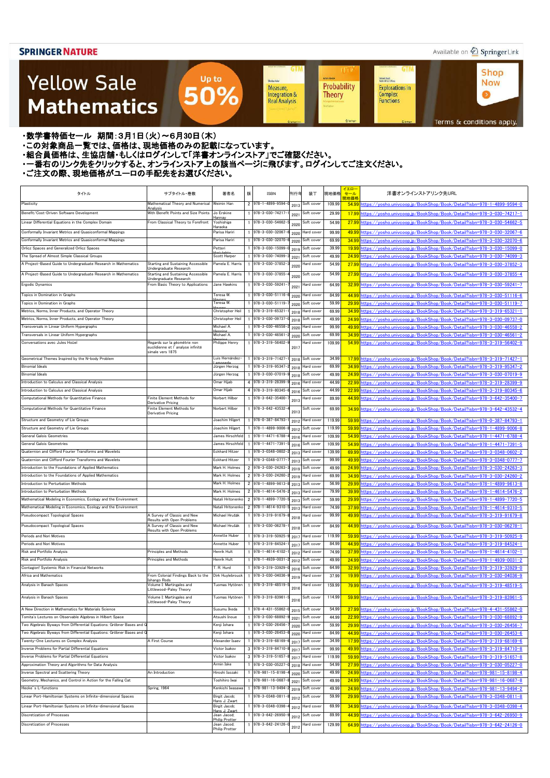### Available on 2 Springer Link

**Shop** 

**Now** 

 $\bullet$ 

**GTM** 

Kichard Beals<br>Rođenick S. C. Wong

Complex<br>Functions

**Explorations in** 

### **Yellow Sale Mathematics**

Integration & **Theory Real Analysis** 

**GTM** 

Sheidon Auler

Measure,

**UT** 

Probability

**Achim Hente** 

・数学書特価セール 期間:3月1日(火)~6月30日(木)

Terms & conditions apply.

・この対象商品一覧では、価格は、現地価格のみの記載になっています。

- ニッパルプロは、ここには、このファンストリングのコンティングファンストア」でご確認ください。<br>・組合員価格は、生協店舗・もしくはログインして「洋書オンラインストア」でご確認ください。

・一番右のリンク先をクリックすると、オンラインストア上の該当ページに飛びます。ログインしてご注文ください。

Up to

50%

| タイトル                                                                                                             | サブタイトル・巻数                                                                             | 著者名                              | 版 | ISBN                                     | 刊行年          | 装丁                       | 現地価格           | イエロー<br>セール | 洋書オンラインストアリンク先URL                                                                                                                                          |
|------------------------------------------------------------------------------------------------------------------|---------------------------------------------------------------------------------------|----------------------------------|---|------------------------------------------|--------------|--------------------------|----------------|-------------|------------------------------------------------------------------------------------------------------------------------------------------------------------|
| Plasticity                                                                                                       | Mathematical Theory and Numerical                                                     | Weimin Han                       |   | 2 978-1-4899-9594-                       | 2013         | Soft cover               | 109.99         | 現地価格        | 54.99 https://vosho.univcoop.jp/BookShop/Book/Detail?isbn=978-1-4899-9594-0                                                                                |
| Benefit/Cost-Driven Software Development                                                                         | Analysis<br>With Benefit Points and Size Points                                       | Jo Erskine                       |   | 1 978-3-030-74217-                       |              | Soft cover               | 29.99          |             | 17.99 https://yosho.univcoop.jp/BookShop/Book/Detail?isbn=978-3-030-74217-1                                                                                |
|                                                                                                                  |                                                                                       | łannay                           |   |                                          | 2021         |                          |                |             | 27.99 https://vosho.univcoop.jp/BookShop/Book/Detail?isbn=978-3-030-54662-5                                                                                |
| Linear Differential Equations in the Complex Domain                                                              | From Classical Theory to Forefront                                                    | Yoshishige<br>Haraoka            |   | 978-3-030-54662-                         | 2020         | Soft cover               | 54.99          |             |                                                                                                                                                            |
| Conformally Invariant Metrics and Quasiconformal Mappings                                                        |                                                                                       | Parisa Hariri                    |   | 978-3-030-32067                          | 2020         | lard cover               | 99.99          |             | 49.99 https://yosho.univcoop.jp/BookShop/Book/Detail?isbn=978-3-030-32067-6                                                                                |
| Conformally Invariant Metrics and Quasiconformal Mappings                                                        |                                                                                       | Parisa Hariri                    |   | 978-3-030-32070-<br>978-3-030-15099-     | 2020         | Soft cover               | 69.99          |             | 34.99 https://vosho.univcoop.jp/BookShop/Book/Detail?isbn=978-3-030-32070-6                                                                                |
| Orlicz Spaces and Generalized Orlicz Spaces                                                                      |                                                                                       | Petteri<br>Scott Harper          |   |                                          | 2019         | Soft cover               | 39.99          |             | 19.99 https://vosho.univcoop.jp/BookShop/Book/Detail?isbn=978-3-030-15099-0                                                                                |
| The Spread of Almost Simple Classical Groups<br>A Project-Based Guide to Undergraduate Research in Mathematics   | <b>Starting and Sustaining Accessible</b>                                             | Pamela E. Harris                 |   | 978-3-030-74099-<br>978-3-030-37852-     | 2021         | Soft cover<br>Hard cover | 49.99<br>54.99 |             | 24.99 https://yosho.univcoop.jp/BookShop/Book/Detail?isbn=978-3-030-74099-3                                                                                |
|                                                                                                                  | Undergraduate Research                                                                |                                  |   |                                          | 2020         |                          |                |             | 27.99 https://yosho.univcoop.jp/BookShop/Book/Detail?isbn=978-3-030-37852-3                                                                                |
| A Project-Based Guide to Undergraduate Research in Mathematics                                                   | <b>Starting and Sustaining Accessible</b><br>Undergraduate Research                   | Pamela E. Harris                 |   | 978-3-030-37855-                         | 2020         | Soft cover               | 54.99          |             | 27.99 https://vosho.univcoop.jp/BookShop/Book/Detail?isbn=978-3-030-37855-4                                                                                |
| Ergodic Dynamics                                                                                                 | From Basic Theory to Applications                                                     | Jane Hawkins                     |   | 978-3-030-59241-                         | 2021         | lard cover               | 64.99          |             | 32.99 https://yosho.univcoop.jp/BookShop/Book/Detail?isbn=978-3-030-59241-7                                                                                |
| Topics in Domination in Graphs                                                                                   |                                                                                       | Teresa W.                        |   | 978-3-030-51116-                         | 2020         | lard cover               | 84.99          |             | 44.99 https://yosho.univcoop.jp/BookShop/Book/Detail?isbn=978-3-030-51116-6                                                                                |
| Topics in Domination in Graphs                                                                                   |                                                                                       | Teresa W.                        |   | 978-3-030-51119-                         | 2020         | Soft cover               | 59.99          |             | 29.99 https://vosho.univcoop.jp/BookShop/Book/Detail?isbn=978-3-030-51119-7                                                                                |
| Metrics, Norms, Inner Products, and Operator Theory                                                              |                                                                                       | Christopher Heil                 |   | 978-3-319-65321                          | 2018         | <b>Hard</b> cover        | 69.99          |             | 34.99 https://vosho.univcoop.ip/BookShop/Book/Detail?isbn=978-3-319-65321-1                                                                                |
| Metrics, Norms, Inner Products, and Operator Theory                                                              |                                                                                       | Christopher Heil                 |   | 1 978-3-030-09737                        | 2018         | Soft cover               | 49.99          |             | 24.99 https://yosho.univcoop.jp/BookShop/Book/Detail?isbn=978-3-030-09737-0                                                                                |
| Transversals in Linear Uniform Hypergraphs                                                                       |                                                                                       | Michael A.                       |   | 1 978-3-030-46558-                       | 2020         | Hard cover               | 99.99          |             | 49.99 https://yosho.univcoop.jp/BookShop/Book/Detail?isbn=978-3-030-46558-2                                                                                |
| Transversals in Linear Uniform Hypergraphs                                                                       |                                                                                       | Michael A.                       |   | $1$ 978-3-030-46561                      | 2020         | Soft cover               | 69.99          |             | 34.99 https://yosho.univcoop.jp/BookShop/Book/Detail?isbn=978-3-030-46561-2                                                                                |
| Conversations avec Jules Hoüel                                                                                   | Regards sur la géométrie non<br>euclidienne et l'analvse infinité<br>simale vers 1875 | Philippe Henry                   |   | 1 978-3-319-56402-                       | 2017         | Hard cover               | 109.99         |             | 54.99 https://vosho.univcoop.jp/BookShop/Book/Detail?isbn=978-3-319-56402-9                                                                                |
| Geometrical Themes Inspired by the N-body Problem                                                                |                                                                                       | Luis Hernández-                  |   | 1 978-3-319-71427-                       | 2018         | Soft cover               | 34.99          |             | 17.99 https://yosho.univcoop.jp/BookShop/Book/Detail?isbn=978-3-319-71427-1                                                                                |
| <b>Binomial Ideals</b>                                                                                           |                                                                                       | Jürgen Herzog                    |   | 1 978-3-319-95347                        | 2018         | Hard cover               | 69.99          |             | 34.99 https://yosho.univcoop.jp/BookShop/Book/Detail?isbn=978-3-319-95347-2                                                                                |
| <b>Binomial Ideals</b>                                                                                           |                                                                                       | Jürgen Herzog                    |   | 978-3-030-07019-                         | 2018         | Soft cover               | 49.99          |             | 24.99 https://yosho.univcoop.jp/BookShop/Book/Detail?isbn=978-3-030-07019-9                                                                                |
| Introduction to Calculus and Classical Analysis                                                                  |                                                                                       | Omar Hijab                       |   | 4 978-3-319-28399-                       | 2016         | Hard cover               | 44.99          |             | 22.99 https://yosho.univcoop.jp/BookShop/Book/Detail?isbn=978-3-319-28399-9                                                                                |
| Introduction to Calculus and Classical Analysis                                                                  |                                                                                       | Omar Hijab                       |   | 4 978-3-319-80345-                       | 2016         | Soft cover               | 44.99          |             | 22.99 https://yosho.univcoop.jp/BookShop/Book/Detail?isbn=978-3-319-80345-6                                                                                |
| Computational Methods for Quantitative Finance                                                                   | Finite Element Methods for<br>Derivative Pricing                                      | Norbert Hilber                   |   | 978-3-642-35400-                         | 2013         | Hard cover               | 89.99          |             | 44.99 https://yosho.univcoop.jp/BookShop/Book/Detail?isbn=978-3-642-35400-7                                                                                |
| Computational Methods for Quantitative Finance                                                                   | Finite Element Methods for<br><b>Derivative Pricing</b>                               | Norbert Hilber                   |   | 1 978-3-642-43532-                       | 2013         | Soft cover               | 69.99          |             | 34.99 https://yosho.univcoop.jp/BookShop/Book/Detail?isbn=978-3-642-43532-4                                                                                |
| Structure and Geometry of Lie Groups                                                                             |                                                                                       | Joachim Hilgert                  |   | 978-0-387-84793-                         | 2012         | lard cover               | 119.99         |             | 59.99 https://vosho.univcoop.jp/BookShop/Book/Detail?isbn=978-0-387-84793-1                                                                                |
| Structure and Geometry of Lie Groups                                                                             |                                                                                       | Joachim Hilgert                  |   | 978-1-4899-9006-                         | 2012         | Soft cover               | 119.99         |             | 59.99 https://vosho.univcoop.jp/BookShop/Book/Detail?isbn=978-1-4899-9006-8                                                                                |
| General Galois Geometries                                                                                        |                                                                                       | James Hirschfeld                 |   | 978-1-4471-6788-                         | 2016         | Hard cover               | 109.99         |             | 54.99 https://vosho.univcoop.jp/BookShop/Book/Detail?isbn=978-1-4471-6788-4                                                                                |
| General Galois Geometries                                                                                        |                                                                                       | James Hirschfeld                 |   | 978-1-4471-7391-                         | 2016         | Soft cover               | 109.99         |             | 54.99 https://yosho.univcoop.jp/BookShop/Book/Detail?isbn=978-1-4471-7391-5                                                                                |
| Quaternion and Clifford Fourier Transforms and Wavelets                                                          |                                                                                       | <b>Eckhard Hitzer</b>            |   | 978-3-0348-0602-                         | 2013         | Hard cover               | 139.99         |             | 69.99 https://vosho.univcoop.jp/BookShop/Book/Detail?isbn=978-3-0348-0602-2                                                                                |
| Quaternion and Clifford Fourier Transforms and Wavelets                                                          |                                                                                       | <b>Eckhard Hitzer</b>            |   | 978-3-0348-0777-                         | 2013         | Soft cover               | 99.99          |             | 49.99 https://yosho.univcoop.jp/BookShop/Book/Detail?isbn=978-3-0348-0777-7                                                                                |
| Introduction to the Foundations of Applied Mathematics                                                           |                                                                                       | Mark H. Holmes                   |   | 2 978-3-030-24263-                       | 2019         | Soft cover               | 49.99          |             | 24.99 https://yosho.univcoop.jp/BookShop/Book/Detail?isbn=978-3-030-24263-3                                                                                |
| Introduction to the Foundations of Applied Mathematics                                                           |                                                                                       | Mark H. Holmes                   |   | 2 978-3-030-24260-                       | 2019         | Hard cover               | 69.99          |             | 34.99 https://yosho.univcoop.jp/BookShop/Book/Detail?isbn=978-3-030-24260-2                                                                                |
| Introduction to Perturbation Methods<br>Introduction to Perturbation Methods                                     |                                                                                       | Mark H. Holmes<br>Mark H. Holmes |   | 2 978-1-4899-9613-<br>2 978-1-4614-5476  | 2013         | Soft cover               | 56.99          |             | 29.99 https://yosho.univcoop.jp/BookShop/Book/Detail?isbn=978-1-4899-9613-8                                                                                |
| Mathematical Modeling in Economics, Ecology and the Environment                                                  |                                                                                       | Natali Hritonenko                |   | 2 978-1-4899-7720-                       | 2013         | Hard cover<br>Soft cover | 79.99<br>59.99 |             | 39.99 https://yosho.univcoop.jp/BookShop/Book/Detail?isbn=978-1-4614-5476-2<br>29.99 https://yosho.univcoop.jp/BookShop/Book/Detail?isbn=978-1-4899-7720-5 |
| Mathematical Modeling in Economics, Ecology and the Environment                                                  |                                                                                       | Natali Hritonenko                |   | 2 978-1-4614-9310-                       | 2013<br>2013 | Hard cover               | 74.99          |             | 37.99 https://yosho.univcoop.jp/BookShop/Book/Detail?isbn=978-1-4614-9310-5                                                                                |
| Pseudocompact Topological Spaces                                                                                 | A Survey of Classic and New                                                           | Michael Hrušák                   |   | 978-3-319-91679-                         |              | Hard cover               | 99.99          |             | 49.99 https://yosho.univcoop.jp/BookShop/Book/Detail?isbn=978-3-319-91679-8                                                                                |
|                                                                                                                  | <b>Results with Open Problems</b>                                                     |                                  |   |                                          | 2018         |                          |                |             |                                                                                                                                                            |
| Pseudocompact Topological Spaces                                                                                 | A Survey of Classic and New<br>Results with Open Problems                             | Michael Hrušák                   |   | 978-3-030-06278                          | 2018         | Soft cover               | 84.99          |             | 44.99 https://vosho.univcoop.jp/BookShop/Book/Detail?isbn=978-3-030-06278-1                                                                                |
| Periods and Nori Motives                                                                                         |                                                                                       | Annette Huber                    |   | 978-3-319-50925-                         | 2017         | Hard cover               | 119.99         |             | 59.99 https://vosho.univcoop.jp/BookShop/Book/Detail?isbn=978-3-319-50925-9                                                                                |
| Periods and Nori Motives                                                                                         |                                                                                       | Annette Huber                    |   | 978-3-319-84524-                         | 2017         | Soft cover               | 84.99          |             | 44.99 https://yosho.univcoop.jp/BookShop/Book/Detail?isbn=978-3-319-84524-1                                                                                |
| Risk and Portfolio Analysis                                                                                      | Principles and Methods                                                                | Henrik Hult                      |   | 978-1-4614-4102-                         | 2012         | Hard cover               | 74.99          |             | 37.99 https://yosho.univcoop.jp/BookShop/Book/Detail?isbn=978-1-4614-4102-1                                                                                |
| Risk and Portfolio Analysis                                                                                      | Principles and Methods                                                                | Henrik Hult                      |   | 978-1-4939-0031-                         | 2012         | Soft cover               | 49.99          |             | 24.99 https://yosho.univcoop.jp/BookShop/Book/Detail?isbn=978-1-4939-0031-2                                                                                |
| Contagion! Systemic Risk in Financial Networks                                                                   |                                                                                       | .R. Hurd                         |   | 978-3-319-33929-                         | 2016         | Soft cover               | 64.99          |             | 32.99 https://vosho.univcoop.jp/BookShop/Book/Detail?isbn=978-3-319-33929-0                                                                                |
| Africa and Mathematics                                                                                           | From Colonial Findings Back to the<br>Ishango Rods                                    | Dirk Huylebrouck                 |   | 978-3-030-04036-                         | 2019         | lard cover               | 37.99          |             | 19.99 https://vosho.univcoop.jp/BookShop/Book/Detail?isbn=978-3-030-04036-9                                                                                |
| Analysis in Banach Spaces                                                                                        | Volume I: Martingales and<br>Littlewood-Paley Theory                                  | Tuomas Hytönen                   |   | 978-3-319-48519-                         | 2016         | lard cover               | 159.99         |             | 79.99 https://yosho.univcoop.jp/BookShop/Book/Detail?isbn=978-3-319-48519-5                                                                                |
| Analysis in Banach Spaces                                                                                        | Volume I: Martingales and<br>Littlewood-Paley Theory                                  | Tuomas Hytönen                   |   | 1 978-3-319-83961                        | 2016         | Soft cover               | 114.99         |             | 59.99 https://yosho.univcoop.jp/BookShop/Book/Detail?isbn=978-3-319-83961-5                                                                                |
| A New Direction in Mathematics for Materials Science                                                             |                                                                                       | Susumu Ikeda                     |   | 1 978-4-431-55862-                       | 2015         | Soft cover               | 54.99          |             | 27.99 https://yosho.univcoop.jp/BookShop/Book/Detail?isbn=978-4-431-55862-0                                                                                |
| Tomita's Lectures on Observable Algebras in Hilbert Space                                                        |                                                                                       | Atsushi Inoue                    |   | 1 978-3-030-68892-                       | 2021         | Soft cover               | 44.99          |             | 22.99 https://yosho.univcoop.jp/BookShop/Book/Detail?isbn=978-3-030-68892-9                                                                                |
| Two Algebraic Byways from Differential Equations: Gröbner Bases and Q                                            |                                                                                       | Kenji Iohara                     |   | 1 978-3-030-26456-                       | 2020         | Soft cover               | 59.99          |             | 29.99 https://yosho.univcoop.jp/BookShop/Book/Detail?isbn=978-3-030-26456-7                                                                                |
| Two Algebraic Byways from Differential Equations: Gröbner Bases and Q<br>Twenty-One Lectures on Complex Analysis | A First Course                                                                        | Kenji Iohara<br>Alexander Isaev  |   | 1 978-3-030-26453-<br>1 978-3-319-68169- | 2020         | Hard cover<br>Soft cover | 84.99<br>34.99 |             | 44.99 https://yosho.univcoop.jp/BookShop/Book/Detail?isbn=978-3-030-26453-6                                                                                |
| Inverse Problems for Partial Differential Equations                                                              |                                                                                       | Victor Isakov                    |   | 3 978-3-319-84710-                       | 2017         | Soft cover               | 99.99          |             | 17.99 https://yosho.univcoop.jp/BookShop/Book/Detail?isbn=978-3-319-68169-6<br>49.99 https://yosho.univcoop.jp/BookShop/Book/Detail?isbn=978-3-319-84710-8 |
| Inverse Problems for Partial Differential Equations                                                              |                                                                                       | Victor Isakov                    |   | $3$ 978-3-319-51657-                     | 2017<br>2017 | Hard cover               | 119.99         |             | 59.99 https://yosho.univcoop.jp/BookShop/Book/Detail?isbn=978-3-319-51657-8                                                                                |
| Approximation Theory and Algorithms for Data Analysis                                                            |                                                                                       | Armin Iske                       |   | 1 978-3-030-05227-                       | 2018         | Hard cover               | 54.99          |             | 27.99 https://yosho.univcoop.jp/BookShop/Book/Detail?isbn=978-3-030-05227-0                                                                                |
| Inverse Spectral and Scattering Theory                                                                           | An Introduction                                                                       | Hiroshi Isozaki                  |   | 978-981-15-8198-                         | 2020         | Soft cover               | 49.99          |             | 24.99 https://yosho.univcoop.jp/BookShop/Book/Detail?isbn=978-981-15-8198-4                                                                                |
| Geometry, Mechanics, and Control in Action for the Falling Cat                                                   |                                                                                       | Toshihiro Iwai                   |   | 978-981-16-0687                          | 2021         | Soft cover               | 49.99          |             | 24.99 https://yosho.univcoop.jp/BookShop/Book/Detail?isbn=978-981-16-0687-8                                                                                |
| Hecke's L-functions                                                                                              | Spring, 1964                                                                          | Kenkichi Iwasawa                 |   | 978-981-13-9494                          | 2019         | Soft cover               | 49.99          |             | 24.99 https://yosho.univcoop.jp/BookShop/Book/Detail?isbn=978-981-13-9494-2                                                                                |
| Linear Port-Hamiltonian Systems on Infinite-dimensional Spaces                                                   |                                                                                       | Birgit Jacob;                    |   | 978-3-0348-0811                          | 201:         | Soft cover               | 59.99          |             | 29.99 https://yosho.univcoop.jp/BookShop/Book/Detail?isbn=978-3-0348-0811-8                                                                                |
| Linear Port-Hamiltonian Systems on Infinite-dimensional Spaces                                                   |                                                                                       | ans J. Zwart<br>Birgit Jacob:    |   | 1 978-3-0348-0398-                       | 2012         | Hard cover               | 69.99          |             | 34.99 https://yosho.univcoop.jp/BookShop/Book/Detail?isbn=978-3-0348-0398-4                                                                                |
| Discretization of Processes                                                                                      |                                                                                       | ا J. Zwart<br>Jean Jacod;        |   | 1 978-3-642-26950                        |              | Soft cover               | 89.99          |             | 44.99 https://yosho.univcoop.jp/BookShop/Book/Detail?isbn=978-3-642-26950-9                                                                                |
| Discretization of Processes                                                                                      |                                                                                       | Philip Protter<br>Jean Jacod;    |   | 978-3-642-24126-                         | 2012         | lard cover               | 129.99         |             | 64.99 https://yosho.univcoop.jp/BookShop/Book/Detail?isbn=978-3-642-24126-0                                                                                |
|                                                                                                                  |                                                                                       | Philip Protter                   |   |                                          | 2012         |                          |                |             |                                                                                                                                                            |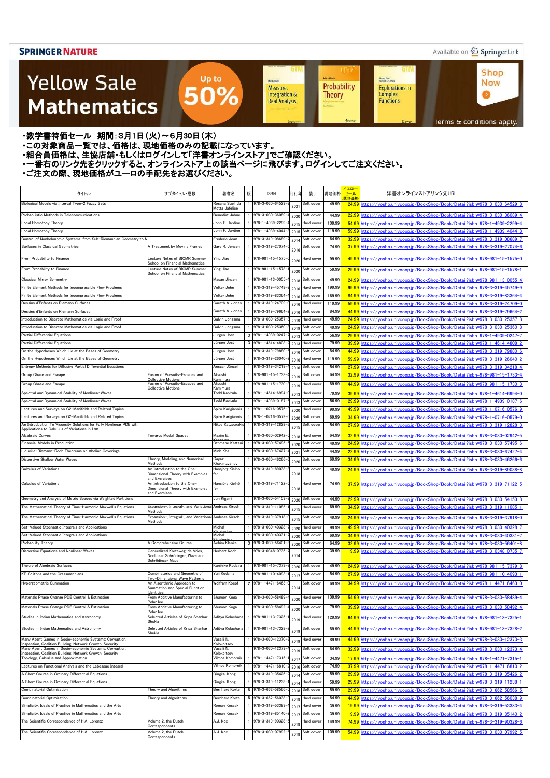### Available on 2 Springer Link

**Shop** 

**Now** 

 $\bullet$ 

**GTM** 

Kichard Beals<br>Rođenick S. C. Wong

Complex<br>Functions

**Explorations in** 

### **Yellow Sale Mathematics**

Probability Measure, Integration & **Theory Real Analysis** 

**UT** 

**Achim Hente** 

**GTM** 

Sheidon Auler

Terms & conditions apply.

・数学書特価セール 期間:3月1日(火)~6月30日(木)

・この対象商品一覧では、価格は、現地価格のみの記載になっています。

- ニッパルプロは、ここには、このファンストリングのコンティングファンストア」でご確認ください。<br>・組合員価格は、生協店舗・もしくはログインして「洋書オンラインストア」でご確認ください。

・一番右のリンク先をクリックすると、オンラインストア上の該当ページに飛びます。ログインしてご注文ください。

Up to

50%

| タイトル                                                                                                                     | サブタイトル・巻数                                                                        | 著者名                                    | 版 | <b>ISBN</b>                                  | 刊行年  | 装丁                       | 現地価格           | イエロ・<br>セール | 洋書オンラインストアリンク先URL                                                                                                                                          |
|--------------------------------------------------------------------------------------------------------------------------|----------------------------------------------------------------------------------|----------------------------------------|---|----------------------------------------------|------|--------------------------|----------------|-------------|------------------------------------------------------------------------------------------------------------------------------------------------------------|
| Biological Models via Interval Type-2 Fuzzy Sets                                                                         |                                                                                  | Rosana Sueli da<br>Motta Jafelice      |   | 978-3-030-64529-                             | 2021 | Soft cover               | 49.99          | 現地価格        | 24.99 https://yosho.univcoop.jp/BookShop/Book/Detail?isbn=978-3-030-64529-8                                                                                |
| Probabilistic Methods in Telecommunications                                                                              |                                                                                  | Benedikt Jahnel                        |   | 978-3-030-36089-                             | 2020 | Soft cover               | 44.99          |             | 22.99 https://vosho.univcoop.jp/BookShop/Book/Detail?isbn=978-3-030-36089-4                                                                                |
| Local Homotopy Theory                                                                                                    |                                                                                  | John F. Jardine                        |   | 978-1-4939-2299-                             | 2015 | Hard cover               | 109.99         |             | 54.99 https://vosho.univcoop.jp/BookShop/Book/Detail?isbn=978-1-4939-2299-4                                                                                |
| Local Homotopy Theory                                                                                                    |                                                                                  | John F. Jardine                        |   | 978-1-4939-4044-                             | 2015 | Soft cover               | 119.99         |             | 59.99 https://vosho.univcoop.jp/BookShop/Book/Detail?isbn=978-1-4939-4044-8                                                                                |
| Control of Nonholonomic Systems: from Sub-Riemannian Geometry to                                                         |                                                                                  | Frédéric Jean                          |   | 978-3-319-08689-                             | 2014 | Soft cover               | 64.99          |             | 32.99 https://yosho.univcoop.jp/BookShop/Book/Detail?isbn=978-3-319-08689-7                                                                                |
| Surfaces in Classical Geometries                                                                                         | A Treatment by Moving Frames                                                     | Gary R. Jensen                         |   | 978-3-319-27074-                             | 2016 | Soft cover               | 74.99          |             | 37.99 https://yosho.univcoop.jp/BookShop/Book/Detail?isbn=978-3-319-27074-6                                                                                |
| From Probability to Finance                                                                                              | Lecture Notes of BICMR Summer<br>School on Financial Mathematics                 | Ying Jiao                              |   | 978-981-15-1575-                             | 2020 | <b>Hard</b> cover        | 99.99          |             | 49.99 https://vosho.univcoop.jp/BookShop/Book/Detail?isbn=978-981-15-1575-0                                                                                |
| From Probability to Finance                                                                                              | Lecture Notes of BICMR Summer<br>School on Financial Mathematics                 | Ying Jiao                              |   | $978 - 981 - 15 - 1578$                      | 2020 | Soft cover               | 59.99          |             | 29.99 https://vosho.univcoop.ip/BookShop/Book/Detail?isbn=978-981-15-1578-1                                                                                |
| <b>Classical Mirror Symmetry</b>                                                                                         |                                                                                  | Masao Jinzenj                          |   | 978-981-13-0055-                             | 2018 | Soft cover               | 49.99          |             | 24.99 https://vosho.univcoop.jp/BookShop/Book/Detail?isbn=978-981-13-0055-4                                                                                |
| Finite Element Methods for Incompressible Flow Problems                                                                  |                                                                                  | Volker John                            |   | 978-3-319-45749-                             | 2016 | Hard cover               | 199.99         |             | 99.99 https://vosho.univcoop.jp/BookShop/Book/Detail?isbn=978-3-319-45749-9                                                                                |
| Finite Element Methods for Incompressible Flow Problems                                                                  |                                                                                  | Volker John                            |   | 978-3-319-83364-                             | 2016 | Soft cover               | 169.99         |             | 84.99 https://yosho.univcoop.jp/BookShop/Book/Detail?isbn=978-3-319-83364-4                                                                                |
| Dessins d'Enfants on Riemann Surfaces                                                                                    |                                                                                  | Gareth A. Jones                        |   | 978-3-319-24709-                             | 2016 | Hard cover               | 119.99         |             | 59.99 https://yosho.univcoop.jp/BookShop/Book/Detail?isbn=978-3-319-24709-0                                                                                |
| Dessins d'Enfants on Riemann Surfaces                                                                                    |                                                                                  | Gareth A. Jones                        |   | 978-3-319-79664-                             | 2016 | Soft cover               | 84.99          |             | 44.99 https://yosho.univcoop.jp/BookShop/Book/Detail?isbn=978-3-319-79664-2                                                                                |
| Introduction to Discrete Mathematics via Logic and Proof                                                                 |                                                                                  | Calvin Jongsma                         |   | 978-3-030-25357                              | 2019 | Hard cover               | 49.99          |             | 24.99 https://yosho.univcoop.jp/BookShop/Book/Detail?isbn=978-3-030-25357-8                                                                                |
| Introduction to Discrete Mathematics via Logic and Proof                                                                 |                                                                                  | Calvin Jongsma                         |   | 978-3-030-25360-                             | 2019 | Soft cover               | 49.99          |             | 24.99 https://yosho.univcoop.jp/BookShop/Book/Detail?isbn=978-3-030-25360-8                                                                                |
| Partial Differential Equations<br>Partial Differential Equations                                                         |                                                                                  | Jürgen Jost                            |   | $3$ 978-1-4939-0247-<br>$3$ 978-1-4614-4808- | 2013 | Soft cover               | 56.99<br>79.99 |             | 29.99 https://yosho.univcoop.jp/BookShop/Book/Detail?isbn=978-1-4939-0247-7                                                                                |
| On the Hypotheses Which Lie at the Bases of Geometry                                                                     |                                                                                  | Jürgen Jost<br>Jürgen Jost             |   | 978-3-319-79880-                             | 2013 | Hard cover<br>Soft cover | 84.99          |             | 39.99 https://yosho.univcoop.jp/BookShop/Book/Detail?isbn=978-1-4614-4808-2                                                                                |
| On the Hypotheses Which Lie at the Bases of Geometry                                                                     |                                                                                  | Jürgen Jost                            |   | 978-3-319-26040-                             | 2016 | Hard cover               | 119.99         |             | 44.99 https://yosho.univcoop.jp/BookShop/Book/Detail?isbn=978-3-319-79880-6<br>59.99 https://vosho.univcoop.jp/BookShop/Book/Detail?isbn=978-3-319-26040-2 |
| Entropy Methods for Diffusive Partial Differential Equations                                                             |                                                                                  | Ansgar Jüngel                          |   | 978-3-319-34218-                             | 2016 | Soft cover               | 54.99          |             | 27.99 https://vosho.univcoop.jp/BookShop/Book/Detail?isbn=978-3-319-34218-4                                                                                |
| Group Chase and Escape                                                                                                   | Fusion of Pursuits-Escapes and                                                   | Atsushi                                |   | 978-981-15-1733-                             | 2016 | Soft cover               | 64.99          |             | 32.99 https://vosho.univcoop.jp/BookShop/Book/Detail?isbn=978-981-15-1733-4                                                                                |
|                                                                                                                          | <b>Collective Motions</b><br>Fusion of Pursuits-Escapes and                      | Kamimura<br>Atsushi                    |   | $978 - 981 - 15 - 1730$                      | 2019 |                          |                |             |                                                                                                                                                            |
| Group Chase and Escape                                                                                                   | <b>Collective Motions</b>                                                        | Kamimura                               |   |                                              | 2019 | lard cover               | 89.99          |             | 44.99 https://yosho.univcoop.jp/BookShop/Book/Detail?isbn=978-981-15-1730-3                                                                                |
| Spectral and Dynamical Stability of Nonlinear Waves                                                                      |                                                                                  | Todd Kapitula                          |   | 978-1-4614-6994-                             | 2013 | Hard cover               | 79.99          |             | 39.99 https://yosho.univcoop.jp/BookShop/Book/Detail?isbn=978-1-4614-6994-0                                                                                |
| Spectral and Dynamical Stability of Nonlinear Waves                                                                      |                                                                                  | <b>Todd Kapitula</b>                   |   | 978-1-4939-0187                              | 2013 | Soft cover               | 56.99          |             | 29.99 https://vosho.univcoop.jp/BookShop/Book/Detail?isbn=978-1-4939-0187-6                                                                                |
| Lectures and Surveys on G2-Manifolds and Related Topics                                                                  |                                                                                  | Spiro Karigiannis                      |   | 978-1-0716-0576-                             | 2020 | Hard cover               | 99.99          |             | 49.99 https://vosho.univcoop.jp/BookShop/Book/Detail?isbn=978-1-0716-0576-9                                                                                |
| Lectures and Surveys on G2-Manifolds and Related Topics                                                                  |                                                                                  | Spiro Karigiannis<br>Nikos Katzourakis |   | 978-1-0716-0579-                             | 2020 | Soft cover               | 69.99          |             | 34.99 https://vosho.univcoop.jp/BookShop/Book/Detail?isbn=978-1-0716-0579-0                                                                                |
| An Introduction To Viscosity Solutions for Fully Nonlinear PDE with<br>Applications to Calculus of Variations in L∞      |                                                                                  |                                        |   | 978-3-319-12828-                             | 201  | Soft cover               | 54.99          |             | 27.99 https://yosho.univcoop.jp/BookShop/Book/Detail?isbn=978-3-319-12828-3                                                                                |
| Algebraic Curves                                                                                                         | <b>Towards Moduli Spaces</b>                                                     | Maxim E.                               |   | 978-3-030-02942-                             | 2018 | Hard cover               | 64.99          |             | 32.99 https://vosho.univcoop.jp/BookShop/Book/Detail?isbn=978-3-030-02942-5                                                                                |
| Financial Models in Production                                                                                           |                                                                                  | Othmane Kettani                        |   | 978-3-030-57495-                             | 2020 | Soft cover               | 49.99          |             | 24.99 https://vosho.univcoop.jp/BookShop/Book/Detail?isbn=978-3-030-57495-6                                                                                |
| Liouville-Riemann-Roch Theorems on Abelian Coverings                                                                     |                                                                                  | Minh Kha                               |   | 1 978-3-030-67427                            | 2021 | Soft cover               | 44.99          |             | 22.99 https://yosho.univcoop.jp/BookShop/Book/Detail?isbn=978-3-030-67427-4                                                                                |
| Dispersive Shallow Water Waves                                                                                           | Theory, Modeling, and Numerical<br>Methods                                       | Gayaz<br>Khakimzyanov                  |   | 978-3-030-46266-                             | 2020 | Soft cover               | 69.99          |             | 34.99 https://vosho.univcoop.jp/BookShop/Book/Detail?isbn=978-3-030-46266-6                                                                                |
| <b>Calculus of Variations</b>                                                                                            | An Introduction to the One-<br>Dimensional Theory with Examples<br>and Exercises | Hansjörg Kielhö<br>fer                 |   | 978-3-319-89038-                             | 2018 | Soft cover               | 49.99          |             | 24.99 https://vosho.univcoop.jp/BookShop/Book/Detail?isbn=978-3-319-89038-8                                                                                |
| <b>Calculus of Variations</b>                                                                                            | An Introduction to the One-<br>Dimensional Theory with Examples                  | Hansjörg Kielhö<br>fer                 |   | 978-3-319-71122-                             | 2018 | Hard cover               | 74.99          |             | 37.99 https://yosho.univcoop.jp/BookShop/Book/Detail?isbn=978-3-319-71122-5                                                                                |
| Geometry and Analysis of Metric Spaces via Weighted Partitions                                                           | and Exercises                                                                    | Jun Kigami                             |   | 1 978-3-030-54153-                           | 2020 | Soft cover               | 44.99          |             | 22.99 https://yosho.univcoop.jp/BookShop/Book/Detail?isbn=978-3-030-54153-8                                                                                |
| The Mathematical Theory of Time-Harmonic Maxwell's Equations                                                             | Expansion-, Integral-, and Variational Andreas Kirsch                            |                                        |   | 978-3-319-11085-                             | 2015 | Hard cover               | 69.99          |             | 34.99 https://vosho.univcoop.jp/BookShop/Book/Detail?isbn=978-3-319-11085-1                                                                                |
| The Mathematical Theory of Time-Harmonic Maxwell's Equations                                                             | Methods<br>Expansion-, Integral-, and Variational Andreas Kirsch                 |                                        |   | 978-3-319-37918-                             |      | Soft cover               | 49.99          |             | 24.99 https://vosho.univcoop.jp/BookShop/Book/Detail?isbn=978-3-319-37918-0                                                                                |
|                                                                                                                          | Methods                                                                          |                                        |   |                                              | 2015 |                          |                |             |                                                                                                                                                            |
| Set-Valued Stochastic Integrals and Applications                                                                         |                                                                                  | Michał                                 |   | 978-3-030-40328-                             | 2020 | Hard cover               | 99.99          |             | 49.99 https://yosho.univcoop.jp/BookShop/Book/Detail?isbn=978-3-030-40328-7                                                                                |
| Set-Valued Stochastic Integrals and Applications                                                                         |                                                                                  | Michał                                 |   | 978-3-030-40331                              | 2020 | Soft cover               | 69.99          |             | 34.99 https://yosho.univcoop.jp/BookShop/Book/Detail?isbn=978-3-030-40331-7                                                                                |
| Probability Theory<br>Dispersive Equations and Nonlinear Waves                                                           | A Comprehensive Course<br>Generalized Korteweg-de Vries,                         | Achim Klenke<br><b>Herbert Koch</b>    |   | $3$ 978-3-030-56401<br>978-3-0348-0735-      | 2020 | Soft cover               | 64.99<br>39.99 |             | 32.99 https://vosho.univcoop.jp/BookShop/Book/Detail?isbn=978-3-030-56401-8                                                                                |
|                                                                                                                          | Nonlinear Schrödinger, Wave and<br>Schrödinger Maps                              |                                        |   |                                              | 2014 | Soft cover               |                |             | 19.99 https://vosho.univcoop.jp/BookShop/Book/Detail?isbn=978-3-0348-0735-7                                                                                |
| Theory of Algebraic Surfaces                                                                                             |                                                                                  | Kunihiko Kodaira                       |   | 1 978-981-15-7379-                           | 2020 | Soft cover               | 49.99          |             | 24.99 https://yosho.univcoop.jp/BookShop/Book/Detail?isbn=978-981-15-7379-8                                                                                |
| KP Solitons and the Grassmannians                                                                                        | Combinatorics and Geometry of<br>Two-Dimensional Wave Patterns                   | Yuji Kodama                            |   | 978-981-10-4093-                             | 2017 | Soft cover               | 54.99          |             | 27.99 https://yosho.univcoop.jp/BookShop/Book/Detail?isbn=978-981-10-4093-1                                                                                |
| Hypergeometric Summation                                                                                                 | An Algorithmic Approach to<br>Summation and Special Function                     | Wolfram Koepf                          |   | 2 978-1-4471-6463-                           | 2014 | Soft cover               | 69.99          |             | 34.99 https://vosho.univcoop.jp/BookShop/Book/Detail?isbn=978-1-4471-6463-0                                                                                |
| Materials Phase Change PDE Control & Estimation                                                                          | Identities<br>From Additive Manufacturing to                                     | Shumon Koga                            |   | 978-3-030-58489-                             | 2020 | Hard cover               | 109.99         |             | 54.99 https://yosho.univcoop.jp/BookShop/Book/Detail?isbn=978-3-030-58489-4                                                                                |
| Materials Phase Change PDE Control & Estimation                                                                          | Polar Ice<br>From Additive Manufacturing to                                      | Shumon Koga                            |   | 978-3-030-58492-                             |      | Soft cover               | 79.99          |             | 39.99 https://vosho.univcoop.jp/BookShop/Book/Detail?isbn=978-3-030-58492-4                                                                                |
| Studies in Indian Mathematics and Astronomy                                                                              | Polar Ice<br>Selected Articles of Kripa Shankar                                  | Aditya Kolachana                       |   | 978-981-13-7325-                             | 2020 | Hard cover               | 129.99         |             | 64.99 https://yosho.univcoop.jp/BookShop/Book/Detail?isbn=978-981-13-7325-1                                                                                |
| Studies in Indian Mathematics and Astronomy                                                                              | Shukla<br>Selected Articles of Kripa Shankar                                     | Aditya Kolachana                       |   | 978-981-13-7328-                             | 2019 | Soft cover               | 89.99          |             | 44.99 https://yosho.univcoop.jp/BookShop/Book/Detail?isbn=978-981-13-7328-2                                                                                |
| Many Agent Games in Socio-economic Systems: Corruption,                                                                  | Shukla                                                                           | Vassili N.                             |   | 1 978-3-030-12370-                           | 2019 | Hard cover               | 89.99          |             |                                                                                                                                                            |
| Inspection, Coalition Building, Network Growth, Security                                                                 |                                                                                  | Kolokoltsov                            |   |                                              | 2019 |                          |                |             | 44.99 https://yosho.univcoop.jp/BookShop/Book/Detail?isbn=978-3-030-12370-3                                                                                |
| Many Agent Games in Socio-economic Systems: Corruption,<br>Inspection, Coalition Building, Network Growth, Security      |                                                                                  | Vassili N.<br>Kolokoltsov              |   | 978-3-030-12373-                             | 2019 | Soft cover               | 64.99          |             | 32.99 https://yosho.univcoop.jp/BookShop/Book/Detail?isbn=978-3-030-12373-4                                                                                |
| Topology, Calculus and Approximation                                                                                     |                                                                                  | Vilmos Komornik                        |   | 978-1-4471-7315-                             | 2017 | Soft cover               | 34.99          |             | 17.99 https://yosho.univcoop.jp/BookShop/Book/Detail?isbn=978-1-4471-7315-1                                                                                |
| Lectures on Functional Analysis and the Lebesgue Integral                                                                |                                                                                  | Vilmos Komornik                        |   | 978-1-4471-6810-                             | 2016 | Soft cover               | 74.99          |             | 37.99 https://yosho.univcoop.jp/BookShop/Book/Detail?isbn=978-1-4471-6810-2                                                                                |
| A Short Course in Ordinary Differential Equations                                                                        |                                                                                  | Qingkai Kong                           |   | 978-3-319-35426-                             | 2014 | Soft cover               | 59.99          |             | 29.99 https://yosho.univcoop.jp/BookShop/Book/Detail?isbn=978-3-319-35426-2                                                                                |
| A Short Course in Ordinary Differential Equations                                                                        |                                                                                  | Qingkai Kong                           |   | 978-3-319-11238-                             | 2014 | <b>Hard</b> cover        | 59.99          |             | 29.99 https://yosho.univcoop.jp/BookShop/Book/Detail?isbn=978-3-319-11238-1                                                                                |
| Combinatorial Optimization                                                                                               | Theory and Algorithms                                                            | <b>Bernhard Korte</b>                  |   | 6 978-3-662-58566                            | 2018 | Soft cover               | 59.99          |             | 29.99 https://vosho.univcoop.jp/BookShop/Book/Detail?isbn=978-3-662-58566-5                                                                                |
| Combinatorial Optimization                                                                                               | Theory and Algorithms                                                            | <b>Bernhard Korte</b><br>Roman Kossak  |   | 6 978-3-662-56038<br>978-3-319-53383-        | 2018 | Hard cover               | 84.99          |             | 44.99 https://yosho.univcoop.jp/BookShop/Book/Detail?isbn=978-3-662-56038-9                                                                                |
| Simplicity: Ideals of Practice in Mathematics and the Arts<br>Simplicity: Ideals of Practice in Mathematics and the Arts |                                                                                  | Roman Kossak                           |   | 978-3-319-85140-                             | 2017 | Hard cover<br>Soft cover | 39.99<br>39.99 |             | 19.99 https://vosho.univcoop.jp/BookShop/Book/Detail?isbn=978-3-319-53383-4                                                                                |
| The Scientific Correspondence of H.A. Lorentz                                                                            | Volume 2, the Dutch                                                              | A.J. Kox                               |   | 978-3-319-90328-                             | 2017 | lard cover               | 149.99         |             | 19.99 https://yosho.univcoop.jp/BookShop/Book/Detail?isbn=978-3-319-85140-2<br>74.99 https://yosho.univcoop.jp/BookShop/Book/Detail?isbn=978-3-319-90328-6 |
| The Scientific Correspondence of H.A. Lorentz                                                                            | Correspondents<br>Volume 2. the Dutch                                            | A.J. Kox                               |   | 1 978-3-030-07992-                           | 2018 | Soft cover               | 109.99         |             | 54.99 https://yosho.univcoop.jp/BookShop/Book/Detail?isbn=978-3-030-07992-5                                                                                |
|                                                                                                                          | Correspondents                                                                   |                                        |   |                                              | 2018 |                          |                |             |                                                                                                                                                            |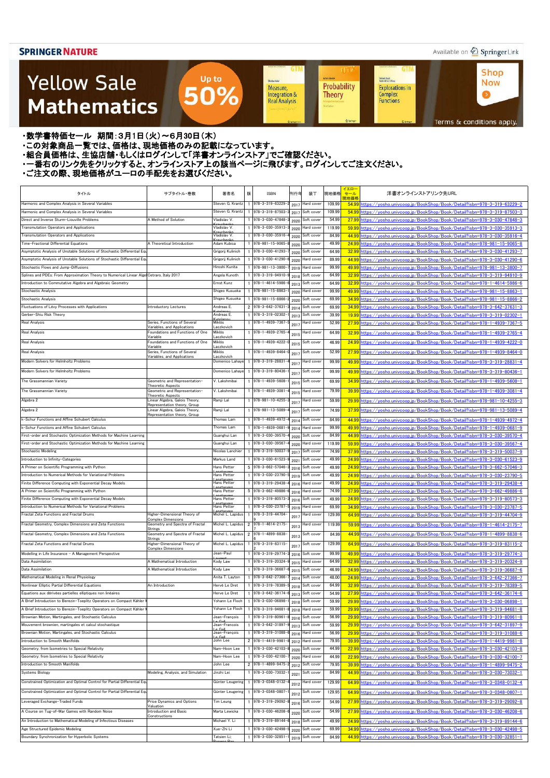#### Available on 2 Springer Link

Shop

**Now** 

 $\bullet$ 

**GTM** 

Kichard Beals<br>Rođenick S. C. Wong

Complex

Functions

**Explorations in** 

### **Yellow Sale Mathematics**

Probability Measure, Integration & **Theory Real Analysis** 

.<br>Sheldon Ader

**GTM** 

**UT** 

**Achim Klente** 

Terms & conditions apply.

・数学書特価セール 期間:3月1日(火)~6月30日(木)

・この対象商品一覧では、価格は、現地価格のみの記載になっています。

・組合員価格は、生協店舗・もしくはログインして「洋書オンラインストア」でご確認ください。

・一番右のリンク先をクリックすると、オンラインストア上の該当ページに飛びます。ログインしてご注文ください。

Up to

50%

| タイトル                                                                                                                                                   | サブタイトル・巻数                                                       | 著者名                              | 版 | <b>ISBN</b>                            | 刊行年          | 装丁                       | 現地価格           | イエロー<br>セール<br>見地価格 | 洋書オンラインストアリンク先URL                                                                                                                                          |
|--------------------------------------------------------------------------------------------------------------------------------------------------------|-----------------------------------------------------------------|----------------------------------|---|----------------------------------------|--------------|--------------------------|----------------|---------------------|------------------------------------------------------------------------------------------------------------------------------------------------------------|
| Harmonic and Complex Analysis in Several Variables                                                                                                     |                                                                 | Steven G. Krantz                 |   | 978-3-319-63229-                       | 2017         | Hard cover               | 109.99         |                     | 54.99 https://vosho.univcoop.jp/BookShop/Book/Detail?isbn=978-3-319-63229-2                                                                                |
| Harmonic and Complex Analysis in Several Variables                                                                                                     |                                                                 | Steven G. Krantz                 |   | 978-3-319-87503-                       | 2017         | Soft cover               | 109.99         |                     | 54.99 https://yosho.univcoop.jp/BookShop/Book/Detail?isbn=978-3-319-87503-3                                                                                |
| Direct and Inverse Sturm-Liouville Problems                                                                                                            | A Method of Solution                                            | Vladislav V.                     |   | 978-3-030-47848-                       | 2020         | Soft cover               | 54.99          |                     | 27.99 https://vosho.univcoop.jp/BookShop/Book/Detail?isbn=978-3-030-47848-3                                                                                |
| Transmutation Operators and Applications                                                                                                               |                                                                 | Vladislav V.                     |   | 978-3-030-35913-                       | 2020         | Hard cover               | 119.99         |                     | 59.99 https://yosho.univcoop.jp/BookShop/Book/Detail?isbn=978-3-030-35913-3                                                                                |
| Transmutation Operators and Applications                                                                                                               |                                                                 | Vladislav V.                     |   | 978-3-030-35916                        | 2020         | Soft cover               | 84.99          |                     | 44.99 https://yosho.univcoop.jp/BookShop/Book/Detail?isbn=978-3-030-35916-4                                                                                |
| Time-Fractional Differential Equations                                                                                                                 | A Theoretical Introduction                                      | Adam Kubica                      |   | 978-981-15-9065-                       | 2020         | Soft cover               | 49.99          |                     | 24.99 https://yosho.univcoop.jp/BookShop/Book/Detail?isbn=978-981-15-9065-8                                                                                |
| Asymptotic Analysis of Unstable Solutions of Stochastic Differential Equ                                                                               |                                                                 | Grigorij Kulinich                |   | 978-3-030-41293-                       | 2020         | Soft cover               | 64.99          |                     | 32.99 https://vosho.univcoop.jp/BookShop/Book/Detail?isbn=978-3-030-41293-7                                                                                |
| Asymptotic Analysis of Unstable Solutions of Stochastic Differential Equ                                                                               |                                                                 | Grigorij Kulinich                |   | 978-3-030-41290-                       | 2020         | Hard cover               | 89.99          |                     | 44.99 https://yosho.univcoop.jp/BookShop/Book/Detail?isbn=978-3-030-41290-6                                                                                |
| Stochastic Flows and Jump-Diffusions                                                                                                                   |                                                                 | Hiroshi Kunita                   |   | 978-981-13-3800-                       | 2019         | Hard cover               | 99.99          |                     | 49.99 https://yosho.univcoop.jp/BookShop/Book/Detail?isbn=978-981-13-3800-7                                                                                |
| Splines and PDEs: From Approximation Theory to Numerical Linear Alge Cetraro, Italy 2017<br>Introduction to Commutative Algebra and Algebraic Geometry |                                                                 | Angela Kunoth<br>Ernst Kunz      |   | 978-3-319-94910-<br>978-1-4614-5986-   | 2018         | Soft cover<br>Soft cover | 64.99<br>64.99 |                     | 32.99 https://vosho.univcoop.jp/BookShop/Book/Detail?isbn=978-3-319-94910-9                                                                                |
| Stochastic Analysis                                                                                                                                    |                                                                 | Shigeo Kusuoka                   |   | 978-981-15-8863-                       | 2013         | Hard cover               | 99.99          |                     | 32.99 https://yosho.univcoop.jp/BookShop/Book/Detail?isbn=978-1-4614-5986-6<br>49.99 https://yosho.univcoop.jp/BookShop/Book/Detail?isbn=978-981-15-8863-1 |
| Stochastic Analysis                                                                                                                                    |                                                                 | Shigeo Kusuoka                   |   | 978-981-15-8866-                       | 2020<br>2020 | Soft cover               | 69.99          |                     | 34.99 https://yosho.univcoop.jp/BookShop/Book/Detail?isbn=978-981-15-8866-2                                                                                |
| Fluctuations of Lévy Processes with Applications                                                                                                       | Introductory Lectures                                           | Andreas E.                       |   | $2$ 978-3-642-37631                    | 2014         | Soft cover               | 69.99          |                     | 34.99 https://vosho.univcoop.jp/BookShop/Book/Detail?isbn=978-3-642-37631-3                                                                                |
| Gerber-Shiu Risk Theory                                                                                                                                |                                                                 | Andreas E.                       |   | 978-3-319-02302-                       | 2013         | Soft cover               | 39.99          |                     | 19.99 https://vosho.univcoop.ip/BookShop/Book/Detail?isbn=978-3-319-02302-1                                                                                |
| Real Analysis                                                                                                                                          | Series, Functions of Several                                    | Miklós                           |   | 978-1-4939-7367-                       | 2017         | lard cover               | 52.99          |                     | 27.99 https://yosho.univcoop.jp/BookShop/Book/Detail?isbn=978-1-4939-7367-5                                                                                |
| <b>Real Analysis</b>                                                                                                                                   | Variables, and Applications<br>Foundations and Functions of One | Laczkovich<br>Miklós             |   | 978-1-4939-2765-                       |              | lard cover               | 64.99          |                     | 32.99 https://vosho.univcoop.jp/BookShop/Book/Detail?isbn=978-1-4939-2765-4                                                                                |
|                                                                                                                                                        | Variable<br>Foundations and Functions of One                    | Laczkovich<br>Miklós             |   |                                        | 2015         |                          |                |                     | 24.99 https://vosho.univcoop.jp/BookShop/Book/Detail?isbn=978-1-4939-4222-0                                                                                |
| <b>Real Analysis</b>                                                                                                                                   | Variable                                                        | Laczkovich                       |   | 978-1-4939-4222-                       | 2015         | oft cover                | 46.99          |                     |                                                                                                                                                            |
| <b>Real Analysis</b>                                                                                                                                   | Series, Functions of Several<br>Variables, and Applications     | Miklós<br>Laczkovich             |   | 978-1-4939-8464-                       | 201          | Soft cover               | 52.99          |                     | 27.99 https://vosho.univcoop.jp/BookShop/Book/Detail?isbn=978-1-4939-8464-0                                                                                |
| Modern Solvers for Helmholtz Problems                                                                                                                  |                                                                 | Domenico Lahaye                  |   | 1 978-3-319-28831                      | 201          | lard cover               | 99.99          |                     | 49.99 https://yosho.univcoop.jp/BookShop/Book/Detail?isbn=978-3-319-28831-4                                                                                |
| Modern Solvers for Helmholtz Problems                                                                                                                  |                                                                 | Domenico Lahaye                  |   | 978-3-319-80436-                       | 201          | Soft cover               | 99.99          |                     | 49.99 https://vosho.univcoop.jp/BookShop/Book/Detail?isbn=978-3-319-80436-1                                                                                |
| The Grassmannian Variety                                                                                                                               | Geometric and Representation-                                   | V. Lakshmibai                    |   | 978-1-4939-5608-                       | 2015         | Soft cover               | 69.99          |                     | 34.99 https://vosho.univcoop.jp/BookShop/Book/Detail?isbn=978-1-4939-5608-1                                                                                |
| The Grassmannian Variety                                                                                                                               | Theoretic Aspects<br>Geometric and Representation-              | V. Lakshmibai                    |   | 978-1-4939-3081                        |              | lard cover               | 79.99          |                     | 39.99 https://yosho.univcoop.jp/BookShop/Book/Detail?isbn=978-1-4939-3081-4                                                                                |
|                                                                                                                                                        | Theoretic Aspects                                               |                                  |   |                                        | 2015         |                          |                |                     |                                                                                                                                                            |
| Algebra 2                                                                                                                                              | Linear Algebra, Galois Theory,<br>Representation theory, Group  | Ramji Lal                        |   | 978-981-10-4255-                       | 201          | lard cover               | 59.99          |                     | 29.99 https://yosho.univcoop.jp/BookShop/Book/Detail?isbn=978-981-10-4255-3                                                                                |
| Algebra 2                                                                                                                                              | Linear Algebra, Galois Theory,<br>Representation theory, Group  | Ramji Lal                        |   | 978-981-13-5089-                       | 201          | Soft cover               | 74.99          |                     | 37.99 https://yosho.univcoop.jp/BookShop/Book/Detail?isbn=978-981-13-5089-4                                                                                |
| -Schur Functions and Affine Schubert Calculus                                                                                                          |                                                                 | Thomas Lam                       |   | 978-1-4939-4972-                       | 2014         | Soft cover               | 84.99          |                     | 44.99 https://yosho.univcoop.jp/BookShop/Book/Detail?isbn=978-1-4939-4972-4                                                                                |
| k-Schur Functions and Affine Schubert Calculus                                                                                                         |                                                                 | Thomas Lam                       |   | 978-1-4939-0681                        | 2014         | lard cover               | 99.99          |                     | 49.99-https://yosho.univcoop.jp/BookShop/Book/Detail?isbn=978-1-4939-0681-9                                                                                |
| First-order and Stochastic Optimization Methods for Machine Learning                                                                                   |                                                                 | Guanghui Lan                     |   | 978-3-030-39570-                       | 2020         | Soft cover               | 84.99          |                     | 44.99 https://vosho.univcoop.jp/BookShop/Book/Detail?isbn=978-3-030-39570-4                                                                                |
| First-order and Stochastic Optimization Methods for Machine Learning                                                                                   |                                                                 | Guanghui Lan                     |   | 978-3-030-39567                        | 2020         | Hard cover               | 119.99         |                     | 59.99 https://yosho.univcoop.jp/BookShop/Book/Detail?isbn=978-3-030-39567-4                                                                                |
| Stochastic Modeling                                                                                                                                    |                                                                 | Nicolas Lanchier                 |   | 978-3-319-50037                        | 2017         | Soft cover               | 74.99          |                     | 37.99 https://yosho.univcoop.jp/BookShop/Book/Detail?isbn=978-3-319-50037-9                                                                                |
| Introduction to Infinity-Categories                                                                                                                    |                                                                 | Markus Land                      |   | 978-3-030-61523-                       | 2021         | Soft cover               | 49.99          |                     | 24.99 https://yosho.univcoop.jp/BookShop/Book/Detail?isbn=978-3-030-61523-9                                                                                |
| A Primer on Scientific Programming with Python                                                                                                         |                                                                 | Hans Petter                      |   | 5 978-3-662-57046-                     | 2016         | Soft cover               | 49.99          |                     | 24.99 https://yosho.univcoop.jp/BookShop/Book/Detail?isbn=978-3-662-57046-3                                                                                |
| Introduction to Numerical Methods for Variational Problems                                                                                             |                                                                 | Hans Petter                      |   | 1 978-3-030-23790-5                    |              | 2019 Soft cover          | 49.99          |                     | 24.99 https://yosho.univcoop.jp/BookShop/Book/Detail?isbn=978-3-030-23790-5                                                                                |
| Finite Difference Computing with Exponential Decay Models<br>A Primer on Scientific Programming with Python                                            |                                                                 | Hans Petter<br>Hans Petter       |   | 978-3-319-29438-<br>5 978-3-662-49886- | 2016         | Hard cover<br>Hard cover | 49.99<br>74.99 |                     | 24.99 https://vosho.univcoop.jp/BookShop/Book/Detail?isbn=978-3-319-29438-4<br>37.99 https://yosho.univcoop.jp/BookShop/Book/Detail?isbn=978-3-662-49886-6 |
| Finite Difference Computing with Exponential Decay Models                                                                                              |                                                                 | Hans Petter                      |   | 978-3-319-80573-                       | 2016<br>2016 | Soft cover               | 49.99          |                     | 24.99 https://yosho.univcoop.jp/BookShop/Book/Detail?isbn=978-3-319-80573-3                                                                                |
| Introduction to Numerical Methods for Variational Problems                                                                                             |                                                                 | Hans Petter                      |   | 978-3-030-23787                        | 2019         | Hard cover               | 69.99          |                     | 34.99 https://yosho.univcoop.jp/BookShop/Book/Detail?isbn=978-3-030-23787-5                                                                                |
| Fractal Zeta Functions and Fractal Drums                                                                                                               | Higher-Dimensional Theory of                                    | Michel L. Lapidus                |   | 978-3-319-44704-                       | 2017         | lard cover               | 129.99         |                     | 64.99 https://vosho.univcoop.jp/BookShop/Book/Detail?isbn=978-3-319-44704-9                                                                                |
| Fractal Geometry, Complex Dimensions and Zeta Functions                                                                                                | <b>Complex Dimensions</b><br>Geometry and Spectra of Fractal    | Michel L. Lapidus                |   | 2 978-1-4614-2175                      |              | lard cover               | 119.99         |                     | 59.99 https://vosho.univcoop.jp/BookShop/Book/Detail?isbn=978-1-4614-2175-7                                                                                |
|                                                                                                                                                        | <b>Strings</b>                                                  |                                  |   |                                        | 2013         |                          |                |                     |                                                                                                                                                            |
| Fractal Geometry, Complex Dimensions and Zeta Functions                                                                                                | Geometry and Spectra of Fractal<br><b>Strings</b>               | Michel L. Lapidus                |   | 2 978-1-4899-8838-                     | 2013         | Soft cover               | 84.99          |                     | 44.99 https://vosho.univcoop.jp/BookShop/Book/Detail?isbn=978-1-4899-8838-6                                                                                |
| Fractal Zeta Functions and Fractal Drums                                                                                                               | Higher-Dimensional Theory of<br><b>Complex Dimensions</b>       | Michel L. Lapidus                |   | 978-3-319-83115-                       | 201          | Soft cover               | 129.99         |                     | 64.99 https://vosho.univcoop.jp/BookShop/Book/Detail?isbn=978-3-319-83115-2                                                                                |
| Modelling in Life Insurance - A Management Perspective                                                                                                 |                                                                 | Jean-Paul                        |   | 978-3-319-29774                        | 2016         | Soft cover               | 99.99          |                     | 49.99 https://vosho.univcoop.jp/BookShop/Book/Detail?isbn=978-3-319-29774-3                                                                                |
| Data Assimilation                                                                                                                                      | A Mathematical Introduction                                     | Kody Law                         |   | 978-3-319-20324                        | 2015         | lard cover               | 64.99          |                     | 32.99 https://yosho.univcoop.jp/BookShop/Book/Detail?isbn=978-3-319-20324-9                                                                                |
| Data Assimilation                                                                                                                                      | A Mathematical Introduction                                     | Kody Law                         |   | 978-3-319-36687                        | 2015         | Soft cover               | 46.99          |                     | 24.99 https://yosho.univcoop.jp/BookShop/Book/Detail?isbn=978-3-319-36687-6                                                                                |
| Mathematical Modeling in Renal Physiology                                                                                                              |                                                                 | Anita T. Layton                  |   | 978-3-642-27366-                       | 2014         | Soft cover               | 48.00          |                     | 24.99 https://vosho.univcoop.jp/BookShop/Book/Detail?isbn=978-3-642-27366-7                                                                                |
| Nonlinear Elliptic Partial Differential Equations                                                                                                      | An Introduction                                                 | Hervé Le Dret                    |   | 978-3-319-78389-                       | 2018         | Soft cover               | 64.99          |                     | 32.99 https://yosho.univcoop.jp/BookShop/Book/Detail?isbn=978-3-319-78389-5                                                                                |
| Équations aux dérivées partielles elliptiques non linéaires                                                                                            |                                                                 | Herve Le Dret                    |   | 978-3-642-36174                        | 2013         | Soft cover               | 54.99          |                     | 27.99 https://yosho.univcoop.jp/BookShop/Book/Detail?isbn=978-3-642-36174-6                                                                                |
| A Brief Introduction to Berezin-Toeplitz Operators on Compact Kähler                                                                                   |                                                                 | Yohann Le Floch                  |   | 978-3-030-06898-                       | 2018         | Soft cover               | 59.99          |                     | 29.99 https://yosho.univcoop.jp/BookShop/Book/Detail?isbn=978-3-030-06898-1                                                                                |
| A Brief Introduction to Berezin-Toeplitz Operators on Compact Kähler<br>Brownian Motion, Martingales, and Stochastic Calculus                          |                                                                 | Yohann Le Floch<br>Jean-François |   | 978-3-319-94681<br>978-3-319-80961-    | 2018         | Hard cover               | 59.99          |                     | 29.99 https://yosho.univcoop.jp/BookShop/Book/Detail?isbn=978-3-319-94681-8                                                                                |
| Mouvement brownien, martingales et calcul stochastique                                                                                                 |                                                                 | Jean-Francois                    |   | 978-3-642-31897-                       | 2016         | Soft cover<br>Soft cover | 56.99<br>59.99 |                     | 29.99 https://yosho.univcoop.jp/BookShop/Book/Detail?isbn=978-3-319-80961-8<br>29.99 https://yosho.univcoop.jp/BookShop/Book/Detail?isbn=978-3-642-31897-9 |
| Brownian Motion, Martingales, and Stochastic Calculus                                                                                                  |                                                                 | $\sim$<br>Jean-François          |   | 978-3-319-31088-                       | 2013<br>2016 | Hard cover               | 56.99          |                     | 29.99 https://yosho.univcoop.jp/BookShop/Book/Detail?isbn=978-3-319-31088-6                                                                                |
| Introduction to Smooth Manifolds                                                                                                                       |                                                                 | $\Omega$<br>John Lee             |   | $2$ 978-1-4419-9981                    | 2012         | Hard cover               | 79.95          |                     | 39.99 https://yosho.univcoop.jp/BookShop/Book/Detail?isbn=978-1-4419-9981-8                                                                                |
| Geometry: from Isometries to Special Relativity                                                                                                        |                                                                 | Nam-Hoon Lee                     |   | 978-3-030-42103-                       | 2020         | Soft cover               | 44.99          |                     | 22.99 https://yosho.univcoop.jp/BookShop/Book/Detail?isbn=978-3-030-42103-8                                                                                |
| Geometry: from Isometries to Special Relativity                                                                                                        |                                                                 | Nam-Hoon Lee                     |   | 978-3-030-42100-                       | 2020         | Hard cover               | 44.99          |                     | 22.99 https://yosho.univcoop.jp/BookShop/Book/Detail?isbn=978-3-030-42100-7                                                                                |
| Introduction to Smooth Manifolds                                                                                                                       |                                                                 | John Lee                         |   | 2 978-1-4899-9475                      | 2012         | Soft cover               | 79.95          |                     | 39.99 https://yosho.univcoop.jp/BookShop/Book/Detail?isbn=978-1-4899-9475-2                                                                                |
| <b>Systems Biology</b>                                                                                                                                 | Modeling, Analysis, and Simulation                              | Jinzhi Lei                       |   | 1 978-3-030-73032-                     | 202          | Soft cover               | 84.99          |                     | 44.99 https://yosho.univcoop.jp/BookShop/Book/Detail?isbn=978-3-030-73032-1                                                                                |
| Constrained Optimization and Optimal Control for Partial Differential Equ                                                                              |                                                                 | Günter Leugering                 |   | 978-3-0348-0132-                       | 2012         | lard cover               | 129.99         |                     | 64.99 https://vosho.univcoop.jp/BookShop/Book/Detail?isbn=978-3-0348-0132-4                                                                                |
| Constrained Optimization and Optimal Control for Partial Differential Equ                                                                              |                                                                 | Günter Leugering                 |   | 1 978-3-0348-0807                      |              | Soft cover               | 129.95         |                     | 64.99 https://yosho.univcoop.jp/BookShop/Book/Detail?isbn=978-3-0348-0807-1                                                                                |
|                                                                                                                                                        |                                                                 |                                  |   |                                        | 2012         |                          |                |                     |                                                                                                                                                            |
| Leveraged Exchange-Traded Funds                                                                                                                        | Price Dynamics and Options<br>Valuation                         | Tim Leung                        |   | 978-3-319-29092-                       | 2016         | Soft cover               | 54.99          |                     | 27.99 https://vosho.univcoop.jp/BookShop/Book/Detail?isbn=978-3-319-29092-8                                                                                |
| A Course on Tug-of-War Games with Random Noise                                                                                                         | Introduction and Basic<br>Constructions                         | Marta Lewicka                    |   | 1 978-3-030-46208-                     | 2020         | Soft cover               | 54.99          |                     | 27.99 https://yosho.univcoop.jp/BookShop/Book/Detail?isbn=978-3-030-46208-6                                                                                |
| An Introduction to Mathematical Modeling of Infectious Diseases                                                                                        |                                                                 | Michael Y. Li                    |   | 978-3-319-89144                        | 2018         | Soft cover               | 49.99          |                     | 24.99 https://vosho.univcoop.jp/BookShop/Book/Detail?isbn=978-3-319-89144-6                                                                                |
| Age Structured Epidemic Modeling                                                                                                                       |                                                                 | Xue-Zhi Li                       |   | 978-3-030-42498-                       | 2020         | Soft cover               | 69.99          |                     | 34.99 https://vosho.univcoop.jp/BookShop/Book/Detail?isbn=978-3-030-42498-5                                                                                |
| Boundary Synchronization for Hyperbolic Systems                                                                                                        |                                                                 | Tatsien Li;                      |   | 978-3-030-32851                        | 2019         | Soft cover               | 84.99          |                     | 44.99 https://yosho.univcoop.jp/BookShop/Book/Detail?isbn=978-3-030-32851-1                                                                                |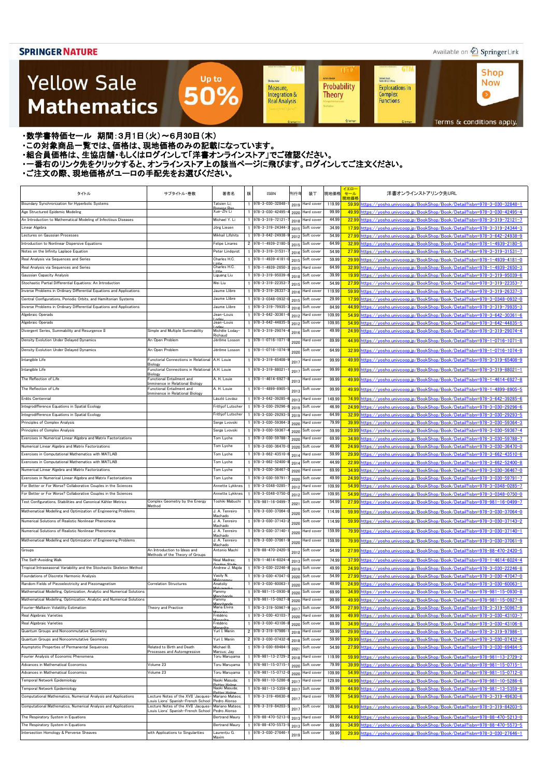### Available on 2 Springer Link

**Shop** 

**Now** 

 $\bullet$ 

**GTM** 

### **Yellow Sale Mathematics**

**Achim Hente** Kichard Beals<br>Rođenick S. C. Wong Sheidon Auler Probability **Explorations in** Measure, Integration & Complex<br>Functions **Theory Real Analysis** 

**UT** 

**GTM** 

Terms & conditions apply.

#### ・数学書特価セール 期間:3月1日(火)~6月30日(木)

- ・この対象商品一覧では、価格は、現地価格のみの記載になっています。
- ニッパルプロは、ここには、このファンストリングのコンティングファンストア」でご確認ください。<br>・組合員価格は、生協店舗・もしくはログインして「洋書オンラインストア」でご確認ください。
- ・一番右のリンク先をクリックすると、オンラインストア上の該当ページに飛びます。ログインしてご注文ください。

Up to

50%

| タイトル                                                                   | サブタイトル・巻数                                                                | 著者名                             | 版 | <b>ISBN</b>             | 刊行年  | 装丁                | 現地価格   | イエロー<br>セール<br>現地価格 | 洋書オンラインストアリンク先URL                                                                  |
|------------------------------------------------------------------------|--------------------------------------------------------------------------|---------------------------------|---|-------------------------|------|-------------------|--------|---------------------|------------------------------------------------------------------------------------|
| Boundary Synchronization for Hyperbolic Systems                        |                                                                          | Tatsien Li;<br>r Ro             |   | 978-3-030-32848-        | 2019 | Hard cover        | 119.99 |                     | 59.99 https://yosho.univcoop.jp/BookShop/Book/Detail?isbn=978-3-030-32848-1        |
| Age Structured Epidemic Modeling                                       |                                                                          | Xue-Zhi Li                      |   | 978-3-030-42495-        | 2020 | Hard cover        | 99.99  |                     | 49.99 https://yosho.univcoop.jp/BookShop/Book/Detail?isbn=978-3-030-42495-4        |
| An Introduction to Mathematical Modeling of Infectious Diseases        |                                                                          | Michael Y. Li                   |   | 978-3-319-72121         | 2018 | Hard cover        | 44.99  |                     | 22.99 https://yosho.univcoop.jp/BookShop/Book/Detail?isbn=978-3-319-72121-7        |
| Linear Algebra                                                         |                                                                          | Jörg Liesen                     |   | 978-3-319-24344-        | 2015 | Soft cover        | 34.99  |                     | 17.99 https://yosho.univcoop.jp/BookShop/Book/Detail?isbn=978-3-319-24344-3        |
| Lectures on Gaussian Processes                                         |                                                                          | Mikhail Lifshits                |   | 978-3-642-24938-        | 2012 | Soft cover        | 54.99  |                     | 27.99 https://yosho.univcoop.jp/BookShop/Book/Detail?isbn=978-3-642-24938-9        |
| Introduction to Nonlinear Dispersive Equations                         |                                                                          | Felipe Linares                  |   | 2 978-1-4939-2180-      | 2015 | Soft cover        | 64.99  |                     | 32.99 https://yosho.univcoop.jp/BookShop/Book/Detail?isbn=978-1-4939-2180-5        |
| Notes on the Infinity Laplace Equation                                 |                                                                          | Peter Lindqvist                 |   | 978-3-319-31531         | 2016 | Soft cover        | 54.99  |                     | 27.99 https://yosho.univcoop.jp/BookShop/Book/Detail?isbn=978-3-319-31531-7        |
| Real Analysis via Sequences and Series                                 |                                                                          | Charles H.C.                    |   | 978-1-4939-4181         | 2015 | Soft cover        | 59.99  |                     | 29.99 https://yosho.univcoop.jp/BookShop/Book/Detail?isbn=978-1-4939-4181-0        |
| Real Analysis via Sequences and Series                                 |                                                                          | Charles H.C.                    |   | 978-1-4939-2650-        | 2015 | Hard cover        | 64.99  |                     | 32.99 https://yosho.univcoop.jp/BookShop/Book/Detail?isbn=978-1-4939-2650-3        |
| Gaussian Capacity Analysis                                             |                                                                          | Liguang Liu                     |   | 978-3-319-95039-        | 2018 | Soft cover        | 39.99  |                     | 19.99 https://yosho.univcoop.jp/BookShop/Book/Detail?isbn=978-3-319-95039-6        |
| Stochastic Partial Differential Equations: An Introduction             |                                                                          | Wei Liu                         |   | 978-3-319-22353-        | 2015 | Soft cover        | 54.99  |                     | <u>27.99 https://yosho.univcoop.jp/BookShop/Book/Detail?isbn=978-3-319-22353-7</u> |
| Inverse Problems in Ordinary Differential Equations and Applications   |                                                                          | Jaume Llibre                    |   | 978-3-319-26337         | 2016 | Hard cover        | 119.99 |                     | 59.99 https://yosho.univcoop.jp/BookShop/Book/Detail?isbn=978-3-319-26337-3        |
| Central Configurations, Periodic Orbits, and Hamiltonian Systems       |                                                                          | Jaume Llibre                    |   | 978-3-0348-0932-        | 2015 | Soft cover        | 29.99  |                     | 17.99 https://yosho.univcoop.jp/BookShop/Book/Detail?isbn=978-3-0348-0932-0        |
| Inverse Problems in Ordinary Differential Equations and Applications   |                                                                          | Jaume Llibre                    |   | 978-3-319-79935-        | 2016 | Soft cover        | 84.99  |                     | 44.99 https://yosho.univcoop.jp/BookShop/Book/Detail?isbn=978-3-319-79935-3        |
| Algebraic Operads                                                      |                                                                          | Jean-Louis                      |   | 978-3-642-30361-        | 2012 | Hard cover        | 109.99 |                     | 54.99 https://yosho.univcoop.jp/BookShop/Book/Detail?isbn=978-3-642-30361-6        |
| Algebraic Operads                                                      |                                                                          | Jean-Louis                      |   | 978-3-642-44835-        | 2012 | Soft cover        | 109.95 |                     | 54.99 https://yosho.univcoop.jp/BookShop/Book/Detail?isbn=978-3-642-44835-5        |
| Divergent Series, Summability and Resurgence II                        | Simple and Multiple Summability                                          | Michèle Loday-<br>Richaud       |   | 978-3-319-29074-        | 2016 | Soft cover        | 49.99  |                     | 24.99 https://yosho.univcoop.jp/BookShop/Book/Detail?isbn=978-3-319-29074-4        |
| Density Evolution Under Delayed Dynamics                               | An Open Problem                                                          | Jérôme Losson                   |   | 978-1-0716-1071-        | 2020 | lard cover        | 89.99  |                     | 44.99 https://yosho.univcoop.jp/BookShop/Book/Detail?isbn=978-1-0716-1071-8        |
| Density Evolution Under Delayed Dynamics                               | An Open Problem                                                          | Jérôme Losson                   |   | 978-1-0716-1074         |      | Soft cover        | 64.99  |                     | 32.99 https://yosho.univcoop.jp/BookShop/Book/Detail?isbn=978-1-0716-1074-9        |
|                                                                        | Functorial Connections in Relational                                     | A.H. Louie                      |   |                         | 2020 |                   |        |                     |                                                                                    |
| Intangible Life                                                        | <b>Biology</b>                                                           |                                 |   | 1 978-3-319-65408-      | 201  | Hard cover        | 99.99  |                     | 49.99 https://yosho.univcoop.jp/BookShop/Book/Detail?isbn=978-3-319-65408-9        |
| Intangible Life                                                        | Functorial Connections in Relational<br>Biology                          | A.H. Louie                      |   | $1$ 978-3-319-88021     | 201  | Soft cover        | 99.99  |                     | 49.99 https://yosho.univcoop.jp/BookShop/Book/Detail?isbn=978-3-319-88021-1        |
| The Reflection of Life                                                 | Functional Entailment and                                                | A. H. Louie                     |   | $978 - 1 - 4614 - 6927$ | 2013 | Hard cover        | 99.99  |                     | 49.99 https://yosho.univcoop.jp/BookShop/Book/Detail?isbn=978-1-4614-6927-8        |
| The Reflection of Life                                                 | Imminence in Relational Biology<br>Functional Entailment and             | A. H. Louie                     |   | 1 978-1-4899-8905-      |      | Soft cover        | 99.99  |                     | 49.99-8905-5 https://yosho.univcoop.jp/BookShop/Book/Detail?isbn=978-1-4899-8905-5 |
|                                                                        | imminence in Relational Biology                                          |                                 |   |                         | 2013 |                   |        |                     |                                                                                    |
| Erdös Centennial                                                       |                                                                          | László Lovász                   |   | 978-3-642-39285-        | 2013 | lard cover        | 149.99 |                     | 74.99 https://yosho.univcoop.jp/BookShop/Book/Detail?isbn=978-3-642-39285-6        |
| Integrodifference Equations in Spatial Ecology                         |                                                                          | Frithjof Lutscher               |   | 978-3-030-29296-        | 2019 | Soft cover        | 46.99  |                     | 24.99 https://yosho.univcoop.jp/BookShop/Book/Detail?isbn=978-3-030-29296-6        |
| Integrodifference Equations in Spatial Ecology                         |                                                                          | Frithjof Lutscher               |   | 978-3-030-29293-        | 2019 | Hard cover        | 64.99  |                     | 32.99 https://yosho.univcoop.jp/BookShop/Book/Detail?isbn=978-3-030-29293-5        |
| Principles of Complex Analysis                                         |                                                                          | Serge Lvovski                   |   | 978-3-030-59364-        | 2020 | Hard cover        | 79.99  |                     | 39.99 https://yosho.univcoop.jp/BookShop/Book/Detail?isbn=978-3-030-59364-3        |
| Principles of Complex Analysis                                         |                                                                          | Serge Lvovski                   |   | 978-3-030-59367-        | 2020 | Soft cover        | 59.99  |                     | 29.99 https://yosho.univcoop.jp/BookShop/Book/Detail?isbn=978-3-030-59367-4        |
| Exercises in Numerical Linear Algebra and Matrix Factorizations        |                                                                          | Tom Lyche                       |   | 978-3-030-59788-        | 2020 | Hard cover        | 69.99  |                     | 34.99 https://yosho.univcoop.jp/BookShop/Book/Detail?isbn=978-3-030-59788-7        |
| Numerical Linear Algebra and Matrix Factorizations                     |                                                                          | Tom Lyche                       |   | 978-3-030-36470-        | 2020 | Soft cover        | 49.99  |                     | 24.99 https://yosho.univcoop.jp/BookShop/Book/Detail?isbn=978-3-030-36470-0        |
| Exercises in Computational Mathematics with MATLAB                     |                                                                          | Tom Lyche                       |   | 978-3-662-43510-        | 2014 | Hard cover        | 59.99  |                     | 29.99 https://yosho.univcoop.jp/BookShop/Book/Detail?isbn=978-3-662-43510-6        |
| Exercises in Computational Mathematics with MATLAB                     |                                                                          | Tom Lyche                       |   | 978-3-662-52400-        | 2014 | Soft cover        | 44.99  |                     | 22.99 https://yosho.univcoop.jp/BookShop/Book/Detail?isbn=978-3-662-52400-8        |
| Numerical Linear Algebra and Matrix Factorizations                     |                                                                          | Tom Lyche                       |   | 978-3-030-36467-        | 2020 | Hard cover        | 69.99  |                     | 34.99 https://yosho.univcoop.jp/BookShop/Book/Detail?isbn=978-3-030-36467-0        |
| Exercises in Numerical Linear Algebra and Matrix Factorizations        |                                                                          | om Lyche                        |   | $9/8 - 3 - 030 - 59/91$ | 2020 | Soft cover        | 49.99  |                     | <u>24.99 https://yosho.univcoop.jp/BookShop/Book/Detail?isbn=978-3-030-59791-7</u> |
| For Better or For Worse? Collaborative Couples in the Sciences         |                                                                          | Annette Lykknes                 |   | 978-3-0348-0285-        | 2012 | Hard cover        | 109.99 |                     | 54.99 https://vosho.univcoop.jp/BookShop/Book/Detail?isbn=978-3-0348-0285-7        |
| For Better or For Worse? Collaborative Couples in the Sciences         |                                                                          | Annette Lykknes                 |   | 978-3-0348-0750-        | 2012 | Soft cover        | 109.95 |                     | 54.99 https://vosho.univcoop.jp/BookShop/Book/Detail?isbn=978-3-0348-0750-0        |
| Test Configurations, Stabilities and Canonical Kähler Metrics          | Complex Geometry by the Energy<br>Method                                 | Toshiki Mabuchi                 |   | 978-981-16-0499-        | 2021 | Soft cover        | 54.99  |                     | 27.99 https://yosho.univcoop.jp/BookShop/Book/Detail?isbn=978-981-16-0499-7        |
| Mathematical Modelling and Optimization of Engineering Problems        |                                                                          | J. A. Tenreiro<br>Machado       |   | 978-3-030-37064-        | 2020 | Soft cover        | 114.99 |                     | 59.99 https://yosho.univcoop.jp/BookShop/Book/Detail?isbn=978-3-030-37064-0        |
| Numerical Solutions of Realistic Nonlinear Phenomena                   |                                                                          | J. A. Tenreiro                  |   | 978-3-030-37143-        | 2020 | Soft cover        | 114.99 |                     | 59.99 https://vosho.univcoop.jp/BookShop/Book/Detail?isbn=978-3-030-37143-2        |
| Numerical Solutions of Realistic Nonlinear Phenomena                   |                                                                          | Machado<br>J. A. Tenreiro       |   | 978-3-030-37140-        | 2020 | lard cover        | 159.99 |                     | 79.99 https://yosho.univcoop.jp/BookShop/Book/Detail?isbn=978-3-030-37140-1        |
| Mathematical Modelling and Optimization of Engineering Problems        |                                                                          | Machado<br>J. A. Tenreiro       |   | 978-3-030-37061-        |      | lard cover        | 159.99 |                     | 79.99 https://yosho.univcoop.jp/BookShop/Book/Detail?isbn=978-3-030-37061-9        |
|                                                                        |                                                                          | Machado                         |   |                         | 2020 |                   |        |                     |                                                                                    |
| Groups                                                                 | An Introduction to Ideas and<br>Methods of the Theory of Groups          | Antonio Machì                   |   | 1 978-88-470-2420-      | 2012 | Soft cover        | 54.99  |                     | 27.99 https://yosho.univcoop.jp/BookShop/Book/Detail?isbn=978-88-470-2420-5        |
| The Self-Avoiding Walk                                                 |                                                                          | Neal Madras;<br>hel2 n          |   | 978-1-4614-6024-        | 2013 | Soft cover        | 74.99  |                     | 37.99 https://vosho.univcoop.jp/BookShop/Book/Detail?isbn=978-1-4614-6024-4        |
| Tropical Intraseasonal Variability and the Stochastic Skeleton Method  |                                                                          | Andrew J. Majda                 |   | 978-3-030-22246-        | 2019 | Soft cover        | 49.99  |                     | 24.99 https://yosho.univcoop.jp/BookShop/Book/Detail?isbn=978-3-030-22246-8        |
| Foundations of Discrete Harmonic Analysis                              |                                                                          | Vasily N.                       |   | 978-3-030-47047-        | 2020 | Soft cover        | 54.99  |                     | 27.99 https://yosho.univcoop.jp/BookShop/Book/Detail?isbn=978-3-030-47047-0        |
| Random Fields of Piezoelectricity and Piezomagnetism                   | <b>Correlation Structures</b>                                            | Anatoliy                        |   | 978-3-030-60063-        | 2020 | Soft cover        | 49.99  |                     | 24.99 https://yosho.univcoop.jp/BookShop/Book/Detail?isbn=978-3-030-60063-1        |
| Mathematical Modelling, Optimization, Analytic and Numerical Solutions |                                                                          | Pammy                           |   | 978-981-15-0930-        | 2020 | Soft cover        | 69.99  |                     | 34.99 https://vosho.univcoop.jp/BookShop/Book/Detail?isbn=978-981-15-0930-8        |
| Mathematical Modelling, Optimization, Analytic and Numerical Solutions |                                                                          | Pammy<br>lanchar                |   | 978-981-15-0927         | 2020 | <b>Hard</b> cover | 99.99  |                     | 49.99 https://vosho.univcoop.jp/BookShop/Book/Detail?isbn=978-981-15-0927-8        |
| Fourier-Malliavin Volatility Estimation                                | Theory and Practice                                                      | Maria Elvira<br>lancii          |   | 978-3-319-50967         | 2017 | Soft cover        | 54.99  |                     | 27.99 https://yosho.univcoop.jp/BookShop/Book/Detail?isbn=978-3-319-50967-9        |
| Real Algebraic Varieties                                               |                                                                          | Frédéric                        |   | 978-3-030-43103-        | 2020 | Hard cover        | 99.99  |                     | 49.99 https://yosho.univcoop.jp/BookShop/Book/Detail?isbn=978-3-030-43103-7        |
| Real Algebraic Varieties                                               |                                                                          | Frédéric                        |   | 978-3-030-43106-        | 2020 | Soft cover        | 69.99  |                     | 34.99 https://yosho.univcoop.jp/BookShop/Book/Detail?isbn=978-3-030-43106-8        |
| Quantum Groups and Noncommutative Geometry                             |                                                                          | Yuri I. Manin                   |   | 2 978-3-319-97986-      | 2018 | Hard cover        | 59.99  |                     | 29.99 https://yosho.univcoop.jp/BookShop/Book/Detail?isbn=978-3-319-97986-1        |
| Quantum Groups and Noncommutative Geometry                             |                                                                          | Yuri I. Manin                   |   | 2 978-3-030-07432-      | 2018 | Soft cover        | 59.99  |                     | 29.99 https://yosho.univcoop.jp/BookShop/Book/Detail?isbn=978-3-030-07432-6        |
| Asymptotic Properties of Permanental Sequences                         | Related to Birth and Death                                               | Michael B.                      |   | 978-3-030-69484         | 2021 | Soft cover        | 54.99  |                     | 27.99 https://yosho.univcoop.jp/BookShop/Book/Detail?isbn=978-3-030-69484-5        |
| Fourier Analysis of Economic Phenomena                                 | Processes and Autoregressive                                             | Marcus; Jay<br>Toru Maruyama    |   | 1 978-981-13-2729       | 2018 | Hard cover        | 119.99 |                     | 59.99 https://yosho.univcoop.jp/BookShop/Book/Detail?isbn=978-981-13-2729-2        |
| Advances in Mathematical Economics                                     | Volume 23                                                                | Toru Maruyama                   |   | 1 978-981-15-0715-      | 2020 | Soft cover        | 79.99  |                     | 39.99 https://yosho.univcoop.jp/BookShop/Book/Detail?isbn=978-981-15-0715-1        |
| Advances in Mathematical Economics                                     | Volume 23                                                                | Toru Maruyama                   |   | 978-981-15-0712-        | 2020 | Hard cover        | 109.99 |                     | 54.99 https://yosho.univcoop.jp/BookShop/Book/Detail?isbn=978-981-15-0712-0        |
| Temporal Network Epidemiology                                          |                                                                          | Naoki Masuda;                   |   | 978-981-10-5286-        | 2017 | Hard cover        | 129.99 |                     | 64.99 https://yosho.univcoop.jp/BookShop/Book/Detail?isbn=978-981-10-5286-6        |
| Temporal Network Epidemiology                                          |                                                                          | املتا ممطوم<br>Naoki Masuda;    |   | 978-981-13-5359-        | 2017 | Soft cover        | 89.99  |                     | 44.99 https://yosho.univcoop.jp/BookShop/Book/Detail?isbn=978-981-13-5359-8        |
| Computational Mathematics, Numerical Analysis and Applications         | Lecture Notes of the XVII 'Jacques-                                      | Mariano Mateos:                 |   | 1 978-3-319-49630-      |      | Hard cover        | 109.99 |                     | 54.99 https://vosho.univcoop.jp/BookShop/Book/Detail?isbn=978-3-319-49630-6        |
|                                                                        | Louis Lions' Spanish-French School                                       | Pedro Alonso                    |   |                         | 201  |                   |        |                     |                                                                                    |
| Computational Mathematics, Numerical Analysis and Applications         | Lecture Notes of the XVII 'Jacques<br>Louis Lions' Spanish-French School | Mariano Mateos;<br>Pedro Alonso |   | 978-3-319-84203-        | 201  | Soft cover        | 109.99 |                     | 54.99 https://yosho.univcoop.jp/BookShop/Book/Detail?isbn=978-3-319-84203-5        |
| The Respiratory System in Equations                                    |                                                                          | Bertrand Maury                  |   | 978-88-470-5213-        | 2013 | Hard cover        | 84.99  |                     | 44.99 https://vosho.univcoop.jp/BookShop/Book/Detail?isbn=978-88-470-5213-0        |
| The Respiratory System in Equations                                    |                                                                          | Bertrand Maury                  |   | 978-88-470-5573-        | 2013 | Soft cover        | 69.99  |                     | 34.99 https://yosho.univcoop.jp/BookShop/Book/Detail?isbn=978-88-470-5573-5        |
| Intersection Homology & Perverse Sheaves                               | with Applications to Singularities                                       | Laurențiu G.<br>Maxim           |   | 978-3-030-27646-        | 2019 | Soft cover        | 59.99  |                     | 29.99 https://yosho.univcoop.jp/BookShop/Book/Detail?isbn=978-3-030-27646-1        |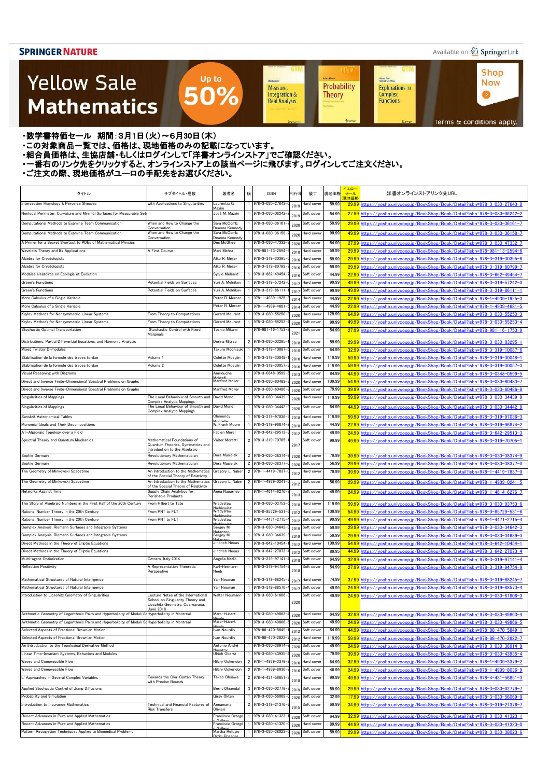### Available on 2 Springer Link

**Shop** 

**Now** 

 $\bullet$ 

**GTM** 

Kichard Beals<br>Rođenick S. C. Wong

Complex<br>Functions

**Explorations in** 

### **Yellow Sale Mathematics**

Probability Measure, Integration & **Theory Real Analysis** 

**UT** 

**Achim Hente** 

**GTM** 

Sheidon Auler

Terms & conditions apply.

・数学書特価セール 期間:3月1日(火)~6月30日(木)

・この対象商品一覧では、価格は、現地価格のみの記載になっています。

- ニッパルプロは、ここには、このファンストリングのコンティングファンストア」でご確認ください。<br>・組合員価格は、生協店舗・もしくはログインして「洋書オンラインストア」でご確認ください。

・一番右のリンク先をクリックすると、オンラインストア上の該当ページに飛びます。ログインしてご注文ください。

Up to

50%

| タイトル                                                                                                               | サブタイトル・巻数                                                                        | 著者名                            | 版 | <b>ISBN</b>                          | 刊行年          | 装丁                       | 現地価格             | イエロ・<br>セール | 洋書オンラインストアリンク先URL                                                                                                                                          |
|--------------------------------------------------------------------------------------------------------------------|----------------------------------------------------------------------------------|--------------------------------|---|--------------------------------------|--------------|--------------------------|------------------|-------------|------------------------------------------------------------------------------------------------------------------------------------------------------------|
| Intersection Homology & Perverse Sheaves                                                                           | with Applications to Singularities                                               | Laurențiu G.                   |   | 978-3-030-27643-                     | 2019         | Hard cover               | 59.99            | 現地価格        | 29.99 https://vosho.univcoop.jp/BookShop/Book/Detail?isbn=978-3-030-27643-0                                                                                |
| Nonlocal Perimeter, Curvature and Minimal Surfaces for Measurable Set                                              |                                                                                  | Maxim<br>José M. Mazón         |   | 978-3-030-06242-                     |              | Soft cover               | 54.99            |             | 27.99 https://yosho.univcoop.jp/BookShop/Book/Detail?isbn=978-3-030-06242-2                                                                                |
| Computational Methods to Examine Team Communication                                                                | When and How to Change the                                                       | Sara McComb;                   |   | 978-3-030-36161-                     | 201          | Soft cover               | 59.99            |             | 29.99 https://vosho.univcoop.ip/BookShop/Book/Detail?isbn=978-3-030-36161-7                                                                                |
|                                                                                                                    | Conversation                                                                     | Deanna Kennedy                 |   |                                      | 2020         |                          |                  |             |                                                                                                                                                            |
| Computational Methods to Examine Team Communication                                                                | When and How to Change the<br>Conversation                                       | Sara McComb;<br>Deanna Kennedy |   | 978-3-030-36158-                     | 2020         | lard cover               | 99.99            |             | 49.99 https://yosho.univcoop.jp/BookShop/Book/Detail?isbn=978-3-030-36158-7                                                                                |
| A Primer for a Secret Shortcut to PDEs of Mathematical Physics                                                     |                                                                                  | Des McGhee                     |   | 978-3-030-47332-                     | 2020         | Soft cover               | 54.99            |             | 27.99 https://yosho.univcoop.jp/BookShop/Book/Detail?isbn=978-3-030-47332-7                                                                                |
| Wavelets Theory and Its Applications<br>Algebra for Cryptologists                                                  | A First Course                                                                   | Mani Mehra<br>Alko R. Meijer   |   | 978-981-13-2594-<br>978-3-319-30395- | 2018         | Hard cover<br>Hard cover | 59.99<br>59.99   |             | 29.99 https://yosho.univcoop.jp/BookShop/Book/Detail?isbn=978-981-13-2594-6                                                                                |
| Algebra for Cryptologists                                                                                          |                                                                                  | Alko R. Meijer                 |   | 978-3-319-80799-                     | 2016         | Soft cover               | 59.99            |             | 29.99 https://yosho.univcoop.jp/BookShop/Book/Detail?isbn=978-3-319-30395-6<br>29.99 https://yosho.univcoop.jp/BookShop/Book/Detail?isbn=978-3-319-80799-7 |
| Modèles aléatoires en Ecologie et Evolution                                                                        |                                                                                  | Sylvie Méléard                 |   | 978-3-662-49454                      | 2016<br>2016 | Soft cover               | 44.99            |             | 22.99 https://yosho.univcoop.jp/BookShop/Book/Detail?isbn=978-3-662-49454-7                                                                                |
| Green's Functions                                                                                                  | Potential Fields on Surfaces                                                     | Yuri A. Melnikov               |   | 978-3-319-57242-                     | 201          | Hard cover               | 99.99            |             | 49.99 https://yosho.univcoop.jp/BookShop/Book/Detail?isbn=978-3-319-57242-0                                                                                |
| Green's Functions                                                                                                  | Potential Fields on Surfaces                                                     | Yuri A. Melnikov               |   | 978-3-319-86111-                     | 2017         | Soft cover               | 99.99            |             | 49.99 https://vosho.univcoop.jp/BookShop/Book/Detail?isbn=978-3-319-86111-1                                                                                |
| More Calculus of a Single Variable                                                                                 |                                                                                  | Peter R. Mercer                |   | 978-1-4939-1925-                     | 2014         | lard cover               | 44.99            |             | 22.99 https://yosho.univcoop.jp/BookShop/Book/Detail?isbn=978-1-4939-1925-3                                                                                |
| More Calculus of a Single Variable                                                                                 |                                                                                  | Peter R. Mercer                |   | 978-1-4939-4681-                     | 2014         | Soft cover               | 44.99            |             | 22.99 https://yosho.univcoop.jp/BookShop/Book/Detail?isbn=978-1-4939-4681-5                                                                                |
| Krylov Methods for Nonsymmetric Linear Systems                                                                     | From Theory to Computations                                                      | Gérard Meurant                 |   | 978-3-030-55250-                     | 2020         | Hard cover               | 129.99           |             | 64.99 https://vosho.univcoop.jp/BookShop/Book/Detail?isbn=978-3-030-55250-3                                                                                |
| Krylov Methods for Nonsymmetric Linear Systems                                                                     | From Theory to Computations                                                      | Gérard Meurant                 |   | 978-3-030-55253-                     | 2020         | Soft cover               | 99.99            |             | 49.99 https://vosho.univcoop.jp/BookShop/Book/Detail?isbn=978-3-030-55253-4                                                                                |
| Stochastic Optimal Transportation                                                                                  | Stochastic Control with Fixed<br>Marginals                                       | Toshio Mikami                  |   | $978 - 981 - 16 - 1753$              | 202          | Soft cover               | 54.99            |             | 27.99 https://vosho.univcoop.jp/BookShop/Book/Detail?isbn=978-981-16-1753-9                                                                                |
| Distributions, Partial Differential Equations, and Harmonic Analysis                                               |                                                                                  | Dorina Mitrea                  |   | 2 978-3-030-03295-                   | 2018         | Soft cover               | 59.99            |             | 29.99 https://yosho.univcoop.jp/BookShop/Book/Detail?isbn=978-3-030-03295-1                                                                                |
| Mixed Twistor D-modules                                                                                            |                                                                                  | Takuro Mochizuki               |   | 978-3-319-10087                      | 2015         | Soft cover               | 64.99            |             | 32.99 https://vosho.univcoop.jp/BookShop/Book/Detail?isbn=978-3-319-10087-6                                                                                |
| Stabilisation de la formule des traces tordue                                                                      | Volume 1                                                                         | <b>Colette Moeglin</b>         |   | 978-3-319-30048-                     | 2016         | Hard cover               | 119.99           |             | 59.99 https://vosho.univcoop.jp/BookShop/Book/Detail?isbn=978-3-319-30048-1                                                                                |
| Stabilisation de la formule des traces tordue                                                                      | Volume 2                                                                         | Colette Moeglin                |   | 1 978-3-319-30057                    | 2016         | Hard cover               | 119.99           |             | 59.99 https://yosho.univcoop.jp/BookShop/Book/Detail?isbn=978-3-319-30057-3                                                                                |
| Visual Reasoning with Diagrams                                                                                     |                                                                                  | Amirouche<br>0 <sub>0</sub>    |   | 1 978-3-0348-0599                    | 2013         | Soft cover               | 84.99            |             | 44.99 https://yosho.univcoop.jp/BookShop/Book/Detail?isbn=978-3-0348-0599-5                                                                                |
| Direct and Inverse Finite-Dimensional Spectral Problems on Graphs                                                  |                                                                                  | Manfred Möller                 |   | 1 978-3-030-60483-                   | 2020         | Hard cover               | 109.99           |             | 54.99 https://yosho.univcoop.jp/BookShop/Book/Detail?isbn=978-3-030-60483-7                                                                                |
| Direct and Inverse Finite-Dimensional Spectral Problems on Graphs                                                  |                                                                                  | Manfred Möller                 |   | 1 978-3-030-60486-                   | 2020         | Soft cover               | 79.99            |             | 39.99 https://yosho.univcoop.jp/BookShop/Book/Detail?isbn=978-3-030-60486-8                                                                                |
| Singularities of Mappings                                                                                          | The Local Behaviour of Smooth and<br>Complex Analytic Mappings                   | David Mond                     |   | 1 978-3-030-34439-                   | 2020         | Hard cover               | 119.99           |             | 59.99 https://yosho.univcoop.jp/BookShop/Book/Detail?isbn=978-3-030-34439-9                                                                                |
| Singularities of Mappings                                                                                          | The Local Behaviour of Smooth and David Mond<br><b>Complex Analytic Mappings</b> |                                |   | 978-3-030-34442-                     | 2020         | Soft cover               | 84.99            |             | 44.99 https://yosho.univcoop.jp/BookShop/Book/Detail?isbn=978-3-030-34442-9                                                                                |
| Sanskrit Astronomical Tables                                                                                       |                                                                                  | Clemency<br>lont all           |   | 1 978-3-319-97036                    | 2018         | Hard cover               | 119.99           |             | 59.99 https://yosho.univcoop.jp/BookShop/Book/Detail?isbn=978-3-319-97036-3                                                                                |
| Monomial Ideals and Their Decompositions                                                                           |                                                                                  | W. Frank Moore                 |   | 1 978-3-319-96874                    | 2018         | Soft cover               | 44.99            |             | 22.99 https://yosho.univcoop.jp/BookShop/Book/Detail?isbn=978-3-319-96874-2                                                                                |
| A1-Algebraic Topology over a Field                                                                                 |                                                                                  | Fabien Morel                   |   | 978-3-642-29513-                     | 2012         | Soft cover               | 49.99            |             | 24.99 https://vosho.univcoop.jp/BookShop/Book/Detail?isbn=978-3-642-29513-3                                                                                |
| Spectral Theory and Quantum Mechanics                                                                              | Mathematical Foundations of<br>Quantum Theories, Symmetries and                  | Valter Moretti                 |   | 2 978-3-319-70705-                   | 2017         | Soft cover               | 99.99            |             | 49.99 https://yosho.univcoop.jp/BookShop/Book/Detail?isbn=978-3-319-70705-1                                                                                |
| Sophie Germain                                                                                                     | Introduction to the Algebraic<br>Revolutionary Mathematician                     | Dora Musielak                  |   | 2 978-3-030-38374-                   | 2020         | Hard cover               | 79.99            |             | 39.99 https://vosho.univcoop.jp/BookShop/Book/Detail?isbn=978-3-030-38374-9                                                                                |
| Sophie Germain                                                                                                     | Revolutionary Mathematician                                                      | Dora Musielak                  |   | 2 978-3-030-38377                    | 2020         | Soft cover               | 56.99            |             | 29.99 https://yosho.univcoop.jp/BookShop/Book/Detail?isbn=978-3-030-38377-0                                                                                |
| The Geometry of Minkowski Spacetime                                                                                | An Introduction to the Mathematics                                               | Gregory L. Naber               |   | 2 978-1-4419-7837-                   | 2012         | Hard cover               | 79.99            |             | 39.99 https://yosho.univcoop.jp/BookShop/Book/Detail?isbn=978-1-4419-7837-0                                                                                |
| The Geometry of Minkowski Spacetime                                                                                | of the Special Theory of Relativity<br>An Introduction to the Mathematics        | Gregory L. Naber               |   | 2 978-1-4939-0241                    |              | Soft cover               | 56.99            |             | 29.99 https://yosho.univcoop.jp/BookShop/Book/Detail?isbn=978-1-4939-0241-5                                                                                |
|                                                                                                                    | of the Special Theory of Relativity                                              |                                |   |                                      | 2012         |                          |                  |             |                                                                                                                                                            |
| Networks Against Time                                                                                              | Supply Chain Analytics for<br>Perishable Products                                | Anna Nagurney                  |   | 978-1-4614-6276-<br>978-3-030-03753- | 2013         | Soft cover               | 49.99            |             | 24.99 https://yosho.univcoop.jp/BookShop/Book/Detail?isbn=978-1-4614-6276-7                                                                                |
| The Story of Algebraic Numbers in the First Half of the 20th Century<br>Rational Number Theory in the 20th Century | From Hilbert to Tate<br>From PNT to FLT                                          | Władysław<br>Władysław         |   | 978-0-85729-531                      | 2018         | Hard cover<br>Hard cover | 119.99<br>109.99 |             | 59.99 https://yosho.univcoop.jp/BookShop/Book/Detail?isbn=978-3-030-03753-6<br>54.99 https://yosho.univcoop.jp/BookShop/Book/Detail?isbn=978-0-85729-531-6 |
| Rational Number Theory in the 20th Century                                                                         | From PNT to FLT                                                                  | Władysław                      |   | 978-1-4471-2715-                     | 2012<br>2012 | Soft cover               | 99.99            |             | 49.99 https://yosho.univcoop.jp/BookShop/Book/Detail?isbn=978-1-4471-2715-4                                                                                |
| Complex Analysis, Riemann Surfaces and Integrable Systems                                                          |                                                                                  | Sergey M.                      |   | 978-3-030-34642-                     | 2019         | Soft cover               | 59.99            |             | 29.99 https://yosho.univcoop.jp/BookShop/Book/Detail?isbn=978-3-030-34642-3                                                                                |
| Complex Analysis, Riemann Surfaces and Integrable Systems                                                          |                                                                                  | Sergey M.                      |   | $978 - 3 - 030 - 34639$              | 2019         | Hard cover               | 59.99            |             | 29.99 https://vosho.univcoop.jp/BookShop/Book/Detail?isbn=978-3-030-34639-3                                                                                |
| Direct Methods in the Theory of Elliptic Equations                                                                 |                                                                                  | Jindrich Necas                 |   | 978-3-642-10454-                     | 2012         | Hard cover               | 109.99           |             | 54.99 https://yosho.univcoop.jp/BookShop/Book/Detail?isbn=978-3-642-10454-1                                                                                |
| Direct Methods in the Theory of Elliptic Equations                                                                 |                                                                                  | Jindrich Necas                 |   | 978-3-642-27073-                     | 2012         | Soft cover               | 89.95            |             | 44.99 https://yosho.univcoop.jp/BookShop/Book/Detail?isbn=978-3-642-27073-4                                                                                |
| Multi-agent Optimization                                                                                           | Cetraro, Italy 2014                                                              | Angelia Nedić                  |   | 978-3-319-97141-                     | 2018         | Soft cover               | 64.99            |             | 32.99 https://vosho.univcoop.jp/BookShop/Book/Detail?isbn=978-3-319-97141-4                                                                                |
| <b>Reflection Positivity</b>                                                                                       | A Representation Theoretic<br>Perspective                                        | Karl-Hermann<br>Neeb           |   | 978-3-319-94754-                     | 2018         | Soft cover               | 54.99            |             | 27.99 https://vosho.univcoop.jp/BookShop/Book/Detail?isbn=978-3-319-94754-9                                                                                |
| Mathematical Structures of Natural Intelligence                                                                    |                                                                                  | Yair Neuman                    |   | 978-3-319-68245-                     | 201          | Hard cover               | 74.99            |             | 37.99 https://yosho.univcoop.jp/BookShop/Book/Detail?isbn=978-3-319-68245-7                                                                                |
| Mathematical Structures of Natural Intelligence                                                                    |                                                                                  | Yair Neuman                    |   | 978-3-319-88570-                     | 2017         | Soft cover               | 49.99            |             | 24.99 https://yosho.univcoop.jp/BookShop/Book/Detail?isbn=978-3-319-88570-4                                                                                |
| Introduction to Lipschitz Geometry of Singularities                                                                | Lecture Notes of the International                                               | Walter Neumann                 |   | 978-3-030-61806-3                    |              | Soft cover               | 49.99            |             | 24.99 https://yosho.univcoop.jp/BookShop/Book/Detail?isbn=978-3-030-61806-3                                                                                |
|                                                                                                                    | School on Singularity Theory and<br>Lipschitz Geometry, Cuernavaca,              |                                |   |                                      | 2020         |                          |                  |             |                                                                                                                                                            |
| Arithmetic Geometry of Logarithmic Pairs and Hyperbolicity of Moduli Sd Hyperbolicity in Montréal                  | June 2018                                                                        | Marc-Hubert                    |   | 978-3-030-49863-                     | 2020         | Hard cover               | 64.99            |             | 32.99 https://vosho.univcoop.jp/BookShop/Book/Detail?isbn=978-3-030-49863-4                                                                                |
| Arithmetic Geometry of Logarithmic Pairs and Hyperbolicity of Moduli StHyperbolicity in Montréal                   |                                                                                  | Marc-Hubert                    |   | 978-3-030-49866-                     | 2020         | Soft cover               | 49.99            |             | 24.99 https://yosho.univcoop.jp/BookShop/Book/Detail?isbn=978-3-030-49866-5                                                                                |
| Selected Aspects of Fractional Brownian Motion                                                                     |                                                                                  | Ivan Nourdin                   |   | 978-88-470-5849-                     | 2012         | Soft cover               | 84.99            |             | 44.99 https://yosho.univcoop.jp/BookShop/Book/Detail?isbn=978-88-470-5849-1                                                                                |
| Selected Aspects of Fractional Brownian Motion                                                                     |                                                                                  | Ivan Nourdin                   |   | 978-88-470-2822-                     | 2012         | Hard cover               | 119.99           |             | 59.99 https://vosho.univcoop.jp/BookShop/Book/Detail?isbn=978-88-470-2822-7                                                                                |
| An Introduction to the Topological Derivative Method                                                               |                                                                                  | Antonio André                  |   | 978-3-030-36914                      | 2020         | Soft cover               | 49.99            |             | 24.99 https://yosho.univcoop.jp/BookShop/Book/Detail?isbn=978-3-030-36914-9                                                                                |
| Linear Time-Invariant Systems, Behaviors and Modules                                                               |                                                                                  | Ulrich Oberst                  |   | 978-3-030-43935-                     | 2020         | Soft cover               | 79.99            |             | 39.99 https://yosho.univcoop.jp/BookShop/Book/Detail?isbn=978-3-030-43935-4                                                                                |
| Waves and Compressible Flow                                                                                        |                                                                                  | Hilary Ockendon                |   | 2 978-1-4939-3379-                   | 2016         | Hard cover               | 64.99            |             | 32.99 https://yosho.univcoop.jp/BookShop/Book/Detail?isbn=978-1-4939-3379-2                                                                                |
| Waves and Compressible Flow                                                                                        |                                                                                  | Hilary Ockendon                |   | 2 978-1-4939-8036                    | 2016         | Soft cover               | 46.99            |             | 24.99 https://yosho.univcoop.jp/BookShop/Book/Detail?isbn=978-1-4939-8036-9                                                                                |
| L <sup>2</sup> Approaches in Several Complex Variables                                                             | Towards the Oka-Cartan Theory<br>with Precise Bounds                             | Takeo Ohsawa                   |   | $2$ 978-4-431-56851                  | 2018         | Hard cover               | 99.99            |             | 49.99 https://yosho.univcoop.jp/BookShop/Book/Detail?isbn=978-4-431-56851-3                                                                                |
| Applied Stochastic Control of Jump Diffusions                                                                      |                                                                                  | Bernt Øksendal                 |   | 3 978-3-030-02779                    | 2019         | Soft cover               | 59.99            |             | 29.99 https://vosho.univcoop.jp/BookShop/Book/Detail?isbn=978-3-030-02779-7                                                                                |
| Probability and Simulation                                                                                         |                                                                                  | Giray Ökten                    |   | 978-3-030-56069-                     | 2020         | Soft cover               | 32.99            |             | 17.99 https://vosho.univcoop.jp/BookShop/Book/Detail?isbn=978-3-030-56069-0                                                                                |
| Introduction to Insurance Mathematics                                                                              | <b>Fechnical and Financial Features of</b><br><b>Risk Transfers</b>              | Annamaria<br>Olivieri          |   | 2 978-3-319-21376-                   | 2015         | Soft cover               | 69.99            |             | 34.99 https://vosho.univcoop.jp/BookShop/Book/Detail?isbn=978-3-319-21376-7                                                                                |
| Recent Advances in Pure and Applied Mathematics                                                                    |                                                                                  | Francisco Ortegó               |   | 978-3-030-41323-                     | 2020         | Soft cover               | 64.99            |             | 32.99 https://vosho.univcoop.jp/BookShop/Book/Detail?isbn=978-3-030-41323-1                                                                                |
| Recent Advances in Pure and Applied Mathematics                                                                    |                                                                                  | Francisco Ortegó               |   | 978-3-030-41320-                     | 2020         | Hard cover               | 89.99            |             | 44.99 https://yosho.univcoop.jp/BookShop/Book/Detail?isbn=978-3-030-41320-0                                                                                |
| Pattern Recognition Techniques Applied to Biomedical Problems                                                      |                                                                                  | Martha Refugio<br>antiz-Posade |   | 978-3-030-38023-                     | 2020         | Soft cover               | 59.99            |             | 29.99 https://yosho.univcoop.jp/BookShop/Book/Detail?isbn=978-3-030-38023-6                                                                                |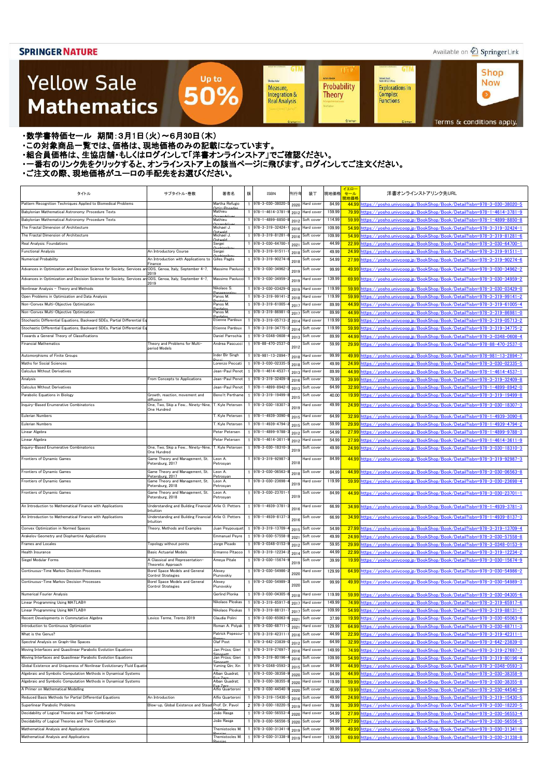### Available on 2 Springer Link

**Shop** 

**Now** 

 $\bullet$ 

**GTM** 

Kichard Beals<br>Rođenick S. C. Wong

Complex<br>Functions

**Explorations in** 

### **Yellow Sale Mathematics**

Sheidon Auler Probability Measure, Integration & **Theory Real Analysis** 

**UT** 

**Achim Hente** 

**GTM** 

Terms & conditions apply.

・数学書特価セール 期間:3月1日(火)~6月30日(木)

・この対象商品一覧では、価格は、現地価格のみの記載になっています。

- ニッパルプロは、ここには、このファンストリングのコンティングファンストア」でご確認ください。<br>・組合員価格は、生協店舗・もしくはログインして「洋書オンラインストア」でご確認ください。

・一番右のリンク先をクリックすると、オンラインストア上の該当ページに飛びます。ログインしてご注文ください。

Up to

50%

| タイトル                                                                                                     | サブタイトル・巻数                                                              | 著者名                      | 版 | <b>ISBN</b>                            | 刊行年          | 装丁                       | 現地価格           | イエロー<br>セール<br>現地価格 | 洋書オンラインストアリンク先URL                                                                                                                                          |
|----------------------------------------------------------------------------------------------------------|------------------------------------------------------------------------|--------------------------|---|----------------------------------------|--------------|--------------------------|----------------|---------------------|------------------------------------------------------------------------------------------------------------------------------------------------------------|
| Pattern Recognition Techniques Applied to Biomedical Problems                                            |                                                                        | Martha Refugio<br>\⊬i∍–D |   | 978-3-030-38020                        | 2020         | Hard cover               | 84.99          |                     | 44.99 https://yosho.univcoop.jp/BookShop/Book/Detail?isbn=978-3-030-38020-5                                                                                |
| Babylonian Mathematical Astronomy: Procedure Texts                                                       |                                                                        | Mathieu                  |   | 978-1-4614-3781                        | 2012         | Hard cover               | 159.99         |                     | 79.99 https://yosho.univcoop.jp/BookShop/Book/Detail?isbn=978-1-4614-3781-9                                                                                |
| Babylonian Mathematical Astronomy: Procedure Texts                                                       |                                                                        | Mathieu                  |   | 978-1-4899-8850-                       | 2012         | Soft cover               | 114.99         |                     | 59.99 https://yosho.univcoop.jp/BookShop/Book/Detail?isbn=978-1-4899-8850-8                                                                                |
| The Fractal Dimension of Architecture                                                                    |                                                                        | Michael J.               |   | 978-3-319-32424-                       | 2016         | Hard cover               | 109.99         |                     | 54.99 https://vosho.univcoop.jp/BookShop/Book/Detail?isbn=978-3-319-32424-1                                                                                |
| The Fractal Dimension of Architecture                                                                    |                                                                        | Michael J.               |   | 978-3-319-81281                        | 2016         | Soft cover               | 109.99         |                     | 54.99 https://vosho.univcoop.jp/BookShop/Book/Detail?isbn=978-3-319-81281-6                                                                                |
| Real Analysis: Foundations                                                                               |                                                                        | Sergei                   |   | 978-3-030-64700-                       | 2021         | Soft cover               | 44.99          |                     | 22.99 https://yosho.univcoop.jp/BookShop/Book/Detail?isbn=978-3-030-64700-1                                                                                |
| <b>Functional Analysis</b>                                                                               | An Introductory Course                                                 | Sergei                   |   | 978-3-319-91511                        | 2018         | Soft cover               | 49.99          |                     | 24.99 https://yosho.univcoop.jp/BookShop/Book/Detail?isbn=978-3-319-91511-1                                                                                |
| Numerical Probability                                                                                    | An Introduction with Applications to<br>Finance                        | Gilles Pagès             |   | 978-3-319-90274                        | 2018         | Soft cover               | 54.99          |                     | 27.99 https://yosho.univcoop.jp/BookShop/Book/Detail?isbn=978-3-319-90274-6                                                                                |
| Advances in Optimization and Decision Science for Society, Services an ODS, Genoa, Italy, September 4-7, | 2019                                                                   | Massimo Paolucci         |   | 978-3-030-34962-                       | 2019         | Soft cover               | 99.99          |                     | 49.99 https://vosho.univcoop.jp/BookShop/Book/Detail?isbn=978-3-030-34962-2                                                                                |
| Advances in Optimization and Decision Science for Society, Services an ODS, Genoa, Italy, September 4-7, | 2019                                                                   | Massimo Paolucci         |   | 978-3-030-34959-                       | 2019         | Hard cover               | 139.99         |                     | 69.99 https://vosho.univcoop.jp/BookShop/Book/Detail?isbn=978-3-030-34959-2                                                                                |
| Nonlinear Analysis - Theory and Methods                                                                  |                                                                        | Nikolaos S.              |   | 978-3-030-03429-                       | 2019         | Hard cover               | 119.99         |                     | 59.99 https://vosho.univcoop.jp/BookShop/Book/Detail?isbn=978-3-030-03429-0                                                                                |
| Open Problems in Optimization and Data Analysis                                                          |                                                                        | Panos M.                 |   | 978-3-319-99141-                       | 2018         | Hard cover               | 119.99         |                     | 59.99 https://yosho.univcoop.jp/BookShop/Book/Detail?isbn=978-3-319-99141-2                                                                                |
| Non-Convex Multi-Objective Optimization                                                                  |                                                                        | Panos M.                 |   | 978-3-319-61005-                       | 2017         | Hard cover               | 89.99          |                     | 44.99 https://yosho.univcoop.jp/BookShop/Book/Detail?isbn=978-3-319-61005-4                                                                                |
| Non-Convex Multi-Objective Optimization                                                                  |                                                                        | Panos M.                 |   | 978-3-319-86981-                       | 2017         | Soft cover               | 89.99          |                     | <u>44.99 https://yosho.univcoop.jp/BookShop/Book/Detail?isbn=978-3-319-86981-0</u>                                                                         |
| Stochastic Differential Equations, Backward SDEs, Partial Differential Ec                                |                                                                        | Etienne Pardoux          |   | 978-3-319-05713-                       | 2014         | Hard cover               | 119.99         |                     | 59.99 https://yosho.univcoop.jp/BookShop/Book/Detail?isbn=978-3-319-05713-2                                                                                |
| Stochastic Differential Equations, Backward SDEs, Partial Differential Equation                          |                                                                        | Etienne Pardoux          |   | 978-3-319-34775-                       | 2014         | Soft cover               | 119.99         |                     | 59.99 https://yosho.univcoop.jp/BookShop/Book/Detail?isbn=978-3-319-34775-2                                                                                |
| Towards a General Theory of Classifications                                                              |                                                                        | Daniel Parrochia         |   | 978-3-0348-0608-                       | 2013         | Soft cover               | 89.99          |                     | <u>44.99 https://yosho.univcoop.jp/BookShop/Book/Detail?isbn=978-3-0348-0608-4</u>                                                                         |
| <b>Financial Mathematics</b>                                                                             | Theory and Problems for Multi-<br>period Models                        | Andrea Pascucci          |   | 978-88-470-2537-                       | 2012         | Soft cover               | 59.99          |                     | 29.99 https://yosho.univcoop.jp/BookShop/Book/Detail?isbn=978-88-470-2537-0                                                                                |
| Automorphisms of Finite Groups                                                                           |                                                                        | Inder Bir Singh          |   | 978-981-13-2894-                       | 2018         | Hard cover               | 99.99          |                     | 49.99 https://yosho.univcoop.jp/BookShop/Book/Detail?isbn=978-981-13-2894-7                                                                                |
| Maths for Social Sciences                                                                                |                                                                        | orenzo Peccati           |   | 978-3-030-02335-                       | 2018         | Soft cover               | 49.99          |                     | 24.99 https://yosho.univcoop.jp/BookShop/Book/Detail?isbn=978-3-030-02335-5                                                                                |
| Calculus Without Derivatives                                                                             |                                                                        | Jean-Paul Penot          |   | 978-1-4614-4537-                       | 2013         | Hard cover               | 89.99          |                     | 44.99 https://yosho.univcoop.jp/BookShop/Book/Detail?isbn=978-1-4614-4537-1                                                                                |
| Analysis                                                                                                 | From Concepts to Applications                                          | Jean-Paul Penot          |   | 978-3-319-32409-                       | 2016         | Soft cover               | 79.99          |                     | 39.99 https://yosho.univcoop.jp/BookShop/Book/Detail?isbn=978-3-319-32409-8                                                                                |
| Calculus Without Derivatives                                                                             |                                                                        | Jean-Paul Penot          |   | 978-1-4899-8942-                       | 2013         | Soft cover               | 64.99          |                     | 32.99 https://yosho.univcoop.jp/BookShop/Book/Detail?isbn=978-1-4899-8942-0                                                                                |
| Parabolic Equations in Biology                                                                           | Growth, reaction, movement and                                         | Benoît Perthame          |   | 978-3-319-19499-                       | 2015         | Soft cover               | 40.00          |                     | 19.99 https://yosho.univcoop.jp/BookShop/Book/Detail?isbn=978-3-319-19499-8                                                                                |
| Inquiry-Based Enumerative Combinatorics                                                                  | diffusion<br>One, Two, Skip a Few Ninety-Nine,                         | T. Kyle Petersen         |   | 978-3-030-18307-                       |              | Hard cover               | 49.99          |                     | 24.99 https://yosho.univcoop.jp/BookShop/Book/Detail?isbn=978-3-030-18307-3                                                                                |
|                                                                                                          | One Hundred                                                            |                          |   |                                        | 2019         |                          |                |                     |                                                                                                                                                            |
| <b>Eulerian Numbers</b>                                                                                  |                                                                        | Г. Kyle Petersen         |   | 978-1-4939-3090-                       | 2015         | Hard cover               | 64.99          |                     | 32.99 https://vosho.univcoop.jp/BookShop/Book/Detail?isbn=978-1-4939-3090-6                                                                                |
| <b>Eulerian Numbers</b>                                                                                  |                                                                        | T. Kyle Petersen         |   | 978-1-4939-4794-                       | 2015         | Soft cover               | 59.99          |                     | 29.99 https://yosho.univcoop.jp/BookShop/Book/Detail?isbn=978-1-4939-4794-2                                                                                |
| Linear Algebra                                                                                           |                                                                        | Peter Petersen           |   | 978-1-4899-9788-                       | 2012         | Soft cover               | 54.99          |                     | 27.99 https://yosho.univcoop.jp/BookShop/Book/Detail?isbn=978-1-4899-9788-3                                                                                |
| Linear Algebra                                                                                           |                                                                        | Peter Petersen           |   | 978-1-4614-3611                        | 2012         | Hard cover               | 54.99          |                     | 27.99 https://yosho.univcoop.jp/BookShop/Book/Detail?isbn=978-1-4614-3611-9                                                                                |
| Inquiry-Based Enumerative Combinatorics                                                                  | One. Two. Skip a Few Ninety-Nine.<br>One Hundred                       | T. Kyle Petersen         |   | 978-3-030-18310-                       | 2019         | Soft cover               | 49.99          |                     | 24.99 https://yosho.univcoop.jp/BookShop/Book/Detail?isbn=978-3-030-18310-3                                                                                |
| Frontiers of Dynamic Games                                                                               | Game Theory and Management, St.<br>Petersburg, 2017                    | Leon A.<br>Petrosyan     |   | 978-3-319-92987-                       | 2018         | Hard cover               | 84.99          |                     | 44.99 https://vosho.univcoop.jp/BookShop/Book/Detail?isbn=978-3-319-92987-3                                                                                |
| Frontiers of Dynamic Games                                                                               | Game Theory and Management, St.                                        | Leon A.                  |   | 1 978-3-030-06563-                     | 2018         | Soft cover               | 84.99          |                     | 44.99 https://vosho.univcoop.jp/BookShop/Book/Detail?isbn=978-3-030-06563-8                                                                                |
| Frontiers of Dynamic Games                                                                               | Petersburg, 2017<br>Game Theory and Management, St.                    | Petrosvan<br>eon A.      |   | 978-3-030-23698-                       | 2019         | Hard cover               | 119.99         |                     | 59.99 https://yosho.univcoop.jp/BookShop/Book/Detail?isbn=978-3-030-23698-4                                                                                |
| Frontiers of Dynamic Games                                                                               | Petersburg, 2018<br>Game Theory and Management, St.                    | Petrosyan<br>Leon A.     |   | 978-3-030-23701-                       |              | Soft cover               | 84.99          |                     | 44.99 https://vosho.univcoop.jp/BookShop/Book/Detail?isbn=978-3-030-23701-1                                                                                |
|                                                                                                          | Petersburg, 2018                                                       | Petrosyan                |   |                                        | 2019         |                          |                |                     |                                                                                                                                                            |
| An Introduction to Mathematical Finance with Applications                                                | Understanding and Building Financial Arlie O. Petters<br>Intuition     |                          |   | 978-1-4939-3781-                       | 2016         | Hard cover               | 66.99          |                     | 34.99 https://vosho.univcoop.jp/BookShop/Book/Detail?isbn=978-1-4939-3781-3                                                                                |
| An Introduction to Mathematical Finance with Applications                                                | Understanding and Building Financial Arlie O. Petters<br>Intuition     |                          |   | 978-1-4939-8137-                       | 2016         | Soft cover               | 66.99          |                     | 34.99 https://yosho.univcoop.jp/BookShop/Book/Detail?isbn=978-1-4939-8137-3                                                                                |
| Convex Optimization in Normed Spaces                                                                     | Theory, Methods and Examples                                           | Juan Peypouquet          |   | 978-3-319-13709-                       | 2015         | Soft cover               | 54.99          |                     | 27.99 https://yosho.univcoop.jp/BookShop/Book/Detail?isbn=978-3-319-13709-4                                                                                |
| Arakelov Geometry and Diophantine Applications                                                           |                                                                        | Emmanuel Peyre           |   | 978-3-030-57558-                       | 2021         | Soft cover               | 49.99          |                     | 24.99 https://vosho.univcoop.jp/BookShop/Book/Detail?isbn=978-3-030-57558-8                                                                                |
| Frames and Locales                                                                                       | Topology without points                                                | Jorge Picado             |   | 978-3-0348-0153-                       | 2012         | Soft cover               | 59.95          |                     | 29.99 https://yosho.univcoop.jp/BookShop/Book/Detail?isbn=978-3-0348-0153-9                                                                                |
| Health Insurance                                                                                         | <b>Basic Actuarial Models</b>                                          | Ermanno Pitacco          |   | 978-3-319-12234-                       | 2014         | Soft cover               | 44.99          |                     | 22.99 https://vosho.univcoop.jp/BookShop/Book/Detail?isbn=978-3-319-12234-2                                                                                |
| Siegel Modular Forms                                                                                     | A Classical and Representation-<br>Theoretic Approach                  | Ameya Pitale             |   | 978-3-030-15674-                       | 2019         | Soft cover               | 39.99          |                     | 19.99 https://yosho.univcoop.jp/BookShop/Book/Detail?isbn=978-3-030-15674-9                                                                                |
| Continuous-Time Markov Decision Processes                                                                | Borel Space Models and General<br>Control Strategies                   | Alexey<br>Piunovskiy     |   | 978-3-030-54986-                       | 2020         | Hard cover               | 129.99         |                     | 64.99 https://yosho.univcoop.jp/BookShop/Book/Detail?isbn=978-3-030-54986-2                                                                                |
| Continuous-Time Markov Decision Processes                                                                | Borel Space Models and General<br>Control Strategies                   | Alexey<br>Piunovskiy     |   | 978-3-030-54989-                       | 2020         | Soft cover               | 99.99          |                     | 49.99 https://yosho.univcoop.jp/BookShop/Book/Detail?isbn=978-3-030-54989-3                                                                                |
| Numerical Fourier Analysis                                                                               |                                                                        | Gerlind Plonka           |   | 978-3-030-04305-                       | 2018         | Hard cover               | 119.99         |                     | 59.99 https://yosho.univcoop.jp/BookShop/Book/Detail?isbn=978-3-030-04305-6                                                                                |
| Linear Programming Using MATLAB®                                                                         |                                                                        | Nikolaos Ploskas         |   | 978-3-319-65917                        | 2017         | Hard cover               | 149.99         |                     | 74.99 https://yosho.univcoop.jp/BookShop/Book/Detail?isbn=978-3-319-65917-6                                                                                |
| Linear Programming Using MATLAB®                                                                         |                                                                        | Nikolaos Ploskas         |   | 978-3-319-88131-                       | 2017         | Soft cover               | 109.99         |                     | 54.99 https://yosho.univcoop.jp/BookShop/Book/Detail?isbn=978-3-319-88131-7                                                                                |
| Recent Developments in Commutative Algebra                                                               | Levico Terme, Trento 2019                                              | Claudia Polini           |   | 978-3-030-65063-                       | 2021         | Soft cover               | 37.99          |                     | 19.99 https://yosho.univcoop.jp/BookShop/Book/Detail?isbn=978-3-030-65063-6                                                                                |
| Introduction to Continuous Optimization                                                                  |                                                                        | Roman A. Polyak          |   | 978-3-030-68711-                       | 2021         | Hard cover               | 129.99         |                     | 64.99 https://yosho.univcoop.jp/BookShop/Book/Detail?isbn=978-3-030-68711-3                                                                                |
| What is the Genus?                                                                                       |                                                                        | Patrick Popescu-         |   | 978-3-319-42311-                       | 2016         | Soft cover               | 44.99          |                     | 22.99 https://yosho.univcoop.jp/BookShop/Book/Detail?isbn=978-3-319-42311-1                                                                                |
| Spectral Analysis on Graph-like Spaces                                                                   |                                                                        | Olaf Post                |   | 978-3-642-23839-                       | 2012         | Soft cover               | 64.99          |                     | 32.99 https://yosho.univcoop.jp/BookShop/Book/Detail?isbn=978-3-642-23839-0                                                                                |
| Moving Interfaces and Quasilinear Parabolic Evolution Equations                                          |                                                                        | Jan Prüss; Gieri         |   | 978-3-319-27697                        | 2016         | Hard cover               | 149.99         |                     | 74.99 https://yosho.univcoop.jp/BookShop/Book/Detail?isbn=978-3-319-27697-7                                                                                |
| Moving Interfaces and Quasilinear Parabolic Evolution Equations                                          |                                                                        | Jan Prüss; Gieri         |   | 978-3-319-80196-                       | 2016         | Soft cover               | 109.99         |                     | 54.99 https://yosho.univcoop.jp/BookShop/Book/Detail?isbn=978-3-319-80196-4                                                                                |
| Global Existence and Uniqueness of Nonlinear Evolutionary Fluid Equatio                                  |                                                                        | Yuming Qin; Xin          |   | 978-3-0348-0593-                       | 2015         | Soft cover               | 84.99          |                     | 44.99 https://yosho.univcoop.jp/BookShop/Book/Detail?isbn=978-3-0348-0593-3                                                                                |
| Algebraic and Symbolic Computation Methods in Dynamical Systems                                          |                                                                        | Alban Quadrat;           |   | 978-3-030-38358-                       | 2020         | Soft cover               | 84.99          |                     | 44.99 https://yosho.univcoop.jp/BookShop/Book/Detail?isbn=978-3-030-38358-9                                                                                |
| Algebraic and Symbolic Computation Methods in Dynamical Systems                                          |                                                                        | Alban Quadrat;           |   | 978-3-030-38355-                       | 2020         | Hard cover               | 119.99         |                     | 59.99 https://yosho.univcoop.jp/BookShop/Book/Detail?isbn=978-3-030-38355-8                                                                                |
| A Primer on Mathematical Modelling                                                                       |                                                                        | Alfio Quarteroni         |   | 978-3-030-44540-                       | 2020         | Soft cover               | 40.00          |                     | 19.99 https://yosho.univcoop.jp/BookShop/Book/Detail?isbn=978-3-030-44540-9                                                                                |
| Reduced Basis Methods for Partial Differential Equations<br>Superlinear Parabolic Problems               | An Introduction<br>Blow-up, Global Existence and Stead Prof. Dr. Pavol | Alfio Quarteroni         |   | 978-3-319-15430-<br>2 978-3-030-18220- | 2016         | Soft cover<br>Hard cover | 49.99<br>79.99 |                     | 24.99 https://yosho.univcoop.jp/BookShop/Book/Detail?isbn=978-3-319-15430-5                                                                                |
| Decidability of Logical Theories and Their Combination                                                   |                                                                        | João Rasga               |   | 978-3-030-56553-                       | 2019         | Hard cover               | 54.99          |                     | 39.99 https://yosho.univcoop.jp/BookShop/Book/Detail?isbn=978-3-030-18220-5<br>27.99 https://yosho.univcoop.jp/BookShop/Book/Detail?isbn=978-3-030-56553-4 |
| Decidability of Logical Theories and Their Combination                                                   |                                                                        | João Rasga               |   | 978-3-030-56556-                       | 2020<br>2020 | Soft cover               | 54.99          |                     | 27.99 https://yosho.univcoop.jp/BookShop/Book/Detail?isbn=978-3-030-56556-5                                                                                |
| Mathematical Analysis and Applications                                                                   |                                                                        | Themistocles M.          |   | 978-3-030-31341                        | 2019         | Soft cover               | 99.99          |                     | 49.99 https://yosho.univcoop.jp/BookShop/Book/Detail?isbn=978-3-030-31341-8                                                                                |
| Mathematical Analysis and Applications                                                                   |                                                                        | Themistocles M.          |   | 978-3-030-31338-                       | 2019         | Hard cover               | 139.99         |                     | 69.99 https://yosho.univcoop.jp/BookShop/Book/Detail?isbn=978-3-030-31338-8                                                                                |
|                                                                                                          |                                                                        |                          |   |                                        |              |                          |                |                     |                                                                                                                                                            |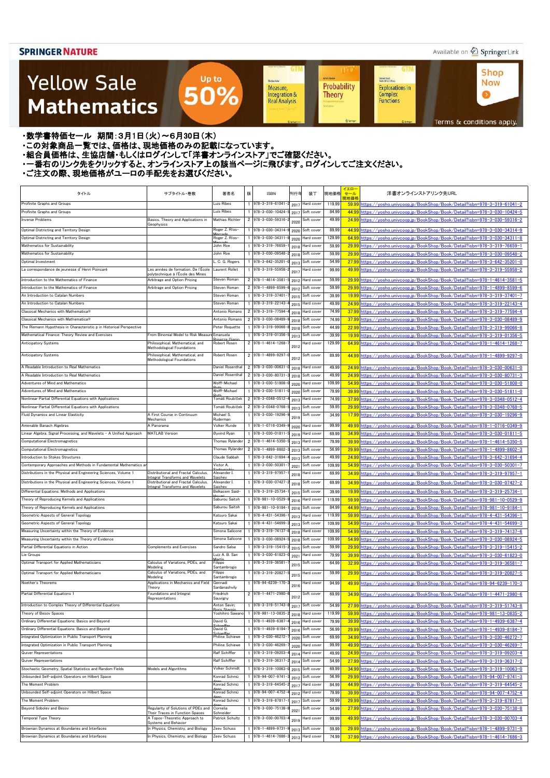### Available on 2 Springer Link

**Shop** 

**Now** 

 $\bullet$ 

### **Yellow Sale Mathematics**

Sheidon Auler Probability Measure, Integration & **Theory Real Analysis** 

**UT** 

**Achim Hente** 

**GTM** 

**GTM** 

Kichard Beals<br>Rođenick S. C. Wong

Complex<br>Functions

**Explorations in** 

Terms & conditions apply.

#### ・数学書特価セール 期間:3月1日(火)~6月30日(木)

・この対象商品一覧では、価格は、現地価格のみの記載になっています。

- ニッパルプロは、ここには、このファンストリングのコンティングファンストア」でご確認ください。<br>・組合員価格は、生協店舗・もしくはログインして「洋書オンラインストア」でご確認ください。
- ・一番右のリンク先をクリックすると、オンラインストア上の該当ページに飛びます。ログインしてご注文ください。

Up to

50%

| uis Ribes<br>978-3-319-61041<br>119.99<br>Profinite Graphs and Groups<br>Hard cover<br>59.99 https://yosho.univcoop.jp/BookShop/Book/Detail?isbn=978-3-319-61041-2<br>2017<br>Luis Ribes<br>978-3-030-10424<br>84.99<br>Profinite Graphs and Groups<br>Soft cover<br>44.99<br>https://vosho.univcoop.jp/BookShop/Book/Detail?isbn=978-3-030-10424-5<br>201<br>Basics. Theory and Applications in<br>Mathias Richter<br><b>Inverse Problems</b><br>2 978-3-030-59316<br>49.99<br>24.99 https://yosho.univcoop.jp/BookShop/Book/Detail?isbn=978-3-030-59316-2<br>Soft cover<br>2020<br>Geophysics<br>1 978-3-030-34314<br>Roger Z. Ríos-<br>89.99<br>Optimal Districting and Territory Design<br>Soft cover<br>44.99 https://yosho.univcoop.jp/BookShop/Book/Detail?isbn=978-3-030-34314-9<br>2020<br>Roger Z. Ríos-<br>1 978-3-030-34311<br>129.99<br>Optimal Districting and Territory Design<br>Hard cover<br>64.99 https://vosho.univcoop.ip/BookShop/Book/Detail?isbn=978-3-030-34311-8<br>2020<br>Mathematics for Sustainability<br>John Roe<br>1 978-3-319-76659<br>59.99<br>Hard cover<br>29.99 https://yosho.univcoop.jp/BookShop/Book/Detail?isbn=978-3-319-76659-1<br>2018<br>Mathematics for Sustainability<br>John Roe<br>1 978-3-030-09548<br>59.99<br>Soft cover<br>29.99 https://yosho.univcoop.jp/BookShop/Book/Detail?isbn=978-3-030-09548-2<br>2018<br>. C. G. Rogers<br>1 978-3-642-35201<br>54.99<br>Soft cover<br>27.99<br>https://yosho.univcoop.jp/BookShop/Book/Detail?isbn=978-3-642-35201-0<br>Optimal Investment<br>2013<br>Les années de formation. De l'École<br>978-3-319-55958-<br>99.99<br>La correspondance de jeunesse d'Henri Poincaré<br>Laurent Rollet<br>Hard cover<br>49.99 https://vosho.univcoop.jp/BookShop/Book/Detail?isbn=978-3-319-55958-2<br>201<br>polytechnique à l'École des Mines<br>Introduction to the Mathematics of Finance<br>Arbitrage and Option Pricing<br>Steven Roman<br>2 978-1-4614-3581<br>59.99<br>Hard cover<br>29.99 https://yosho.univcoop.jp/BookShop/Book/Detail?isbn=978-1-4614-3581-5<br>2012<br>Steven Roman<br>2 978-1-4899-8599-<br>59.99<br>Introduction to the Mathematics of Finance<br>Arbitrage and Option Pricing<br>Soft cover<br>29.99 https://yosho.univcoop.jp/BookShop/Book/Detail?isbn=978-1-4899-8599-6<br>2012<br>39.99<br>An Introduction to Catalan Numbers<br>Steven Roman<br>978-3-319-37401<br>Soft cover<br>19.99 https://vosho.univcoop.jp/BookShop/Book/Detail?isbn=978-3-319-37401-7<br>2015<br>An Introduction to Catalan Numbers<br>Steven Roman<br>1 978-3-319-22143<br>49.99<br>Hard cover<br>24.99 https://yosho.univcoop.jp/BookShop/Book/Detail?isbn=978-3-319-22143-4<br>2015<br>Antonio Romano<br>2 978-3-319-77594<br>Classical Mechanics with Mathematica®<br>74.99<br>37.99 https://yosho.univcoop.jp/BookShop/Book/Detail?isbn=978-3-319-77594-4<br>Hard cover<br>2018<br>Classical Mechanics with Mathematica®<br>2 978-3-030-08489-<br>Antonio Romano<br>74.99<br>Soft cover<br>37.99 https://yosho.univcoop.jp/BookShop/Book/Detail?isbn=978-3-030-08489-9<br>2018<br>1 978-3-319-99066-<br>The Riemann Hypothesis in Characteristic p in Historical Perspective<br>Peter Roquette<br>44.99<br>Soft cover<br>22.99 https://vosho.univcoop.ip/BookShop/Book/Detail?isbn=978-3-319-99066-8<br>2018<br>From Binomial Model to Risk Measure<br>1 978-3-319-01356<br>39.99<br>Mathematical Finance: Theory Review and Exercises<br>e Emanuela<br>Soft cover<br>19.99 https://yosho.univcoop.jp/BookShop/Book/Detail?isbn=978-3-319-01356-5<br>2013<br>2 978-1-4614-1268-<br>129.99<br>Philosophical, Mathematical, and<br>Robert Rosen<br>Anticipatory Systems<br>Hard cover<br>64.99 https://yosho.univcoop.jp/BookShop/Book/Detail?isbn=978-1-4614-1268-7<br>2012<br>Methodological Foundations<br>Philosophical, Mathematical, and<br>Robert Rosen<br>2 978-1-4899-9297-<br>89.99<br>Anticipatory Systems<br>Soft cover<br>44.99 https://yosho.univcoop.jp/BookShop/Book/Detail?isbn=978-1-4899-9297-0<br>2012<br>Methodological Foundations<br>Daniel Rosenthal<br>A Readable Introduction to Real Mathematics<br>2 978-3-030-00631<br>49.99<br>24.99 https://yosho.univcoop.jp/BookShop/Book/Detail?isbn=978-3-030-00631-0<br>Hard cover<br>2018<br>A Readable Introduction to Real Mathematics<br>Daniel Rosenthal<br>2 978-3-030-80731<br>49.99<br>Soft cover<br>24.99 https://yosho.univcoop.jp/BookShop/Book/Detail?isbn=978-3-030-80731-3<br>2018<br>Adventures of Mind and Mathematics<br>Wolff-Michael<br>1 978-3-030-51808-<br>109.99<br>Hard cover<br>54.99 https://yosho.univcoop.jp/BookShop/Book/Detail?isbn=978-3-030-51808-0<br>2020<br>Wolff-Michael<br>79.99<br>Adventures of Mind and Mathematics<br>$1$ 978-3-030-51811<br>39.99 https://yosho.univcoop.jp/BookShop/Book/Detail?isbn=978-3-030-51811-0<br>Soft cover<br>2020<br>74.99<br>Nonlinear Partial Differential Equations with Applications<br>Tomáš Roubíček<br>2 978-3-0348-0512<br>Hard cover<br>37.99 https://yosho.univcoop.jp/BookShop/Book/Detail?isbn=978-3-0348-0512-4<br>2013<br>Nonlinear Partial Differential Equations with Applications<br>2 978-3-0348-0768-<br>59.95<br>Tomáš Roubíček<br>Soft cover<br>29.99 https://yosho.univcoop.jp/BookShop/Book/Detail?isbn=978-3-0348-0768-5<br>2013<br>A First Course in Continuum<br>Michael S.<br>Fluid Dynamics and Linear Elasticity<br>978-3-030-19296-<br>34.99<br>Soft cover<br>17.99 https://yosho.univcoop.jp/BookShop/Book/Detail?isbn=978-3-030-19296-9<br>2019<br>Ruderman<br>Mechanics<br>Amenable Banach Algebras<br>A Panorama<br>Volker Runde<br>1 978-1-0716-0349<br>99.99<br>Hard cover<br>49.99 https://vosho.univcoop.jp/BookShop/Book/Detail?isbn=978-1-0716-0349-9<br>2020<br>Øyvind Ryan<br>1 978-3-030-01811<br>Linear Algebra, Signal Processing, and Wavelets - A Unified Approach<br><b>MATLAB Version</b><br>69.99<br>Hard cover<br>34.99 https://yosho.univcoop.jp/BookShop/Book/Detail?isbn=978-3-030-01811-5<br>2019<br>2 978-1-4614-5350-<br><b>Thomas Rylander</b><br>79.99<br>Hard cover<br>39.99 https://yosho.univcoop.jp/BookShop/Book/Detail?isbn=978-1-4614-5350-5<br>2013<br>2 978-1-4899-8602-<br><b>Computational Electromagnetics</b><br><b>Thomas Rylander</b><br>56.99<br>Soft cover<br>29.99 https://yosho.univcoop.jp/BookShop/Book/Detail?isbn=978-1-4899-8602-3<br>2013<br>Claude Sabbah<br>$1$ 978-3-642-31694<br>49.99<br>Introduction to Stokes Structures<br>Soft cover<br>24.99 https://yosho.univcoop.jp/BookShop/Book/Detail?isbn=978-3-642-31694-4<br>2013<br>Contemporary Approaches and Methods in Fundamental Mathematics ar<br>1 978-3-030-50301<br>109.99<br>Victor A.<br>Soft cover<br>54.99 https://vosho.univcoop.ip/BookShop/Book/Detail?isbn=978-3-030-50301-7<br>2021<br>Distributional and Fractal Calculus,<br>1 978-3-319-97957-<br>Alexander I.<br>Hard cover<br>69.99<br>34.99<br>https://yosho.univcoop.jp/BookShop/Book/Detail?isbn=978-3-319-97957-1<br>2018<br><b>Integral Transforms and Wavelets</b><br>∍aiche∖<br>978-3-030-07427-<br>Distributional and Fractal Calculus,<br>69.99<br>Alexander I.<br>Soft cover<br>34.99 https://yosho.univcoop.jp/BookShop/Book/Detail?isbn=978-3-030-07427-2<br>2018<br><b>Integral Transforms and Wavelets</b><br>Saichev<br>978-3-319-25734<br>Differential Equations: Methods and Applications<br>Belkacem Said-<br>39.99<br>Soft cover<br>19.99 https://yosho.univcoop.jp/BookShop/Book/Detail?isbn=978-3-319-25734-1<br>2015<br>1 978-981-10-0529<br>119.99<br>Theory of Reproducing Kernels and Applications<br>Saburou Saitoh<br>Hard cover<br>59.99 https://yosho.univcoop.jp/BookShop/Book/Detail?isbn=978-981-10-0529-9<br>2016<br>Saburou Saitoh<br>1 978-981-10-9184<br>84.99<br>44.99 https://yosho.univcoop.jp/BookShop/Book/Detail?isbn=978-981-10-9184-1<br>Theory of Reproducing Kernels and Applications<br>Soft cover<br>2016<br>Geometric Aspects of General Topology<br>1 978-4-431-54396<br>119.99<br>59.99 https://yosho.univcoop.jp/BookShop/Book/Detail?isbn=978-4-431-54396-1<br>Katsuro Sakai<br>Hard cover<br>2013<br>Geometric Aspects of General Topology<br>1 978-4-431-54699<br>109.99<br>Katsuro Sakai<br>Soft cover<br>54.99 https://yosho.univcoop.jp/BookShop/Book/Detail?isbn=978-4-431-54699-3<br>2013<br>Measuring Uncertainty within the Theory of Evidence<br>1 978-3-319-74137<br>109.99<br>Simona Salicone<br>Hard cover<br>54.99 https://yosho.univcoop.jp/BookShop/Book/Detail?isbn=978-3-319-74137-6<br>2018<br>109.99<br>Measuring Uncertainty within the Theory of Evidence<br>1 978-3-030-08924<br>Simona Salicone<br>Soft cover<br>54.99 https://vosho.univcoop.jp/BookShop/Book/Detail?isbn=978-3-030-08924-5<br>2018<br>1 978-3-319-15415<br>59.99<br><b>Complements and Exercises</b><br>Sandro Salsa<br>Soft cover<br>29.99 https://yosho.univcoop.jp/BookShop/Book/Detail?isbn=978-3-319-15415-2<br>2015<br>1 978-3-030-61823-<br>Lie Groups<br>Luiz A. B. San<br>Hard cover<br>79.99<br>39.99 https://vosho.univcoop.jp/BookShop/Book/Detail?isbn=978-3-030-61823-0<br>2021<br>Martir<br>Calculus of Variations, PDEs, and<br>Optimal Transport for Applied Mathematicians<br>Filippo<br>$1$ 978-3-319-36581<br>Soft cover<br>64.99<br>32.99 https://yosho.univcoop.jp/BookShop/Book/Detail?isbn=978-3-319-36581-7<br>2015<br>Modeling<br>Santambrogio<br>Calculus of Variations, PDEs, and<br>Optimal Transport for Applied Mathematicians<br>$1$ 978-3-319-20827<br>59.99<br>Filippo<br>Hard cover<br>29.99 https://vosho.univcoop.jp/BookShop/Book/Detail?isbn=978-3-319-20827-5<br>2015<br>Modeling<br>Santambrogio<br>1 978-94-6239-170-<br>Noether's Theorems<br>Applications in Mechanics and Field<br>94.99<br>Gennadi<br>Hard cover<br>49.99 https://yosho.univcoop.jp/BookShop/Book/Detail?isbn=978-94-6239-170-3<br>2016<br>Sardanashvily<br>Theory<br>2 978-1-4471-2980-<br>69.99<br>Partial Differential Equations 1<br>Foundations and Integral<br>Soft cover<br>34.99 https://yosho.univcoop.jp/BookShop/Book/Detail?isbn=978-1-4471-2980-6<br>Friedrich<br>201<br>Representations<br>Sauvigny<br>Introduction to Complex Theory of Differential Equations<br>1 978-3-319-51743<br>Anton Savin;<br>Soft cover<br>54.99<br>27.99 https://yosho.univcoop.jp/BookShop/Book/Detail?isbn=978-3-319-51743-8<br>2017<br>Arie St.<br>1 978-981-13-0835<br>Yoshihiro Sawano<br>119.99<br>59.99 https://yosho.univcoop.jp/BookShop/Book/Detail?isbn=978-981-13-0835-2<br>Theory of Besov Spaces<br>Hard cover<br>2018<br>David G.<br>$1$ 978-1-4939-6387<br>79.99<br>Hard cover<br>39.99 https://yosho.univcoop.jp/BookShop/Book/Detail?isbn=978-1-4939-6387-4<br>2016<br>ahaaffa<br>David G.<br>1 978-1-4939-8184<br>56.99<br>Soft cover<br>29.99 https://yosho.univcoop.jp/BookShop/Book/Detail?isbn=978-1-4939-8184-7<br>2016<br>Philine Schiewe<br>1 978-3-030-46272<br>69.99<br>34.99 https://yosho.univcoop.jp/BookShop/Book/Detail?isbn=978-3-030-46272-7<br>Soft cover<br>2020<br>99.99<br>1 978-3-030-46269<br><b>Philine Schiewe</b><br>Hard cover<br>49.99 https://yosho.univcoop.jp/BookShop/Book/Detail?isbn=978-3-030-46269-7<br>2020<br>Ralf Schiffler<br>1 978-3-319-09203<br><b>Quiver Representations</b><br>Hard cover<br>49.99<br>24.99 https://yosho.univcoop.jp/BookShop/Book/Detail?isbn=978-3-319-09203-4<br>2014<br>Ralf Schiffler<br>1 978-3-319-36317<br>54.99<br>27.99 https://yosho.univcoop.jp/BookShop/Book/Detail?isbn=978-3-319-36317-2<br>Soft cover<br>2014<br>Stochastic Geometry, Spatial Statistics and Random Fields<br>1 978-3-319-10063<br>Models and Algorithms<br>Volker Schmidt<br>Soft cover<br>69.99<br>34.99 https://yosho.univcoop.jp/BookShop/Book/Detail?isbn=978-3-319-10063-0<br>2015<br>1 978-94-007-9741<br>Konrad Schmü<br>Soft cover<br>56.99<br>29.99 https://yosho.univcoop.jp/BookShop/Book/Detail?isbn=978-94-007-9741-3<br>2012<br>The Moment Problem<br>Konrad Schmü<br>1 978-3-319-64545-<br>84.99<br>44.99 https://yosho.univcoop.jp/BookShop/Book/Detail?isbn=978-3-319-64545-2<br>Hard cover<br>2017<br>1 978-94-007-4752<br>79.99<br>Unbounded Self-adjoint Operators on Hilbert Space<br>Konrad Schmü<br>Hard cover<br>39.99 https://vosho.univcoop.jp/BookShop/Book/Detail?isbn=978-94-007-4752-4<br>2012<br>$1$ 978-3-319-87817<br>59.99<br>Konrad Schmü<br>Soft cover<br>29.99 https://yosho.univcoop.jp/BookShop/Book/Detail?isbn=978-3-319-87817-1<br>2017<br>Regularity of Solutions of PDEs and<br>Cornelia<br>1 978-3-030-75138-<br>54.99<br>27.99 https://vosho.univcoop.jp/BookShop/Book/Detail?isbn=978-3-030-75138-8<br>Soft cover<br>2021<br>Their Traces in Function Spaces<br>Schneider<br>Temporal Type Theory<br>A Topos-Theoretic Approach to<br>Patrick Schultz<br>1 978-3-030-00703<br>99.99<br>49.99 https://vosho.univcoop.jp/BookShop/Book/Detail?isbn=978-3-030-00703-4<br>Hard cover<br>2019<br>Systems and Behavior<br>Brownian Dynamics at Boundaries and Interfaces<br>In Physics, Chemistry, and Biology<br>Zeev Schuss<br>1 978-1-4899-9731<br>59.99<br>Soft cover<br>29.99 https://vosho.univcoop.jp/BookShop/Book/Detail?isbn=978-1-4899-9731-9<br>2013<br>In Physics, Chemistry, and Biology<br>Zeev Schuss<br>$1 \overline{978 - 1 - 4614 - 7686}$<br>Brownian Dynamics at Boundaries and Interfaces<br>Hard cover<br>74.99<br>37.99 https://vosho.univcoop.jp/BookShop/Book/Detail?isbn=978-1-4614-7686-3 | タイトル                                                             | サブタイトル・巻数 | 著者名 | 版 | <b>ISBN</b> | 刊行年  | 装丁 | 現地価格 | イエロー<br>セール<br>現地価格 | 洋書オンラインストアリンク先URL |
|------------------------------------------------------------------------------------------------------------------------------------------------------------------------------------------------------------------------------------------------------------------------------------------------------------------------------------------------------------------------------------------------------------------------------------------------------------------------------------------------------------------------------------------------------------------------------------------------------------------------------------------------------------------------------------------------------------------------------------------------------------------------------------------------------------------------------------------------------------------------------------------------------------------------------------------------------------------------------------------------------------------------------------------------------------------------------------------------------------------------------------------------------------------------------------------------------------------------------------------------------------------------------------------------------------------------------------------------------------------------------------------------------------------------------------------------------------------------------------------------------------------------------------------------------------------------------------------------------------------------------------------------------------------------------------------------------------------------------------------------------------------------------------------------------------------------------------------------------------------------------------------------------------------------------------------------------------------------------------------------------------------------------------------------------------------------------------------------------------------------------------------------------------------------------------------------------------------------------------------------------------------------------------------------------------------------------------------------------------------------------------------------------------------------------------------------------------------------------------------------------------------------------------------------------------------------------------------------------------------------------------------------------------------------------------------------------------------------------------------------------------------------------------------------------------------------------------------------------------------------------------------------------------------------------------------------------------------------------------------------------------------------------------------------------------------------------------------------------------------------------------------------------------------------------------------------------------------------------------------------------------------------------------------------------------------------------------------------------------------------------------------------------------------------------------------------------------------------------------------------------------------------------------------------------------------------------------------------------------------------------------------------------------------------------------------------------------------------------------------------------------------------------------------------------------------------------------------------------------------------------------------------------------------------------------------------------------------------------------------------------------------------------------------------------------------------------------------------------------------------------------------------------------------------------------------------------------------------------------------------------------------------------------------------------------------------------------------------------------------------------------------------------------------------------------------------------------------------------------------------------------------------------------------------------------------------------------------------------------------------------------------------------------------------------------------------------------------------------------------------------------------------------------------------------------------------------------------------------------------------------------------------------------------------------------------------------------------------------------------------------------------------------------------------------------------------------------------------------------------------------------------------------------------------------------------------------------------------------------------------------------------------------------------------------------------------------------------------------------------------------------------------------------------------------------------------------------------------------------------------------------------------------------------------------------------------------------------------------------------------------------------------------------------------------------------------------------------------------------------------------------------------------------------------------------------------------------------------------------------------------------------------------------------------------------------------------------------------------------------------------------------------------------------------------------------------------------------------------------------------------------------------------------------------------------------------------------------------------------------------------------------------------------------------------------------------------------------------------------------------------------------------------------------------------------------------------------------------------------------------------------------------------------------------------------------------------------------------------------------------------------------------------------------------------------------------------------------------------------------------------------------------------------------------------------------------------------------------------------------------------------------------------------------------------------------------------------------------------------------------------------------------------------------------------------------------------------------------------------------------------------------------------------------------------------------------------------------------------------------------------------------------------------------------------------------------------------------------------------------------------------------------------------------------------------------------------------------------------------------------------------------------------------------------------------------------------------------------------------------------------------------------------------------------------------------------------------------------------------------------------------------------------------------------------------------------------------------------------------------------------------------------------------------------------------------------------------------------------------------------------------------------------------------------------------------------------------------------------------------------------------------------------------------------------------------------------------------------------------------------------------------------------------------------------------------------------------------------------------------------------------------------------------------------------------------------------------------------------------------------------------------------------------------------------------------------------------------------------------------------------------------------------------------------------------------------------------------------------------------------------------------------------------------------------------------------------------------------------------------------------------------------------------------------------------------------------------------------------------------------------------------------------------------------------------------------------------------------------------------------------------------------------------------------------------------------------------------------------------------------------------------------------------------------------------------------------------------------------------------------------------------------------------------------------------------------------------------------------------------------------------------------------------------------------------------------------------------------------------------------------------------------------------------------------------------------------------------------------------------------------------------------------------------------------------------------------------------------------------------------------------------------------------------------------------------------------------------------------------------------------------------------------------------------------------------------------------------------------------------------------------------------------------------------------------------------------------------------------------------------------------------------------------------------------------------------------------------------------------------------------------------------------------------------------------------------------------------------------------------------------------------------------------------------------------------------------------------------------------------------------------------------------------------------------------------------------------------------------------------------------------------------------------------------------------------------------------------------------------------------------------------------------------------------------------------------------------------------------------------------------------------------------------------------------------------------------------------------------------------------------------------------------------------------------------------------------------------------------------------------------------------------------------------------------------------------------------------------------------------------------------------------------------------------------------------------------------------------------------------------------------------------------------------------------------------------------------------------------------------------------------------------------------------------------------------------------------------------------------------------------------------------------------------------------------------------------------------------------------------------------------------------------------------------------------------------------------------------------------------------------------------------------------------------------------------------------------------------------------------------------------------------------------------------------------------------------------------------------------------------------------------------------------------------------------------------------------------------------------------------------------------------------------------------------------------------------------------------------------------------------------------------------------------------------------------------------------------------------------------------------------------------------------------------------------------------------------------------------------------------------------------------------------------------------------------------------------------------------------------------------------------------------------------------------------------------------------------------------------------------------------------------------------------------------------------------------------------------------------------------------------------------------------------------------------------------------------------------------------------------------------------------------------------------------------------------------------------------------------------------------------------------------------------------------------------------------|------------------------------------------------------------------|-----------|-----|---|-------------|------|----|------|---------------------|-------------------|
|                                                                                                                                                                                                                                                                                                                                                                                                                                                                                                                                                                                                                                                                                                                                                                                                                                                                                                                                                                                                                                                                                                                                                                                                                                                                                                                                                                                                                                                                                                                                                                                                                                                                                                                                                                                                                                                                                                                                                                                                                                                                                                                                                                                                                                                                                                                                                                                                                                                                                                                                                                                                                                                                                                                                                                                                                                                                                                                                                                                                                                                                                                                                                                                                                                                                                                                                                                                                                                                                                                                                                                                                                                                                                                                                                                                                                                                                                                                                                                                                                                                                                                                                                                                                                                                                                                                                                                                                                                                                                                                                                                                                                                                                                                                                                                                                                                                                                                                                                                                                                                                                                                                                                                                                                                                                                                                                                                                                                                                                                                                                                                                                                                                                                                                                                                                                                                                                                                                                                                                                                                                                                                                                                                                                                                                                                                                                                                                                                                                                                                                                                                                                                                                                                                                                                                                                                                                                                                                                                                                                                                                                                                                                                                                                                                                                                                                                                                                                                                                                                                                                                                                                                                                                                                                                                                                                                                                                                                                                                                                                                                                                                                                                                                                                                                                                                                                                                                                                                                                                                                                                                                                                                                                                                                                                                                                                                                                                                                                                                                                                                                                                                                                                                                                                                                                                                                                                                                                                                                                                                                                                                                                                                                                                                                                                                                                                                                                                                                                                                                                                                                                                                                                                                                                                                                                                                                                                                                                                                                                                                                                                                                                                                                                                                                                                                                                                                                                                                                                                                                                                                                                                                                                                                                                                                                                                                                                                                                                                                                                                                                                                                                                                                                                                                                                                                                                                                                                                                                                                                                                                                                                                                                                                                                                                                                                                                                                                                                                                                                                                                                                                                                                                                                                                                                                                                                                                                                                                                                                                                                                                                                                                                                                                                                                                                                                                                                                                                                                                                                                      |                                                                  |           |     |   |             |      |    |      |                     |                   |
|                                                                                                                                                                                                                                                                                                                                                                                                                                                                                                                                                                                                                                                                                                                                                                                                                                                                                                                                                                                                                                                                                                                                                                                                                                                                                                                                                                                                                                                                                                                                                                                                                                                                                                                                                                                                                                                                                                                                                                                                                                                                                                                                                                                                                                                                                                                                                                                                                                                                                                                                                                                                                                                                                                                                                                                                                                                                                                                                                                                                                                                                                                                                                                                                                                                                                                                                                                                                                                                                                                                                                                                                                                                                                                                                                                                                                                                                                                                                                                                                                                                                                                                                                                                                                                                                                                                                                                                                                                                                                                                                                                                                                                                                                                                                                                                                                                                                                                                                                                                                                                                                                                                                                                                                                                                                                                                                                                                                                                                                                                                                                                                                                                                                                                                                                                                                                                                                                                                                                                                                                                                                                                                                                                                                                                                                                                                                                                                                                                                                                                                                                                                                                                                                                                                                                                                                                                                                                                                                                                                                                                                                                                                                                                                                                                                                                                                                                                                                                                                                                                                                                                                                                                                                                                                                                                                                                                                                                                                                                                                                                                                                                                                                                                                                                                                                                                                                                                                                                                                                                                                                                                                                                                                                                                                                                                                                                                                                                                                                                                                                                                                                                                                                                                                                                                                                                                                                                                                                                                                                                                                                                                                                                                                                                                                                                                                                                                                                                                                                                                                                                                                                                                                                                                                                                                                                                                                                                                                                                                                                                                                                                                                                                                                                                                                                                                                                                                                                                                                                                                                                                                                                                                                                                                                                                                                                                                                                                                                                                                                                                                                                                                                                                                                                                                                                                                                                                                                                                                                                                                                                                                                                                                                                                                                                                                                                                                                                                                                                                                                                                                                                                                                                                                                                                                                                                                                                                                                                                                                                                                                                                                                                                                                                                                                                                                                                                                                                                                                                                                                      |                                                                  |           |     |   |             |      |    |      |                     |                   |
|                                                                                                                                                                                                                                                                                                                                                                                                                                                                                                                                                                                                                                                                                                                                                                                                                                                                                                                                                                                                                                                                                                                                                                                                                                                                                                                                                                                                                                                                                                                                                                                                                                                                                                                                                                                                                                                                                                                                                                                                                                                                                                                                                                                                                                                                                                                                                                                                                                                                                                                                                                                                                                                                                                                                                                                                                                                                                                                                                                                                                                                                                                                                                                                                                                                                                                                                                                                                                                                                                                                                                                                                                                                                                                                                                                                                                                                                                                                                                                                                                                                                                                                                                                                                                                                                                                                                                                                                                                                                                                                                                                                                                                                                                                                                                                                                                                                                                                                                                                                                                                                                                                                                                                                                                                                                                                                                                                                                                                                                                                                                                                                                                                                                                                                                                                                                                                                                                                                                                                                                                                                                                                                                                                                                                                                                                                                                                                                                                                                                                                                                                                                                                                                                                                                                                                                                                                                                                                                                                                                                                                                                                                                                                                                                                                                                                                                                                                                                                                                                                                                                                                                                                                                                                                                                                                                                                                                                                                                                                                                                                                                                                                                                                                                                                                                                                                                                                                                                                                                                                                                                                                                                                                                                                                                                                                                                                                                                                                                                                                                                                                                                                                                                                                                                                                                                                                                                                                                                                                                                                                                                                                                                                                                                                                                                                                                                                                                                                                                                                                                                                                                                                                                                                                                                                                                                                                                                                                                                                                                                                                                                                                                                                                                                                                                                                                                                                                                                                                                                                                                                                                                                                                                                                                                                                                                                                                                                                                                                                                                                                                                                                                                                                                                                                                                                                                                                                                                                                                                                                                                                                                                                                                                                                                                                                                                                                                                                                                                                                                                                                                                                                                                                                                                                                                                                                                                                                                                                                                                                                                                                                                                                                                                                                                                                                                                                                                                                                                                                                                                      |                                                                  |           |     |   |             |      |    |      |                     |                   |
|                                                                                                                                                                                                                                                                                                                                                                                                                                                                                                                                                                                                                                                                                                                                                                                                                                                                                                                                                                                                                                                                                                                                                                                                                                                                                                                                                                                                                                                                                                                                                                                                                                                                                                                                                                                                                                                                                                                                                                                                                                                                                                                                                                                                                                                                                                                                                                                                                                                                                                                                                                                                                                                                                                                                                                                                                                                                                                                                                                                                                                                                                                                                                                                                                                                                                                                                                                                                                                                                                                                                                                                                                                                                                                                                                                                                                                                                                                                                                                                                                                                                                                                                                                                                                                                                                                                                                                                                                                                                                                                                                                                                                                                                                                                                                                                                                                                                                                                                                                                                                                                                                                                                                                                                                                                                                                                                                                                                                                                                                                                                                                                                                                                                                                                                                                                                                                                                                                                                                                                                                                                                                                                                                                                                                                                                                                                                                                                                                                                                                                                                                                                                                                                                                                                                                                                                                                                                                                                                                                                                                                                                                                                                                                                                                                                                                                                                                                                                                                                                                                                                                                                                                                                                                                                                                                                                                                                                                                                                                                                                                                                                                                                                                                                                                                                                                                                                                                                                                                                                                                                                                                                                                                                                                                                                                                                                                                                                                                                                                                                                                                                                                                                                                                                                                                                                                                                                                                                                                                                                                                                                                                                                                                                                                                                                                                                                                                                                                                                                                                                                                                                                                                                                                                                                                                                                                                                                                                                                                                                                                                                                                                                                                                                                                                                                                                                                                                                                                                                                                                                                                                                                                                                                                                                                                                                                                                                                                                                                                                                                                                                                                                                                                                                                                                                                                                                                                                                                                                                                                                                                                                                                                                                                                                                                                                                                                                                                                                                                                                                                                                                                                                                                                                                                                                                                                                                                                                                                                                                                                                                                                                                                                                                                                                                                                                                                                                                                                                                                                                                      |                                                                  |           |     |   |             |      |    |      |                     |                   |
|                                                                                                                                                                                                                                                                                                                                                                                                                                                                                                                                                                                                                                                                                                                                                                                                                                                                                                                                                                                                                                                                                                                                                                                                                                                                                                                                                                                                                                                                                                                                                                                                                                                                                                                                                                                                                                                                                                                                                                                                                                                                                                                                                                                                                                                                                                                                                                                                                                                                                                                                                                                                                                                                                                                                                                                                                                                                                                                                                                                                                                                                                                                                                                                                                                                                                                                                                                                                                                                                                                                                                                                                                                                                                                                                                                                                                                                                                                                                                                                                                                                                                                                                                                                                                                                                                                                                                                                                                                                                                                                                                                                                                                                                                                                                                                                                                                                                                                                                                                                                                                                                                                                                                                                                                                                                                                                                                                                                                                                                                                                                                                                                                                                                                                                                                                                                                                                                                                                                                                                                                                                                                                                                                                                                                                                                                                                                                                                                                                                                                                                                                                                                                                                                                                                                                                                                                                                                                                                                                                                                                                                                                                                                                                                                                                                                                                                                                                                                                                                                                                                                                                                                                                                                                                                                                                                                                                                                                                                                                                                                                                                                                                                                                                                                                                                                                                                                                                                                                                                                                                                                                                                                                                                                                                                                                                                                                                                                                                                                                                                                                                                                                                                                                                                                                                                                                                                                                                                                                                                                                                                                                                                                                                                                                                                                                                                                                                                                                                                                                                                                                                                                                                                                                                                                                                                                                                                                                                                                                                                                                                                                                                                                                                                                                                                                                                                                                                                                                                                                                                                                                                                                                                                                                                                                                                                                                                                                                                                                                                                                                                                                                                                                                                                                                                                                                                                                                                                                                                                                                                                                                                                                                                                                                                                                                                                                                                                                                                                                                                                                                                                                                                                                                                                                                                                                                                                                                                                                                                                                                                                                                                                                                                                                                                                                                                                                                                                                                                                                                                                      |                                                                  |           |     |   |             |      |    |      |                     |                   |
|                                                                                                                                                                                                                                                                                                                                                                                                                                                                                                                                                                                                                                                                                                                                                                                                                                                                                                                                                                                                                                                                                                                                                                                                                                                                                                                                                                                                                                                                                                                                                                                                                                                                                                                                                                                                                                                                                                                                                                                                                                                                                                                                                                                                                                                                                                                                                                                                                                                                                                                                                                                                                                                                                                                                                                                                                                                                                                                                                                                                                                                                                                                                                                                                                                                                                                                                                                                                                                                                                                                                                                                                                                                                                                                                                                                                                                                                                                                                                                                                                                                                                                                                                                                                                                                                                                                                                                                                                                                                                                                                                                                                                                                                                                                                                                                                                                                                                                                                                                                                                                                                                                                                                                                                                                                                                                                                                                                                                                                                                                                                                                                                                                                                                                                                                                                                                                                                                                                                                                                                                                                                                                                                                                                                                                                                                                                                                                                                                                                                                                                                                                                                                                                                                                                                                                                                                                                                                                                                                                                                                                                                                                                                                                                                                                                                                                                                                                                                                                                                                                                                                                                                                                                                                                                                                                                                                                                                                                                                                                                                                                                                                                                                                                                                                                                                                                                                                                                                                                                                                                                                                                                                                                                                                                                                                                                                                                                                                                                                                                                                                                                                                                                                                                                                                                                                                                                                                                                                                                                                                                                                                                                                                                                                                                                                                                                                                                                                                                                                                                                                                                                                                                                                                                                                                                                                                                                                                                                                                                                                                                                                                                                                                                                                                                                                                                                                                                                                                                                                                                                                                                                                                                                                                                                                                                                                                                                                                                                                                                                                                                                                                                                                                                                                                                                                                                                                                                                                                                                                                                                                                                                                                                                                                                                                                                                                                                                                                                                                                                                                                                                                                                                                                                                                                                                                                                                                                                                                                                                                                                                                                                                                                                                                                                                                                                                                                                                                                                                                                                                      |                                                                  |           |     |   |             |      |    |      |                     |                   |
|                                                                                                                                                                                                                                                                                                                                                                                                                                                                                                                                                                                                                                                                                                                                                                                                                                                                                                                                                                                                                                                                                                                                                                                                                                                                                                                                                                                                                                                                                                                                                                                                                                                                                                                                                                                                                                                                                                                                                                                                                                                                                                                                                                                                                                                                                                                                                                                                                                                                                                                                                                                                                                                                                                                                                                                                                                                                                                                                                                                                                                                                                                                                                                                                                                                                                                                                                                                                                                                                                                                                                                                                                                                                                                                                                                                                                                                                                                                                                                                                                                                                                                                                                                                                                                                                                                                                                                                                                                                                                                                                                                                                                                                                                                                                                                                                                                                                                                                                                                                                                                                                                                                                                                                                                                                                                                                                                                                                                                                                                                                                                                                                                                                                                                                                                                                                                                                                                                                                                                                                                                                                                                                                                                                                                                                                                                                                                                                                                                                                                                                                                                                                                                                                                                                                                                                                                                                                                                                                                                                                                                                                                                                                                                                                                                                                                                                                                                                                                                                                                                                                                                                                                                                                                                                                                                                                                                                                                                                                                                                                                                                                                                                                                                                                                                                                                                                                                                                                                                                                                                                                                                                                                                                                                                                                                                                                                                                                                                                                                                                                                                                                                                                                                                                                                                                                                                                                                                                                                                                                                                                                                                                                                                                                                                                                                                                                                                                                                                                                                                                                                                                                                                                                                                                                                                                                                                                                                                                                                                                                                                                                                                                                                                                                                                                                                                                                                                                                                                                                                                                                                                                                                                                                                                                                                                                                                                                                                                                                                                                                                                                                                                                                                                                                                                                                                                                                                                                                                                                                                                                                                                                                                                                                                                                                                                                                                                                                                                                                                                                                                                                                                                                                                                                                                                                                                                                                                                                                                                                                                                                                                                                                                                                                                                                                                                                                                                                                                                                                                                                      |                                                                  |           |     |   |             |      |    |      |                     |                   |
|                                                                                                                                                                                                                                                                                                                                                                                                                                                                                                                                                                                                                                                                                                                                                                                                                                                                                                                                                                                                                                                                                                                                                                                                                                                                                                                                                                                                                                                                                                                                                                                                                                                                                                                                                                                                                                                                                                                                                                                                                                                                                                                                                                                                                                                                                                                                                                                                                                                                                                                                                                                                                                                                                                                                                                                                                                                                                                                                                                                                                                                                                                                                                                                                                                                                                                                                                                                                                                                                                                                                                                                                                                                                                                                                                                                                                                                                                                                                                                                                                                                                                                                                                                                                                                                                                                                                                                                                                                                                                                                                                                                                                                                                                                                                                                                                                                                                                                                                                                                                                                                                                                                                                                                                                                                                                                                                                                                                                                                                                                                                                                                                                                                                                                                                                                                                                                                                                                                                                                                                                                                                                                                                                                                                                                                                                                                                                                                                                                                                                                                                                                                                                                                                                                                                                                                                                                                                                                                                                                                                                                                                                                                                                                                                                                                                                                                                                                                                                                                                                                                                                                                                                                                                                                                                                                                                                                                                                                                                                                                                                                                                                                                                                                                                                                                                                                                                                                                                                                                                                                                                                                                                                                                                                                                                                                                                                                                                                                                                                                                                                                                                                                                                                                                                                                                                                                                                                                                                                                                                                                                                                                                                                                                                                                                                                                                                                                                                                                                                                                                                                                                                                                                                                                                                                                                                                                                                                                                                                                                                                                                                                                                                                                                                                                                                                                                                                                                                                                                                                                                                                                                                                                                                                                                                                                                                                                                                                                                                                                                                                                                                                                                                                                                                                                                                                                                                                                                                                                                                                                                                                                                                                                                                                                                                                                                                                                                                                                                                                                                                                                                                                                                                                                                                                                                                                                                                                                                                                                                                                                                                                                                                                                                                                                                                                                                                                                                                                                                                                                                      |                                                                  |           |     |   |             |      |    |      |                     |                   |
|                                                                                                                                                                                                                                                                                                                                                                                                                                                                                                                                                                                                                                                                                                                                                                                                                                                                                                                                                                                                                                                                                                                                                                                                                                                                                                                                                                                                                                                                                                                                                                                                                                                                                                                                                                                                                                                                                                                                                                                                                                                                                                                                                                                                                                                                                                                                                                                                                                                                                                                                                                                                                                                                                                                                                                                                                                                                                                                                                                                                                                                                                                                                                                                                                                                                                                                                                                                                                                                                                                                                                                                                                                                                                                                                                                                                                                                                                                                                                                                                                                                                                                                                                                                                                                                                                                                                                                                                                                                                                                                                                                                                                                                                                                                                                                                                                                                                                                                                                                                                                                                                                                                                                                                                                                                                                                                                                                                                                                                                                                                                                                                                                                                                                                                                                                                                                                                                                                                                                                                                                                                                                                                                                                                                                                                                                                                                                                                                                                                                                                                                                                                                                                                                                                                                                                                                                                                                                                                                                                                                                                                                                                                                                                                                                                                                                                                                                                                                                                                                                                                                                                                                                                                                                                                                                                                                                                                                                                                                                                                                                                                                                                                                                                                                                                                                                                                                                                                                                                                                                                                                                                                                                                                                                                                                                                                                                                                                                                                                                                                                                                                                                                                                                                                                                                                                                                                                                                                                                                                                                                                                                                                                                                                                                                                                                                                                                                                                                                                                                                                                                                                                                                                                                                                                                                                                                                                                                                                                                                                                                                                                                                                                                                                                                                                                                                                                                                                                                                                                                                                                                                                                                                                                                                                                                                                                                                                                                                                                                                                                                                                                                                                                                                                                                                                                                                                                                                                                                                                                                                                                                                                                                                                                                                                                                                                                                                                                                                                                                                                                                                                                                                                                                                                                                                                                                                                                                                                                                                                                                                                                                                                                                                                                                                                                                                                                                                                                                                                                                                                      |                                                                  |           |     |   |             |      |    |      |                     |                   |
|                                                                                                                                                                                                                                                                                                                                                                                                                                                                                                                                                                                                                                                                                                                                                                                                                                                                                                                                                                                                                                                                                                                                                                                                                                                                                                                                                                                                                                                                                                                                                                                                                                                                                                                                                                                                                                                                                                                                                                                                                                                                                                                                                                                                                                                                                                                                                                                                                                                                                                                                                                                                                                                                                                                                                                                                                                                                                                                                                                                                                                                                                                                                                                                                                                                                                                                                                                                                                                                                                                                                                                                                                                                                                                                                                                                                                                                                                                                                                                                                                                                                                                                                                                                                                                                                                                                                                                                                                                                                                                                                                                                                                                                                                                                                                                                                                                                                                                                                                                                                                                                                                                                                                                                                                                                                                                                                                                                                                                                                                                                                                                                                                                                                                                                                                                                                                                                                                                                                                                                                                                                                                                                                                                                                                                                                                                                                                                                                                                                                                                                                                                                                                                                                                                                                                                                                                                                                                                                                                                                                                                                                                                                                                                                                                                                                                                                                                                                                                                                                                                                                                                                                                                                                                                                                                                                                                                                                                                                                                                                                                                                                                                                                                                                                                                                                                                                                                                                                                                                                                                                                                                                                                                                                                                                                                                                                                                                                                                                                                                                                                                                                                                                                                                                                                                                                                                                                                                                                                                                                                                                                                                                                                                                                                                                                                                                                                                                                                                                                                                                                                                                                                                                                                                                                                                                                                                                                                                                                                                                                                                                                                                                                                                                                                                                                                                                                                                                                                                                                                                                                                                                                                                                                                                                                                                                                                                                                                                                                                                                                                                                                                                                                                                                                                                                                                                                                                                                                                                                                                                                                                                                                                                                                                                                                                                                                                                                                                                                                                                                                                                                                                                                                                                                                                                                                                                                                                                                                                                                                                                                                                                                                                                                                                                                                                                                                                                                                                                                                                                                      |                                                                  |           |     |   |             |      |    |      |                     |                   |
|                                                                                                                                                                                                                                                                                                                                                                                                                                                                                                                                                                                                                                                                                                                                                                                                                                                                                                                                                                                                                                                                                                                                                                                                                                                                                                                                                                                                                                                                                                                                                                                                                                                                                                                                                                                                                                                                                                                                                                                                                                                                                                                                                                                                                                                                                                                                                                                                                                                                                                                                                                                                                                                                                                                                                                                                                                                                                                                                                                                                                                                                                                                                                                                                                                                                                                                                                                                                                                                                                                                                                                                                                                                                                                                                                                                                                                                                                                                                                                                                                                                                                                                                                                                                                                                                                                                                                                                                                                                                                                                                                                                                                                                                                                                                                                                                                                                                                                                                                                                                                                                                                                                                                                                                                                                                                                                                                                                                                                                                                                                                                                                                                                                                                                                                                                                                                                                                                                                                                                                                                                                                                                                                                                                                                                                                                                                                                                                                                                                                                                                                                                                                                                                                                                                                                                                                                                                                                                                                                                                                                                                                                                                                                                                                                                                                                                                                                                                                                                                                                                                                                                                                                                                                                                                                                                                                                                                                                                                                                                                                                                                                                                                                                                                                                                                                                                                                                                                                                                                                                                                                                                                                                                                                                                                                                                                                                                                                                                                                                                                                                                                                                                                                                                                                                                                                                                                                                                                                                                                                                                                                                                                                                                                                                                                                                                                                                                                                                                                                                                                                                                                                                                                                                                                                                                                                                                                                                                                                                                                                                                                                                                                                                                                                                                                                                                                                                                                                                                                                                                                                                                                                                                                                                                                                                                                                                                                                                                                                                                                                                                                                                                                                                                                                                                                                                                                                                                                                                                                                                                                                                                                                                                                                                                                                                                                                                                                                                                                                                                                                                                                                                                                                                                                                                                                                                                                                                                                                                                                                                                                                                                                                                                                                                                                                                                                                                                                                                                                                                                                      |                                                                  |           |     |   |             |      |    |      |                     |                   |
|                                                                                                                                                                                                                                                                                                                                                                                                                                                                                                                                                                                                                                                                                                                                                                                                                                                                                                                                                                                                                                                                                                                                                                                                                                                                                                                                                                                                                                                                                                                                                                                                                                                                                                                                                                                                                                                                                                                                                                                                                                                                                                                                                                                                                                                                                                                                                                                                                                                                                                                                                                                                                                                                                                                                                                                                                                                                                                                                                                                                                                                                                                                                                                                                                                                                                                                                                                                                                                                                                                                                                                                                                                                                                                                                                                                                                                                                                                                                                                                                                                                                                                                                                                                                                                                                                                                                                                                                                                                                                                                                                                                                                                                                                                                                                                                                                                                                                                                                                                                                                                                                                                                                                                                                                                                                                                                                                                                                                                                                                                                                                                                                                                                                                                                                                                                                                                                                                                                                                                                                                                                                                                                                                                                                                                                                                                                                                                                                                                                                                                                                                                                                                                                                                                                                                                                                                                                                                                                                                                                                                                                                                                                                                                                                                                                                                                                                                                                                                                                                                                                                                                                                                                                                                                                                                                                                                                                                                                                                                                                                                                                                                                                                                                                                                                                                                                                                                                                                                                                                                                                                                                                                                                                                                                                                                                                                                                                                                                                                                                                                                                                                                                                                                                                                                                                                                                                                                                                                                                                                                                                                                                                                                                                                                                                                                                                                                                                                                                                                                                                                                                                                                                                                                                                                                                                                                                                                                                                                                                                                                                                                                                                                                                                                                                                                                                                                                                                                                                                                                                                                                                                                                                                                                                                                                                                                                                                                                                                                                                                                                                                                                                                                                                                                                                                                                                                                                                                                                                                                                                                                                                                                                                                                                                                                                                                                                                                                                                                                                                                                                                                                                                                                                                                                                                                                                                                                                                                                                                                                                                                                                                                                                                                                                                                                                                                                                                                                                                                                                                                      |                                                                  |           |     |   |             |      |    |      |                     |                   |
|                                                                                                                                                                                                                                                                                                                                                                                                                                                                                                                                                                                                                                                                                                                                                                                                                                                                                                                                                                                                                                                                                                                                                                                                                                                                                                                                                                                                                                                                                                                                                                                                                                                                                                                                                                                                                                                                                                                                                                                                                                                                                                                                                                                                                                                                                                                                                                                                                                                                                                                                                                                                                                                                                                                                                                                                                                                                                                                                                                                                                                                                                                                                                                                                                                                                                                                                                                                                                                                                                                                                                                                                                                                                                                                                                                                                                                                                                                                                                                                                                                                                                                                                                                                                                                                                                                                                                                                                                                                                                                                                                                                                                                                                                                                                                                                                                                                                                                                                                                                                                                                                                                                                                                                                                                                                                                                                                                                                                                                                                                                                                                                                                                                                                                                                                                                                                                                                                                                                                                                                                                                                                                                                                                                                                                                                                                                                                                                                                                                                                                                                                                                                                                                                                                                                                                                                                                                                                                                                                                                                                                                                                                                                                                                                                                                                                                                                                                                                                                                                                                                                                                                                                                                                                                                                                                                                                                                                                                                                                                                                                                                                                                                                                                                                                                                                                                                                                                                                                                                                                                                                                                                                                                                                                                                                                                                                                                                                                                                                                                                                                                                                                                                                                                                                                                                                                                                                                                                                                                                                                                                                                                                                                                                                                                                                                                                                                                                                                                                                                                                                                                                                                                                                                                                                                                                                                                                                                                                                                                                                                                                                                                                                                                                                                                                                                                                                                                                                                                                                                                                                                                                                                                                                                                                                                                                                                                                                                                                                                                                                                                                                                                                                                                                                                                                                                                                                                                                                                                                                                                                                                                                                                                                                                                                                                                                                                                                                                                                                                                                                                                                                                                                                                                                                                                                                                                                                                                                                                                                                                                                                                                                                                                                                                                                                                                                                                                                                                                                                                                                      |                                                                  |           |     |   |             |      |    |      |                     |                   |
|                                                                                                                                                                                                                                                                                                                                                                                                                                                                                                                                                                                                                                                                                                                                                                                                                                                                                                                                                                                                                                                                                                                                                                                                                                                                                                                                                                                                                                                                                                                                                                                                                                                                                                                                                                                                                                                                                                                                                                                                                                                                                                                                                                                                                                                                                                                                                                                                                                                                                                                                                                                                                                                                                                                                                                                                                                                                                                                                                                                                                                                                                                                                                                                                                                                                                                                                                                                                                                                                                                                                                                                                                                                                                                                                                                                                                                                                                                                                                                                                                                                                                                                                                                                                                                                                                                                                                                                                                                                                                                                                                                                                                                                                                                                                                                                                                                                                                                                                                                                                                                                                                                                                                                                                                                                                                                                                                                                                                                                                                                                                                                                                                                                                                                                                                                                                                                                                                                                                                                                                                                                                                                                                                                                                                                                                                                                                                                                                                                                                                                                                                                                                                                                                                                                                                                                                                                                                                                                                                                                                                                                                                                                                                                                                                                                                                                                                                                                                                                                                                                                                                                                                                                                                                                                                                                                                                                                                                                                                                                                                                                                                                                                                                                                                                                                                                                                                                                                                                                                                                                                                                                                                                                                                                                                                                                                                                                                                                                                                                                                                                                                                                                                                                                                                                                                                                                                                                                                                                                                                                                                                                                                                                                                                                                                                                                                                                                                                                                                                                                                                                                                                                                                                                                                                                                                                                                                                                                                                                                                                                                                                                                                                                                                                                                                                                                                                                                                                                                                                                                                                                                                                                                                                                                                                                                                                                                                                                                                                                                                                                                                                                                                                                                                                                                                                                                                                                                                                                                                                                                                                                                                                                                                                                                                                                                                                                                                                                                                                                                                                                                                                                                                                                                                                                                                                                                                                                                                                                                                                                                                                                                                                                                                                                                                                                                                                                                                                                                                                                                                      |                                                                  |           |     |   |             |      |    |      |                     |                   |
|                                                                                                                                                                                                                                                                                                                                                                                                                                                                                                                                                                                                                                                                                                                                                                                                                                                                                                                                                                                                                                                                                                                                                                                                                                                                                                                                                                                                                                                                                                                                                                                                                                                                                                                                                                                                                                                                                                                                                                                                                                                                                                                                                                                                                                                                                                                                                                                                                                                                                                                                                                                                                                                                                                                                                                                                                                                                                                                                                                                                                                                                                                                                                                                                                                                                                                                                                                                                                                                                                                                                                                                                                                                                                                                                                                                                                                                                                                                                                                                                                                                                                                                                                                                                                                                                                                                                                                                                                                                                                                                                                                                                                                                                                                                                                                                                                                                                                                                                                                                                                                                                                                                                                                                                                                                                                                                                                                                                                                                                                                                                                                                                                                                                                                                                                                                                                                                                                                                                                                                                                                                                                                                                                                                                                                                                                                                                                                                                                                                                                                                                                                                                                                                                                                                                                                                                                                                                                                                                                                                                                                                                                                                                                                                                                                                                                                                                                                                                                                                                                                                                                                                                                                                                                                                                                                                                                                                                                                                                                                                                                                                                                                                                                                                                                                                                                                                                                                                                                                                                                                                                                                                                                                                                                                                                                                                                                                                                                                                                                                                                                                                                                                                                                                                                                                                                                                                                                                                                                                                                                                                                                                                                                                                                                                                                                                                                                                                                                                                                                                                                                                                                                                                                                                                                                                                                                                                                                                                                                                                                                                                                                                                                                                                                                                                                                                                                                                                                                                                                                                                                                                                                                                                                                                                                                                                                                                                                                                                                                                                                                                                                                                                                                                                                                                                                                                                                                                                                                                                                                                                                                                                                                                                                                                                                                                                                                                                                                                                                                                                                                                                                                                                                                                                                                                                                                                                                                                                                                                                                                                                                                                                                                                                                                                                                                                                                                                                                                                                                                                                      |                                                                  |           |     |   |             |      |    |      |                     |                   |
|                                                                                                                                                                                                                                                                                                                                                                                                                                                                                                                                                                                                                                                                                                                                                                                                                                                                                                                                                                                                                                                                                                                                                                                                                                                                                                                                                                                                                                                                                                                                                                                                                                                                                                                                                                                                                                                                                                                                                                                                                                                                                                                                                                                                                                                                                                                                                                                                                                                                                                                                                                                                                                                                                                                                                                                                                                                                                                                                                                                                                                                                                                                                                                                                                                                                                                                                                                                                                                                                                                                                                                                                                                                                                                                                                                                                                                                                                                                                                                                                                                                                                                                                                                                                                                                                                                                                                                                                                                                                                                                                                                                                                                                                                                                                                                                                                                                                                                                                                                                                                                                                                                                                                                                                                                                                                                                                                                                                                                                                                                                                                                                                                                                                                                                                                                                                                                                                                                                                                                                                                                                                                                                                                                                                                                                                                                                                                                                                                                                                                                                                                                                                                                                                                                                                                                                                                                                                                                                                                                                                                                                                                                                                                                                                                                                                                                                                                                                                                                                                                                                                                                                                                                                                                                                                                                                                                                                                                                                                                                                                                                                                                                                                                                                                                                                                                                                                                                                                                                                                                                                                                                                                                                                                                                                                                                                                                                                                                                                                                                                                                                                                                                                                                                                                                                                                                                                                                                                                                                                                                                                                                                                                                                                                                                                                                                                                                                                                                                                                                                                                                                                                                                                                                                                                                                                                                                                                                                                                                                                                                                                                                                                                                                                                                                                                                                                                                                                                                                                                                                                                                                                                                                                                                                                                                                                                                                                                                                                                                                                                                                                                                                                                                                                                                                                                                                                                                                                                                                                                                                                                                                                                                                                                                                                                                                                                                                                                                                                                                                                                                                                                                                                                                                                                                                                                                                                                                                                                                                                                                                                                                                                                                                                                                                                                                                                                                                                                                                                                                                                      |                                                                  |           |     |   |             |      |    |      |                     |                   |
|                                                                                                                                                                                                                                                                                                                                                                                                                                                                                                                                                                                                                                                                                                                                                                                                                                                                                                                                                                                                                                                                                                                                                                                                                                                                                                                                                                                                                                                                                                                                                                                                                                                                                                                                                                                                                                                                                                                                                                                                                                                                                                                                                                                                                                                                                                                                                                                                                                                                                                                                                                                                                                                                                                                                                                                                                                                                                                                                                                                                                                                                                                                                                                                                                                                                                                                                                                                                                                                                                                                                                                                                                                                                                                                                                                                                                                                                                                                                                                                                                                                                                                                                                                                                                                                                                                                                                                                                                                                                                                                                                                                                                                                                                                                                                                                                                                                                                                                                                                                                                                                                                                                                                                                                                                                                                                                                                                                                                                                                                                                                                                                                                                                                                                                                                                                                                                                                                                                                                                                                                                                                                                                                                                                                                                                                                                                                                                                                                                                                                                                                                                                                                                                                                                                                                                                                                                                                                                                                                                                                                                                                                                                                                                                                                                                                                                                                                                                                                                                                                                                                                                                                                                                                                                                                                                                                                                                                                                                                                                                                                                                                                                                                                                                                                                                                                                                                                                                                                                                                                                                                                                                                                                                                                                                                                                                                                                                                                                                                                                                                                                                                                                                                                                                                                                                                                                                                                                                                                                                                                                                                                                                                                                                                                                                                                                                                                                                                                                                                                                                                                                                                                                                                                                                                                                                                                                                                                                                                                                                                                                                                                                                                                                                                                                                                                                                                                                                                                                                                                                                                                                                                                                                                                                                                                                                                                                                                                                                                                                                                                                                                                                                                                                                                                                                                                                                                                                                                                                                                                                                                                                                                                                                                                                                                                                                                                                                                                                                                                                                                                                                                                                                                                                                                                                                                                                                                                                                                                                                                                                                                                                                                                                                                                                                                                                                                                                                                                                                                                                                      |                                                                  |           |     |   |             |      |    |      |                     |                   |
|                                                                                                                                                                                                                                                                                                                                                                                                                                                                                                                                                                                                                                                                                                                                                                                                                                                                                                                                                                                                                                                                                                                                                                                                                                                                                                                                                                                                                                                                                                                                                                                                                                                                                                                                                                                                                                                                                                                                                                                                                                                                                                                                                                                                                                                                                                                                                                                                                                                                                                                                                                                                                                                                                                                                                                                                                                                                                                                                                                                                                                                                                                                                                                                                                                                                                                                                                                                                                                                                                                                                                                                                                                                                                                                                                                                                                                                                                                                                                                                                                                                                                                                                                                                                                                                                                                                                                                                                                                                                                                                                                                                                                                                                                                                                                                                                                                                                                                                                                                                                                                                                                                                                                                                                                                                                                                                                                                                                                                                                                                                                                                                                                                                                                                                                                                                                                                                                                                                                                                                                                                                                                                                                                                                                                                                                                                                                                                                                                                                                                                                                                                                                                                                                                                                                                                                                                                                                                                                                                                                                                                                                                                                                                                                                                                                                                                                                                                                                                                                                                                                                                                                                                                                                                                                                                                                                                                                                                                                                                                                                                                                                                                                                                                                                                                                                                                                                                                                                                                                                                                                                                                                                                                                                                                                                                                                                                                                                                                                                                                                                                                                                                                                                                                                                                                                                                                                                                                                                                                                                                                                                                                                                                                                                                                                                                                                                                                                                                                                                                                                                                                                                                                                                                                                                                                                                                                                                                                                                                                                                                                                                                                                                                                                                                                                                                                                                                                                                                                                                                                                                                                                                                                                                                                                                                                                                                                                                                                                                                                                                                                                                                                                                                                                                                                                                                                                                                                                                                                                                                                                                                                                                                                                                                                                                                                                                                                                                                                                                                                                                                                                                                                                                                                                                                                                                                                                                                                                                                                                                                                                                                                                                                                                                                                                                                                                                                                                                                                                                                                                      |                                                                  |           |     |   |             |      |    |      |                     |                   |
|                                                                                                                                                                                                                                                                                                                                                                                                                                                                                                                                                                                                                                                                                                                                                                                                                                                                                                                                                                                                                                                                                                                                                                                                                                                                                                                                                                                                                                                                                                                                                                                                                                                                                                                                                                                                                                                                                                                                                                                                                                                                                                                                                                                                                                                                                                                                                                                                                                                                                                                                                                                                                                                                                                                                                                                                                                                                                                                                                                                                                                                                                                                                                                                                                                                                                                                                                                                                                                                                                                                                                                                                                                                                                                                                                                                                                                                                                                                                                                                                                                                                                                                                                                                                                                                                                                                                                                                                                                                                                                                                                                                                                                                                                                                                                                                                                                                                                                                                                                                                                                                                                                                                                                                                                                                                                                                                                                                                                                                                                                                                                                                                                                                                                                                                                                                                                                                                                                                                                                                                                                                                                                                                                                                                                                                                                                                                                                                                                                                                                                                                                                                                                                                                                                                                                                                                                                                                                                                                                                                                                                                                                                                                                                                                                                                                                                                                                                                                                                                                                                                                                                                                                                                                                                                                                                                                                                                                                                                                                                                                                                                                                                                                                                                                                                                                                                                                                                                                                                                                                                                                                                                                                                                                                                                                                                                                                                                                                                                                                                                                                                                                                                                                                                                                                                                                                                                                                                                                                                                                                                                                                                                                                                                                                                                                                                                                                                                                                                                                                                                                                                                                                                                                                                                                                                                                                                                                                                                                                                                                                                                                                                                                                                                                                                                                                                                                                                                                                                                                                                                                                                                                                                                                                                                                                                                                                                                                                                                                                                                                                                                                                                                                                                                                                                                                                                                                                                                                                                                                                                                                                                                                                                                                                                                                                                                                                                                                                                                                                                                                                                                                                                                                                                                                                                                                                                                                                                                                                                                                                                                                                                                                                                                                                                                                                                                                                                                                                                                                                                                      |                                                                  |           |     |   |             |      |    |      |                     |                   |
|                                                                                                                                                                                                                                                                                                                                                                                                                                                                                                                                                                                                                                                                                                                                                                                                                                                                                                                                                                                                                                                                                                                                                                                                                                                                                                                                                                                                                                                                                                                                                                                                                                                                                                                                                                                                                                                                                                                                                                                                                                                                                                                                                                                                                                                                                                                                                                                                                                                                                                                                                                                                                                                                                                                                                                                                                                                                                                                                                                                                                                                                                                                                                                                                                                                                                                                                                                                                                                                                                                                                                                                                                                                                                                                                                                                                                                                                                                                                                                                                                                                                                                                                                                                                                                                                                                                                                                                                                                                                                                                                                                                                                                                                                                                                                                                                                                                                                                                                                                                                                                                                                                                                                                                                                                                                                                                                                                                                                                                                                                                                                                                                                                                                                                                                                                                                                                                                                                                                                                                                                                                                                                                                                                                                                                                                                                                                                                                                                                                                                                                                                                                                                                                                                                                                                                                                                                                                                                                                                                                                                                                                                                                                                                                                                                                                                                                                                                                                                                                                                                                                                                                                                                                                                                                                                                                                                                                                                                                                                                                                                                                                                                                                                                                                                                                                                                                                                                                                                                                                                                                                                                                                                                                                                                                                                                                                                                                                                                                                                                                                                                                                                                                                                                                                                                                                                                                                                                                                                                                                                                                                                                                                                                                                                                                                                                                                                                                                                                                                                                                                                                                                                                                                                                                                                                                                                                                                                                                                                                                                                                                                                                                                                                                                                                                                                                                                                                                                                                                                                                                                                                                                                                                                                                                                                                                                                                                                                                                                                                                                                                                                                                                                                                                                                                                                                                                                                                                                                                                                                                                                                                                                                                                                                                                                                                                                                                                                                                                                                                                                                                                                                                                                                                                                                                                                                                                                                                                                                                                                                                                                                                                                                                                                                                                                                                                                                                                                                                                                                                                      |                                                                  |           |     |   |             |      |    |      |                     |                   |
|                                                                                                                                                                                                                                                                                                                                                                                                                                                                                                                                                                                                                                                                                                                                                                                                                                                                                                                                                                                                                                                                                                                                                                                                                                                                                                                                                                                                                                                                                                                                                                                                                                                                                                                                                                                                                                                                                                                                                                                                                                                                                                                                                                                                                                                                                                                                                                                                                                                                                                                                                                                                                                                                                                                                                                                                                                                                                                                                                                                                                                                                                                                                                                                                                                                                                                                                                                                                                                                                                                                                                                                                                                                                                                                                                                                                                                                                                                                                                                                                                                                                                                                                                                                                                                                                                                                                                                                                                                                                                                                                                                                                                                                                                                                                                                                                                                                                                                                                                                                                                                                                                                                                                                                                                                                                                                                                                                                                                                                                                                                                                                                                                                                                                                                                                                                                                                                                                                                                                                                                                                                                                                                                                                                                                                                                                                                                                                                                                                                                                                                                                                                                                                                                                                                                                                                                                                                                                                                                                                                                                                                                                                                                                                                                                                                                                                                                                                                                                                                                                                                                                                                                                                                                                                                                                                                                                                                                                                                                                                                                                                                                                                                                                                                                                                                                                                                                                                                                                                                                                                                                                                                                                                                                                                                                                                                                                                                                                                                                                                                                                                                                                                                                                                                                                                                                                                                                                                                                                                                                                                                                                                                                                                                                                                                                                                                                                                                                                                                                                                                                                                                                                                                                                                                                                                                                                                                                                                                                                                                                                                                                                                                                                                                                                                                                                                                                                                                                                                                                                                                                                                                                                                                                                                                                                                                                                                                                                                                                                                                                                                                                                                                                                                                                                                                                                                                                                                                                                                                                                                                                                                                                                                                                                                                                                                                                                                                                                                                                                                                                                                                                                                                                                                                                                                                                                                                                                                                                                                                                                                                                                                                                                                                                                                                                                                                                                                                                                                                                                                                      |                                                                  |           |     |   |             |      |    |      |                     |                   |
|                                                                                                                                                                                                                                                                                                                                                                                                                                                                                                                                                                                                                                                                                                                                                                                                                                                                                                                                                                                                                                                                                                                                                                                                                                                                                                                                                                                                                                                                                                                                                                                                                                                                                                                                                                                                                                                                                                                                                                                                                                                                                                                                                                                                                                                                                                                                                                                                                                                                                                                                                                                                                                                                                                                                                                                                                                                                                                                                                                                                                                                                                                                                                                                                                                                                                                                                                                                                                                                                                                                                                                                                                                                                                                                                                                                                                                                                                                                                                                                                                                                                                                                                                                                                                                                                                                                                                                                                                                                                                                                                                                                                                                                                                                                                                                                                                                                                                                                                                                                                                                                                                                                                                                                                                                                                                                                                                                                                                                                                                                                                                                                                                                                                                                                                                                                                                                                                                                                                                                                                                                                                                                                                                                                                                                                                                                                                                                                                                                                                                                                                                                                                                                                                                                                                                                                                                                                                                                                                                                                                                                                                                                                                                                                                                                                                                                                                                                                                                                                                                                                                                                                                                                                                                                                                                                                                                                                                                                                                                                                                                                                                                                                                                                                                                                                                                                                                                                                                                                                                                                                                                                                                                                                                                                                                                                                                                                                                                                                                                                                                                                                                                                                                                                                                                                                                                                                                                                                                                                                                                                                                                                                                                                                                                                                                                                                                                                                                                                                                                                                                                                                                                                                                                                                                                                                                                                                                                                                                                                                                                                                                                                                                                                                                                                                                                                                                                                                                                                                                                                                                                                                                                                                                                                                                                                                                                                                                                                                                                                                                                                                                                                                                                                                                                                                                                                                                                                                                                                                                                                                                                                                                                                                                                                                                                                                                                                                                                                                                                                                                                                                                                                                                                                                                                                                                                                                                                                                                                                                                                                                                                                                                                                                                                                                                                                                                                                                                                                                                                                                      |                                                                  |           |     |   |             |      |    |      |                     |                   |
|                                                                                                                                                                                                                                                                                                                                                                                                                                                                                                                                                                                                                                                                                                                                                                                                                                                                                                                                                                                                                                                                                                                                                                                                                                                                                                                                                                                                                                                                                                                                                                                                                                                                                                                                                                                                                                                                                                                                                                                                                                                                                                                                                                                                                                                                                                                                                                                                                                                                                                                                                                                                                                                                                                                                                                                                                                                                                                                                                                                                                                                                                                                                                                                                                                                                                                                                                                                                                                                                                                                                                                                                                                                                                                                                                                                                                                                                                                                                                                                                                                                                                                                                                                                                                                                                                                                                                                                                                                                                                                                                                                                                                                                                                                                                                                                                                                                                                                                                                                                                                                                                                                                                                                                                                                                                                                                                                                                                                                                                                                                                                                                                                                                                                                                                                                                                                                                                                                                                                                                                                                                                                                                                                                                                                                                                                                                                                                                                                                                                                                                                                                                                                                                                                                                                                                                                                                                                                                                                                                                                                                                                                                                                                                                                                                                                                                                                                                                                                                                                                                                                                                                                                                                                                                                                                                                                                                                                                                                                                                                                                                                                                                                                                                                                                                                                                                                                                                                                                                                                                                                                                                                                                                                                                                                                                                                                                                                                                                                                                                                                                                                                                                                                                                                                                                                                                                                                                                                                                                                                                                                                                                                                                                                                                                                                                                                                                                                                                                                                                                                                                                                                                                                                                                                                                                                                                                                                                                                                                                                                                                                                                                                                                                                                                                                                                                                                                                                                                                                                                                                                                                                                                                                                                                                                                                                                                                                                                                                                                                                                                                                                                                                                                                                                                                                                                                                                                                                                                                                                                                                                                                                                                                                                                                                                                                                                                                                                                                                                                                                                                                                                                                                                                                                                                                                                                                                                                                                                                                                                                                                                                                                                                                                                                                                                                                                                                                                                                                                                                                                      |                                                                  |           |     |   |             |      |    |      |                     |                   |
|                                                                                                                                                                                                                                                                                                                                                                                                                                                                                                                                                                                                                                                                                                                                                                                                                                                                                                                                                                                                                                                                                                                                                                                                                                                                                                                                                                                                                                                                                                                                                                                                                                                                                                                                                                                                                                                                                                                                                                                                                                                                                                                                                                                                                                                                                                                                                                                                                                                                                                                                                                                                                                                                                                                                                                                                                                                                                                                                                                                                                                                                                                                                                                                                                                                                                                                                                                                                                                                                                                                                                                                                                                                                                                                                                                                                                                                                                                                                                                                                                                                                                                                                                                                                                                                                                                                                                                                                                                                                                                                                                                                                                                                                                                                                                                                                                                                                                                                                                                                                                                                                                                                                                                                                                                                                                                                                                                                                                                                                                                                                                                                                                                                                                                                                                                                                                                                                                                                                                                                                                                                                                                                                                                                                                                                                                                                                                                                                                                                                                                                                                                                                                                                                                                                                                                                                                                                                                                                                                                                                                                                                                                                                                                                                                                                                                                                                                                                                                                                                                                                                                                                                                                                                                                                                                                                                                                                                                                                                                                                                                                                                                                                                                                                                                                                                                                                                                                                                                                                                                                                                                                                                                                                                                                                                                                                                                                                                                                                                                                                                                                                                                                                                                                                                                                                                                                                                                                                                                                                                                                                                                                                                                                                                                                                                                                                                                                                                                                                                                                                                                                                                                                                                                                                                                                                                                                                                                                                                                                                                                                                                                                                                                                                                                                                                                                                                                                                                                                                                                                                                                                                                                                                                                                                                                                                                                                                                                                                                                                                                                                                                                                                                                                                                                                                                                                                                                                                                                                                                                                                                                                                                                                                                                                                                                                                                                                                                                                                                                                                                                                                                                                                                                                                                                                                                                                                                                                                                                                                                                                                                                                                                                                                                                                                                                                                                                                                                                                                                                                                      |                                                                  |           |     |   |             |      |    |      |                     |                   |
|                                                                                                                                                                                                                                                                                                                                                                                                                                                                                                                                                                                                                                                                                                                                                                                                                                                                                                                                                                                                                                                                                                                                                                                                                                                                                                                                                                                                                                                                                                                                                                                                                                                                                                                                                                                                                                                                                                                                                                                                                                                                                                                                                                                                                                                                                                                                                                                                                                                                                                                                                                                                                                                                                                                                                                                                                                                                                                                                                                                                                                                                                                                                                                                                                                                                                                                                                                                                                                                                                                                                                                                                                                                                                                                                                                                                                                                                                                                                                                                                                                                                                                                                                                                                                                                                                                                                                                                                                                                                                                                                                                                                                                                                                                                                                                                                                                                                                                                                                                                                                                                                                                                                                                                                                                                                                                                                                                                                                                                                                                                                                                                                                                                                                                                                                                                                                                                                                                                                                                                                                                                                                                                                                                                                                                                                                                                                                                                                                                                                                                                                                                                                                                                                                                                                                                                                                                                                                                                                                                                                                                                                                                                                                                                                                                                                                                                                                                                                                                                                                                                                                                                                                                                                                                                                                                                                                                                                                                                                                                                                                                                                                                                                                                                                                                                                                                                                                                                                                                                                                                                                                                                                                                                                                                                                                                                                                                                                                                                                                                                                                                                                                                                                                                                                                                                                                                                                                                                                                                                                                                                                                                                                                                                                                                                                                                                                                                                                                                                                                                                                                                                                                                                                                                                                                                                                                                                                                                                                                                                                                                                                                                                                                                                                                                                                                                                                                                                                                                                                                                                                                                                                                                                                                                                                                                                                                                                                                                                                                                                                                                                                                                                                                                                                                                                                                                                                                                                                                                                                                                                                                                                                                                                                                                                                                                                                                                                                                                                                                                                                                                                                                                                                                                                                                                                                                                                                                                                                                                                                                                                                                                                                                                                                                                                                                                                                                                                                                                                                                                                      |                                                                  |           |     |   |             |      |    |      |                     |                   |
|                                                                                                                                                                                                                                                                                                                                                                                                                                                                                                                                                                                                                                                                                                                                                                                                                                                                                                                                                                                                                                                                                                                                                                                                                                                                                                                                                                                                                                                                                                                                                                                                                                                                                                                                                                                                                                                                                                                                                                                                                                                                                                                                                                                                                                                                                                                                                                                                                                                                                                                                                                                                                                                                                                                                                                                                                                                                                                                                                                                                                                                                                                                                                                                                                                                                                                                                                                                                                                                                                                                                                                                                                                                                                                                                                                                                                                                                                                                                                                                                                                                                                                                                                                                                                                                                                                                                                                                                                                                                                                                                                                                                                                                                                                                                                                                                                                                                                                                                                                                                                                                                                                                                                                                                                                                                                                                                                                                                                                                                                                                                                                                                                                                                                                                                                                                                                                                                                                                                                                                                                                                                                                                                                                                                                                                                                                                                                                                                                                                                                                                                                                                                                                                                                                                                                                                                                                                                                                                                                                                                                                                                                                                                                                                                                                                                                                                                                                                                                                                                                                                                                                                                                                                                                                                                                                                                                                                                                                                                                                                                                                                                                                                                                                                                                                                                                                                                                                                                                                                                                                                                                                                                                                                                                                                                                                                                                                                                                                                                                                                                                                                                                                                                                                                                                                                                                                                                                                                                                                                                                                                                                                                                                                                                                                                                                                                                                                                                                                                                                                                                                                                                                                                                                                                                                                                                                                                                                                                                                                                                                                                                                                                                                                                                                                                                                                                                                                                                                                                                                                                                                                                                                                                                                                                                                                                                                                                                                                                                                                                                                                                                                                                                                                                                                                                                                                                                                                                                                                                                                                                                                                                                                                                                                                                                                                                                                                                                                                                                                                                                                                                                                                                                                                                                                                                                                                                                                                                                                                                                                                                                                                                                                                                                                                                                                                                                                                                                                                                                                                                      |                                                                  |           |     |   |             |      |    |      |                     |                   |
|                                                                                                                                                                                                                                                                                                                                                                                                                                                                                                                                                                                                                                                                                                                                                                                                                                                                                                                                                                                                                                                                                                                                                                                                                                                                                                                                                                                                                                                                                                                                                                                                                                                                                                                                                                                                                                                                                                                                                                                                                                                                                                                                                                                                                                                                                                                                                                                                                                                                                                                                                                                                                                                                                                                                                                                                                                                                                                                                                                                                                                                                                                                                                                                                                                                                                                                                                                                                                                                                                                                                                                                                                                                                                                                                                                                                                                                                                                                                                                                                                                                                                                                                                                                                                                                                                                                                                                                                                                                                                                                                                                                                                                                                                                                                                                                                                                                                                                                                                                                                                                                                                                                                                                                                                                                                                                                                                                                                                                                                                                                                                                                                                                                                                                                                                                                                                                                                                                                                                                                                                                                                                                                                                                                                                                                                                                                                                                                                                                                                                                                                                                                                                                                                                                                                                                                                                                                                                                                                                                                                                                                                                                                                                                                                                                                                                                                                                                                                                                                                                                                                                                                                                                                                                                                                                                                                                                                                                                                                                                                                                                                                                                                                                                                                                                                                                                                                                                                                                                                                                                                                                                                                                                                                                                                                                                                                                                                                                                                                                                                                                                                                                                                                                                                                                                                                                                                                                                                                                                                                                                                                                                                                                                                                                                                                                                                                                                                                                                                                                                                                                                                                                                                                                                                                                                                                                                                                                                                                                                                                                                                                                                                                                                                                                                                                                                                                                                                                                                                                                                                                                                                                                                                                                                                                                                                                                                                                                                                                                                                                                                                                                                                                                                                                                                                                                                                                                                                                                                                                                                                                                                                                                                                                                                                                                                                                                                                                                                                                                                                                                                                                                                                                                                                                                                                                                                                                                                                                                                                                                                                                                                                                                                                                                                                                                                                                                                                                                                                                                                                      |                                                                  |           |     |   |             |      |    |      |                     |                   |
|                                                                                                                                                                                                                                                                                                                                                                                                                                                                                                                                                                                                                                                                                                                                                                                                                                                                                                                                                                                                                                                                                                                                                                                                                                                                                                                                                                                                                                                                                                                                                                                                                                                                                                                                                                                                                                                                                                                                                                                                                                                                                                                                                                                                                                                                                                                                                                                                                                                                                                                                                                                                                                                                                                                                                                                                                                                                                                                                                                                                                                                                                                                                                                                                                                                                                                                                                                                                                                                                                                                                                                                                                                                                                                                                                                                                                                                                                                                                                                                                                                                                                                                                                                                                                                                                                                                                                                                                                                                                                                                                                                                                                                                                                                                                                                                                                                                                                                                                                                                                                                                                                                                                                                                                                                                                                                                                                                                                                                                                                                                                                                                                                                                                                                                                                                                                                                                                                                                                                                                                                                                                                                                                                                                                                                                                                                                                                                                                                                                                                                                                                                                                                                                                                                                                                                                                                                                                                                                                                                                                                                                                                                                                                                                                                                                                                                                                                                                                                                                                                                                                                                                                                                                                                                                                                                                                                                                                                                                                                                                                                                                                                                                                                                                                                                                                                                                                                                                                                                                                                                                                                                                                                                                                                                                                                                                                                                                                                                                                                                                                                                                                                                                                                                                                                                                                                                                                                                                                                                                                                                                                                                                                                                                                                                                                                                                                                                                                                                                                                                                                                                                                                                                                                                                                                                                                                                                                                                                                                                                                                                                                                                                                                                                                                                                                                                                                                                                                                                                                                                                                                                                                                                                                                                                                                                                                                                                                                                                                                                                                                                                                                                                                                                                                                                                                                                                                                                                                                                                                                                                                                                                                                                                                                                                                                                                                                                                                                                                                                                                                                                                                                                                                                                                                                                                                                                                                                                                                                                                                                                                                                                                                                                                                                                                                                                                                                                                                                                                                                                                      |                                                                  |           |     |   |             |      |    |      |                     |                   |
|                                                                                                                                                                                                                                                                                                                                                                                                                                                                                                                                                                                                                                                                                                                                                                                                                                                                                                                                                                                                                                                                                                                                                                                                                                                                                                                                                                                                                                                                                                                                                                                                                                                                                                                                                                                                                                                                                                                                                                                                                                                                                                                                                                                                                                                                                                                                                                                                                                                                                                                                                                                                                                                                                                                                                                                                                                                                                                                                                                                                                                                                                                                                                                                                                                                                                                                                                                                                                                                                                                                                                                                                                                                                                                                                                                                                                                                                                                                                                                                                                                                                                                                                                                                                                                                                                                                                                                                                                                                                                                                                                                                                                                                                                                                                                                                                                                                                                                                                                                                                                                                                                                                                                                                                                                                                                                                                                                                                                                                                                                                                                                                                                                                                                                                                                                                                                                                                                                                                                                                                                                                                                                                                                                                                                                                                                                                                                                                                                                                                                                                                                                                                                                                                                                                                                                                                                                                                                                                                                                                                                                                                                                                                                                                                                                                                                                                                                                                                                                                                                                                                                                                                                                                                                                                                                                                                                                                                                                                                                                                                                                                                                                                                                                                                                                                                                                                                                                                                                                                                                                                                                                                                                                                                                                                                                                                                                                                                                                                                                                                                                                                                                                                                                                                                                                                                                                                                                                                                                                                                                                                                                                                                                                                                                                                                                                                                                                                                                                                                                                                                                                                                                                                                                                                                                                                                                                                                                                                                                                                                                                                                                                                                                                                                                                                                                                                                                                                                                                                                                                                                                                                                                                                                                                                                                                                                                                                                                                                                                                                                                                                                                                                                                                                                                                                                                                                                                                                                                                                                                                                                                                                                                                                                                                                                                                                                                                                                                                                                                                                                                                                                                                                                                                                                                                                                                                                                                                                                                                                                                                                                                                                                                                                                                                                                                                                                                                                                                                                                                                                      |                                                                  |           |     |   |             |      |    |      |                     |                   |
|                                                                                                                                                                                                                                                                                                                                                                                                                                                                                                                                                                                                                                                                                                                                                                                                                                                                                                                                                                                                                                                                                                                                                                                                                                                                                                                                                                                                                                                                                                                                                                                                                                                                                                                                                                                                                                                                                                                                                                                                                                                                                                                                                                                                                                                                                                                                                                                                                                                                                                                                                                                                                                                                                                                                                                                                                                                                                                                                                                                                                                                                                                                                                                                                                                                                                                                                                                                                                                                                                                                                                                                                                                                                                                                                                                                                                                                                                                                                                                                                                                                                                                                                                                                                                                                                                                                                                                                                                                                                                                                                                                                                                                                                                                                                                                                                                                                                                                                                                                                                                                                                                                                                                                                                                                                                                                                                                                                                                                                                                                                                                                                                                                                                                                                                                                                                                                                                                                                                                                                                                                                                                                                                                                                                                                                                                                                                                                                                                                                                                                                                                                                                                                                                                                                                                                                                                                                                                                                                                                                                                                                                                                                                                                                                                                                                                                                                                                                                                                                                                                                                                                                                                                                                                                                                                                                                                                                                                                                                                                                                                                                                                                                                                                                                                                                                                                                                                                                                                                                                                                                                                                                                                                                                                                                                                                                                                                                                                                                                                                                                                                                                                                                                                                                                                                                                                                                                                                                                                                                                                                                                                                                                                                                                                                                                                                                                                                                                                                                                                                                                                                                                                                                                                                                                                                                                                                                                                                                                                                                                                                                                                                                                                                                                                                                                                                                                                                                                                                                                                                                                                                                                                                                                                                                                                                                                                                                                                                                                                                                                                                                                                                                                                                                                                                                                                                                                                                                                                                                                                                                                                                                                                                                                                                                                                                                                                                                                                                                                                                                                                                                                                                                                                                                                                                                                                                                                                                                                                                                                                                                                                                                                                                                                                                                                                                                                                                                                                                                                                                                      | <b>Computational Electromagnetics</b>                            |           |     |   |             |      |    |      |                     |                   |
|                                                                                                                                                                                                                                                                                                                                                                                                                                                                                                                                                                                                                                                                                                                                                                                                                                                                                                                                                                                                                                                                                                                                                                                                                                                                                                                                                                                                                                                                                                                                                                                                                                                                                                                                                                                                                                                                                                                                                                                                                                                                                                                                                                                                                                                                                                                                                                                                                                                                                                                                                                                                                                                                                                                                                                                                                                                                                                                                                                                                                                                                                                                                                                                                                                                                                                                                                                                                                                                                                                                                                                                                                                                                                                                                                                                                                                                                                                                                                                                                                                                                                                                                                                                                                                                                                                                                                                                                                                                                                                                                                                                                                                                                                                                                                                                                                                                                                                                                                                                                                                                                                                                                                                                                                                                                                                                                                                                                                                                                                                                                                                                                                                                                                                                                                                                                                                                                                                                                                                                                                                                                                                                                                                                                                                                                                                                                                                                                                                                                                                                                                                                                                                                                                                                                                                                                                                                                                                                                                                                                                                                                                                                                                                                                                                                                                                                                                                                                                                                                                                                                                                                                                                                                                                                                                                                                                                                                                                                                                                                                                                                                                                                                                                                                                                                                                                                                                                                                                                                                                                                                                                                                                                                                                                                                                                                                                                                                                                                                                                                                                                                                                                                                                                                                                                                                                                                                                                                                                                                                                                                                                                                                                                                                                                                                                                                                                                                                                                                                                                                                                                                                                                                                                                                                                                                                                                                                                                                                                                                                                                                                                                                                                                                                                                                                                                                                                                                                                                                                                                                                                                                                                                                                                                                                                                                                                                                                                                                                                                                                                                                                                                                                                                                                                                                                                                                                                                                                                                                                                                                                                                                                                                                                                                                                                                                                                                                                                                                                                                                                                                                                                                                                                                                                                                                                                                                                                                                                                                                                                                                                                                                                                                                                                                                                                                                                                                                                                                                                                                                      |                                                                  |           |     |   |             |      |    |      |                     |                   |
|                                                                                                                                                                                                                                                                                                                                                                                                                                                                                                                                                                                                                                                                                                                                                                                                                                                                                                                                                                                                                                                                                                                                                                                                                                                                                                                                                                                                                                                                                                                                                                                                                                                                                                                                                                                                                                                                                                                                                                                                                                                                                                                                                                                                                                                                                                                                                                                                                                                                                                                                                                                                                                                                                                                                                                                                                                                                                                                                                                                                                                                                                                                                                                                                                                                                                                                                                                                                                                                                                                                                                                                                                                                                                                                                                                                                                                                                                                                                                                                                                                                                                                                                                                                                                                                                                                                                                                                                                                                                                                                                                                                                                                                                                                                                                                                                                                                                                                                                                                                                                                                                                                                                                                                                                                                                                                                                                                                                                                                                                                                                                                                                                                                                                                                                                                                                                                                                                                                                                                                                                                                                                                                                                                                                                                                                                                                                                                                                                                                                                                                                                                                                                                                                                                                                                                                                                                                                                                                                                                                                                                                                                                                                                                                                                                                                                                                                                                                                                                                                                                                                                                                                                                                                                                                                                                                                                                                                                                                                                                                                                                                                                                                                                                                                                                                                                                                                                                                                                                                                                                                                                                                                                                                                                                                                                                                                                                                                                                                                                                                                                                                                                                                                                                                                                                                                                                                                                                                                                                                                                                                                                                                                                                                                                                                                                                                                                                                                                                                                                                                                                                                                                                                                                                                                                                                                                                                                                                                                                                                                                                                                                                                                                                                                                                                                                                                                                                                                                                                                                                                                                                                                                                                                                                                                                                                                                                                                                                                                                                                                                                                                                                                                                                                                                                                                                                                                                                                                                                                                                                                                                                                                                                                                                                                                                                                                                                                                                                                                                                                                                                                                                                                                                                                                                                                                                                                                                                                                                                                                                                                                                                                                                                                                                                                                                                                                                                                                                                                                                                                      |                                                                  |           |     |   |             |      |    |      |                     |                   |
|                                                                                                                                                                                                                                                                                                                                                                                                                                                                                                                                                                                                                                                                                                                                                                                                                                                                                                                                                                                                                                                                                                                                                                                                                                                                                                                                                                                                                                                                                                                                                                                                                                                                                                                                                                                                                                                                                                                                                                                                                                                                                                                                                                                                                                                                                                                                                                                                                                                                                                                                                                                                                                                                                                                                                                                                                                                                                                                                                                                                                                                                                                                                                                                                                                                                                                                                                                                                                                                                                                                                                                                                                                                                                                                                                                                                                                                                                                                                                                                                                                                                                                                                                                                                                                                                                                                                                                                                                                                                                                                                                                                                                                                                                                                                                                                                                                                                                                                                                                                                                                                                                                                                                                                                                                                                                                                                                                                                                                                                                                                                                                                                                                                                                                                                                                                                                                                                                                                                                                                                                                                                                                                                                                                                                                                                                                                                                                                                                                                                                                                                                                                                                                                                                                                                                                                                                                                                                                                                                                                                                                                                                                                                                                                                                                                                                                                                                                                                                                                                                                                                                                                                                                                                                                                                                                                                                                                                                                                                                                                                                                                                                                                                                                                                                                                                                                                                                                                                                                                                                                                                                                                                                                                                                                                                                                                                                                                                                                                                                                                                                                                                                                                                                                                                                                                                                                                                                                                                                                                                                                                                                                                                                                                                                                                                                                                                                                                                                                                                                                                                                                                                                                                                                                                                                                                                                                                                                                                                                                                                                                                                                                                                                                                                                                                                                                                                                                                                                                                                                                                                                                                                                                                                                                                                                                                                                                                                                                                                                                                                                                                                                                                                                                                                                                                                                                                                                                                                                                                                                                                                                                                                                                                                                                                                                                                                                                                                                                                                                                                                                                                                                                                                                                                                                                                                                                                                                                                                                                                                                                                                                                                                                                                                                                                                                                                                                                                                                                                                                                                      |                                                                  |           |     |   |             |      |    |      |                     |                   |
|                                                                                                                                                                                                                                                                                                                                                                                                                                                                                                                                                                                                                                                                                                                                                                                                                                                                                                                                                                                                                                                                                                                                                                                                                                                                                                                                                                                                                                                                                                                                                                                                                                                                                                                                                                                                                                                                                                                                                                                                                                                                                                                                                                                                                                                                                                                                                                                                                                                                                                                                                                                                                                                                                                                                                                                                                                                                                                                                                                                                                                                                                                                                                                                                                                                                                                                                                                                                                                                                                                                                                                                                                                                                                                                                                                                                                                                                                                                                                                                                                                                                                                                                                                                                                                                                                                                                                                                                                                                                                                                                                                                                                                                                                                                                                                                                                                                                                                                                                                                                                                                                                                                                                                                                                                                                                                                                                                                                                                                                                                                                                                                                                                                                                                                                                                                                                                                                                                                                                                                                                                                                                                                                                                                                                                                                                                                                                                                                                                                                                                                                                                                                                                                                                                                                                                                                                                                                                                                                                                                                                                                                                                                                                                                                                                                                                                                                                                                                                                                                                                                                                                                                                                                                                                                                                                                                                                                                                                                                                                                                                                                                                                                                                                                                                                                                                                                                                                                                                                                                                                                                                                                                                                                                                                                                                                                                                                                                                                                                                                                                                                                                                                                                                                                                                                                                                                                                                                                                                                                                                                                                                                                                                                                                                                                                                                                                                                                                                                                                                                                                                                                                                                                                                                                                                                                                                                                                                                                                                                                                                                                                                                                                                                                                                                                                                                                                                                                                                                                                                                                                                                                                                                                                                                                                                                                                                                                                                                                                                                                                                                                                                                                                                                                                                                                                                                                                                                                                                                                                                                                                                                                                                                                                                                                                                                                                                                                                                                                                                                                                                                                                                                                                                                                                                                                                                                                                                                                                                                                                                                                                                                                                                                                                                                                                                                                                                                                                                                                                                                                      | Distributions in the Physical and Engineering Sciences, Volume 1 |           |     |   |             |      |    |      |                     |                   |
|                                                                                                                                                                                                                                                                                                                                                                                                                                                                                                                                                                                                                                                                                                                                                                                                                                                                                                                                                                                                                                                                                                                                                                                                                                                                                                                                                                                                                                                                                                                                                                                                                                                                                                                                                                                                                                                                                                                                                                                                                                                                                                                                                                                                                                                                                                                                                                                                                                                                                                                                                                                                                                                                                                                                                                                                                                                                                                                                                                                                                                                                                                                                                                                                                                                                                                                                                                                                                                                                                                                                                                                                                                                                                                                                                                                                                                                                                                                                                                                                                                                                                                                                                                                                                                                                                                                                                                                                                                                                                                                                                                                                                                                                                                                                                                                                                                                                                                                                                                                                                                                                                                                                                                                                                                                                                                                                                                                                                                                                                                                                                                                                                                                                                                                                                                                                                                                                                                                                                                                                                                                                                                                                                                                                                                                                                                                                                                                                                                                                                                                                                                                                                                                                                                                                                                                                                                                                                                                                                                                                                                                                                                                                                                                                                                                                                                                                                                                                                                                                                                                                                                                                                                                                                                                                                                                                                                                                                                                                                                                                                                                                                                                                                                                                                                                                                                                                                                                                                                                                                                                                                                                                                                                                                                                                                                                                                                                                                                                                                                                                                                                                                                                                                                                                                                                                                                                                                                                                                                                                                                                                                                                                                                                                                                                                                                                                                                                                                                                                                                                                                                                                                                                                                                                                                                                                                                                                                                                                                                                                                                                                                                                                                                                                                                                                                                                                                                                                                                                                                                                                                                                                                                                                                                                                                                                                                                                                                                                                                                                                                                                                                                                                                                                                                                                                                                                                                                                                                                                                                                                                                                                                                                                                                                                                                                                                                                                                                                                                                                                                                                                                                                                                                                                                                                                                                                                                                                                                                                                                                                                                                                                                                                                                                                                                                                                                                                                                                                                                                                                      | Distributions in the Physical and Engineering Sciences, Volume 1 |           |     |   |             |      |    |      |                     |                   |
|                                                                                                                                                                                                                                                                                                                                                                                                                                                                                                                                                                                                                                                                                                                                                                                                                                                                                                                                                                                                                                                                                                                                                                                                                                                                                                                                                                                                                                                                                                                                                                                                                                                                                                                                                                                                                                                                                                                                                                                                                                                                                                                                                                                                                                                                                                                                                                                                                                                                                                                                                                                                                                                                                                                                                                                                                                                                                                                                                                                                                                                                                                                                                                                                                                                                                                                                                                                                                                                                                                                                                                                                                                                                                                                                                                                                                                                                                                                                                                                                                                                                                                                                                                                                                                                                                                                                                                                                                                                                                                                                                                                                                                                                                                                                                                                                                                                                                                                                                                                                                                                                                                                                                                                                                                                                                                                                                                                                                                                                                                                                                                                                                                                                                                                                                                                                                                                                                                                                                                                                                                                                                                                                                                                                                                                                                                                                                                                                                                                                                                                                                                                                                                                                                                                                                                                                                                                                                                                                                                                                                                                                                                                                                                                                                                                                                                                                                                                                                                                                                                                                                                                                                                                                                                                                                                                                                                                                                                                                                                                                                                                                                                                                                                                                                                                                                                                                                                                                                                                                                                                                                                                                                                                                                                                                                                                                                                                                                                                                                                                                                                                                                                                                                                                                                                                                                                                                                                                                                                                                                                                                                                                                                                                                                                                                                                                                                                                                                                                                                                                                                                                                                                                                                                                                                                                                                                                                                                                                                                                                                                                                                                                                                                                                                                                                                                                                                                                                                                                                                                                                                                                                                                                                                                                                                                                                                                                                                                                                                                                                                                                                                                                                                                                                                                                                                                                                                                                                                                                                                                                                                                                                                                                                                                                                                                                                                                                                                                                                                                                                                                                                                                                                                                                                                                                                                                                                                                                                                                                                                                                                                                                                                                                                                                                                                                                                                                                                                                                                                                                      |                                                                  |           |     |   |             |      |    |      |                     |                   |
|                                                                                                                                                                                                                                                                                                                                                                                                                                                                                                                                                                                                                                                                                                                                                                                                                                                                                                                                                                                                                                                                                                                                                                                                                                                                                                                                                                                                                                                                                                                                                                                                                                                                                                                                                                                                                                                                                                                                                                                                                                                                                                                                                                                                                                                                                                                                                                                                                                                                                                                                                                                                                                                                                                                                                                                                                                                                                                                                                                                                                                                                                                                                                                                                                                                                                                                                                                                                                                                                                                                                                                                                                                                                                                                                                                                                                                                                                                                                                                                                                                                                                                                                                                                                                                                                                                                                                                                                                                                                                                                                                                                                                                                                                                                                                                                                                                                                                                                                                                                                                                                                                                                                                                                                                                                                                                                                                                                                                                                                                                                                                                                                                                                                                                                                                                                                                                                                                                                                                                                                                                                                                                                                                                                                                                                                                                                                                                                                                                                                                                                                                                                                                                                                                                                                                                                                                                                                                                                                                                                                                                                                                                                                                                                                                                                                                                                                                                                                                                                                                                                                                                                                                                                                                                                                                                                                                                                                                                                                                                                                                                                                                                                                                                                                                                                                                                                                                                                                                                                                                                                                                                                                                                                                                                                                                                                                                                                                                                                                                                                                                                                                                                                                                                                                                                                                                                                                                                                                                                                                                                                                                                                                                                                                                                                                                                                                                                                                                                                                                                                                                                                                                                                                                                                                                                                                                                                                                                                                                                                                                                                                                                                                                                                                                                                                                                                                                                                                                                                                                                                                                                                                                                                                                                                                                                                                                                                                                                                                                                                                                                                                                                                                                                                                                                                                                                                                                                                                                                                                                                                                                                                                                                                                                                                                                                                                                                                                                                                                                                                                                                                                                                                                                                                                                                                                                                                                                                                                                                                                                                                                                                                                                                                                                                                                                                                                                                                                                                                                                                                      |                                                                  |           |     |   |             |      |    |      |                     |                   |
|                                                                                                                                                                                                                                                                                                                                                                                                                                                                                                                                                                                                                                                                                                                                                                                                                                                                                                                                                                                                                                                                                                                                                                                                                                                                                                                                                                                                                                                                                                                                                                                                                                                                                                                                                                                                                                                                                                                                                                                                                                                                                                                                                                                                                                                                                                                                                                                                                                                                                                                                                                                                                                                                                                                                                                                                                                                                                                                                                                                                                                                                                                                                                                                                                                                                                                                                                                                                                                                                                                                                                                                                                                                                                                                                                                                                                                                                                                                                                                                                                                                                                                                                                                                                                                                                                                                                                                                                                                                                                                                                                                                                                                                                                                                                                                                                                                                                                                                                                                                                                                                                                                                                                                                                                                                                                                                                                                                                                                                                                                                                                                                                                                                                                                                                                                                                                                                                                                                                                                                                                                                                                                                                                                                                                                                                                                                                                                                                                                                                                                                                                                                                                                                                                                                                                                                                                                                                                                                                                                                                                                                                                                                                                                                                                                                                                                                                                                                                                                                                                                                                                                                                                                                                                                                                                                                                                                                                                                                                                                                                                                                                                                                                                                                                                                                                                                                                                                                                                                                                                                                                                                                                                                                                                                                                                                                                                                                                                                                                                                                                                                                                                                                                                                                                                                                                                                                                                                                                                                                                                                                                                                                                                                                                                                                                                                                                                                                                                                                                                                                                                                                                                                                                                                                                                                                                                                                                                                                                                                                                                                                                                                                                                                                                                                                                                                                                                                                                                                                                                                                                                                                                                                                                                                                                                                                                                                                                                                                                                                                                                                                                                                                                                                                                                                                                                                                                                                                                                                                                                                                                                                                                                                                                                                                                                                                                                                                                                                                                                                                                                                                                                                                                                                                                                                                                                                                                                                                                                                                                                                                                                                                                                                                                                                                                                                                                                                                                                                                                                                                      |                                                                  |           |     |   |             |      |    |      |                     |                   |
|                                                                                                                                                                                                                                                                                                                                                                                                                                                                                                                                                                                                                                                                                                                                                                                                                                                                                                                                                                                                                                                                                                                                                                                                                                                                                                                                                                                                                                                                                                                                                                                                                                                                                                                                                                                                                                                                                                                                                                                                                                                                                                                                                                                                                                                                                                                                                                                                                                                                                                                                                                                                                                                                                                                                                                                                                                                                                                                                                                                                                                                                                                                                                                                                                                                                                                                                                                                                                                                                                                                                                                                                                                                                                                                                                                                                                                                                                                                                                                                                                                                                                                                                                                                                                                                                                                                                                                                                                                                                                                                                                                                                                                                                                                                                                                                                                                                                                                                                                                                                                                                                                                                                                                                                                                                                                                                                                                                                                                                                                                                                                                                                                                                                                                                                                                                                                                                                                                                                                                                                                                                                                                                                                                                                                                                                                                                                                                                                                                                                                                                                                                                                                                                                                                                                                                                                                                                                                                                                                                                                                                                                                                                                                                                                                                                                                                                                                                                                                                                                                                                                                                                                                                                                                                                                                                                                                                                                                                                                                                                                                                                                                                                                                                                                                                                                                                                                                                                                                                                                                                                                                                                                                                                                                                                                                                                                                                                                                                                                                                                                                                                                                                                                                                                                                                                                                                                                                                                                                                                                                                                                                                                                                                                                                                                                                                                                                                                                                                                                                                                                                                                                                                                                                                                                                                                                                                                                                                                                                                                                                                                                                                                                                                                                                                                                                                                                                                                                                                                                                                                                                                                                                                                                                                                                                                                                                                                                                                                                                                                                                                                                                                                                                                                                                                                                                                                                                                                                                                                                                                                                                                                                                                                                                                                                                                                                                                                                                                                                                                                                                                                                                                                                                                                                                                                                                                                                                                                                                                                                                                                                                                                                                                                                                                                                                                                                                                                                                                                                                                                      |                                                                  |           |     |   |             |      |    |      |                     |                   |
|                                                                                                                                                                                                                                                                                                                                                                                                                                                                                                                                                                                                                                                                                                                                                                                                                                                                                                                                                                                                                                                                                                                                                                                                                                                                                                                                                                                                                                                                                                                                                                                                                                                                                                                                                                                                                                                                                                                                                                                                                                                                                                                                                                                                                                                                                                                                                                                                                                                                                                                                                                                                                                                                                                                                                                                                                                                                                                                                                                                                                                                                                                                                                                                                                                                                                                                                                                                                                                                                                                                                                                                                                                                                                                                                                                                                                                                                                                                                                                                                                                                                                                                                                                                                                                                                                                                                                                                                                                                                                                                                                                                                                                                                                                                                                                                                                                                                                                                                                                                                                                                                                                                                                                                                                                                                                                                                                                                                                                                                                                                                                                                                                                                                                                                                                                                                                                                                                                                                                                                                                                                                                                                                                                                                                                                                                                                                                                                                                                                                                                                                                                                                                                                                                                                                                                                                                                                                                                                                                                                                                                                                                                                                                                                                                                                                                                                                                                                                                                                                                                                                                                                                                                                                                                                                                                                                                                                                                                                                                                                                                                                                                                                                                                                                                                                                                                                                                                                                                                                                                                                                                                                                                                                                                                                                                                                                                                                                                                                                                                                                                                                                                                                                                                                                                                                                                                                                                                                                                                                                                                                                                                                                                                                                                                                                                                                                                                                                                                                                                                                                                                                                                                                                                                                                                                                                                                                                                                                                                                                                                                                                                                                                                                                                                                                                                                                                                                                                                                                                                                                                                                                                                                                                                                                                                                                                                                                                                                                                                                                                                                                                                                                                                                                                                                                                                                                                                                                                                                                                                                                                                                                                                                                                                                                                                                                                                                                                                                                                                                                                                                                                                                                                                                                                                                                                                                                                                                                                                                                                                                                                                                                                                                                                                                                                                                                                                                                                                                                                                                                      |                                                                  |           |     |   |             |      |    |      |                     |                   |
|                                                                                                                                                                                                                                                                                                                                                                                                                                                                                                                                                                                                                                                                                                                                                                                                                                                                                                                                                                                                                                                                                                                                                                                                                                                                                                                                                                                                                                                                                                                                                                                                                                                                                                                                                                                                                                                                                                                                                                                                                                                                                                                                                                                                                                                                                                                                                                                                                                                                                                                                                                                                                                                                                                                                                                                                                                                                                                                                                                                                                                                                                                                                                                                                                                                                                                                                                                                                                                                                                                                                                                                                                                                                                                                                                                                                                                                                                                                                                                                                                                                                                                                                                                                                                                                                                                                                                                                                                                                                                                                                                                                                                                                                                                                                                                                                                                                                                                                                                                                                                                                                                                                                                                                                                                                                                                                                                                                                                                                                                                                                                                                                                                                                                                                                                                                                                                                                                                                                                                                                                                                                                                                                                                                                                                                                                                                                                                                                                                                                                                                                                                                                                                                                                                                                                                                                                                                                                                                                                                                                                                                                                                                                                                                                                                                                                                                                                                                                                                                                                                                                                                                                                                                                                                                                                                                                                                                                                                                                                                                                                                                                                                                                                                                                                                                                                                                                                                                                                                                                                                                                                                                                                                                                                                                                                                                                                                                                                                                                                                                                                                                                                                                                                                                                                                                                                                                                                                                                                                                                                                                                                                                                                                                                                                                                                                                                                                                                                                                                                                                                                                                                                                                                                                                                                                                                                                                                                                                                                                                                                                                                                                                                                                                                                                                                                                                                                                                                                                                                                                                                                                                                                                                                                                                                                                                                                                                                                                                                                                                                                                                                                                                                                                                                                                                                                                                                                                                                                                                                                                                                                                                                                                                                                                                                                                                                                                                                                                                                                                                                                                                                                                                                                                                                                                                                                                                                                                                                                                                                                                                                                                                                                                                                                                                                                                                                                                                                                                                                                                                      |                                                                  |           |     |   |             |      |    |      |                     |                   |
|                                                                                                                                                                                                                                                                                                                                                                                                                                                                                                                                                                                                                                                                                                                                                                                                                                                                                                                                                                                                                                                                                                                                                                                                                                                                                                                                                                                                                                                                                                                                                                                                                                                                                                                                                                                                                                                                                                                                                                                                                                                                                                                                                                                                                                                                                                                                                                                                                                                                                                                                                                                                                                                                                                                                                                                                                                                                                                                                                                                                                                                                                                                                                                                                                                                                                                                                                                                                                                                                                                                                                                                                                                                                                                                                                                                                                                                                                                                                                                                                                                                                                                                                                                                                                                                                                                                                                                                                                                                                                                                                                                                                                                                                                                                                                                                                                                                                                                                                                                                                                                                                                                                                                                                                                                                                                                                                                                                                                                                                                                                                                                                                                                                                                                                                                                                                                                                                                                                                                                                                                                                                                                                                                                                                                                                                                                                                                                                                                                                                                                                                                                                                                                                                                                                                                                                                                                                                                                                                                                                                                                                                                                                                                                                                                                                                                                                                                                                                                                                                                                                                                                                                                                                                                                                                                                                                                                                                                                                                                                                                                                                                                                                                                                                                                                                                                                                                                                                                                                                                                                                                                                                                                                                                                                                                                                                                                                                                                                                                                                                                                                                                                                                                                                                                                                                                                                                                                                                                                                                                                                                                                                                                                                                                                                                                                                                                                                                                                                                                                                                                                                                                                                                                                                                                                                                                                                                                                                                                                                                                                                                                                                                                                                                                                                                                                                                                                                                                                                                                                                                                                                                                                                                                                                                                                                                                                                                                                                                                                                                                                                                                                                                                                                                                                                                                                                                                                                                                                                                                                                                                                                                                                                                                                                                                                                                                                                                                                                                                                                                                                                                                                                                                                                                                                                                                                                                                                                                                                                                                                                                                                                                                                                                                                                                                                                                                                                                                                                                                                                                      |                                                                  |           |     |   |             |      |    |      |                     |                   |
|                                                                                                                                                                                                                                                                                                                                                                                                                                                                                                                                                                                                                                                                                                                                                                                                                                                                                                                                                                                                                                                                                                                                                                                                                                                                                                                                                                                                                                                                                                                                                                                                                                                                                                                                                                                                                                                                                                                                                                                                                                                                                                                                                                                                                                                                                                                                                                                                                                                                                                                                                                                                                                                                                                                                                                                                                                                                                                                                                                                                                                                                                                                                                                                                                                                                                                                                                                                                                                                                                                                                                                                                                                                                                                                                                                                                                                                                                                                                                                                                                                                                                                                                                                                                                                                                                                                                                                                                                                                                                                                                                                                                                                                                                                                                                                                                                                                                                                                                                                                                                                                                                                                                                                                                                                                                                                                                                                                                                                                                                                                                                                                                                                                                                                                                                                                                                                                                                                                                                                                                                                                                                                                                                                                                                                                                                                                                                                                                                                                                                                                                                                                                                                                                                                                                                                                                                                                                                                                                                                                                                                                                                                                                                                                                                                                                                                                                                                                                                                                                                                                                                                                                                                                                                                                                                                                                                                                                                                                                                                                                                                                                                                                                                                                                                                                                                                                                                                                                                                                                                                                                                                                                                                                                                                                                                                                                                                                                                                                                                                                                                                                                                                                                                                                                                                                                                                                                                                                                                                                                                                                                                                                                                                                                                                                                                                                                                                                                                                                                                                                                                                                                                                                                                                                                                                                                                                                                                                                                                                                                                                                                                                                                                                                                                                                                                                                                                                                                                                                                                                                                                                                                                                                                                                                                                                                                                                                                                                                                                                                                                                                                                                                                                                                                                                                                                                                                                                                                                                                                                                                                                                                                                                                                                                                                                                                                                                                                                                                                                                                                                                                                                                                                                                                                                                                                                                                                                                                                                                                                                                                                                                                                                                                                                                                                                                                                                                                                                                                                                                                      | Partial Differential Equations in Action                         |           |     |   |             |      |    |      |                     |                   |
|                                                                                                                                                                                                                                                                                                                                                                                                                                                                                                                                                                                                                                                                                                                                                                                                                                                                                                                                                                                                                                                                                                                                                                                                                                                                                                                                                                                                                                                                                                                                                                                                                                                                                                                                                                                                                                                                                                                                                                                                                                                                                                                                                                                                                                                                                                                                                                                                                                                                                                                                                                                                                                                                                                                                                                                                                                                                                                                                                                                                                                                                                                                                                                                                                                                                                                                                                                                                                                                                                                                                                                                                                                                                                                                                                                                                                                                                                                                                                                                                                                                                                                                                                                                                                                                                                                                                                                                                                                                                                                                                                                                                                                                                                                                                                                                                                                                                                                                                                                                                                                                                                                                                                                                                                                                                                                                                                                                                                                                                                                                                                                                                                                                                                                                                                                                                                                                                                                                                                                                                                                                                                                                                                                                                                                                                                                                                                                                                                                                                                                                                                                                                                                                                                                                                                                                                                                                                                                                                                                                                                                                                                                                                                                                                                                                                                                                                                                                                                                                                                                                                                                                                                                                                                                                                                                                                                                                                                                                                                                                                                                                                                                                                                                                                                                                                                                                                                                                                                                                                                                                                                                                                                                                                                                                                                                                                                                                                                                                                                                                                                                                                                                                                                                                                                                                                                                                                                                                                                                                                                                                                                                                                                                                                                                                                                                                                                                                                                                                                                                                                                                                                                                                                                                                                                                                                                                                                                                                                                                                                                                                                                                                                                                                                                                                                                                                                                                                                                                                                                                                                                                                                                                                                                                                                                                                                                                                                                                                                                                                                                                                                                                                                                                                                                                                                                                                                                                                                                                                                                                                                                                                                                                                                                                                                                                                                                                                                                                                                                                                                                                                                                                                                                                                                                                                                                                                                                                                                                                                                                                                                                                                                                                                                                                                                                                                                                                                                                                                                                                                      |                                                                  |           |     |   |             |      |    |      |                     |                   |
|                                                                                                                                                                                                                                                                                                                                                                                                                                                                                                                                                                                                                                                                                                                                                                                                                                                                                                                                                                                                                                                                                                                                                                                                                                                                                                                                                                                                                                                                                                                                                                                                                                                                                                                                                                                                                                                                                                                                                                                                                                                                                                                                                                                                                                                                                                                                                                                                                                                                                                                                                                                                                                                                                                                                                                                                                                                                                                                                                                                                                                                                                                                                                                                                                                                                                                                                                                                                                                                                                                                                                                                                                                                                                                                                                                                                                                                                                                                                                                                                                                                                                                                                                                                                                                                                                                                                                                                                                                                                                                                                                                                                                                                                                                                                                                                                                                                                                                                                                                                                                                                                                                                                                                                                                                                                                                                                                                                                                                                                                                                                                                                                                                                                                                                                                                                                                                                                                                                                                                                                                                                                                                                                                                                                                                                                                                                                                                                                                                                                                                                                                                                                                                                                                                                                                                                                                                                                                                                                                                                                                                                                                                                                                                                                                                                                                                                                                                                                                                                                                                                                                                                                                                                                                                                                                                                                                                                                                                                                                                                                                                                                                                                                                                                                                                                                                                                                                                                                                                                                                                                                                                                                                                                                                                                                                                                                                                                                                                                                                                                                                                                                                                                                                                                                                                                                                                                                                                                                                                                                                                                                                                                                                                                                                                                                                                                                                                                                                                                                                                                                                                                                                                                                                                                                                                                                                                                                                                                                                                                                                                                                                                                                                                                                                                                                                                                                                                                                                                                                                                                                                                                                                                                                                                                                                                                                                                                                                                                                                                                                                                                                                                                                                                                                                                                                                                                                                                                                                                                                                                                                                                                                                                                                                                                                                                                                                                                                                                                                                                                                                                                                                                                                                                                                                                                                                                                                                                                                                                                                                                                                                                                                                                                                                                                                                                                                                                                                                                                                                                                      |                                                                  |           |     |   |             |      |    |      |                     |                   |
|                                                                                                                                                                                                                                                                                                                                                                                                                                                                                                                                                                                                                                                                                                                                                                                                                                                                                                                                                                                                                                                                                                                                                                                                                                                                                                                                                                                                                                                                                                                                                                                                                                                                                                                                                                                                                                                                                                                                                                                                                                                                                                                                                                                                                                                                                                                                                                                                                                                                                                                                                                                                                                                                                                                                                                                                                                                                                                                                                                                                                                                                                                                                                                                                                                                                                                                                                                                                                                                                                                                                                                                                                                                                                                                                                                                                                                                                                                                                                                                                                                                                                                                                                                                                                                                                                                                                                                                                                                                                                                                                                                                                                                                                                                                                                                                                                                                                                                                                                                                                                                                                                                                                                                                                                                                                                                                                                                                                                                                                                                                                                                                                                                                                                                                                                                                                                                                                                                                                                                                                                                                                                                                                                                                                                                                                                                                                                                                                                                                                                                                                                                                                                                                                                                                                                                                                                                                                                                                                                                                                                                                                                                                                                                                                                                                                                                                                                                                                                                                                                                                                                                                                                                                                                                                                                                                                                                                                                                                                                                                                                                                                                                                                                                                                                                                                                                                                                                                                                                                                                                                                                                                                                                                                                                                                                                                                                                                                                                                                                                                                                                                                                                                                                                                                                                                                                                                                                                                                                                                                                                                                                                                                                                                                                                                                                                                                                                                                                                                                                                                                                                                                                                                                                                                                                                                                                                                                                                                                                                                                                                                                                                                                                                                                                                                                                                                                                                                                                                                                                                                                                                                                                                                                                                                                                                                                                                                                                                                                                                                                                                                                                                                                                                                                                                                                                                                                                                                                                                                                                                                                                                                                                                                                                                                                                                                                                                                                                                                                                                                                                                                                                                                                                                                                                                                                                                                                                                                                                                                                                                                                                                                                                                                                                                                                                                                                                                                                                                                                                                                      |                                                                  |           |     |   |             |      |    |      |                     |                   |
|                                                                                                                                                                                                                                                                                                                                                                                                                                                                                                                                                                                                                                                                                                                                                                                                                                                                                                                                                                                                                                                                                                                                                                                                                                                                                                                                                                                                                                                                                                                                                                                                                                                                                                                                                                                                                                                                                                                                                                                                                                                                                                                                                                                                                                                                                                                                                                                                                                                                                                                                                                                                                                                                                                                                                                                                                                                                                                                                                                                                                                                                                                                                                                                                                                                                                                                                                                                                                                                                                                                                                                                                                                                                                                                                                                                                                                                                                                                                                                                                                                                                                                                                                                                                                                                                                                                                                                                                                                                                                                                                                                                                                                                                                                                                                                                                                                                                                                                                                                                                                                                                                                                                                                                                                                                                                                                                                                                                                                                                                                                                                                                                                                                                                                                                                                                                                                                                                                                                                                                                                                                                                                                                                                                                                                                                                                                                                                                                                                                                                                                                                                                                                                                                                                                                                                                                                                                                                                                                                                                                                                                                                                                                                                                                                                                                                                                                                                                                                                                                                                                                                                                                                                                                                                                                                                                                                                                                                                                                                                                                                                                                                                                                                                                                                                                                                                                                                                                                                                                                                                                                                                                                                                                                                                                                                                                                                                                                                                                                                                                                                                                                                                                                                                                                                                                                                                                                                                                                                                                                                                                                                                                                                                                                                                                                                                                                                                                                                                                                                                                                                                                                                                                                                                                                                                                                                                                                                                                                                                                                                                                                                                                                                                                                                                                                                                                                                                                                                                                                                                                                                                                                                                                                                                                                                                                                                                                                                                                                                                                                                                                                                                                                                                                                                                                                                                                                                                                                                                                                                                                                                                                                                                                                                                                                                                                                                                                                                                                                                                                                                                                                                                                                                                                                                                                                                                                                                                                                                                                                                                                                                                                                                                                                                                                                                                                                                                                                                                                                                                                      |                                                                  |           |     |   |             |      |    |      |                     |                   |
|                                                                                                                                                                                                                                                                                                                                                                                                                                                                                                                                                                                                                                                                                                                                                                                                                                                                                                                                                                                                                                                                                                                                                                                                                                                                                                                                                                                                                                                                                                                                                                                                                                                                                                                                                                                                                                                                                                                                                                                                                                                                                                                                                                                                                                                                                                                                                                                                                                                                                                                                                                                                                                                                                                                                                                                                                                                                                                                                                                                                                                                                                                                                                                                                                                                                                                                                                                                                                                                                                                                                                                                                                                                                                                                                                                                                                                                                                                                                                                                                                                                                                                                                                                                                                                                                                                                                                                                                                                                                                                                                                                                                                                                                                                                                                                                                                                                                                                                                                                                                                                                                                                                                                                                                                                                                                                                                                                                                                                                                                                                                                                                                                                                                                                                                                                                                                                                                                                                                                                                                                                                                                                                                                                                                                                                                                                                                                                                                                                                                                                                                                                                                                                                                                                                                                                                                                                                                                                                                                                                                                                                                                                                                                                                                                                                                                                                                                                                                                                                                                                                                                                                                                                                                                                                                                                                                                                                                                                                                                                                                                                                                                                                                                                                                                                                                                                                                                                                                                                                                                                                                                                                                                                                                                                                                                                                                                                                                                                                                                                                                                                                                                                                                                                                                                                                                                                                                                                                                                                                                                                                                                                                                                                                                                                                                                                                                                                                                                                                                                                                                                                                                                                                                                                                                                                                                                                                                                                                                                                                                                                                                                                                                                                                                                                                                                                                                                                                                                                                                                                                                                                                                                                                                                                                                                                                                                                                                                                                                                                                                                                                                                                                                                                                                                                                                                                                                                                                                                                                                                                                                                                                                                                                                                                                                                                                                                                                                                                                                                                                                                                                                                                                                                                                                                                                                                                                                                                                                                                                                                                                                                                                                                                                                                                                                                                                                                                                                                                                                                                                      |                                                                  |           |     |   |             |      |    |      |                     |                   |
|                                                                                                                                                                                                                                                                                                                                                                                                                                                                                                                                                                                                                                                                                                                                                                                                                                                                                                                                                                                                                                                                                                                                                                                                                                                                                                                                                                                                                                                                                                                                                                                                                                                                                                                                                                                                                                                                                                                                                                                                                                                                                                                                                                                                                                                                                                                                                                                                                                                                                                                                                                                                                                                                                                                                                                                                                                                                                                                                                                                                                                                                                                                                                                                                                                                                                                                                                                                                                                                                                                                                                                                                                                                                                                                                                                                                                                                                                                                                                                                                                                                                                                                                                                                                                                                                                                                                                                                                                                                                                                                                                                                                                                                                                                                                                                                                                                                                                                                                                                                                                                                                                                                                                                                                                                                                                                                                                                                                                                                                                                                                                                                                                                                                                                                                                                                                                                                                                                                                                                                                                                                                                                                                                                                                                                                                                                                                                                                                                                                                                                                                                                                                                                                                                                                                                                                                                                                                                                                                                                                                                                                                                                                                                                                                                                                                                                                                                                                                                                                                                                                                                                                                                                                                                                                                                                                                                                                                                                                                                                                                                                                                                                                                                                                                                                                                                                                                                                                                                                                                                                                                                                                                                                                                                                                                                                                                                                                                                                                                                                                                                                                                                                                                                                                                                                                                                                                                                                                                                                                                                                                                                                                                                                                                                                                                                                                                                                                                                                                                                                                                                                                                                                                                                                                                                                                                                                                                                                                                                                                                                                                                                                                                                                                                                                                                                                                                                                                                                                                                                                                                                                                                                                                                                                                                                                                                                                                                                                                                                                                                                                                                                                                                                                                                                                                                                                                                                                                                                                                                                                                                                                                                                                                                                                                                                                                                                                                                                                                                                                                                                                                                                                                                                                                                                                                                                                                                                                                                                                                                                                                                                                                                                                                                                                                                                                                                                                                                                                                                                                                      |                                                                  |           |     |   |             |      |    |      |                     |                   |
|                                                                                                                                                                                                                                                                                                                                                                                                                                                                                                                                                                                                                                                                                                                                                                                                                                                                                                                                                                                                                                                                                                                                                                                                                                                                                                                                                                                                                                                                                                                                                                                                                                                                                                                                                                                                                                                                                                                                                                                                                                                                                                                                                                                                                                                                                                                                                                                                                                                                                                                                                                                                                                                                                                                                                                                                                                                                                                                                                                                                                                                                                                                                                                                                                                                                                                                                                                                                                                                                                                                                                                                                                                                                                                                                                                                                                                                                                                                                                                                                                                                                                                                                                                                                                                                                                                                                                                                                                                                                                                                                                                                                                                                                                                                                                                                                                                                                                                                                                                                                                                                                                                                                                                                                                                                                                                                                                                                                                                                                                                                                                                                                                                                                                                                                                                                                                                                                                                                                                                                                                                                                                                                                                                                                                                                                                                                                                                                                                                                                                                                                                                                                                                                                                                                                                                                                                                                                                                                                                                                                                                                                                                                                                                                                                                                                                                                                                                                                                                                                                                                                                                                                                                                                                                                                                                                                                                                                                                                                                                                                                                                                                                                                                                                                                                                                                                                                                                                                                                                                                                                                                                                                                                                                                                                                                                                                                                                                                                                                                                                                                                                                                                                                                                                                                                                                                                                                                                                                                                                                                                                                                                                                                                                                                                                                                                                                                                                                                                                                                                                                                                                                                                                                                                                                                                                                                                                                                                                                                                                                                                                                                                                                                                                                                                                                                                                                                                                                                                                                                                                                                                                                                                                                                                                                                                                                                                                                                                                                                                                                                                                                                                                                                                                                                                                                                                                                                                                                                                                                                                                                                                                                                                                                                                                                                                                                                                                                                                                                                                                                                                                                                                                                                                                                                                                                                                                                                                                                                                                                                                                                                                                                                                                                                                                                                                                                                                                                                                                                                                                      |                                                                  |           |     |   |             |      |    |      |                     |                   |
|                                                                                                                                                                                                                                                                                                                                                                                                                                                                                                                                                                                                                                                                                                                                                                                                                                                                                                                                                                                                                                                                                                                                                                                                                                                                                                                                                                                                                                                                                                                                                                                                                                                                                                                                                                                                                                                                                                                                                                                                                                                                                                                                                                                                                                                                                                                                                                                                                                                                                                                                                                                                                                                                                                                                                                                                                                                                                                                                                                                                                                                                                                                                                                                                                                                                                                                                                                                                                                                                                                                                                                                                                                                                                                                                                                                                                                                                                                                                                                                                                                                                                                                                                                                                                                                                                                                                                                                                                                                                                                                                                                                                                                                                                                                                                                                                                                                                                                                                                                                                                                                                                                                                                                                                                                                                                                                                                                                                                                                                                                                                                                                                                                                                                                                                                                                                                                                                                                                                                                                                                                                                                                                                                                                                                                                                                                                                                                                                                                                                                                                                                                                                                                                                                                                                                                                                                                                                                                                                                                                                                                                                                                                                                                                                                                                                                                                                                                                                                                                                                                                                                                                                                                                                                                                                                                                                                                                                                                                                                                                                                                                                                                                                                                                                                                                                                                                                                                                                                                                                                                                                                                                                                                                                                                                                                                                                                                                                                                                                                                                                                                                                                                                                                                                                                                                                                                                                                                                                                                                                                                                                                                                                                                                                                                                                                                                                                                                                                                                                                                                                                                                                                                                                                                                                                                                                                                                                                                                                                                                                                                                                                                                                                                                                                                                                                                                                                                                                                                                                                                                                                                                                                                                                                                                                                                                                                                                                                                                                                                                                                                                                                                                                                                                                                                                                                                                                                                                                                                                                                                                                                                                                                                                                                                                                                                                                                                                                                                                                                                                                                                                                                                                                                                                                                                                                                                                                                                                                                                                                                                                                                                                                                                                                                                                                                                                                                                                                                                                                                                                      |                                                                  |           |     |   |             |      |    |      |                     |                   |
|                                                                                                                                                                                                                                                                                                                                                                                                                                                                                                                                                                                                                                                                                                                                                                                                                                                                                                                                                                                                                                                                                                                                                                                                                                                                                                                                                                                                                                                                                                                                                                                                                                                                                                                                                                                                                                                                                                                                                                                                                                                                                                                                                                                                                                                                                                                                                                                                                                                                                                                                                                                                                                                                                                                                                                                                                                                                                                                                                                                                                                                                                                                                                                                                                                                                                                                                                                                                                                                                                                                                                                                                                                                                                                                                                                                                                                                                                                                                                                                                                                                                                                                                                                                                                                                                                                                                                                                                                                                                                                                                                                                                                                                                                                                                                                                                                                                                                                                                                                                                                                                                                                                                                                                                                                                                                                                                                                                                                                                                                                                                                                                                                                                                                                                                                                                                                                                                                                                                                                                                                                                                                                                                                                                                                                                                                                                                                                                                                                                                                                                                                                                                                                                                                                                                                                                                                                                                                                                                                                                                                                                                                                                                                                                                                                                                                                                                                                                                                                                                                                                                                                                                                                                                                                                                                                                                                                                                                                                                                                                                                                                                                                                                                                                                                                                                                                                                                                                                                                                                                                                                                                                                                                                                                                                                                                                                                                                                                                                                                                                                                                                                                                                                                                                                                                                                                                                                                                                                                                                                                                                                                                                                                                                                                                                                                                                                                                                                                                                                                                                                                                                                                                                                                                                                                                                                                                                                                                                                                                                                                                                                                                                                                                                                                                                                                                                                                                                                                                                                                                                                                                                                                                                                                                                                                                                                                                                                                                                                                                                                                                                                                                                                                                                                                                                                                                                                                                                                                                                                                                                                                                                                                                                                                                                                                                                                                                                                                                                                                                                                                                                                                                                                                                                                                                                                                                                                                                                                                                                                                                                                                                                                                                                                                                                                                                                                                                                                                                                                                                                      | Ordinary Differential Equations: Basics and Beyond               |           |     |   |             |      |    |      |                     |                   |
|                                                                                                                                                                                                                                                                                                                                                                                                                                                                                                                                                                                                                                                                                                                                                                                                                                                                                                                                                                                                                                                                                                                                                                                                                                                                                                                                                                                                                                                                                                                                                                                                                                                                                                                                                                                                                                                                                                                                                                                                                                                                                                                                                                                                                                                                                                                                                                                                                                                                                                                                                                                                                                                                                                                                                                                                                                                                                                                                                                                                                                                                                                                                                                                                                                                                                                                                                                                                                                                                                                                                                                                                                                                                                                                                                                                                                                                                                                                                                                                                                                                                                                                                                                                                                                                                                                                                                                                                                                                                                                                                                                                                                                                                                                                                                                                                                                                                                                                                                                                                                                                                                                                                                                                                                                                                                                                                                                                                                                                                                                                                                                                                                                                                                                                                                                                                                                                                                                                                                                                                                                                                                                                                                                                                                                                                                                                                                                                                                                                                                                                                                                                                                                                                                                                                                                                                                                                                                                                                                                                                                                                                                                                                                                                                                                                                                                                                                                                                                                                                                                                                                                                                                                                                                                                                                                                                                                                                                                                                                                                                                                                                                                                                                                                                                                                                                                                                                                                                                                                                                                                                                                                                                                                                                                                                                                                                                                                                                                                                                                                                                                                                                                                                                                                                                                                                                                                                                                                                                                                                                                                                                                                                                                                                                                                                                                                                                                                                                                                                                                                                                                                                                                                                                                                                                                                                                                                                                                                                                                                                                                                                                                                                                                                                                                                                                                                                                                                                                                                                                                                                                                                                                                                                                                                                                                                                                                                                                                                                                                                                                                                                                                                                                                                                                                                                                                                                                                                                                                                                                                                                                                                                                                                                                                                                                                                                                                                                                                                                                                                                                                                                                                                                                                                                                                                                                                                                                                                                                                                                                                                                                                                                                                                                                                                                                                                                                                                                                                                                                                                      | Ordinary Differential Equations: Basics and Beyond               |           |     |   |             |      |    |      |                     |                   |
|                                                                                                                                                                                                                                                                                                                                                                                                                                                                                                                                                                                                                                                                                                                                                                                                                                                                                                                                                                                                                                                                                                                                                                                                                                                                                                                                                                                                                                                                                                                                                                                                                                                                                                                                                                                                                                                                                                                                                                                                                                                                                                                                                                                                                                                                                                                                                                                                                                                                                                                                                                                                                                                                                                                                                                                                                                                                                                                                                                                                                                                                                                                                                                                                                                                                                                                                                                                                                                                                                                                                                                                                                                                                                                                                                                                                                                                                                                                                                                                                                                                                                                                                                                                                                                                                                                                                                                                                                                                                                                                                                                                                                                                                                                                                                                                                                                                                                                                                                                                                                                                                                                                                                                                                                                                                                                                                                                                                                                                                                                                                                                                                                                                                                                                                                                                                                                                                                                                                                                                                                                                                                                                                                                                                                                                                                                                                                                                                                                                                                                                                                                                                                                                                                                                                                                                                                                                                                                                                                                                                                                                                                                                                                                                                                                                                                                                                                                                                                                                                                                                                                                                                                                                                                                                                                                                                                                                                                                                                                                                                                                                                                                                                                                                                                                                                                                                                                                                                                                                                                                                                                                                                                                                                                                                                                                                                                                                                                                                                                                                                                                                                                                                                                                                                                                                                                                                                                                                                                                                                                                                                                                                                                                                                                                                                                                                                                                                                                                                                                                                                                                                                                                                                                                                                                                                                                                                                                                                                                                                                                                                                                                                                                                                                                                                                                                                                                                                                                                                                                                                                                                                                                                                                                                                                                                                                                                                                                                                                                                                                                                                                                                                                                                                                                                                                                                                                                                                                                                                                                                                                                                                                                                                                                                                                                                                                                                                                                                                                                                                                                                                                                                                                                                                                                                                                                                                                                                                                                                                                                                                                                                                                                                                                                                                                                                                                                                                                                                                                                                                      | Integrated Optimization in Public Transport Planning             |           |     |   |             |      |    |      |                     |                   |
|                                                                                                                                                                                                                                                                                                                                                                                                                                                                                                                                                                                                                                                                                                                                                                                                                                                                                                                                                                                                                                                                                                                                                                                                                                                                                                                                                                                                                                                                                                                                                                                                                                                                                                                                                                                                                                                                                                                                                                                                                                                                                                                                                                                                                                                                                                                                                                                                                                                                                                                                                                                                                                                                                                                                                                                                                                                                                                                                                                                                                                                                                                                                                                                                                                                                                                                                                                                                                                                                                                                                                                                                                                                                                                                                                                                                                                                                                                                                                                                                                                                                                                                                                                                                                                                                                                                                                                                                                                                                                                                                                                                                                                                                                                                                                                                                                                                                                                                                                                                                                                                                                                                                                                                                                                                                                                                                                                                                                                                                                                                                                                                                                                                                                                                                                                                                                                                                                                                                                                                                                                                                                                                                                                                                                                                                                                                                                                                                                                                                                                                                                                                                                                                                                                                                                                                                                                                                                                                                                                                                                                                                                                                                                                                                                                                                                                                                                                                                                                                                                                                                                                                                                                                                                                                                                                                                                                                                                                                                                                                                                                                                                                                                                                                                                                                                                                                                                                                                                                                                                                                                                                                                                                                                                                                                                                                                                                                                                                                                                                                                                                                                                                                                                                                                                                                                                                                                                                                                                                                                                                                                                                                                                                                                                                                                                                                                                                                                                                                                                                                                                                                                                                                                                                                                                                                                                                                                                                                                                                                                                                                                                                                                                                                                                                                                                                                                                                                                                                                                                                                                                                                                                                                                                                                                                                                                                                                                                                                                                                                                                                                                                                                                                                                                                                                                                                                                                                                                                                                                                                                                                                                                                                                                                                                                                                                                                                                                                                                                                                                                                                                                                                                                                                                                                                                                                                                                                                                                                                                                                                                                                                                                                                                                                                                                                                                                                                                                                                                                                                                      | Integrated Optimization in Public Transport Planning             |           |     |   |             |      |    |      |                     |                   |
|                                                                                                                                                                                                                                                                                                                                                                                                                                                                                                                                                                                                                                                                                                                                                                                                                                                                                                                                                                                                                                                                                                                                                                                                                                                                                                                                                                                                                                                                                                                                                                                                                                                                                                                                                                                                                                                                                                                                                                                                                                                                                                                                                                                                                                                                                                                                                                                                                                                                                                                                                                                                                                                                                                                                                                                                                                                                                                                                                                                                                                                                                                                                                                                                                                                                                                                                                                                                                                                                                                                                                                                                                                                                                                                                                                                                                                                                                                                                                                                                                                                                                                                                                                                                                                                                                                                                                                                                                                                                                                                                                                                                                                                                                                                                                                                                                                                                                                                                                                                                                                                                                                                                                                                                                                                                                                                                                                                                                                                                                                                                                                                                                                                                                                                                                                                                                                                                                                                                                                                                                                                                                                                                                                                                                                                                                                                                                                                                                                                                                                                                                                                                                                                                                                                                                                                                                                                                                                                                                                                                                                                                                                                                                                                                                                                                                                                                                                                                                                                                                                                                                                                                                                                                                                                                                                                                                                                                                                                                                                                                                                                                                                                                                                                                                                                                                                                                                                                                                                                                                                                                                                                                                                                                                                                                                                                                                                                                                                                                                                                                                                                                                                                                                                                                                                                                                                                                                                                                                                                                                                                                                                                                                                                                                                                                                                                                                                                                                                                                                                                                                                                                                                                                                                                                                                                                                                                                                                                                                                                                                                                                                                                                                                                                                                                                                                                                                                                                                                                                                                                                                                                                                                                                                                                                                                                                                                                                                                                                                                                                                                                                                                                                                                                                                                                                                                                                                                                                                                                                                                                                                                                                                                                                                                                                                                                                                                                                                                                                                                                                                                                                                                                                                                                                                                                                                                                                                                                                                                                                                                                                                                                                                                                                                                                                                                                                                                                                                                                                                                                      |                                                                  |           |     |   |             |      |    |      |                     |                   |
|                                                                                                                                                                                                                                                                                                                                                                                                                                                                                                                                                                                                                                                                                                                                                                                                                                                                                                                                                                                                                                                                                                                                                                                                                                                                                                                                                                                                                                                                                                                                                                                                                                                                                                                                                                                                                                                                                                                                                                                                                                                                                                                                                                                                                                                                                                                                                                                                                                                                                                                                                                                                                                                                                                                                                                                                                                                                                                                                                                                                                                                                                                                                                                                                                                                                                                                                                                                                                                                                                                                                                                                                                                                                                                                                                                                                                                                                                                                                                                                                                                                                                                                                                                                                                                                                                                                                                                                                                                                                                                                                                                                                                                                                                                                                                                                                                                                                                                                                                                                                                                                                                                                                                                                                                                                                                                                                                                                                                                                                                                                                                                                                                                                                                                                                                                                                                                                                                                                                                                                                                                                                                                                                                                                                                                                                                                                                                                                                                                                                                                                                                                                                                                                                                                                                                                                                                                                                                                                                                                                                                                                                                                                                                                                                                                                                                                                                                                                                                                                                                                                                                                                                                                                                                                                                                                                                                                                                                                                                                                                                                                                                                                                                                                                                                                                                                                                                                                                                                                                                                                                                                                                                                                                                                                                                                                                                                                                                                                                                                                                                                                                                                                                                                                                                                                                                                                                                                                                                                                                                                                                                                                                                                                                                                                                                                                                                                                                                                                                                                                                                                                                                                                                                                                                                                                                                                                                                                                                                                                                                                                                                                                                                                                                                                                                                                                                                                                                                                                                                                                                                                                                                                                                                                                                                                                                                                                                                                                                                                                                                                                                                                                                                                                                                                                                                                                                                                                                                                                                                                                                                                                                                                                                                                                                                                                                                                                                                                                                                                                                                                                                                                                                                                                                                                                                                                                                                                                                                                                                                                                                                                                                                                                                                                                                                                                                                                                                                                                                                                                                      | <b>Quiver Representations</b>                                    |           |     |   |             |      |    |      |                     |                   |
|                                                                                                                                                                                                                                                                                                                                                                                                                                                                                                                                                                                                                                                                                                                                                                                                                                                                                                                                                                                                                                                                                                                                                                                                                                                                                                                                                                                                                                                                                                                                                                                                                                                                                                                                                                                                                                                                                                                                                                                                                                                                                                                                                                                                                                                                                                                                                                                                                                                                                                                                                                                                                                                                                                                                                                                                                                                                                                                                                                                                                                                                                                                                                                                                                                                                                                                                                                                                                                                                                                                                                                                                                                                                                                                                                                                                                                                                                                                                                                                                                                                                                                                                                                                                                                                                                                                                                                                                                                                                                                                                                                                                                                                                                                                                                                                                                                                                                                                                                                                                                                                                                                                                                                                                                                                                                                                                                                                                                                                                                                                                                                                                                                                                                                                                                                                                                                                                                                                                                                                                                                                                                                                                                                                                                                                                                                                                                                                                                                                                                                                                                                                                                                                                                                                                                                                                                                                                                                                                                                                                                                                                                                                                                                                                                                                                                                                                                                                                                                                                                                                                                                                                                                                                                                                                                                                                                                                                                                                                                                                                                                                                                                                                                                                                                                                                                                                                                                                                                                                                                                                                                                                                                                                                                                                                                                                                                                                                                                                                                                                                                                                                                                                                                                                                                                                                                                                                                                                                                                                                                                                                                                                                                                                                                                                                                                                                                                                                                                                                                                                                                                                                                                                                                                                                                                                                                                                                                                                                                                                                                                                                                                                                                                                                                                                                                                                                                                                                                                                                                                                                                                                                                                                                                                                                                                                                                                                                                                                                                                                                                                                                                                                                                                                                                                                                                                                                                                                                                                                                                                                                                                                                                                                                                                                                                                                                                                                                                                                                                                                                                                                                                                                                                                                                                                                                                                                                                                                                                                                                                                                                                                                                                                                                                                                                                                                                                                                                                                                                                                                      |                                                                  |           |     |   |             |      |    |      |                     |                   |
|                                                                                                                                                                                                                                                                                                                                                                                                                                                                                                                                                                                                                                                                                                                                                                                                                                                                                                                                                                                                                                                                                                                                                                                                                                                                                                                                                                                                                                                                                                                                                                                                                                                                                                                                                                                                                                                                                                                                                                                                                                                                                                                                                                                                                                                                                                                                                                                                                                                                                                                                                                                                                                                                                                                                                                                                                                                                                                                                                                                                                                                                                                                                                                                                                                                                                                                                                                                                                                                                                                                                                                                                                                                                                                                                                                                                                                                                                                                                                                                                                                                                                                                                                                                                                                                                                                                                                                                                                                                                                                                                                                                                                                                                                                                                                                                                                                                                                                                                                                                                                                                                                                                                                                                                                                                                                                                                                                                                                                                                                                                                                                                                                                                                                                                                                                                                                                                                                                                                                                                                                                                                                                                                                                                                                                                                                                                                                                                                                                                                                                                                                                                                                                                                                                                                                                                                                                                                                                                                                                                                                                                                                                                                                                                                                                                                                                                                                                                                                                                                                                                                                                                                                                                                                                                                                                                                                                                                                                                                                                                                                                                                                                                                                                                                                                                                                                                                                                                                                                                                                                                                                                                                                                                                                                                                                                                                                                                                                                                                                                                                                                                                                                                                                                                                                                                                                                                                                                                                                                                                                                                                                                                                                                                                                                                                                                                                                                                                                                                                                                                                                                                                                                                                                                                                                                                                                                                                                                                                                                                                                                                                                                                                                                                                                                                                                                                                                                                                                                                                                                                                                                                                                                                                                                                                                                                                                                                                                                                                                                                                                                                                                                                                                                                                                                                                                                                                                                                                                                                                                                                                                                                                                                                                                                                                                                                                                                                                                                                                                                                                                                                                                                                                                                                                                                                                                                                                                                                                                                                                                                                                                                                                                                                                                                                                                                                                                                                                                                                                                                                      | Unbounded Self-adjoint Operators on Hilbert Space                |           |     |   |             |      |    |      |                     |                   |
|                                                                                                                                                                                                                                                                                                                                                                                                                                                                                                                                                                                                                                                                                                                                                                                                                                                                                                                                                                                                                                                                                                                                                                                                                                                                                                                                                                                                                                                                                                                                                                                                                                                                                                                                                                                                                                                                                                                                                                                                                                                                                                                                                                                                                                                                                                                                                                                                                                                                                                                                                                                                                                                                                                                                                                                                                                                                                                                                                                                                                                                                                                                                                                                                                                                                                                                                                                                                                                                                                                                                                                                                                                                                                                                                                                                                                                                                                                                                                                                                                                                                                                                                                                                                                                                                                                                                                                                                                                                                                                                                                                                                                                                                                                                                                                                                                                                                                                                                                                                                                                                                                                                                                                                                                                                                                                                                                                                                                                                                                                                                                                                                                                                                                                                                                                                                                                                                                                                                                                                                                                                                                                                                                                                                                                                                                                                                                                                                                                                                                                                                                                                                                                                                                                                                                                                                                                                                                                                                                                                                                                                                                                                                                                                                                                                                                                                                                                                                                                                                                                                                                                                                                                                                                                                                                                                                                                                                                                                                                                                                                                                                                                                                                                                                                                                                                                                                                                                                                                                                                                                                                                                                                                                                                                                                                                                                                                                                                                                                                                                                                                                                                                                                                                                                                                                                                                                                                                                                                                                                                                                                                                                                                                                                                                                                                                                                                                                                                                                                                                                                                                                                                                                                                                                                                                                                                                                                                                                                                                                                                                                                                                                                                                                                                                                                                                                                                                                                                                                                                                                                                                                                                                                                                                                                                                                                                                                                                                                                                                                                                                                                                                                                                                                                                                                                                                                                                                                                                                                                                                                                                                                                                                                                                                                                                                                                                                                                                                                                                                                                                                                                                                                                                                                                                                                                                                                                                                                                                                                                                                                                                                                                                                                                                                                                                                                                                                                                                                                                                                                      |                                                                  |           |     |   |             |      |    |      |                     |                   |
|                                                                                                                                                                                                                                                                                                                                                                                                                                                                                                                                                                                                                                                                                                                                                                                                                                                                                                                                                                                                                                                                                                                                                                                                                                                                                                                                                                                                                                                                                                                                                                                                                                                                                                                                                                                                                                                                                                                                                                                                                                                                                                                                                                                                                                                                                                                                                                                                                                                                                                                                                                                                                                                                                                                                                                                                                                                                                                                                                                                                                                                                                                                                                                                                                                                                                                                                                                                                                                                                                                                                                                                                                                                                                                                                                                                                                                                                                                                                                                                                                                                                                                                                                                                                                                                                                                                                                                                                                                                                                                                                                                                                                                                                                                                                                                                                                                                                                                                                                                                                                                                                                                                                                                                                                                                                                                                                                                                                                                                                                                                                                                                                                                                                                                                                                                                                                                                                                                                                                                                                                                                                                                                                                                                                                                                                                                                                                                                                                                                                                                                                                                                                                                                                                                                                                                                                                                                                                                                                                                                                                                                                                                                                                                                                                                                                                                                                                                                                                                                                                                                                                                                                                                                                                                                                                                                                                                                                                                                                                                                                                                                                                                                                                                                                                                                                                                                                                                                                                                                                                                                                                                                                                                                                                                                                                                                                                                                                                                                                                                                                                                                                                                                                                                                                                                                                                                                                                                                                                                                                                                                                                                                                                                                                                                                                                                                                                                                                                                                                                                                                                                                                                                                                                                                                                                                                                                                                                                                                                                                                                                                                                                                                                                                                                                                                                                                                                                                                                                                                                                                                                                                                                                                                                                                                                                                                                                                                                                                                                                                                                                                                                                                                                                                                                                                                                                                                                                                                                                                                                                                                                                                                                                                                                                                                                                                                                                                                                                                                                                                                                                                                                                                                                                                                                                                                                                                                                                                                                                                                                                                                                                                                                                                                                                                                                                                                                                                                                                                                                                                      |                                                                  |           |     |   |             |      |    |      |                     |                   |
|                                                                                                                                                                                                                                                                                                                                                                                                                                                                                                                                                                                                                                                                                                                                                                                                                                                                                                                                                                                                                                                                                                                                                                                                                                                                                                                                                                                                                                                                                                                                                                                                                                                                                                                                                                                                                                                                                                                                                                                                                                                                                                                                                                                                                                                                                                                                                                                                                                                                                                                                                                                                                                                                                                                                                                                                                                                                                                                                                                                                                                                                                                                                                                                                                                                                                                                                                                                                                                                                                                                                                                                                                                                                                                                                                                                                                                                                                                                                                                                                                                                                                                                                                                                                                                                                                                                                                                                                                                                                                                                                                                                                                                                                                                                                                                                                                                                                                                                                                                                                                                                                                                                                                                                                                                                                                                                                                                                                                                                                                                                                                                                                                                                                                                                                                                                                                                                                                                                                                                                                                                                                                                                                                                                                                                                                                                                                                                                                                                                                                                                                                                                                                                                                                                                                                                                                                                                                                                                                                                                                                                                                                                                                                                                                                                                                                                                                                                                                                                                                                                                                                                                                                                                                                                                                                                                                                                                                                                                                                                                                                                                                                                                                                                                                                                                                                                                                                                                                                                                                                                                                                                                                                                                                                                                                                                                                                                                                                                                                                                                                                                                                                                                                                                                                                                                                                                                                                                                                                                                                                                                                                                                                                                                                                                                                                                                                                                                                                                                                                                                                                                                                                                                                                                                                                                                                                                                                                                                                                                                                                                                                                                                                                                                                                                                                                                                                                                                                                                                                                                                                                                                                                                                                                                                                                                                                                                                                                                                                                                                                                                                                                                                                                                                                                                                                                                                                                                                                                                                                                                                                                                                                                                                                                                                                                                                                                                                                                                                                                                                                                                                                                                                                                                                                                                                                                                                                                                                                                                                                                                                                                                                                                                                                                                                                                                                                                                                                                                                                                                                      | The Moment Problem                                               |           |     |   |             |      |    |      |                     |                   |
|                                                                                                                                                                                                                                                                                                                                                                                                                                                                                                                                                                                                                                                                                                                                                                                                                                                                                                                                                                                                                                                                                                                                                                                                                                                                                                                                                                                                                                                                                                                                                                                                                                                                                                                                                                                                                                                                                                                                                                                                                                                                                                                                                                                                                                                                                                                                                                                                                                                                                                                                                                                                                                                                                                                                                                                                                                                                                                                                                                                                                                                                                                                                                                                                                                                                                                                                                                                                                                                                                                                                                                                                                                                                                                                                                                                                                                                                                                                                                                                                                                                                                                                                                                                                                                                                                                                                                                                                                                                                                                                                                                                                                                                                                                                                                                                                                                                                                                                                                                                                                                                                                                                                                                                                                                                                                                                                                                                                                                                                                                                                                                                                                                                                                                                                                                                                                                                                                                                                                                                                                                                                                                                                                                                                                                                                                                                                                                                                                                                                                                                                                                                                                                                                                                                                                                                                                                                                                                                                                                                                                                                                                                                                                                                                                                                                                                                                                                                                                                                                                                                                                                                                                                                                                                                                                                                                                                                                                                                                                                                                                                                                                                                                                                                                                                                                                                                                                                                                                                                                                                                                                                                                                                                                                                                                                                                                                                                                                                                                                                                                                                                                                                                                                                                                                                                                                                                                                                                                                                                                                                                                                                                                                                                                                                                                                                                                                                                                                                                                                                                                                                                                                                                                                                                                                                                                                                                                                                                                                                                                                                                                                                                                                                                                                                                                                                                                                                                                                                                                                                                                                                                                                                                                                                                                                                                                                                                                                                                                                                                                                                                                                                                                                                                                                                                                                                                                                                                                                                                                                                                                                                                                                                                                                                                                                                                                                                                                                                                                                                                                                                                                                                                                                                                                                                                                                                                                                                                                                                                                                                                                                                                                                                                                                                                                                                                                                                                                                                                                                                                      | Beyond Sobolev and Besov                                         |           |     |   |             |      |    |      |                     |                   |
|                                                                                                                                                                                                                                                                                                                                                                                                                                                                                                                                                                                                                                                                                                                                                                                                                                                                                                                                                                                                                                                                                                                                                                                                                                                                                                                                                                                                                                                                                                                                                                                                                                                                                                                                                                                                                                                                                                                                                                                                                                                                                                                                                                                                                                                                                                                                                                                                                                                                                                                                                                                                                                                                                                                                                                                                                                                                                                                                                                                                                                                                                                                                                                                                                                                                                                                                                                                                                                                                                                                                                                                                                                                                                                                                                                                                                                                                                                                                                                                                                                                                                                                                                                                                                                                                                                                                                                                                                                                                                                                                                                                                                                                                                                                                                                                                                                                                                                                                                                                                                                                                                                                                                                                                                                                                                                                                                                                                                                                                                                                                                                                                                                                                                                                                                                                                                                                                                                                                                                                                                                                                                                                                                                                                                                                                                                                                                                                                                                                                                                                                                                                                                                                                                                                                                                                                                                                                                                                                                                                                                                                                                                                                                                                                                                                                                                                                                                                                                                                                                                                                                                                                                                                                                                                                                                                                                                                                                                                                                                                                                                                                                                                                                                                                                                                                                                                                                                                                                                                                                                                                                                                                                                                                                                                                                                                                                                                                                                                                                                                                                                                                                                                                                                                                                                                                                                                                                                                                                                                                                                                                                                                                                                                                                                                                                                                                                                                                                                                                                                                                                                                                                                                                                                                                                                                                                                                                                                                                                                                                                                                                                                                                                                                                                                                                                                                                                                                                                                                                                                                                                                                                                                                                                                                                                                                                                                                                                                                                                                                                                                                                                                                                                                                                                                                                                                                                                                                                                                                                                                                                                                                                                                                                                                                                                                                                                                                                                                                                                                                                                                                                                                                                                                                                                                                                                                                                                                                                                                                                                                                                                                                                                                                                                                                                                                                                                                                                                                                                                                                      |                                                                  |           |     |   |             |      |    |      |                     |                   |
|                                                                                                                                                                                                                                                                                                                                                                                                                                                                                                                                                                                                                                                                                                                                                                                                                                                                                                                                                                                                                                                                                                                                                                                                                                                                                                                                                                                                                                                                                                                                                                                                                                                                                                                                                                                                                                                                                                                                                                                                                                                                                                                                                                                                                                                                                                                                                                                                                                                                                                                                                                                                                                                                                                                                                                                                                                                                                                                                                                                                                                                                                                                                                                                                                                                                                                                                                                                                                                                                                                                                                                                                                                                                                                                                                                                                                                                                                                                                                                                                                                                                                                                                                                                                                                                                                                                                                                                                                                                                                                                                                                                                                                                                                                                                                                                                                                                                                                                                                                                                                                                                                                                                                                                                                                                                                                                                                                                                                                                                                                                                                                                                                                                                                                                                                                                                                                                                                                                                                                                                                                                                                                                                                                                                                                                                                                                                                                                                                                                                                                                                                                                                                                                                                                                                                                                                                                                                                                                                                                                                                                                                                                                                                                                                                                                                                                                                                                                                                                                                                                                                                                                                                                                                                                                                                                                                                                                                                                                                                                                                                                                                                                                                                                                                                                                                                                                                                                                                                                                                                                                                                                                                                                                                                                                                                                                                                                                                                                                                                                                                                                                                                                                                                                                                                                                                                                                                                                                                                                                                                                                                                                                                                                                                                                                                                                                                                                                                                                                                                                                                                                                                                                                                                                                                                                                                                                                                                                                                                                                                                                                                                                                                                                                                                                                                                                                                                                                                                                                                                                                                                                                                                                                                                                                                                                                                                                                                                                                                                                                                                                                                                                                                                                                                                                                                                                                                                                                                                                                                                                                                                                                                                                                                                                                                                                                                                                                                                                                                                                                                                                                                                                                                                                                                                                                                                                                                                                                                                                                                                                                                                                                                                                                                                                                                                                                                                                                                                                                                                                                      |                                                                  |           |     |   |             |      |    |      |                     |                   |
|                                                                                                                                                                                                                                                                                                                                                                                                                                                                                                                                                                                                                                                                                                                                                                                                                                                                                                                                                                                                                                                                                                                                                                                                                                                                                                                                                                                                                                                                                                                                                                                                                                                                                                                                                                                                                                                                                                                                                                                                                                                                                                                                                                                                                                                                                                                                                                                                                                                                                                                                                                                                                                                                                                                                                                                                                                                                                                                                                                                                                                                                                                                                                                                                                                                                                                                                                                                                                                                                                                                                                                                                                                                                                                                                                                                                                                                                                                                                                                                                                                                                                                                                                                                                                                                                                                                                                                                                                                                                                                                                                                                                                                                                                                                                                                                                                                                                                                                                                                                                                                                                                                                                                                                                                                                                                                                                                                                                                                                                                                                                                                                                                                                                                                                                                                                                                                                                                                                                                                                                                                                                                                                                                                                                                                                                                                                                                                                                                                                                                                                                                                                                                                                                                                                                                                                                                                                                                                                                                                                                                                                                                                                                                                                                                                                                                                                                                                                                                                                                                                                                                                                                                                                                                                                                                                                                                                                                                                                                                                                                                                                                                                                                                                                                                                                                                                                                                                                                                                                                                                                                                                                                                                                                                                                                                                                                                                                                                                                                                                                                                                                                                                                                                                                                                                                                                                                                                                                                                                                                                                                                                                                                                                                                                                                                                                                                                                                                                                                                                                                                                                                                                                                                                                                                                                                                                                                                                                                                                                                                                                                                                                                                                                                                                                                                                                                                                                                                                                                                                                                                                                                                                                                                                                                                                                                                                                                                                                                                                                                                                                                                                                                                                                                                                                                                                                                                                                                                                                                                                                                                                                                                                                                                                                                                                                                                                                                                                                                                                                                                                                                                                                                                                                                                                                                                                                                                                                                                                                                                                                                                                                                                                                                                                                                                                                                                                                                                                                                                                                                      |                                                                  |           |     |   |             | 2013 |    |      |                     |                   |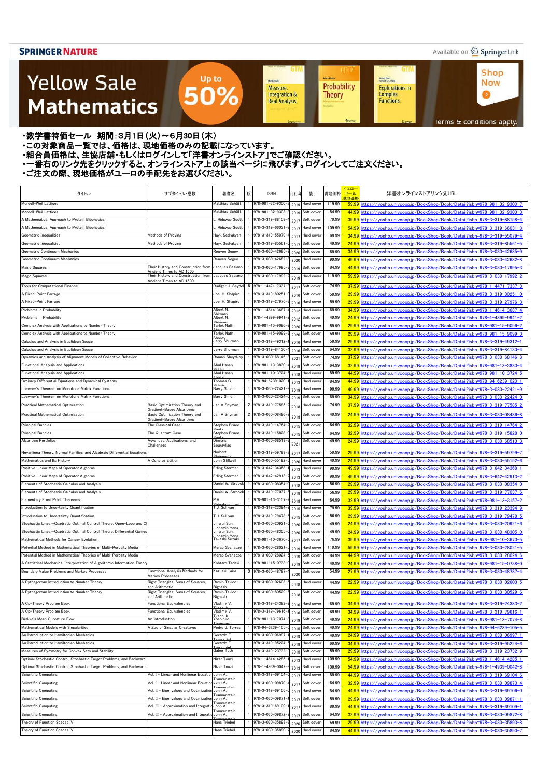### Available on 2 Springer Link

**Shop** 

**Now** 

 $\bullet$ 

**GTM** 

Kichard Beals<br>Rođenick S. C. Wong

Complex<br>Functions

**Explorations in** 

### **Yellow Sale Mathematics**

Probability Measure, Integration & **Theory Real Analysis** 

**GTM** 

Sheidon Auler

**UT** 

**Achim Hente** 

Terms & conditions apply.

・数学書特価セール 期間:3月1日(火)~6月30日(木)

・この対象商品一覧では、価格は、現地価格のみの記載になっています。

- ニッパルプロは、ここには、このファンストリングのコンティングファンストア」でご確認ください。<br>・組合員価格は、生協店舗・もしくはログインして「洋書オンラインストア」でご確認ください。

・一番右のリンク先をクリックすると、オンラインストア上の該当ページに飛びます。ログインしてご注文ください。

Up to

50%

| タイトル                                                                                           | サブタイトル・巻数                                                       | 著者名                               | 版<br>刊行年<br><b>ISBN</b>                     | 装丁                       | 現地価格            | イエロー<br>セール<br>現地価格 | 洋書オンラインストアリンク先URL                                                                                                                                          |
|------------------------------------------------------------------------------------------------|-----------------------------------------------------------------|-----------------------------------|---------------------------------------------|--------------------------|-----------------|---------------------|------------------------------------------------------------------------------------------------------------------------------------------------------------|
| Mordell-Weil Lattices                                                                          |                                                                 | Matthias Schütt                   | 978-981-32-9300-<br>2019                    | Hard cover               | 119.99          |                     | 59.99 https://vosho.univcoop.jp/BookShop/Book/Detail?isbn=978-981-32-9300-7                                                                                |
| Mordell-Weil Lattices                                                                          |                                                                 | Matthias Schütt                   | 978-981-32-9303-<br>2019                    | Soft cover               | 84.99           |                     | 44.99 https://vosho.univcoop.jp/BookShop/Book/Detail?isbn=978-981-32-9303-8                                                                                |
| A Mathematical Approach to Protein Biophysics<br>A Mathematical Approach to Protein Biophysics |                                                                 | Ridgway Scott<br>. Ridgway Scott  | 978-3-319-88158-<br>2017<br>978-3-319-66031 | Soft cover<br>Hard cover | 79.99<br>109.99 |                     | 39.99 https://vosho.univcoop.jp/BookShop/Book/Detail?isbn=978-3-319-88158-4<br>54.99 https://vosho.univcoop.jp/BookShop/Book/Detail?isbn=978-3-319-66031-8 |
| Geometric Inequalities                                                                         | Methods of Proving                                              | Hayk Sedrakyan                    | 2017<br>978-3-319-55079-                    | Hard cover               | 69.99           |                     | 34.99 https://yosho.univcoop.jp/BookShop/Book/Detail?isbn=978-3-319-55079-4                                                                                |
| Geometric Inequalities                                                                         | Methods of Proving                                              | Hayk Sedrakyan                    | 2017<br>978-3-319-85561                     | Soft cover               | 49.99           |                     | 24.99 https://yosho.univcoop.jp/BookShop/Book/Detail?isbn=978-3-319-85561-5                                                                                |
| Geometric Continuum Mechanics                                                                  |                                                                 | Reuven Segev                      | 2017<br>978-3-030-42685-                    | Soft cover               | 69.99           |                     | 34.99 https://yosho.univcoop.jp/BookShop/Book/Detail?isbn=978-3-030-42685-9                                                                                |
| Geometric Continuum Mechanics                                                                  |                                                                 | Reuven Segev                      | 2020<br>978-3-030-42682-<br>2020            | Hard cover               | 99.99           |                     | 49.99 https://vosho.univcoop.jp/BookShop/Book/Detail?isbn=978-3-030-42682-8                                                                                |
| Magic Squares                                                                                  | Their History and Construction from                             | Jacques Sesiano                   | 978-3-030-17995-                            | Soft cover               | 84.99           |                     | 44.99 https://yosho.univcoop.jp/BookShop/Book/Detail?isbn=978-3-030-17995-3                                                                                |
| Magic Squares                                                                                  | Ancient Times to AD 1600<br>Their History and Construction from | Jacques Sesiano                   | 2019<br>978-3-030-17992-                    | Hard cover               | 119.99          |                     | 59.99 https://yosho.univcoop.jp/BookShop/Book/Detail?isbn=978-3-030-17992-2                                                                                |
|                                                                                                | Ancient Times to AD 1600                                        |                                   | 2019                                        |                          |                 |                     |                                                                                                                                                            |
| <b>Tools for Computational Finance</b>                                                         |                                                                 | Rüdiger U. Seydel                 | 6 978-1-4471-7337<br>2017                   | Soft cover               | 74.99           |                     | 37.99 https://yosho.univcoop.jp/BookShop/Book/Detail?isbn=978-1-4471-7337-3                                                                                |
| A Fixed-Point Farrago                                                                          |                                                                 | Joel H. Shapiro                   | 978-3-319-80251<br>2016                     | Soft cover               | 59.99           |                     | 29.99 https://vosho.univcoop.jp/BookShop/Book/Detail?isbn=978-3-319-80251-0                                                                                |
| A Fixed-Point Farrago                                                                          |                                                                 | Joel H. Shapiro                   | 978-3-319-27976<br>2016                     | Hard cover               | 59.99           |                     | 29.99 https://vosho.univcoop.jp/BookShop/Book/Detail?isbn=978-3-319-27976-3                                                                                |
| Problems in Probability                                                                        |                                                                 | Albert N.                         | 978-1-4614-3687<br>2012                     | Hard cover               | 69.99           |                     | 34.99 https://vosho.univcoop.jp/BookShop/Book/Detail?isbn=978-1-4614-3687-4                                                                                |
| Problems in Probability                                                                        |                                                                 | Albert N.                         | 978-1-4899-9941<br>2012                     | Soft cover               | 49.99           |                     | 24.99 https://vosho.univcoop.jp/BookShop/Book/Detail?isbn=978-1-4899-9941-2                                                                                |
| Complex Analysis with Applications to Number Theory                                            |                                                                 | <b>Tarlok Nath</b>                | 978-981-15-9096-<br>2020                    | Hard cover               | 59.99           |                     | 29.99 https://yosho.univcoop.jp/BookShop/Book/Detail?isbn=978-981-15-9096-2                                                                                |
| Complex Analysis with Applications to Number Theory                                            |                                                                 | Tarlok Nath                       | 978-981-15-9099-<br>2020                    | Soft cover               | 59.99           |                     | 29.99 https://yosho.univcoop.jp/BookShop/Book/Detail?isbn=978-981-15-9099-3                                                                                |
| Calculus and Analysis in Euclidean Space                                                       |                                                                 | Jerry Shurman                     | 978-3-319-49312-<br>2016                    | Hard cover               | 59.99           |                     | 29.99 https://yosho.univcoop.jp/BookShop/Book/Detail?isbn=978-3-319-49312-1                                                                                |
| Calculus and Analysis in Euclidean Space                                                       |                                                                 | Jerry Shurman                     | 978-3-319-84130-<br>2016                    | Soft cover               | 64.99           |                     | 32.99 https://yosho.univcoop.jp/BookShop/Book/Detail?isbn=978-3-319-84130-4                                                                                |
| Dynamics and Analysis of Alignment Models of Collective Behavior                               |                                                                 | Roman Shvydkov                    | 978-3-030-68146-<br>2021                    | Soft cover               | 74.99           |                     | 37.99 https://yosho.univcoop.jp/BookShop/Book/Detail?isbn=978-3-030-68146-3                                                                                |
| <b>Functional Analysis and Applications</b>                                                    |                                                                 | Abul Hasan                        | 978-981-13-3830-<br>2018                    | Soft cover               | 64.99           |                     | 32.99 https://yosho.univcoop.jp/BookShop/Book/Detail?isbn=978-981-13-3830-4                                                                                |
| <b>Functional Analysis and Applications</b>                                                    |                                                                 | Abul Hasan                        | 978-981-10-3724<br>2018                     | Hard cover               | 89.99           |                     | 44.99 https://yosho.univcoop.jp/BookShop/Book/Detail?isbn=978-981-10-3724-5                                                                                |
| Ordinary Differential Equations and Dynamical Systems                                          |                                                                 | Thomas C.                         | 978-94-6239-020-<br>2013                    | Hard cover               | 84.99           |                     | 44.99 https://yosho.univcoop.jp/BookShop/Book/Detail?isbn=978-94-6239-020-1                                                                                |
| Loewner's Theorem on Monotone Matrix Functions                                                 |                                                                 | <b>Barry Simon</b>                | 978-3-030-22421-<br>2019                    | Hard cover               | 99.99           |                     | 49.99 https://yosho.univcoop.jp/BookShop/Book/Detail?isbn=978-3-030-22421-9                                                                                |
| Loewner's Theorem on Monotone Matrix Functions                                                 |                                                                 | <b>Barry Simon</b>                | 978-3-030-22424<br>2019                     | Soft cover               | 69.99           |                     | 34.99 https://yosho.univcoop.jp/BookShop/Book/Detail?isbn=978-3-030-22424-0                                                                                |
| Practical Mathematical Optimization                                                            | Basic Optimization Theory and<br>Gradient-Based Algorithms      | Jan A Snyman                      | 2 978-3-319-77585-<br>2018                  | lard cover               | 74.99           |                     | 37.99 https://yosho.univcoop.jp/BookShop/Book/Detail?isbn=978-3-319-77585-2                                                                                |
| Practical Mathematical Optimization                                                            | Basic Optimization Theory and<br>Gradient-Based Algorithms      | Jan A Snyman                      | 2 978-3-030-08486-<br>2018                  | Soft cover               | 49.99           |                     | 24.99 https://yosho.univcoop.jp/BookShop/Book/Detail?isbn=978-3-030-08486-8                                                                                |
| <b>Principal Bundles</b>                                                                       | The Classical Case                                              | Stephen Bruce                     | 978-3-319-14764<br>2015                     | Soft cover               | 64.99           |                     | 32.99 https://yosho.univcoop.jp/BookShop/Book/Detail?isbn=978-3-319-14764-2                                                                                |
| <b>Principal Bundles</b>                                                                       | The Quantum Case                                                | Stephen Bruce                     | 978-3-319-15828-<br>2015                    | Soft cover               | 64.99           |                     | 32.99 https://yosho.univcoop.jp/BookShop/Book/Detail?isbn=978-3-319-15828-0                                                                                |
| <b>Algorithm Portfolios</b>                                                                    | Advances, Applications, and                                     | Dimitris                          | 978-3-030-68513-                            | Soft cover               | 49.99           |                     | 24.99 https://vosho.univcoop.jp/BookShop/Book/Detail?isbn=978-3-030-68513-3                                                                                |
|                                                                                                | Challenges                                                      | Souravlias                        | 2021                                        |                          |                 |                     |                                                                                                                                                            |
| Nevanlinna Theory, Normal Families, and Algebraic Differential Equation                        |                                                                 | Norbert                           | 978-3-319-59799-<br>2017                    | Soft cover               | 59.99           |                     | 29.99 https://yosho.univcoop.jp/BookShop/Book/Detail?isbn=978-3-319-59799-7                                                                                |
| Mathematics and Its History                                                                    | A Concise Edition                                               | John Stillwell                    | 978-3-030-55192-<br>2020                    | Hard cover               | 49.99           |                     | 24.99 https://yosho.univcoop.jp/BookShop/Book/Detail?isbn=978-3-030-55192-6                                                                                |
| Positive Linear Maps of Operator Algebras                                                      |                                                                 | <b>Erling Størmer</b>             | 1 978-3-642-34368-<br>2013                  | Hard cover               | 99.99           |                     | 49.99 https://yosho.univcoop.jp/BookShop/Book/Detail?isbn=978-3-642-34368-1                                                                                |
| Positive Linear Maps of Operator Algebras                                                      |                                                                 | Erling Størmer                    | 1 978-3-642-42913-<br>2013                  | Soft cover               | 99.99           |                     | <u>49.99 https://yosho.univcoop.jp/BookShop/Book/Detail?isbn=978-3-642-42913-2</u>                                                                         |
| Elements of Stochastic Calculus and Analysis                                                   |                                                                 | Daniel W. Stroock                 | 1 978-3-030-08354-<br>2018                  | Soft cover               | 56.99           |                     | 29.99 https://yosho.univcoop.jp/BookShop/Book/Detail?isbn=978-3-030-08354-0                                                                                |
| Elements of Stochastic Calculus and Analysis                                                   |                                                                 | Daniel W. Stroock                 | 978-3-319-77037<br>2018                     | Hard cover               | 56.99           |                     | 29.99 https://yosho.univcoop.jp/BookShop/Book/Detail?isbn=978-3-319-77037-6                                                                                |
| <b>Elementary Fixed Point Theorems</b>                                                         |                                                                 | P.V.                              | 978-981-13-3157-<br>2018                    | Hard cover               | 64.99           |                     | 32.99 https://yosho.univcoop.jp/BookShop/Book/Detail?isbn=978-981-13-3157-2                                                                                |
| Introduction to Uncertainty Quantification                                                     |                                                                 | T.J. Sullivan                     | 978-3-319-23394-<br>2015                    | Hard cover               | 79.99           |                     | 39.99 https://yosho.univcoop.jp/BookShop/Book/Detail?isbn=978-3-319-23394-9                                                                                |
| Introduction to Uncertainty Quantification                                                     |                                                                 | T.J. Sullivan                     | 978-3-319-79478-                            | 2015 Soft cover          | 56.99           |                     | 29.99 https://yosho.univcoop.jp/BookShop/Book/Detail?isbn=978-3-319-79478-5                                                                                |
| Stochastic Linear-Quadratic Optimal Control Theory: Open-Loop and Cl                           |                                                                 | Jingrui Sun;                      | 978-3-030-20921                             | 2020 Soft cover          | 49.99           |                     | 24.99 https://yosho.univcoop.jp/BookShop/Book/Detail?isbn=978-3-030-20921-6                                                                                |
| Stochastic Linear-Quadratic Optimal Control Theory: Differential Game                          |                                                                 | Jingrui Sun;                      | 978-3-030-48305-<br>2020                    | Soft cover               | 49.99           |                     | 24.99 https://vosho.univcoop.jp/BookShop/Book/Detail?isbn=978-3-030-48305-0                                                                                |
| Mathematical Methods for Cancer Evolution                                                      |                                                                 | Takashi Suzuki                    | 978-981-10-3670-<br>2017                    | Soft cover               | 76.99           |                     | 39.99 https://vosho.univcoop.jp/BookShop/Book/Detail?isbn=978-981-10-3670-5                                                                                |
| Potential Method in Mathematical Theories of Multi-Porosity Media                              |                                                                 | Merab Svanadze                    | 978-3-030-28021-<br>2019                    | Hard cover               | 119.99          |                     | 59.99 https://yosho.univcoop.jp/BookShop/Book/Detail?isbn=978-3-030-28021-5                                                                                |
| Potential Method in Mathematical Theories of Multi-Porosity Media                              |                                                                 | Merab Svanadze                    | 978-3-030-28024-<br>2019                    | Soft cover               | 84.99           |                     | 44.99 https://yosho.univcoop.jp/BookShop/Book/Detail?isbn=978-3-030-28024-6                                                                                |
| A Statistical Mechanical Interpretation of Algorithmic Information Theor                       |                                                                 | Kohtaro Tadaki                    | 978-981-15-0738-<br>2019                    | Soft cover               | 49.99           |                     | 24.99 https://vosho.univcoop.jp/BookShop/Book/Detail?isbn=978-981-15-0738-0                                                                                |
| Boundary Value Problems and Markov Processes                                                   | Functional Analysis Methods for<br>Markov Processes             | Kazuaki Taira                     | 3 978-3-030-48787-<br>2020                  | Soft cover               | 54.99           |                     | 27.99 https://yosho.univcoop.jp/BookShop/Book/Detail?isbn=978-3-030-48787-4                                                                                |
| A Pythagorean Introduction to Number Theory                                                    | Right Triangles, Sums of Squares,                               | Ramin Takloo-                     | 1 978-3-030-02603-<br>2018                  | Hard cover               | 44.99           |                     | 22.99 https://yosho.univcoop.jp/BookShop/Book/Detail?isbn=978-3-030-02603-5                                                                                |
| A Pythagorean Introduction to Number Theory                                                    | and Arithmetic<br>Right Triangles, Sums of Squares,             | Bighash<br>Ramin Takloo-          | 978-3-030-80529-                            | Soft cover               | 44.99           |                     | 22.99 https://yosho.univcoop.jp/BookShop/Book/Detail?isbn=978-3-030-80529-6                                                                                |
|                                                                                                | and Arithmetic                                                  | <b>Bighash</b>                    | 2018                                        |                          |                 |                     |                                                                                                                                                            |
| A Cp-Theory Problem Book                                                                       | <b>Functional Equivalencies</b>                                 | Vladimir V.<br>$L_{\alpha\alpha}$ | 978-3-319-24383-<br>2016                    | Hard cover               | 69.99           |                     | 34.99 https://yosho.univcoop.jp/BookShop/Book/Detail?isbn=978-3-319-24383-2                                                                                |
| A Cp-Theory Problem Book                                                                       | Functional Equivalencies                                        | Vladimir V.<br>Fleacht.           | 978-3-319-79616-<br>2016                    | Soft cover               | 69.99           |                     | 34.99 https://yosho.univcoop.jp/BookShop/Book/Detail?isbn=978-3-319-79616-1                                                                                |
| Brakke's Mean Curvature Flow                                                                   | An Introduction                                                 | Yoshihiro                         | 978-981-13-7074<br>2019                     | Soft cover               | 49.99           |                     | 24.99 https://yosho.univcoop.jp/BookShop/Book/Detail?isbn=978-981-13-7074-8                                                                                |
| Mathematical Models with Singularities                                                         | A Zoo of Singular Creatures                                     | Pedro J. Torres                   | 978-94-6239-105-<br>2015                    | Soft cover               | 49.99           |                     | 24.99 https://yosho.univcoop.jp/BookShop/Book/Detail?isbn=978-94-6239-105-5                                                                                |
| An Introduction to Hamiltonian Mechanics                                                       |                                                                 | Gerardo F.                        | 978-3-030-06997<br>2018                     | Soft cover               | 49.99           |                     | 24.99 https://yosho.univcoop.jp/BookShop/Book/Detail?isbn=978-3-030-06997-1                                                                                |
| An Introduction to Hamiltonian Mechanics                                                       |                                                                 | Gerardo F.                        | 978-3-319-95224<br>2018                     | Hard cover               | 69.99           |                     | 34.99 https://yosho.univcoop.jp/BookShop/Book/Detail?isbn=978-3-319-95224-6                                                                                |
| Measures of Symmetry for Convex Sets and Stability                                             |                                                                 | Gabor Toth                        | 978-3-319-23732-<br>2015                    | Soft cover               | 59.99           |                     | 29.99 https://yosho.univcoop.jp/BookShop/Book/Detail?isbn=978-3-319-23732-9                                                                                |
| Optimal Stochastic Control, Stochastic Target Problems, and Backward                           |                                                                 | Nizar Touzi                       | 978-1-4614-4285-<br>2013                    | Hard cover               | 109.99          |                     | 54.99 https://yosho.univcoop.jp/BookShop/Book/Detail?isbn=978-1-4614-4285-1                                                                                |
| Optimal Stochastic Control, Stochastic Target Problems, and Backward                           |                                                                 | Nizar Touzi                       | 978-1-4939-0042-<br>2013                    | Soft cover               | 109.99          |                     | 54.99 https://yosho.univcoop.jp/BookShop/Book/Detail?isbn=978-1-4939-0042-8                                                                                |
| <b>Scientific Computing</b>                                                                    | Vol. I - Linear and Nonlinear Equation                          | John A.                           | 978-3-319-69104<br>2017                     | <b>Hard</b> cover        | 89.99           |                     | <u>44.99 https://yosho.univcoop.jp/BookShop/Book/Detail?isbn=978-3-319-69104-6</u>                                                                         |
| Scientific Computing                                                                           | Vol. I - Linear and Nonlinear Equation John A.                  |                                   | 978-3-030-09870-<br>2017                    | Soft cover               | 64.99           |                     | 32.99 https://yosho.univcoop.jp/BookShop/Book/Detail?isbn=978-3-030-09870-4                                                                                |
| <b>Scientific Computing</b>                                                                    | Vol. II - Eigenvalues and Optimization John A.                  |                                   | 978-3-319-69106<br>2017                     | Hard cover               | 84.99           |                     | 44.99 https://yosho.univcoop.jp/BookShop/Book/Detail?isbn=978-3-319-69106-0                                                                                |
| <b>Scientific Computing</b>                                                                    | Vol. II - Eigenvalues and Optimization John A.                  |                                   | 978-3-030-09871-<br>2017                    | Soft cover               | 59.99           |                     | 29.99 https://yosho.univcoop.jp/BookShop/Book/Detail?isbn=978-3-030-09871-1                                                                                |
| <b>Scientific Computing</b>                                                                    | Vol. III - Approximation and Integratio John A.                 |                                   | 978-3-319-69109-<br>2017                    | Hard cover               | 89.99           |                     | 44.99 https://vosho.univcoop.jp/BookShop/Book/Detail?isbn=978-3-319-69109-1                                                                                |
| <b>Scientific Computing</b>                                                                    | Vol. III - Approximation and Integratio John A.                 |                                   | 978-3-030-09872-<br>2017                    | Soft cover               | 64.99           |                     | 32.99 https://yosho.univcoop.jp/BookShop/Book/Detail?isbn=978-3-030-09872-8                                                                                |
| Theory of Function Spaces IV                                                                   |                                                                 | Hans Triebel                      | 978-3-030-35893-<br>2020                    | Soft cover               | 59.99           |                     | 29.99 https://yosho.univcoop.jp/BookShop/Book/Detail?isbn=978-3-030-35893-8                                                                                |
| Theory of Function Spaces IV                                                                   |                                                                 | Hans Triebel                      | 978-3-030-35890-<br>2020                    | Hard cover               | 84.99           |                     | 44.99 https://yosho.univcoop.jp/BookShop/Book/Detail?isbn=978-3-030-35890-7                                                                                |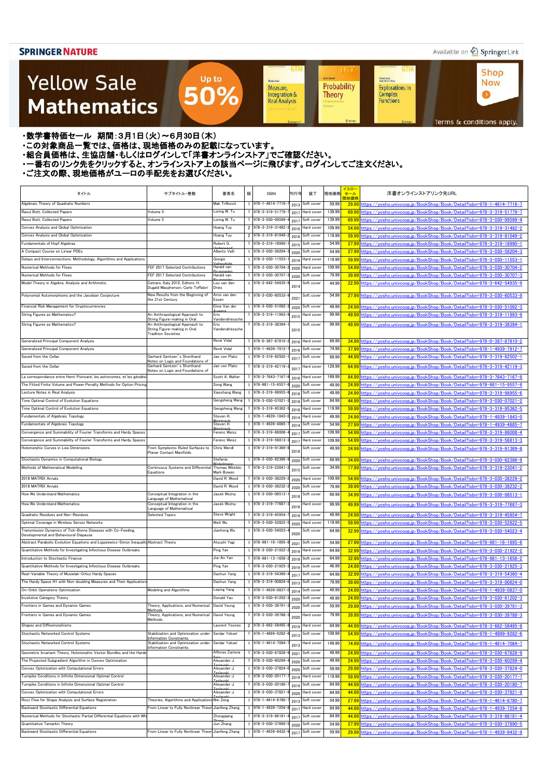### Available on 2 Springer Link

**Shop** 

**Now** 

 $\bullet$ 

**GTM** 

### **Yellow Sale Mathematics**

**Achim Hente** Kichard Beals<br>Rođenick S. C. Wong Sheidon Auler Probability **Explorations in** Measure, Integration & Complex<br>Functions **Theory Real Analysis** 

**UT** 

**GTM** 

Terms & conditions apply.

・数学書特価セール 期間:3月1日(火)~6月30日(木)

・この対象商品一覧では、価格は、現地価格のみの記載になっています。

- ニッパルプロは、ここには、このファンストリングのコンティングファンストア」でご確認ください。<br>・組合員価格は、生協店舗・もしくはログインして「洋書オンラインストア」でご確認ください。

・一番右のリンク先をクリックすると、オンラインストア上の該当ページに飛びます。ログインしてご注文ください。

Up to

50%

| タイトル<br>Algebraic Theory of Quadratic Numbers                                           | サブタイトル・巻数                                                                                                                    | 著者名                                        | 版 | <b>ISBN</b>                          | 刊行年     | 装丁              | 現地価格   | イエロー<br>セール<br>現地価格 | 洋書オンラインストアリンク先URL                                                                                                                                    |
|-----------------------------------------------------------------------------------------|------------------------------------------------------------------------------------------------------------------------------|--------------------------------------------|---|--------------------------------------|---------|-----------------|--------|---------------------|------------------------------------------------------------------------------------------------------------------------------------------------------|
|                                                                                         |                                                                                                                              | Mak Trifković                              |   | $1$ 978-1-4614-7716                  | 2013    | Soft cover      | 59.99  | 29.99               | https://yosho.univcoop.jp/BookShop/Book/Detail?isbn=978-1-4614-7716-7                                                                                |
| Raoul Bott: Collected Papers                                                            | Volume 5                                                                                                                     | Loring W. Tu                               |   | 1 978-3-319-51779                    | 2017    | Hard cover      | 139.99 | 69.99               | https://vosho.univcoop.jp/BookShop/Book/Detail?isbn=978-3-319-51779-7                                                                                |
| Raoul Bott: Collected Papers                                                            | Volume 5                                                                                                                     | Loring W. Tu                               |   | 1 978-3-030-09599                    | 2017    | Soft cover      | 139.99 | 69.99               | https://vosho.univcoop.jp/BookShop/Book/Detail?isbn=978-3-030-09599-4                                                                                |
| Convex Analysis and Global Optimization                                                 |                                                                                                                              | Hoang Tuy                                  |   | 2 978-3-319-31482-                   | 2016    | Hard cover      | 109.99 | 54.99               | https://vosho.univcoop.jp/BookShop/Book/Detail?isbn=978-3-319-31482-2                                                                                |
| Convex Analysis and Global Optimization                                                 |                                                                                                                              | Hoang Tuy                                  |   | 2 978-3-319-81049                    | 2016    | Soft cover      | 119.99 | 59.99               | https://yosho.univcoop.jp/BookShop/Book/Detail?isbn=978-3-319-81049-2                                                                                |
| Fundamentals of Hopf Algebras                                                           |                                                                                                                              | Robert G.                                  |   | 1 978-3-319-18990                    | 2015    | Soft cover      | 54.99  | 27.99               | https://yosho.univcoop.jp/BookShop/Book/Detail?isbn=978-3-319-18990-1                                                                                |
| A Compact Course on Linear PDEs                                                         |                                                                                                                              | Alberto Valli                              |   | 978-3-030-58204                      | 2020    | Soft cover      | 54.99  | 27.99               | https://vosho.univcoop.ip/BookShop/Book/Detail?isbn=978-3-030-58204-3                                                                                |
| Delays and Interconnections: Methodology, Algorithms and Applications                   |                                                                                                                              | Giorgio                                    |   | 1 978-3-030-11553                    |         | 2019 Hard cover | 119.99 | 59.99               | https://vosho.univcoop.ip/BookShop/Book/Detail?isbn=978-3-030-11553-1                                                                                |
| Numerical Methods for Flows                                                             | FEF 2017 Selected Contributions                                                                                              | Harald van                                 |   | 1 978-3-030-30704                    | 2020    | Hard cover      | 109.99 | 54.99               | https://vosho.univcoop.ip/BookShop/Book/Detail?isbn=978-3-030-30704-2                                                                                |
| Numerical Methods for Flows                                                             | FEF 2017 Selected Contributions                                                                                              | Harald van                                 |   | 978-3-030-30707                      | 2020    | Soft cover      | 79.99  | 39.99               | https://vosho.univcoop.ip/BookShop/Book/Detail?isbn=978-3-030-30707-3                                                                                |
| Model Theory in Algebra, Analysis and Arithmetic                                        | Cetraro, Italy 2012, Editors: H.<br>Dugald Macpherson, Carlo Toffalori                                                       | Lou van den<br><b>Dries</b>                |   | 1 978-3-642-54935-                   | 2014    | Soft cover      | 44.99  | 22.99               | https://vosho.univcoop.jp/BookShop/Book/Detail?isbn=978-3-642-54935-9                                                                                |
| Polynomial Automorphisms and the Jacobian Conjecture                                    | New Results from the Beginning of<br>the 21st Century                                                                        | Arno van den<br>Essen                      |   | 1 978-3-030-60533                    | $202 -$ | Soft cover      | 54.99  |                     | 27.99 https://vosho.univcoop.jp/BookShop/Book/Detail?isbn=978-3-030-60533-9                                                                          |
| Financial Risk Management for Cryptocurrencies                                          |                                                                                                                              | Eline Van der                              |   | 978-3-030-51092                      | 2020    | Soft cover      | 49.99  | 24.99               | https://vosho.univcoop.jp/BookShop/Book/Detail?isbn=978-3-030-51092-3                                                                                |
| String Figures as Mathematics?                                                          | An Anthropological Approach to                                                                                               | Eric                                       |   | 978-3-319-11993                      | 2015    | Hard cover      | 99.99  | 49.99               | https://vosho.univcoop.jp/BookShop/Book/Detail?isbn=978-3-319-11993-9                                                                                |
| String Figures as Mathematics?                                                          | String Figure-making in Oral<br>An Anthropological Approach to<br>String Figure-making in Oral<br><b>Tradition Societies</b> | Vandendriessche<br>Eric<br>Vandendriessche |   | 978-3-319-38394-                     | 2015    | Soft cover      | 99.99  |                     | 49.99 https://yosho.univcoop.jp/BookShop/Book/Detail?isbn=978-3-319-38394-1                                                                          |
| Generalized Principal Component Analysis                                                |                                                                                                                              | René Vidal                                 |   | 1 978-0-387-87810-                   | 2016    | Hard cover      | 69.99  |                     | 34.99 https://vosho.univcoop.jp/BookShop/Book/Detail?isbn=978-0-387-87810-2                                                                          |
| Generalized Principal Component Analysis                                                |                                                                                                                              | René Vidal                                 |   | 978-1-4939-7912-                     | 2016    | Soft cover      | 74.99  | 37.99               | https://vosho.univcoop.ip/BookShop/Book/Detail?isbn=978-1-4939-7912-7                                                                                |
| Saved from the Cellar                                                                   | Gerhard Gentzen's Shorthand                                                                                                  | Jan von Plato                              |   | 1 978-3-319-82502-                   | 201     | Soft cover      | 89.99  | 44.99               | https://vosho.univcoop.ip/BookShop/Book/Detail?isbn=978-3-319-82502-1                                                                                |
| Saved from the Cellar                                                                   | Notes on Logic and Foundations of<br>Gerhard Gentzen's Shorthand<br>Notes on Logic and Foundations of                        | Jan von Plato                              |   | 1 978-3-319-42119-                   | 201     | Hard cover      | 129.99 | 64.99               | https://yosho.univcoop.jp/BookShop/Book/Detail?isbn=978-3-319-42119-3                                                                                |
| La correspondance entre Henri Poincaré, les astronomes, et les géodés                   |                                                                                                                              | Scott A. Walter                            |   | 1 978-3-7643-7167                    | 2016    | Hard cover      | 169.99 | 84.99               | https://vosho.univcoop.jp/BookShop/Book/Detail?isbn=978-3-7643-7167-8                                                                                |
| The Fitted Finite Volume and Power Penalty Methods for Option Pricing                   |                                                                                                                              | Song Wang                                  |   | 978-981-15-9557                      | 2020    | Soft cover      | 49.99  | 24.99               | https://vosho.univcoop.jp/BookShop/Book/Detail?isbn=978-981-15-9557-8                                                                                |
| Lecture Notes in Real Analysis                                                          |                                                                                                                              | Xiaochang Wang                             |   | 1 978-3-319-98955                    | 2018    | Soft cover      | 49.99  | 24.99               | https://vosho.univcoop.jp/BookShop/Book/Detail?isbn=978-3-319-98955-6                                                                                |
| Time Optimal Control of Evolution Equations                                             |                                                                                                                              | Gengsheng Wang                             |   | 978-3-030-07021                      | 2018    | Soft cover      | 84.99  | 44.99               | https://vosho.univcoop.jp/BookShop/Book/Detail?isbn=978-3-030-07021-2                                                                                |
| Time Optimal Control of Evolution Equations                                             |                                                                                                                              | Gengsheng Wang                             |   | 978-3-319-95362                      | 2018    | Hard cover      | 119.99 | 59.99               | nttps://vosho.univcoop.jp/BookShop/Book/Detail?isbn=978-3-319-95362-5                                                                                |
| Fundamentals of Algebraic Topology                                                      |                                                                                                                              | Steven H.                                  |   | 978-1-4939-1843                      | 2014    | Hard cover      | 49.99  | 24.99               | https://yosho.univcoop.jp/BookShop/Book/Detail?isbn=978-1-4939-1843-0                                                                                |
| Fundamentals of Algebraic Topology                                                      |                                                                                                                              | Steven H.                                  |   | 978-1-4939-4885                      | 2014    | Soft cover      | 54.99  | 27.99               | https://vosho.univcoop.jp/BookShop/Book/Detail?isbn=978-1-4939-4885-7                                                                                |
| Convergence and Summability of Fourier Transforms and Hardy Spaces                      |                                                                                                                              | Ferenc Weisz                               |   | 978-3-319-86008                      | 2017    | Soft cover      | 109.99 | 54.99               | https://yosho.univcoop.jp/BookShop/Book/Detail?isbn=978-3-319-86008-4                                                                                |
| Convergence and Summability of Fourier Transforms and Hardy Spaces                      |                                                                                                                              | Ferenc Weisz                               |   | 978-3-319-56813                      | 2017    | Hard cover      | 109.99 | 54.99               | https://yosho.univcoop.jp/BookShop/Book/Detail?isbn=978-3-319-56813-3                                                                                |
| Holomorphic Curves in Low Dimensions                                                    | From Symplectic Ruled Surfaces to                                                                                            | Chris Wendl                                |   | 1 978-3-319-91369-                   |         | Soft cover      | 49.99  |                     | 24.99 https://yosho.univcoop.jp/BookShop/Book/Detail?isbn=978-3-319-91369-8                                                                          |
|                                                                                         | Planar Contact Manifolds                                                                                                     |                                            |   |                                      | 2018    |                 |        |                     |                                                                                                                                                      |
| Stochastic Dynamics in Computational Biology                                            |                                                                                                                              | Stefanie                                   |   | 978-3-030-62386                      | 2020    | Soft cover      | 69.99  | 34.99               | https://vosho.univcoop.jp/BookShop/Book/Detail?isbn=978-3-030-62386-9                                                                                |
| Methods of Mathematical Modelling                                                       | Continuous Systems and Differential<br>Equations                                                                             | Thomas Witelski;<br>Mark Bowen             |   | 978-3-319-23041                      | 2015    | Soft cover      | 34.99  |                     | 17.99 https://vosho.univcoop.jp/BookShop/Book/Detail?isbn=978-3-319-23041-2                                                                          |
| 2018 MATRIX Annals                                                                      |                                                                                                                              | David R. Wood                              |   | $1 \overline{978 - 3 - 030 - 38229}$ |         | 2020 Hard cover | 109.99 |                     | <u>  https://yosho.univcoop.jp/BookShop/Book/Detail?isbn=978-3-030-38229-</u>                                                                        |
| 2018 MATRIX Annals                                                                      |                                                                                                                              | David R. Wood                              |   | 978-3-030-38232-                     | 2020    | Soft cover      | 79.99  | 39.99               | https://yosho.univcoop.jp/BookShop/Book/Detail?isbn=978-3-030-38232-2                                                                                |
| How We Understand Mathematics                                                           | Conceptual Integration in the<br>Language of Mathematical                                                                    | Jacek Woźnv                                |   | 1 978-3-030-08513                    | 2018    | Soft cover      | 69.99  |                     | 34.99 https://yosho.univcoop.jp/BookShop/Book/Detail?isbn=978-3-030-08513-1                                                                          |
| How We Understand Mathematics                                                           | Conceptual Integration in the                                                                                                | Jacek Woźny                                |   | 1 978-3-319-77687                    | 201     | Hard cover      | 99.99  |                     | 49.99 https://yosho.univcoop.jp/BookShop/Book/Detail?isbn=978-3-319-77687-3                                                                          |
| Quadratic Residues and Non-Residues                                                     | Language of Mathematical<br><b>Selected Topics</b>                                                                           | <b>Steve Wright</b>                        |   | 1 978-3-319-45954                    |         | Soft cover      | 49.99  | 24.99               |                                                                                                                                                      |
| Optimal Coverage in Wireless Sensor Networks                                            |                                                                                                                              | Weili Wu                                   |   | 978-3-030-52822                      | 2016    | Hard cover      | 119.99 | 59.99               | https://yosho.univcoop.jp/BookShop/Book/Detail?isbn=978-3-319-45954-7                                                                                |
| Transmission Dynamics of Tick-Borne Diseases with Co-Feeding.                           |                                                                                                                              | Jianhong Wu                                |   | 1 978-3-030-54023                    | 2020    | Soft cover      | 64.99  |                     | https://yosho.univcoop.jp/BookShop/Book/Detail?isbn=978-3-030-52822-5<br>32.99 https://vosho.univcoop.jp/BookShop/Book/Detail?isbn=978-3-030-54023-4 |
| Developmental and Behavioural Diapause                                                  |                                                                                                                              |                                            |   |                                      | 2020    |                 |        |                     |                                                                                                                                                      |
| Abstract Parabolic Evolution Equations and Lojasiewicz-Simon Inequality Abstract Theory |                                                                                                                              | Atsushi Yagi                               |   | 1 978-981-16-1895-                   | 2021    | Soft cover      | 54.99  |                     | 27.99 https://yosho.univcoop.jp/BookShop/Book/Detail?isbn=978-981-16-1895-6                                                                          |
| Quantitative Methods for Investigating Infectious Disease Outbreaks                     |                                                                                                                              | Ping Yan                                   |   | 1 978-3-030-21922                    | 2019    | Hard cover      | 64.99  | 32.99               | https://yosho.univcoop.jp/BookShop/Book/Detail?isbn=978-3-030-21922-2                                                                                |
| Introduction to Stochastic Finance                                                      |                                                                                                                              | Jia-An Yan                                 |   | 1 978-981-13-1656                    | 2018    | Soft cover      | 64.99  | 32.99               | https://vosho.univcoop.ip/BookShop/Book/Detail?isbn=978-981-13-1656-2                                                                                |
| Quantitative Methods for Investigating Infectious Disease Outbreaks                     |                                                                                                                              | Ping Yan                                   |   | 1 978-3-030-21925                    | 2019    | Soft cover      | 46.99  | 24.99               | https://yosho.univcoop.jp/BookShop/Book/Detail?isbn=978-3-030-21925-3                                                                                |
| Real-Variable Theory of Musielak-Orlicz Hardy Spaces                                    |                                                                                                                              | Dachun Yang                                |   | 1 978-3-319-54360                    | 2017    | Soft cover      | 64.99  | 32.99               | https://yosho.univcoop.jp/BookShop/Book/Detail?isbn=978-3-319-54360-4                                                                                |
| The Hardy Space H1 with Non-doubling Measures and Their Application                     |                                                                                                                              | Dachun Yang                                |   | 1 978-3-319-00824                    | 2013    | Soft cover      | 79.99  | 39.99               | https://yosho.univcoop.jp/BookShop/Book/Detail?isbn=978-3-319-00824-0                                                                                |
| On-Orbit Operations Optimization                                                        | Modeling and Algorithms                                                                                                      | Leping Yang                                |   | 1 978-1-4939-0837                    | 2014    | Soft cover      | 49.99  | 24.99               | https://yosho.univcoop.jp/BookShop/Book/Detail?isbn=978-1-4939-0837-0                                                                                |
| Involutive Category Theory                                                              |                                                                                                                              | Donald Yau                                 |   | 1 978-3-030-61202                    | 2020    | Soft cover      | 49.99  | 24.99               | https://yosho.univcoop.jp/BookShop/Book/Detail?isbn=978-3-030-61202-3                                                                                |
| Frontiers in Games and Dynamic Games                                                    | Theory, Applications, and Numerical                                                                                          | David Yeung                                |   | 1 978-3-030-39791                    | 2020    | Soft cover      | 59.99  | 29.99               | https://yosho.univcoop.jp/BookShop/Book/Detail?isbn=978-3-030-39791-3                                                                                |
| Frontiers in Games and Dynamic Games                                                    | Methods<br>Theory, Applications, and Numerical<br>Methods                                                                    | David Yeung                                |   | 1 978-3-030-39788                    | 2020    | Hard cover      | 79.99  |                     | 39.99 https://yosho.univcoop.jp/BookShop/Book/Detail?isbn=978-3-030-39788-3                                                                          |
| Shapes and Diffeomorphisms                                                              |                                                                                                                              | <b>Laurent Younes</b>                      |   | 2 978-3-662-58495-                   | 2019    | Hard cover      | 84.99  |                     | 44.99 https://yosho.univcoop.jp/BookShop/Book/Detail?isbn=978-3-662-58495-8                                                                          |
| Stochastic Networked Control Systems                                                    | Stabilization and Optimization under<br><b>Information Constraints</b>                                                       | Serdar Yüksel                              |   | 1 978-1-4899-9282-                   | 2013    | Soft cover      | 109.99 |                     | 54.99 https://yosho.univcoop.jp/BookShop/Book/Detail?isbn=978-1-4899-9282-6                                                                          |
| Stochastic Networked Control Systems                                                    | Stabilization and Optimization under<br><b>Information Constraints</b>                                                       | Serdar Yüksel                              |   | 1 978-1-4614-7084                    | 2013    | Hard cover      | 149.99 |                     | 74.99 https://vosho.univcoop.jp/BookShop/Book/Detail?isbn=978-1-4614-7084-7                                                                          |
| Geometric Invariant Theory, Holomorphic Vector Bundles and the Harde                    |                                                                                                                              | Alfonso Zamora                             |   | 978-3-030-67828                      | 2021    | Soft cover      | 49.99  | 24.99               | https://vosho.univcoop.ip/BookShop/Book/Detail?isbn=978-3-030-67828-9                                                                                |
| The Projected Subgradient Algorithm in Convex Optimization                              |                                                                                                                              | Alexander J.                               |   | 1 978-3-030-60299                    | 2020    | Soft cover      | 49.99  | 24.99               | https://yosho.univcoop.jp/BookShop/Book/Detail?isbn=978-3-030-60299-4                                                                                |
| Convex Optimization with Computational Errors                                           |                                                                                                                              | Alexander J.                               |   | 1 978-3-030-37824                    | 2020    | Soft cover      | 59.99  | 29.99               | https://yosho.univcoop.jp/BookShop/Book/Detail?isbn=978-3-030-37824-0                                                                                |
| Turnpike Conditions in Infinite Dimensional Optimal Control                             |                                                                                                                              | Alexander J.<br>'aelavek                   |   | 1 978-3-030-20177                    | 2019    | Hard cover      | 119.99 | 59.99               | https://yosho.univcoop.jp/BookShop/Book/Detail?isbn=978-3-030-20177-7                                                                                |
| Turnpike Conditions in Infinite Dimensional Optimal Control                             |                                                                                                                              | Alexander J.<br>oelovek                    |   | 1 978-3-030-20180-                   | 2019    | Soft cover      | 84.99  | 44.99               | https://yosho.univcoop.jp/BookShop/Book/Detail?isbn=978-3-030-20180-7                                                                                |
| Convex Optimization with Computational Errors                                           |                                                                                                                              | Alexander J.                               |   | 1 978-3-030-37821                    | 2020    | Hard cover      | 84.99  | 44.99               | https://yosho.univcoop.jp/BookShop/Book/Detail?isbn=978-3-030-37821-9                                                                                |
| Ricci Flow for Shape Analysis and Surface Registration                                  | Theories, Algorithms and Applications Wei Zeng                                                                               |                                            |   | $1$ 978-1-4614-8780                  | 2013    | Soft cover      | 54.99  | 27.99               | https://yosho.univcoop.jp/BookShop/Book/Detail?isbn=978-1-4614-8780-7                                                                                |
| Backward Stochastic Differential Equations                                              | From Linear to Fully Nonlinear Theory Jianfeng Zhang                                                                         |                                            |   | 1 978-1-4939-7254                    | 2017    | Hard cover      | 84.99  | 44.99               | https://yosho.univcoop.jp/BookShop/Book/Detail?isbn=978-1-4939-7254-8                                                                                |
| Numerical Methods for Stochastic Partial Differential Equations with Wh                 |                                                                                                                              | Zhongqiang                                 |   | $1$ 978-3-319-86181                  | 2017    | Soft cover      | 84.99  | 44.99               | https://vosho.univcoop.jp/BookShop/Book/Detail?isbn=978-3-319-86181-4                                                                                |
| Quantitative Tamarkin Theory                                                            |                                                                                                                              | Jun Zhang                                  |   | 1 978-3-030-37890-                   | 2020    | Soft cover      | 54.99  | 27.99               | https://yosho.univcoop.jp/BookShop/Book/Detail?isbn=978-3-030-37890-5                                                                                |
| Backward Stochastic Differential Equations                                              | From Linear to Fully Nonlinear Theory Jianfeng Zhang                                                                         |                                            |   | 1 978-1-4939-8432-                   | 2017    | Soft cover      | 59.99  | 29.99               | https://yosho.univcoop.jp/BookShop/Book/Detail?isbn=978-1-4939-8432-9                                                                                |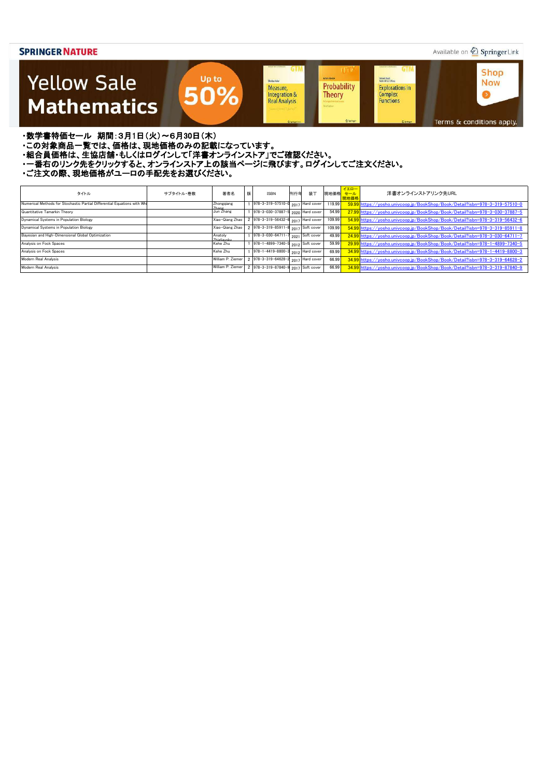### Available on 2 Springer Link



・数学書特価セール 期間:3月1日(火)~6月30日(木)

・この対象商品一覧では、価格は、現地価格のみの記載になっています。

- ニッパルプロは、ここには、このファンストリングのコンティングファンストア」でご確認ください。<br>・組合員価格は、生協店舗・もしくはログインして「洋書オンラインストア」でご確認ください。

・一番右のリンク先をクリックすると、オンラインストア上の該当ページに飛びます。ログインしてご注文ください。

| タイトル                                                                     | サブタイトル・巻数 | 著者名                            | 版 | <b>ISBN</b>                                    | 刊行年 | 装丁 | 現地価格 セール | イエロー<br>現地価格 | 洋書オンラインストアリンク先URL                                                           |
|--------------------------------------------------------------------------|-----------|--------------------------------|---|------------------------------------------------|-----|----|----------|--------------|-----------------------------------------------------------------------------|
| Numerical Methods for Stochastic Partial Differential Equations with Whi |           | Zhongqiang                     |   | 978-3-319-57510-0 2017 Hard cover              |     |    | 119.99   |              | 59.99 https://yosho.univcoop.jp/BookShop/Book/Detail?isbn=978-3-319-57510-0 |
| Quantitative Tamarkin Theory                                             |           | Jun Zhang                      |   | 978-3-030-37887-5 2020 Hard cover              |     |    | 54.99    |              | 27.99 https://yosho.univcoop.jp/BookShop/Book/Detail?isbn=978-3-030-37887-5 |
| Dynamical Systems in Population Biology                                  |           | Xiao-Qiang Zhao                |   | 2 978-3-319-56432-6 2017 Hard cover            |     |    | 109.99   |              | 54.99 https://yosho.univcoop.jp/BookShop/Book/Detail?isbn=978-3-319-56432-6 |
| Dynamical Systems in Population Biology                                  |           | Xiao-Qiang Zhao                |   | 2 978-3-319-85911-8 <sub>2017</sub> Soft cover |     |    | 109.99   |              | 54.99 https://vosho.univcoop.jp/BookShop/Book/Detail?isbn=978-3-319-85911-8 |
| Bayesian and High-Dimensional Global Optimization                        |           | Anatoly<br><b>Zhioliavelar</b> |   | 978-3-030-64711-7 2021 Soft cover              |     |    | 49.99    |              | 24.99 https://yosho.univcoop.jp/BookShop/Book/Detail?isbn=978-3-030-64711-7 |
| Analysis on Fock Spaces                                                  |           | Kehe Zhu                       |   | 978-1-4899-7340-5 $_{2012}$ Soft cover         |     |    | 59.99    |              | 29.99 https://yosho.univcoop.jp/BookShop/Book/Detail?isbn=978-1-4899-7340-5 |
| Analysis on Fock Spaces                                                  |           | Kehe Zhu                       |   | 978-1-4419-8800-3 2012 Hard cover              |     |    | 69.99    |              | 34.99 https://yosho.univcoop.jp/BookShop/Book/Detail?isbn=978-1-4419-8800-3 |
| Modern Real Analysis                                                     |           | William P. Ziemer              |   | 2 978-3-319-64628-2 2017 Hard cover            |     |    | 66.99    |              | 34.99 https://yosho.univcoop.jp/BookShop/Book/Detail?isbn=978-3-319-64628-2 |
| Modern Real Analysis                                                     |           | William P. Ziemer              |   | 2 978-3-319-87840-9 $_{2017}$ Soft cover       |     |    | 66.99    |              | 34.99 https://yosho.univcoop.jp/BookShop/Book/Detail?isbn=978-3-319-87840-9 |